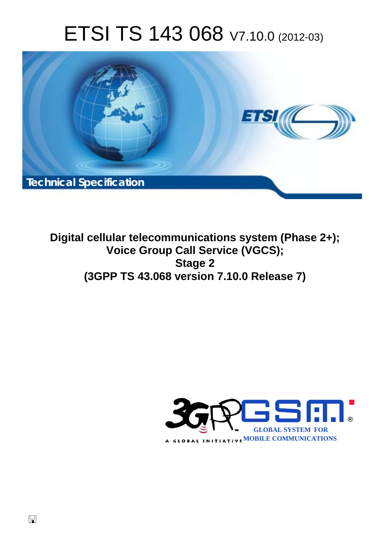# ETSI TS 143 068 V7.10.0 (2012-03)



**Digital cellular telecommunications system (Phase 2+); Voice Group Call Service (VGCS); Stage 2 (3GPP TS 43.068 version 7.10.0 Release 7)** 

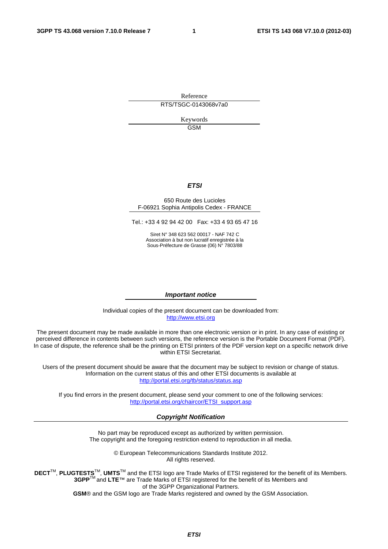Reference RTS/TSGC-0143068v7a0

> Keywords GSM

#### *ETSI*

#### 650 Route des Lucioles F-06921 Sophia Antipolis Cedex - FRANCE

Tel.: +33 4 92 94 42 00 Fax: +33 4 93 65 47 16

Siret N° 348 623 562 00017 - NAF 742 C Association à but non lucratif enregistrée à la Sous-Préfecture de Grasse (06) N° 7803/88

#### *Important notice*

Individual copies of the present document can be downloaded from: [http://www.etsi.org](http://www.etsi.org/)

The present document may be made available in more than one electronic version or in print. In any case of existing or perceived difference in contents between such versions, the reference version is the Portable Document Format (PDF). In case of dispute, the reference shall be the printing on ETSI printers of the PDF version kept on a specific network drive within ETSI Secretariat.

Users of the present document should be aware that the document may be subject to revision or change of status. Information on the current status of this and other ETSI documents is available at <http://portal.etsi.org/tb/status/status.asp>

If you find errors in the present document, please send your comment to one of the following services: [http://portal.etsi.org/chaircor/ETSI\\_support.asp](http://portal.etsi.org/chaircor/ETSI_support.asp)

#### *Copyright Notification*

No part may be reproduced except as authorized by written permission. The copyright and the foregoing restriction extend to reproduction in all media.

> © European Telecommunications Standards Institute 2012. All rights reserved.

DECT<sup>™</sup>, PLUGTESTS<sup>™</sup>, UMTS<sup>™</sup> and the ETSI logo are Trade Marks of ETSI registered for the benefit of its Members. **3GPP**TM and **LTE**™ are Trade Marks of ETSI registered for the benefit of its Members and of the 3GPP Organizational Partners.

**GSM**® and the GSM logo are Trade Marks registered and owned by the GSM Association.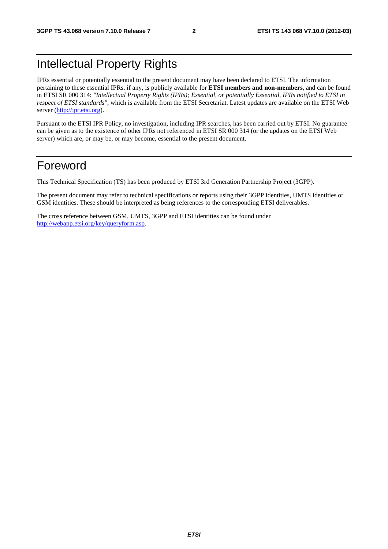# Intellectual Property Rights

IPRs essential or potentially essential to the present document may have been declared to ETSI. The information pertaining to these essential IPRs, if any, is publicly available for **ETSI members and non-members**, and can be found in ETSI SR 000 314: *"Intellectual Property Rights (IPRs); Essential, or potentially Essential, IPRs notified to ETSI in respect of ETSI standards"*, which is available from the ETSI Secretariat. Latest updates are available on the ETSI Web server [\(http://ipr.etsi.org](http://webapp.etsi.org/IPR/home.asp)).

Pursuant to the ETSI IPR Policy, no investigation, including IPR searches, has been carried out by ETSI. No guarantee can be given as to the existence of other IPRs not referenced in ETSI SR 000 314 (or the updates on the ETSI Web server) which are, or may be, or may become, essential to the present document.

# Foreword

This Technical Specification (TS) has been produced by ETSI 3rd Generation Partnership Project (3GPP).

The present document may refer to technical specifications or reports using their 3GPP identities, UMTS identities or GSM identities. These should be interpreted as being references to the corresponding ETSI deliverables.

The cross reference between GSM, UMTS, 3GPP and ETSI identities can be found under [http://webapp.etsi.org/key/queryform.asp.](http://webapp.etsi.org/key/queryform.asp)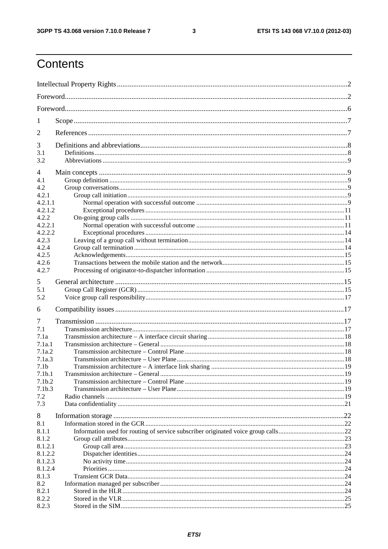$\mathbf{3}$ 

# Contents

| 1                  |  |  |  |  |
|--------------------|--|--|--|--|
| $\overline{2}$     |  |  |  |  |
| 3                  |  |  |  |  |
| 3.1<br>3.2         |  |  |  |  |
|                    |  |  |  |  |
| 4<br>4.1           |  |  |  |  |
| 4.2                |  |  |  |  |
| 4.2.1              |  |  |  |  |
| 4.2.1.1            |  |  |  |  |
| 4.2.1.2            |  |  |  |  |
| 4.2.2              |  |  |  |  |
| 4.2.2.1            |  |  |  |  |
| 4.2.2.2            |  |  |  |  |
| 4.2.3              |  |  |  |  |
| 4.2.4              |  |  |  |  |
| 4.2.5              |  |  |  |  |
| 4.2.6              |  |  |  |  |
| 4.2.7              |  |  |  |  |
|                    |  |  |  |  |
| 5                  |  |  |  |  |
| 5.1                |  |  |  |  |
| 5.2                |  |  |  |  |
| 6                  |  |  |  |  |
| 7                  |  |  |  |  |
| 7.1                |  |  |  |  |
| 7.1a               |  |  |  |  |
| 7.1a.1             |  |  |  |  |
| 7.1a.2             |  |  |  |  |
| 7.1a.3             |  |  |  |  |
| 7.1 <sub>b</sub>   |  |  |  |  |
| 7.1 <sub>b.1</sub> |  |  |  |  |
| 7.1 <sub>b.2</sub> |  |  |  |  |
| 7.1 <sub>b.3</sub> |  |  |  |  |
| 7.2                |  |  |  |  |
| 7.3                |  |  |  |  |
| 8                  |  |  |  |  |
| 8.1                |  |  |  |  |
| 8.1.1              |  |  |  |  |
| 8.1.2              |  |  |  |  |
| 8.1.2.1            |  |  |  |  |
| 8.1.2.2            |  |  |  |  |
| 8.1.2.3            |  |  |  |  |
| 8.1.2.4            |  |  |  |  |
| 8.1.3              |  |  |  |  |
| 8.2                |  |  |  |  |
| 8.2.1              |  |  |  |  |
| 8.2.2              |  |  |  |  |
| 8.2.3              |  |  |  |  |
|                    |  |  |  |  |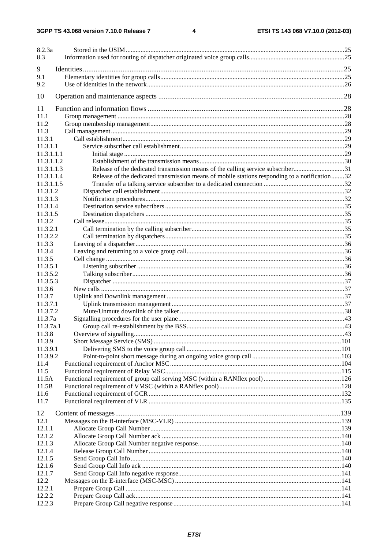| 8.2.3a     |                                                                                               |            |
|------------|-----------------------------------------------------------------------------------------------|------------|
| 8.3        |                                                                                               |            |
| 9          |                                                                                               |            |
| 9.1        |                                                                                               |            |
| 9.2        |                                                                                               |            |
| 10         |                                                                                               |            |
| 11         |                                                                                               |            |
| 11.1       |                                                                                               |            |
| 11.2       |                                                                                               |            |
| 11.3       |                                                                                               |            |
| 11.3.1     |                                                                                               |            |
| 11.3.1.1   |                                                                                               |            |
| 11.3.1.1.1 |                                                                                               |            |
| 11.3.1.1.2 |                                                                                               |            |
| 11.3.1.1.3 | Release of the dedicated transmission means of the calling service subscriber31               |            |
| 11.3.1.1.4 | Release of the dedicated transmission means of mobile stations responding to a notification32 |            |
| 11.3.1.1.5 |                                                                                               |            |
| 11.3.1.2   |                                                                                               |            |
| 11.3.1.3   |                                                                                               |            |
| 11.3.1.4   |                                                                                               |            |
| 11.3.1.5   |                                                                                               |            |
| 11.3.2     |                                                                                               |            |
| 11.3.2.1   |                                                                                               |            |
| 11.3.2.2   |                                                                                               |            |
| 11.3.3     |                                                                                               |            |
| 11.3.4     |                                                                                               |            |
| 11.3.5     |                                                                                               |            |
| 11.3.5.1   |                                                                                               |            |
| 11.3.5.2   |                                                                                               |            |
| 11.3.5.3   |                                                                                               |            |
| 11.3.6     |                                                                                               |            |
| 11.3.7     |                                                                                               |            |
| 11.3.7.1   |                                                                                               |            |
| 11.3.7.2   |                                                                                               |            |
| 11.3.7a    |                                                                                               |            |
| 11.3.7a.1  |                                                                                               |            |
| 11.3.8     | Overview of signalling                                                                        | $\dots$ 43 |
| 11.3.9     |                                                                                               |            |
| 11.3.9.1   |                                                                                               |            |
| 11.3.9.2   |                                                                                               |            |
| 11.4       |                                                                                               |            |
| 11.5       |                                                                                               |            |
| 11.5A      |                                                                                               |            |
| 11.5B      |                                                                                               |            |
| 11.6       |                                                                                               |            |
| 11.7       |                                                                                               |            |
| 12         |                                                                                               |            |
| 12.1       |                                                                                               |            |
| 12.1.1     |                                                                                               |            |
| 12.1.2     |                                                                                               |            |
| 12.1.3     |                                                                                               |            |
| 12.1.4     |                                                                                               |            |
| 12.1.5     |                                                                                               |            |
| 12.1.6     |                                                                                               |            |
| 12.1.7     |                                                                                               |            |
| 12.2       |                                                                                               |            |
| 12.2.1     |                                                                                               |            |
| 12.2.2     |                                                                                               |            |
| 12.2.3     |                                                                                               |            |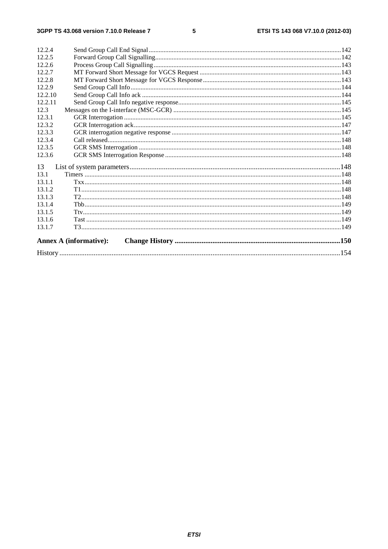| 12.2.4  |                               |  |
|---------|-------------------------------|--|
| 12.2.5  |                               |  |
| 12.2.6  |                               |  |
| 12.2.7  |                               |  |
| 12.2.8  |                               |  |
| 12.2.9  |                               |  |
| 12.2.10 |                               |  |
| 12.2.11 |                               |  |
| 12.3    |                               |  |
| 12.3.1  |                               |  |
| 12.3.2  |                               |  |
| 12.3.3  |                               |  |
| 12.3.4  |                               |  |
| 12.3.5  |                               |  |
| 12.3.6  |                               |  |
| 13      |                               |  |
| 13.1    |                               |  |
| 13.1.1  |                               |  |
| 13.1.2  |                               |  |
| 13.1.3  |                               |  |
| 13.1.4  |                               |  |
| 13.1.5  |                               |  |
| 13.1.6  |                               |  |
| 13.1.7  |                               |  |
|         | <b>Annex A (informative):</b> |  |
|         |                               |  |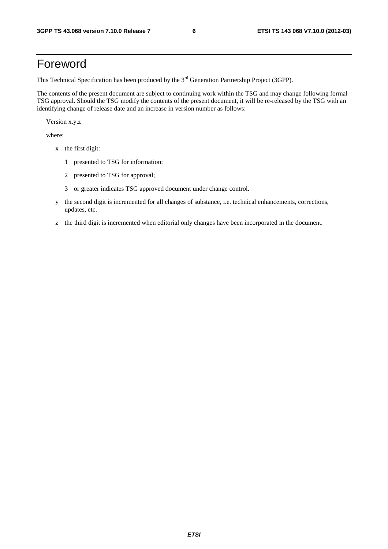# Foreword

This Technical Specification has been produced by the 3<sup>rd</sup> Generation Partnership Project (3GPP).

The contents of the present document are subject to continuing work within the TSG and may change following formal TSG approval. Should the TSG modify the contents of the present document, it will be re-released by the TSG with an identifying change of release date and an increase in version number as follows:

Version x.y.z

where:

- x the first digit:
	- 1 presented to TSG for information;
	- 2 presented to TSG for approval;
	- 3 or greater indicates TSG approved document under change control.
- y the second digit is incremented for all changes of substance, i.e. technical enhancements, corrections, updates, etc.
- z the third digit is incremented when editorial only changes have been incorporated in the document.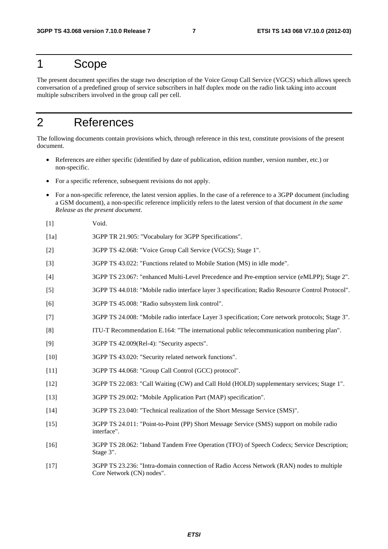# 1 Scope

The present document specifies the stage two description of the Voice Group Call Service (VGCS) which allows speech conversation of a predefined group of service subscribers in half duplex mode on the radio link taking into account multiple subscribers involved in the group call per cell.

# 2 References

The following documents contain provisions which, through reference in this text, constitute provisions of the present document.

- References are either specific (identified by date of publication, edition number, version number, etc.) or non-specific.
- For a specific reference, subsequent revisions do not apply.
- For a non-specific reference, the latest version applies. In the case of a reference to a 3GPP document (including a GSM document), a non-specific reference implicitly refers to the latest version of that document *in the same Release as the present document*.
- [1] Void.
- [1a] 3GPP TR 21.905: "Vocabulary for 3GPP Specifications".
- [2] 3GPP TS 42.068: "Voice Group Call Service (VGCS); Stage 1".
- [3] 3GPP TS 43.022: "Functions related to Mobile Station (MS) in idle mode".
- [4] 3GPP TS 23.067: "enhanced Multi-Level Precedence and Pre-emption service (eMLPP); Stage 2".
- [5] 3GPP TS 44.018: "Mobile radio interface layer 3 specification; Radio Resource Control Protocol".
- [6] 3GPP TS 45.008: "Radio subsystem link control".
- [7] 3GPP TS 24.008: "Mobile radio interface Layer 3 specification; Core network protocols; Stage 3".
- [8] ITU-T Recommendation E.164: "The international public telecommunication numbering plan".
- [9] 3GPP TS 42.009(Rel-4): "Security aspects".
- [10] 3GPP TS 43.020: "Security related network functions".
- [11] 3GPP TS 44.068: "Group Call Control (GCC) protocol".
- [12] 3GPP TS 22.083: "Call Waiting (CW) and Call Hold (HOLD) supplementary services; Stage 1".
- [13] 3GPP TS 29.002: "Mobile Application Part (MAP) specification".
- [14] 3GPP TS 23.040: "Technical realization of the Short Message Service (SMS)".
- [15] 3GPP TS 24.011: "Point-to-Point (PP) Short Message Service (SMS) support on mobile radio interface".
- [16] 3GPP TS 28.062: "Inband Tandem Free Operation (TFO) of Speech Codecs; Service Description; Stage 3".
- [17] 3GPP TS 23.236: "Intra-domain connection of Radio Access Network (RAN) nodes to multiple Core Network (CN) nodes".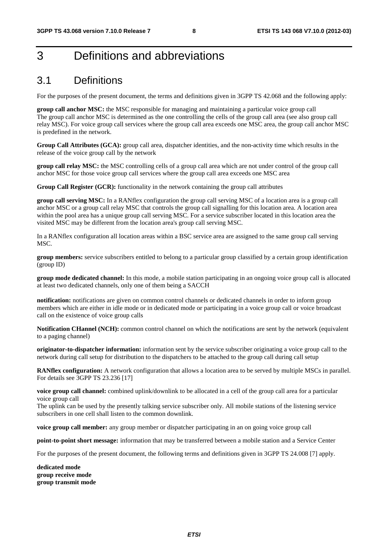# 3 Definitions and abbreviations

# 3.1 Definitions

For the purposes of the present document, the terms and definitions given in 3GPP TS 42.068 and the following apply:

**group call anchor MSC:** the MSC responsible for managing and maintaining a particular voice group call The group call anchor MSC is determined as the one controlling the cells of the group call area (see also group call relay MSC). For voice group call services where the group call area exceeds one MSC area, the group call anchor MSC is predefined in the network.

**Group Call Attributes (GCA):** group call area, dispatcher identities, and the non-activity time which results in the release of the voice group call by the network

**group call relay MSC:** the MSC controlling cells of a group call area which are not under control of the group call anchor MSC for those voice group call services where the group call area exceeds one MSC area

**Group Call Register (GCR):** functionality in the network containing the group call attributes

**group call serving MSC:** In a RANflex configuration the group call serving MSC of a location area is a group call anchor MSC or a group call relay MSC that controls the group call signalling for this location area. A location area within the pool area has a unique group call serving MSC. For a service subscriber located in this location area the visited MSC may be different from the location area's group call serving MSC.

In a RANflex configuration all location areas within a BSC service area are assigned to the same group call serving MSC.

**group members:** service subscribers entitled to belong to a particular group classified by a certain group identification (group ID)

**group mode dedicated channel:** In this mode, a mobile station participating in an ongoing voice group call is allocated at least two dedicated channels, only one of them being a SACCH

**notification:** notifications are given on common control channels or dedicated channels in order to inform group members which are either in idle mode or in dedicated mode or participating in a voice group call or voice broadcast call on the existence of voice group calls

**Notification CHannel (NCH):** common control channel on which the notifications are sent by the network (equivalent to a paging channel)

**originator-to-dispatcher information:** information sent by the service subscriber originating a voice group call to the network during call setup for distribution to the dispatchers to be attached to the group call during call setup

**RANflex configuration:** A network configuration that allows a location area to be served by multiple MSCs in parallel. For details see 3GPP TS 23.236 [17]

**voice group call channel:** combined uplink/downlink to be allocated in a cell of the group call area for a particular voice group call

The uplink can be used by the presently talking service subscriber only. All mobile stations of the listening service subscribers in one cell shall listen to the common downlink.

**voice group call member:** any group member or dispatcher participating in an on going voice group call

**point-to-point short message:** information that may be transferred between a mobile station and a Service Center

For the purposes of the present document, the following terms and definitions given in 3GPP TS 24.008 [7] apply.

**dedicated mode group receive mode group transmit mode**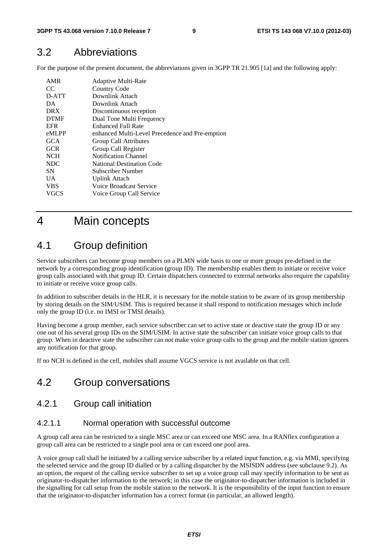### 3.2 Abbreviations

For the purpose of the present document, the abbreviations given in 3GPP TR 21.905 [1a] and the following apply:

| AMR         | Adaptive Multi-Rate                             |
|-------------|-------------------------------------------------|
| CC          | <b>Country Code</b>                             |
| D-ATT       | Downlink Attach                                 |
| DA.         | Downlink Attach                                 |
| <b>DRX</b>  | Discontinuous reception                         |
| <b>DTMF</b> | Dual Tone Multi Frequency                       |
| <b>EFR</b>  | Enhanced Full Rate                              |
| eMLPP       | enhanced Multi-Level Precedence and Pre-emption |
| <b>GCA</b>  | Group Call Attributes                           |
| <b>GCR</b>  | Group Call Register                             |
| <b>NCH</b>  | <b>Notification Channel</b>                     |
| NDC         | National Destination Code                       |
| <b>SN</b>   | Subscriber Number                               |
| UA.         | <b>Uplink Attach</b>                            |
| <b>VBS</b>  | Voice Broadcast Service                         |
| VGCS        | Voice Group Call Service                        |
|             |                                                 |

# 4 Main concepts

### 4.1 Group definition

Service subscribers can become group members on a PLMN wide basis to one or more groups pre-defined in the network by a corresponding group identification (group ID). The membership enables them to initiate or receive voice group calls associated with that group ID. Certain dispatchers connected to external networks also require the capability to initiate or receive voice group calls.

In addition to subscriber details in the HLR, it is necessary for the mobile station to be aware of its group membership by storing details on the SIM/USIM. This is required because it shall respond to notification messages which include only the group ID (i.e. no IMSI or TMSI details).

Having become a group member, each service subscriber can set to active state or deactive state the group ID or any one out of his several group IDs on the SIM/USIM. In active state the subscriber can initiate voice group calls to that group. When in deactive state the subscriber can not make voice group calls to the group and the mobile station ignores any notification for that group.

If no NCH is defined in the cell, mobiles shall assume VGCS service is not available on that cell.

# 4.2 Group conversations

### 4.2.1 Group call initiation

#### 4.2.1.1 Normal operation with successful outcome

A group call area can be restricted to a single MSC area or can exceed one MSC area. In a RANflex configuration a group call area can be restricted to a single pool area or can exceed one pool area.

A voice group call shall be initiated by a calling service subscriber by a related input function, e.g. via MMI, specifying the selected service and the group ID dialled or by a calling dispatcher by the MSISDN address (see subclause 9.2). As an option, the request of the calling service subscriber to set up a voice group call may specify information to be sent as originator-to-dispatcher information to the network; in this case the originator-to-dispatcher information is included in the signalling for call setup from the mobile station to the network. It is the responsibility of the input function to ensure that the originator-to-dispatcher information has a correct format (in particular, an allowed length).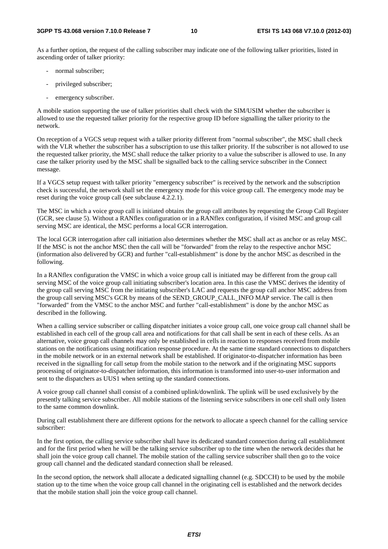As a further option, the request of the calling subscriber may indicate one of the following talker priorities, listed in ascending order of talker priority:

- normal subscriber;
- privileged subscriber;
- emergency subscriber.

A mobile station supporting the use of talker priorities shall check with the SIM/USIM whether the subscriber is allowed to use the requested talker priority for the respective group ID before signalling the talker priority to the network.

On reception of a VGCS setup request with a talker priority different from "normal subscriber", the MSC shall check with the VLR whether the subscriber has a subscription to use this talker priority. If the subscriber is not allowed to use the requested talker priority, the MSC shall reduce the talker priority to a value the subscriber is allowed to use. In any case the talker priority used by the MSC shall be signalled back to the calling service subscriber in the Connect message.

If a VGCS setup request with talker priority "emergency subscriber" is received by the network and the subscription check is successful, the network shall set the emergency mode for this voice group call. The emergency mode may be reset during the voice group call (see subclause 4.2.2.1).

The MSC in which a voice group call is initiated obtains the group call attributes by requesting the Group Call Register (GCR, see clause 5). Without a RANflex configuration or in a RANflex configuration, if visited MSC and group call serving MSC are identical, the MSC performs a local GCR interrogation.

The local GCR interrogation after call initiation also determines whether the MSC shall act as anchor or as relay MSC. If the MSC is not the anchor MSC then the call will be "forwarded" from the relay to the respective anchor MSC (information also delivered by GCR) and further "call-establishment" is done by the anchor MSC as described in the following.

In a RANflex configuration the VMSC in which a voice group call is initiated may be different from the group call serving MSC of the voice group call initiating subscriber's location area. In this case the VMSC derives the identity of the group call serving MSC from the initiating subscriber's LAC and requests the group call anchor MSC address from the group call serving MSC's GCR by means of the SEND\_GROUP\_CALL\_INFO MAP service. The call is then "forwarded" from the VMSC to the anchor MSC and further "call-establishment" is done by the anchor MSC as described in the following.

When a calling service subscriber or calling dispatcher initiates a voice group call, one voice group call channel shall be established in each cell of the group call area and notifications for that call shall be sent in each of these cells. As an alternative, voice group call channels may only be established in cells in reaction to responses received from mobile stations on the notifications using notification response procedure. At the same time standard connections to dispatchers in the mobile network or in an external network shall be established. If originator-to-dispatcher information has been received in the signalling for call setup from the mobile station to the network and if the originating MSC supports processing of originator-to-dispatcher information, this information is transformed into user-to-user information and sent to the dispatchers as UUS1 when setting up the standard connections.

A voice group call channel shall consist of a combined uplink/downlink. The uplink will be used exclusively by the presently talking service subscriber. All mobile stations of the listening service subscribers in one cell shall only listen to the same common downlink.

During call establishment there are different options for the network to allocate a speech channel for the calling service subscriber:

In the first option, the calling service subscriber shall have its dedicated standard connection during call establishment and for the first period when he will be the talking service subscriber up to the time when the network decides that he shall join the voice group call channel. The mobile station of the calling service subscriber shall then go to the voice group call channel and the dedicated standard connection shall be released.

In the second option, the network shall allocate a dedicated signalling channel (e.g. SDCCH) to be used by the mobile station up to the time when the voice group call channel in the originating cell is established and the network decides that the mobile station shall join the voice group call channel.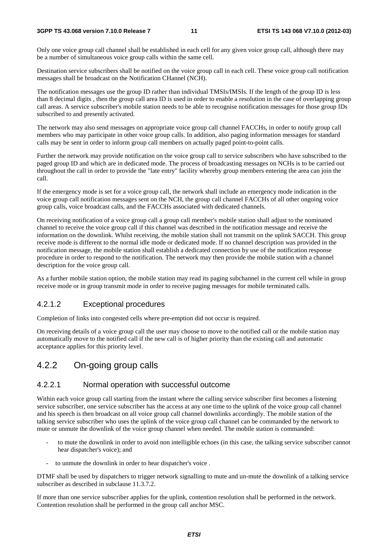#### **3GPP TS 43.068 version 7.10.0 Release 7 11 ETSI TS 143 068 V7.10.0 (2012-03)**

Only one voice group call channel shall be established in each cell for any given voice group call, although there may be a number of simultaneous voice group calls within the same cell.

Destination service subscribers shall be notified on the voice group call in each cell. These voice group call notification messages shall be broadcast on the Notification CHannel (NCH).

The notification messages use the group ID rather than individual TMSIs/IMSIs. If the length of the group ID is less than 8 decimal digits , then the group call area ID is used in order to enable a resolution in the case of overlapping group call areas. A service subscriber's mobile station needs to be able to recognise notification messages for those group IDs subscribed to and presently activated.

The network may also send messages on appropriate voice group call channel FACCHs, in order to notify group call members who may participate in other voice group calls. In addition, also paging information messages for standard calls may be sent in order to inform group call members on actually paged point-to-point calls.

Further the network may provide notification on the voice group call to service subscribers who have subscribed to the paged group ID and which are in dedicated mode. The process of broadcasting messages on NCHs is to be carried out throughout the call in order to provide the "late entry" facility whereby group members entering the area can join the call.

If the emergency mode is set for a voice group call, the network shall include an emergency mode indication in the voice group call notification messages sent on the NCH, the group call channel FACCHs of all other ongoing voice group calls, voice broadcast calls, and the FACCHs associated with dedicated channels.

On receiving notification of a voice group call a group call member's mobile station shall adjust to the nominated channel to receive the voice group call if this channel was described in the notification message and receive the information on the downlink. Whilst receiving, the mobile station shall not transmit on the uplink SACCH. This group receive mode is different to the normal idle mode or dedicated mode. If no channel description was provided in the notification message, the mobile station shall establish a dedicated connection by use of the notification response procedure in order to respond to the notification. The network may then provide the mobile station with a channel description for the voice group call.

As a further mobile station option, the mobile station may read its paging subchannel in the current cell while in group receive mode or in group transmit mode in order to receive paging messages for mobile terminated calls.

### 4.2.1.2 Exceptional procedures

Completion of links into congested cells where pre-emption did not occur is required.

On receiving details of a voice group call the user may choose to move to the notified call or the mobile station may automatically move to the notified call if the new call is of higher priority than the existing call and automatic acceptance applies for this priority level.

# 4.2.2 On-going group calls

### 4.2.2.1 Normal operation with successful outcome

Within each voice group call starting from the instant where the calling service subscriber first becomes a listening service subscriber, one service subscriber has the access at any one time to the uplink of the voice group call channel and his speech is then broadcast on all voice group call channel downlinks accordingly. The mobile station of the talking service subscriber who uses the uplink of the voice group call channel can be commanded by the network to mute or unmute the downlink of the voice group channel when needed. The mobile station is commanded:

- to mute the downlink in order to avoid non intelligible echoes (in this case, the talking service subscriber cannot hear dispatcher's voice); and
- to unmute the downlink in order to hear dispatcher's voice.

DTMF shall be used by dispatchers to trigger network signalling to mute and un-mute the downlink of a talking service subscriber as described in subclause 11.3.7.2.

If more than one service subscriber applies for the uplink, contention resolution shall be performed in the network. Contention resolution shall be performed in the group call anchor MSC.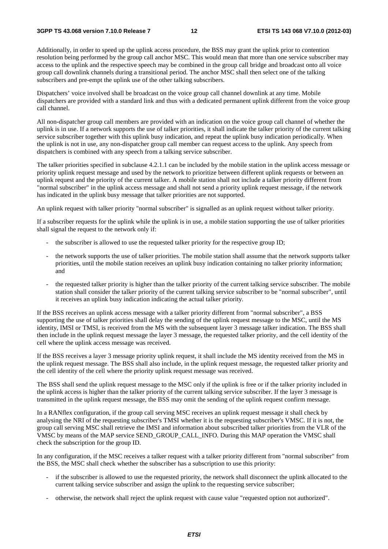Additionally, in order to speed up the uplink access procedure, the BSS may grant the uplink prior to contention resolution being performed by the group call anchor MSC. This would mean that more than one service subscriber may access to the uplink and the respective speech may be combined in the group call bridge and broadcast onto all voice group call downlink channels during a transitional period. The anchor MSC shall then select one of the talking subscribers and pre-empt the uplink use of the other talking subscribers.

Dispatchers' voice involved shall be broadcast on the voice group call channel downlink at any time. Mobile dispatchers are provided with a standard link and thus with a dedicated permanent uplink different from the voice group call channel.

All non-dispatcher group call members are provided with an indication on the voice group call channel of whether the uplink is in use. If a network supports the use of talker priorities, it shall indicate the talker priority of the current talking service subscriber together with this uplink busy indication, and repeat the uplink busy indication periodically. When the uplink is not in use, any non-dispatcher group call member can request access to the uplink. Any speech from dispatchers is combined with any speech from a talking service subscriber.

The talker priorities specified in subclause 4.2.1.1 can be included by the mobile station in the uplink access message or priority uplink request message and used by the network to prioritize between different uplink requests or between an uplink request and the priority of the current talker. A mobile station shall not include a talker priority different from "normal subscriber" in the uplink access message and shall not send a priority uplink request message, if the network has indicated in the uplink busy message that talker priorities are not supported.

An uplink request with talker priority "normal subscriber" is signalled as an uplink request without talker priority.

If a subscriber requests for the uplink while the uplink is in use, a mobile station supporting the use of talker priorities shall signal the request to the network only if:

- the subscriber is allowed to use the requested talker priority for the respective group ID;
- the network supports the use of talker priorities. The mobile station shall assume that the network supports talker priorities, until the mobile station receives an uplink busy indication containing no talker priority information; and
- the requested talker priority is higher than the talker priority of the current talking service subscriber. The mobile station shall consider the talker priority of the current talking service subscriber to be "normal subscriber", until it receives an uplink busy indication indicating the actual talker priority.

If the BSS receives an uplink access message with a talker priority different from "normal subscriber", a BSS supporting the use of talker priorities shall delay the sending of the uplink request message to the MSC, until the MS identity, IMSI or TMSI, is received from the MS with the subsequent layer 3 message talker indication. The BSS shall then include in the uplink request message the layer 3 message, the requested talker priority, and the cell identity of the cell where the uplink access message was received.

If the BSS receives a layer 3 message priority uplink request, it shall include the MS identity received from the MS in the uplink request message. The BSS shall also include, in the uplink request message, the requested talker priority and the cell identity of the cell where the priority uplink request message was received.

The BSS shall send the uplink request message to the MSC only if the uplink is free or if the talker priority included in the uplink access is higher than the talker priority of the current talking service subscriber. If the layer 3 message is transmitted in the uplink request message, the BSS may omit the sending of the uplink request confirm message.

In a RANflex configuration, if the group call serving MSC receives an uplink request message it shall check by analysing the NRI of the requesting subscriber's TMSI whether it is the requesting subscriber's VMSC. If it is not, the group call serving MSC shall retrieve the IMSI and information about subscribed talker priorities from the VLR of the VMSC by means of the MAP service SEND\_GROUP\_CALL\_INFO. During this MAP operation the VMSC shall check the subscription for the group ID.

In any configuration, if the MSC receives a talker request with a talker priority different from "normal subscriber" from the BSS, the MSC shall check whether the subscriber has a subscription to use this priority:

- if the subscriber is allowed to use the requested priority, the network shall disconnect the uplink allocated to the current talking service subscriber and assign the uplink to the requesting service subscriber;
- otherwise, the network shall reject the uplink request with cause value "requested option not authorized".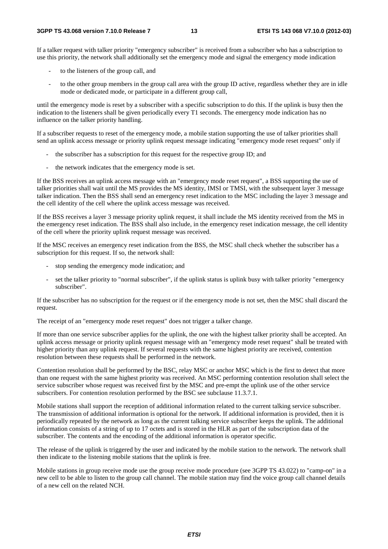If a talker request with talker priority "emergency subscriber" is received from a subscriber who has a subscription to use this priority, the network shall additionally set the emergency mode and signal the emergency mode indication

- to the listeners of the group call, and
- to the other group members in the group call area with the group ID active, regardless whether they are in idle mode or dedicated mode, or participate in a different group call,

until the emergency mode is reset by a subscriber with a specific subscription to do this. If the uplink is busy then the indication to the listeners shall be given periodically every T1 seconds. The emergency mode indication has no influence on the talker priority handling.

If a subscriber requests to reset of the emergency mode, a mobile station supporting the use of talker priorities shall send an uplink access message or priority uplink request message indicating "emergency mode reset request" only if

- the subscriber has a subscription for this request for the respective group ID; and
- the network indicates that the emergency mode is set.

If the BSS receives an uplink access message with an "emergency mode reset request", a BSS supporting the use of talker priorities shall wait until the MS provides the MS identity, IMSI or TMSI, with the subsequent layer 3 message talker indication. Then the BSS shall send an emergency reset indication to the MSC including the layer 3 message and the cell identity of the cell where the uplink access message was received.

If the BSS receives a layer 3 message priority uplink request, it shall include the MS identity received from the MS in the emergency reset indication. The BSS shall also include, in the emergency reset indication message, the cell identity of the cell where the priority uplink request message was received.

If the MSC receives an emergency reset indication from the BSS, the MSC shall check whether the subscriber has a subscription for this request. If so, the network shall:

- stop sending the emergency mode indication; and
- set the talker priority to "normal subscriber", if the uplink status is uplink busy with talker priority "emergency subscriber".

If the subscriber has no subscription for the request or if the emergency mode is not set, then the MSC shall discard the request.

The receipt of an "emergency mode reset request" does not trigger a talker change.

If more than one service subscriber applies for the uplink, the one with the highest talker priority shall be accepted. An uplink access message or priority uplink request message with an "emergency mode reset request" shall be treated with higher priority than any uplink request. If several requests with the same highest priority are received, contention resolution between these requests shall be performed in the network.

Contention resolution shall be performed by the BSC, relay MSC or anchor MSC which is the first to detect that more than one request with the same highest priority was received. An MSC performing contention resolution shall select the service subscriber whose request was received first by the MSC and pre-empt the uplink use of the other service subscribers. For contention resolution performed by the BSC see subclause 11.3.7.1.

Mobile stations shall support the reception of additional information related to the current talking service subscriber. The transmission of additional information is optional for the network. If additional information is provided, then it is periodically repeated by the network as long as the current talking service subscriber keeps the uplink. The additional information consists of a string of up to 17 octets and is stored in the HLR as part of the subscription data of the subscriber. The contents and the encoding of the additional information is operator specific.

The release of the uplink is triggered by the user and indicated by the mobile station to the network. The network shall then indicate to the listening mobile stations that the uplink is free.

Mobile stations in group receive mode use the group receive mode procedure (see 3GPP TS 43.022) to "camp-on" in a new cell to be able to listen to the group call channel. The mobile station may find the voice group call channel details of a new cell on the related NCH.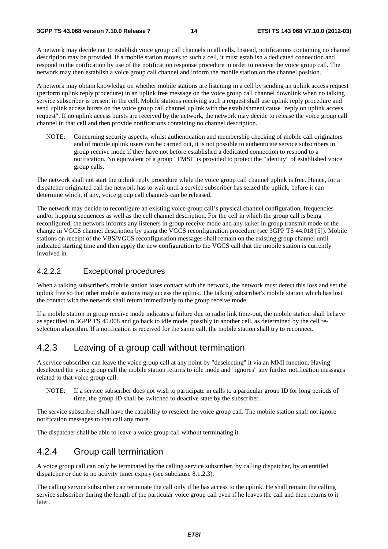A network may decide not to establish voice group call channels in all cells. Instead, notifications containing no channel description may be provided. If a mobile station moves to such a cell, it must establish a dedicated connection and respond to the notification by use of the notification response procedure in order to receive the voice group call. The network may then establish a voice group call channel and inform the mobile station on the channel position.

A network may obtain knowledge on whether mobile stations are listening in a cell by sending an uplink access request (perform uplink reply procedure) in an uplink free message on the voice group call channel downlink when no talking service subscriber is present in the cell. Mobile stations receiving such a request shall use uplink reply procedure and send uplink access bursts on the voice group call channel uplink with the establishment cause "reply on uplink access request". If no uplink access bursts are received by the network, the network may decide to release the voice group call channel in that cell and then provide notifications containing no channel description.

NOTE: Concerning security aspects, whilst authentication and membership checking of mobile call originators and of mobile uplink users can be carried out, it is not possible to authenticate service subscribers in group receive mode if they have not before established a dedicated connection to respond to a notification. No equivalent of a group "TMSI" is provided to protect the "identity" of established voice group calls.

The network shall not start the uplink reply procedure while the voice group call channel uplink is free. Hence, for a dispatcher originated call the network has to wait until a service subscriber has seized the uplink, before it can determine which, if any, voice group call channels can be released.

The network may decide to reconfigure an existing voice group call's physical channel configuration, frequencies and/or hopping sequences as well as the cell channel description. For the cell in which the group call is being reconfigured, the network informs any listeners in group receive mode and any talker in group transmit mode of the change in VGCS channel description by using the VGCS reconfiguration procedure (see 3GPP TS 44.018 [5]). Mobile stations on receipt of the VBS/VGCS reconfiguration messages shall remain on the existing group channel until indicated starting time and then apply the new configuration to the VGCS call that the mobile station is currently involved in.

### 4.2.2.2 Exceptional procedures

When a talking subscriber's mobile station loses contact with the network, the network must detect this loss and set the uplink free so that other mobile stations may access the uplink. The talking subscriber's mobile station which has lost the contact with the network shall return immediately to the group receive mode.

If a mobile station in group receive mode indicates a failure due to radio link time-out, the mobile station shall behave as specified in 3GPP TS 45.008 and go back to idle mode, possibly in another cell, as determined by the cell reselection algorithm. If a notification is received for the same call, the mobile station shall try to reconnect.

### 4.2.3 Leaving of a group call without termination

A service subscriber can leave the voice group call at any point by "deselecting" it via an MMI function. Having deselected the voice group call the mobile station returns to idle mode and "ignores" any further notification messages related to that voice group call.

NOTE: If a service subscriber does not wish to participate in calls to a particular group ID for long periods of time, the group ID shall be switched to deactive state by the subscriber.

The service subscriber shall have the capability to reselect the voice group call. The mobile station shall not ignore notification messages to that call any more.

The dispatcher shall be able to leave a voice group call without terminating it.

### 4.2.4 Group call termination

A voice group call can only be terminated by the calling service subscriber, by calling dispatcher, by an entitled dispatcher or due to no activity timer expiry (see subclause 8.1.2.3).

The calling service subscriber can terminate the call only if he has access to the uplink. He shall remain the calling service subscriber during the length of the particular voice group call even if he leaves the call and then returns to it later.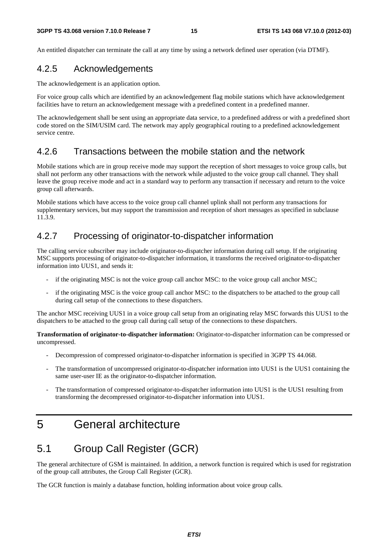An entitled dispatcher can terminate the call at any time by using a network defined user operation (via DTMF).

### 4.2.5 Acknowledgements

The acknowledgement is an application option.

For voice group calls which are identified by an acknowledgement flag mobile stations which have acknowledgement facilities have to return an acknowledgement message with a predefined content in a predefined manner.

The acknowledgement shall be sent using an appropriate data service, to a predefined address or with a predefined short code stored on the SIM/USIM card. The network may apply geographical routing to a predefined acknowledgement service centre.

### 4.2.6 Transactions between the mobile station and the network

Mobile stations which are in group receive mode may support the reception of short messages to voice group calls, but shall not perform any other transactions with the network while adjusted to the voice group call channel. They shall leave the group receive mode and act in a standard way to perform any transaction if necessary and return to the voice group call afterwards.

Mobile stations which have access to the voice group call channel uplink shall not perform any transactions for supplementary services, but may support the transmission and reception of short messages as specified in subclause 11.3.9.

### 4.2.7 Processing of originator-to-dispatcher information

The calling service subscriber may include originator-to-dispatcher information during call setup. If the originating MSC supports processing of originator-to-dispatcher information, it transforms the received originator-to-dispatcher information into UUS1, and sends it:

- if the originating MSC is not the voice group call anchor MSC: to the voice group call anchor MSC;
- if the originating MSC is the voice group call anchor MSC: to the dispatchers to be attached to the group call during call setup of the connections to these dispatchers.

The anchor MSC receiving UUS1 in a voice group call setup from an originating relay MSC forwards this UUS1 to the dispatchers to be attached to the group call during call setup of the connections to these dispatchers.

**Transformation of originator-to-dispatcher information:** Originator-to-dispatcher information can be compressed or uncompressed.

- Decompression of compressed originator-to-dispatcher information is specified in 3GPP TS 44.068.
- The transformation of uncompressed originator-to-dispatcher information into UUS1 is the UUS1 containing the same user-user IE as the originator-to-dispatcher information.
- The transformation of compressed originator-to-dispatcher information into UUS1 is the UUS1 resulting from transforming the decompressed originator-to-dispatcher information into UUS1.

# 5 General architecture

# 5.1 Group Call Register (GCR)

The general architecture of GSM is maintained. In addition, a network function is required which is used for registration of the group call attributes, the Group Call Register (GCR).

The GCR function is mainly a database function, holding information about voice group calls.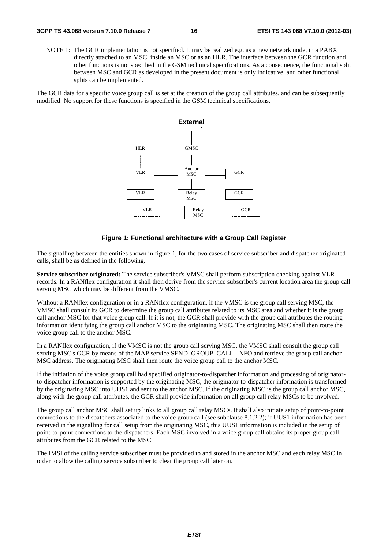NOTE 1: The GCR implementation is not specified. It may be realized e.g. as a new network node, in a PABX directly attached to an MSC, inside an MSC or as an HLR. The interface between the GCR function and other functions is not specified in the GSM technical specifications. As a consequence, the functional split between MSC and GCR as developed in the present document is only indicative, and other functional splits can be implemented.

The GCR data for a specific voice group call is set at the creation of the group call attributes, and can be subsequently modified. No support for these functions is specified in the GSM technical specifications.



#### **Figure 1: Functional architecture with a Group Call Register**

The signalling between the entities shown in figure 1, for the two cases of service subscriber and dispatcher originated calls, shall be as defined in the following.

**Service subscriber originated:** The service subscriber's VMSC shall perform subscription checking against VLR records. In a RANflex configuration it shall then derive from the service subscriber's current location area the group call serving MSC which may be different from the VMSC.

Without a RANflex configuration or in a RANflex configuration, if the VMSC is the group call serving MSC, the VMSC shall consult its GCR to determine the group call attributes related to its MSC area and whether it is the group call anchor MSC for that voice group call. If it is not, the GCR shall provide with the group call attributes the routing information identifying the group call anchor MSC to the originating MSC. The originating MSC shall then route the voice group call to the anchor MSC.

In a RANflex configuration, if the VMSC is not the group call serving MSC, the VMSC shall consult the group call serving MSC's GCR by means of the MAP service SEND\_GROUP\_CALL\_INFO and retrieve the group call anchor MSC address. The originating MSC shall then route the voice group call to the anchor MSC.

If the initiation of the voice group call had specified originator-to-dispatcher information and processing of originatorto-dispatcher information is supported by the originating MSC, the originator-to-dispatcher information is transformed by the originating MSC into UUS1 and sent to the anchor MSC. If the originating MSC is the group call anchor MSC, along with the group call attributes, the GCR shall provide information on all group call relay MSCs to be involved.

The group call anchor MSC shall set up links to all group call relay MSCs. It shall also initiate setup of point-to-point connections to the dispatchers associated to the voice group call (see subclause 8.1.2.2); if UUS1 information has been received in the signalling for call setup from the originating MSC, this UUS1 information is included in the setup of point-to-point connections to the dispatchers. Each MSC involved in a voice group call obtains its proper group call attributes from the GCR related to the MSC.

The IMSI of the calling service subscriber must be provided to and stored in the anchor MSC and each relay MSC in order to allow the calling service subscriber to clear the group call later on.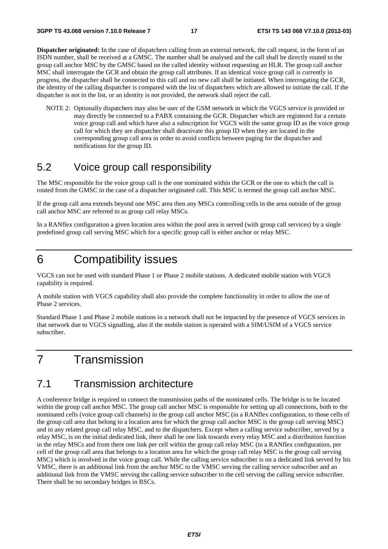**Dispatcher originated:** In the case of dispatchers calling from an external network, the call request, in the form of an ISDN number, shall be received at a GMSC. The number shall be analysed and the call shall be directly routed to the group call anchor MSC by the GMSC based on the called identity without requesting an HLR. The group call anchor MSC shall interrogate the GCR and obtain the group call attributes. If an identical voice group call is currently in progress, the dispatcher shall be connected to this call and no new call shall be initiated. When interrogating the GCR, the identity of the calling dispatcher is compared with the list of dispatchers which are allowed to initiate the call. If the dispatcher is not in the list, or an identity is not provided, the network shall reject the call.

NOTE 2: Optionally dispatchers may also be user of the GSM network in which the VGCS service is provided or may directly be connected to a PABX containing the GCR. Dispatcher which are registered for a certain voice group call and which have also a subscription for VGCS with the same group ID as the voice group call for which they are dispatcher shall deactivate this group ID when they are located in the corresponding group call area in order to avoid conflicts between paging for the dispatcher and notifications for the group ID.

## 5.2 Voice group call responsibility

The MSC responsible for the voice group call is the one nominated within the GCR or the one to which the call is routed from the GMSC in the case of a dispatcher originated call. This MSC is termed the group call anchor MSC.

If the group call area extends beyond one MSC area then any MSCs controlling cells in the area outside of the group call anchor MSC are referred to as group call relay MSCs.

In a RANflex configuration a given location area within the pool area is served (with group call services) by a single predefined group call serving MSC which for a specific group call is either anchor or relay MSC.

# 6 Compatibility issues

VGCS can not be used with standard Phase 1 or Phase 2 mobile stations. A dedicated mobile station with VGCS capability is required.

A mobile station with VGCS capability shall also provide the complete functionality in order to allow the use of Phase 2 services.

Standard Phase 1 and Phase 2 mobile stations in a network shall not be impacted by the presence of VGCS services in that network due to VGCS signalling, also if the mobile station is operated with a SIM/USIM of a VGCS service subscriber.

# 7 Transmission

# 7.1 Transmission architecture

A conference bridge is required to connect the transmission paths of the nominated cells. The bridge is to be located within the group call anchor MSC. The group call anchor MSC is responsible for setting up all connections, both to the nominated cells (voice group call channels) in the group call anchor MSC (in a RANflex configuration, to those cells of the group call area that belong to a location area for which the group call anchor MSC is the group call serving MSC) and in any related group call relay MSC, and to the dispatchers. Except when a calling service subscriber, served by a relay MSC, is on the initial dedicated link, there shall be one link towards every relay MSC and a distribution function in the relay MSCs and from there one link per cell within the group call relay MSC (in a RANflex configuration, per cell of the group call area that belongs to a location area for which the group call relay MSC is the group call serving MSC) which is involved in the voice group call. While the calling service subscriber is on a dedicated link served by his VMSC, there is an additional link from the anchor MSC to the VMSC serving the calling service subscriber and an additional link from the VMSC serving the calling service subscriber to the cell serving the calling service subscriber. There shall be no secondary bridges in BSCs.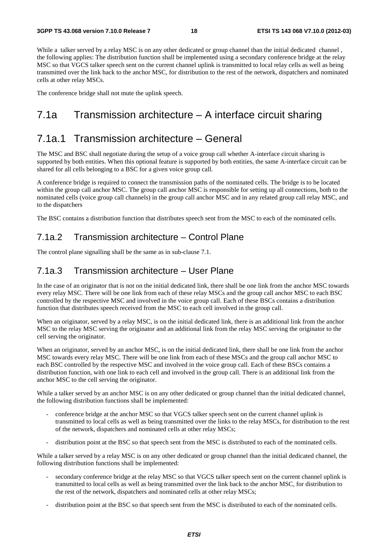While a talker served by a relay MSC is on any other dedicated or group channel than the initial dedicated channel, the following applies: The distribution function shall be implemented using a secondary conference bridge at the relay MSC so that VGCS talker speech sent on the current channel uplink is transmitted to local relay cells as well as being transmitted over the link back to the anchor MSC, for distribution to the rest of the network, dispatchers and nominated cells at other relay MSCs.

The conference bridge shall not mute the uplink speech.

# 7.1a Transmission architecture – A interface circuit sharing

# 7.1a.1 Transmission architecture – General

The MSC and BSC shall negotiate during the setup of a voice group call whether A-interface circuit sharing is supported by both entities. When this optional feature is supported by both entities, the same A-interface circuit can be shared for all cells belonging to a BSC for a given voice group call.

A conference bridge is required to connect the transmission paths of the nominated cells. The bridge is to be located within the group call anchor MSC. The group call anchor MSC is responsible for setting up all connections, both to the nominated cells (voice group call channels) in the group call anchor MSC and in any related group call relay MSC, and to the dispatchers

The BSC contains a distribution function that distributes speech sent from the MSC to each of the nominated cells.

### 7.1a.2 Transmission architecture – Control Plane

The control plane signalling shall be the same as in sub-clause 7.1.

### 7.1a.3 Transmission architecture – User Plane

In the case of an originator that is not on the initial dedicated link, there shall be one link from the anchor MSC towards every relay MSC. There will be one link from each of these relay MSCs and the group call anchor MSC to each BSC controlled by the respective MSC and involved in the voice group call. Each of these BSCs contains a distribution function that distributes speech received from the MSC to each cell involved in the group call.

When an originator, served by a relay MSC, is on the initial dedicated link, there is an additional link from the anchor MSC to the relay MSC serving the originator and an additional link from the relay MSC serving the originator to the cell serving the originator.

When an originator, served by an anchor MSC, is on the initial dedicated link, there shall be one link from the anchor MSC towards every relay MSC. There will be one link from each of these MSCs and the group call anchor MSC to each BSC controlled by the respective MSC and involved in the voice group call. Each of these BSCs contains a distribution function, with one link to each cell and involved in the group call. There is an additional link from the anchor MSC to the cell serving the originator.

While a talker served by an anchor MSC is on any other dedicated or group channel than the initial dedicated channel, the following distribution functions shall be implemented:

- conference bridge at the anchor MSC so that VGCS talker speech sent on the current channel uplink is transmitted to local cells as well as being transmitted over the links to the relay MSCs, for distribution to the rest of the network, dispatchers and nominated cells at other relay MSCs;
- distribution point at the BSC so that speech sent from the MSC is distributed to each of the nominated cells.

While a talker served by a relay MSC is on any other dedicated or group channel than the initial dedicated channel, the following distribution functions shall be implemented:

- secondary conference bridge at the relay MSC so that VGCS talker speech sent on the current channel uplink is transmitted to local cells as well as being transmitted over the link back to the anchor MSC, for distribution to the rest of the network, dispatchers and nominated cells at other relay MSCs;
- distribution point at the BSC so that speech sent from the MSC is distributed to each of the nominated cells.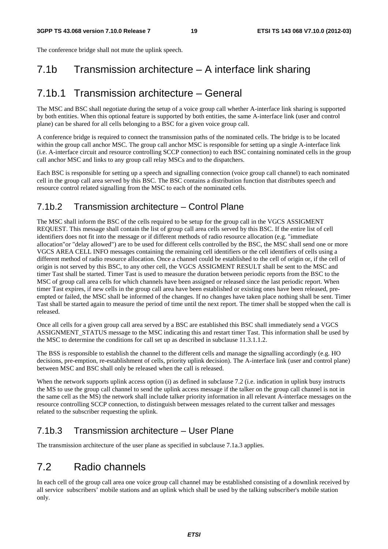The conference bridge shall not mute the uplink speech.

# 7.1b Transmission architecture – A interface link sharing

# 7.1b.1 Transmission architecture – General

The MSC and BSC shall negotiate during the setup of a voice group call whether A-interface link sharing is supported by both entities. When this optional feature is supported by both entities, the same A-interface link (user and control plane) can be shared for all cells belonging to a BSC for a given voice group call.

A conference bridge is required to connect the transmission paths of the nominated cells. The bridge is to be located within the group call anchor MSC. The group call anchor MSC is responsible for setting up a single A-interface link (i.e. A-interface circuit and resource controlling SCCP connection) to each BSC containing nominated cells in the group call anchor MSC and links to any group call relay MSCs and to the dispatchers.

Each BSC is responsible for setting up a speech and signalling connection (voice group call channel) to each nominated cell in the group call area served by this BSC. The BSC contains a distribution function that distributes speech and resource control related signalling from the MSC to each of the nominated cells.

# 7.1b.2 Transmission architecture – Control Plane

The MSC shall inform the BSC of the cells required to be setup for the group call in the VGCS ASSIGMENT REQUEST. This message shall contain the list of group call area cells served by this BSC. If the entire list of cell identifiers does not fit into the message or if different methods of radio resource allocation (e.g. "immediate allocation"or "delay allowed") are to be used for different cells controlled by the BSC, the MSC shall send one or more VGCS AREA CELL INFO messages containing the remaining cell identifiers or the cell identifiers of cells using a different method of radio resource allocation. Once a channel could be established to the cell of origin or, if the cell of origin is not served by this BSC, to any other cell, the VGCS ASSIGMENT RESULT shall be sent to the MSC and timer Tast shall be started. Timer Tast is used to measure the duration between periodic reports from the BSC to the MSC of group call area cells for which channels have been assigned or released since the last periodic report. When timer Tast expires, if new cells in the group call area have been established or existing ones have been released, preempted or failed, the MSC shall be informed of the changes. If no changes have taken place nothing shall be sent. Timer Tast shall be started again to measure the period of time until the next report. The timer shall be stopped when the call is released.

Once all cells for a given group call area served by a BSC are established this BSC shall immediately send a VGCS ASSIGNMENT\_STATUS message to the MSC indicating this and restart timer Tast. This information shall be used by the MSC to determine the conditions for call set up as described in subclause 11.3.1.1.2.

The BSS is responsible to establish the channel to the different cells and manage the signalling accordingly (e.g. HO decisions, pre-emption, re-establishment of cells, priority uplink decision). The A-interface link (user and control plane) between MSC and BSC shall only be released when the call is released.

When the network supports uplink access option (i) as defined in subclause 7.2 (i.e. indication in uplink busy instructs the MS to use the group call channel to send the uplink access message if the talker on the group call channel is not in the same cell as the MS) the network shall include talker priority information in all relevant A-interface messages on the resource controlling SCCP connection, to distinguish between messages related to the current talker and messages related to the subscriber requesting the uplink.

# 7.1b.3 Transmission architecture – User Plane

The transmission architecture of the user plane as specified in subclause 7.1a.3 applies.

# 7.2 Radio channels

In each cell of the group call area one voice group call channel may be established consisting of a downlink received by all service subscribers' mobile stations and an uplink which shall be used by the talking subscriber's mobile station only.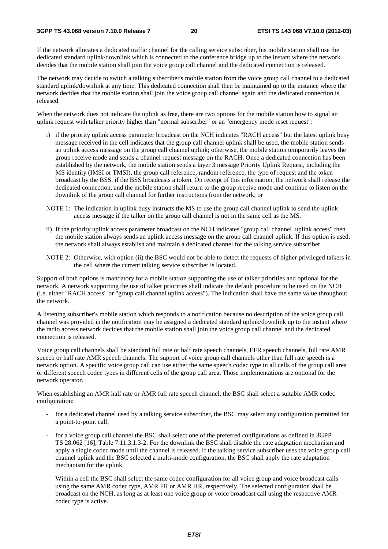If the network allocates a dedicated traffic channel for the calling service subscriber, his mobile station shall use the dedicated standard uplink/downlink which is connected to the conference bridge up to the instant where the network decides that the mobile station shall join the voice group call channel and the dedicated connection is released.

The network may decide to switch a talking subscriber's mobile station from the voice group call channel to a dedicated standard uplink/downlink at any time. This dedicated connection shall then be maintained up to the instance where the network decides that the mobile station shall join the voice group call channel again and the dedicated connection is released.

When the network does not indicate the uplink as free, there are two options for the mobile station how to signal an uplink request with talker priority higher than "normal subscriber" or an "emergency mode reset request":

- i) if the priority uplink access parameter broadcast on the NCH indicates "RACH access" but the latest uplink busy message received in the cell indicates that the group call channel uplink shall be used, the mobile station sends an uplink access message on the group call channel uplink; otherwise, the mobile station temporarily leaves the group receive mode and sends a channel request message on the RACH. Once a dedicated connection has been established by the network, the mobile station sends a layer 3 message Priority Uplink Request, including the MS identity (IMSI or TMSI), the group call reference, random reference, the type of request and the token broadcast by the BSS, if the BSS broadcasts a token. On receipt of this information, the network shall release the dedicated connection, and the mobile station shall return to the group receive mode and continue to listen on the downlink of the group call channel for further instructions from the network; or
- NOTE 1: The indication in uplink busy instructs the MS to use the group call channel uplink to send the uplink access message if the talker on the group call channel is not in the same cell as the MS.
- ii) If the priority uplink access parameter broadcast on the NCH indicates "group call channel uplink access" then the mobile station always sends an uplink access message on the group call channel uplink. If this option is used, the network shall always establish and maintain a dedicated channel for the talking service subscriber.
- NOTE 2: Otherwise, with option (ii) the BSC would not be able to detect the requests of higher privileged talkers in the cell where the current talking service subscriber is located.

Support of both options is mandatory for a mobile station supporting the use of talker priorities and optional for the network. A network supporting the use of talker priorities shall indicate the default procedure to be used on the NCH (i.e. either "RACH access" or "group call channel uplink access"). The indication shall have the same value throughout the network.

A listening subscriber's mobile station which responds to a notification because no description of the voice group call channel was provided in the notification may be assigned a dedicated standard uplink/downlink up to the instant where the radio access network decides that the mobile station shall join the voice group call channel and the dedicated connection is released.

Voice group call channels shall be standard full rate or half rate speech channels, EFR speech channels, full rate AMR speech or half rate AMR speech channels. The support of voice group call channels other than full rate speech is a network option. A specific voice group call can use either the same speech codec type in all cells of the group call area or different speech codec types in different cells of the group call area. Those implementations are optional for the network operator.

When establishing an AMR half rate or AMR full rate speech channel, the BSC shall select a suitable AMR codec configuration:

- for a dedicated channel used by a talking service subscriber, the BSC may select any configuration permitted for a point-to-point call;
- for a voice group call channel the BSC shall select one of the preferred configurations as defined in 3GPP TS 28.062 [16], Table 7.11.3.1.3-2. For the downlink the BSC shall disable the rate adaptation mechanism and apply a single codec mode until the channel is released. If the talking service subscriber uses the voice group call channel uplink and the BSC selected a multi-mode configuration, the BSC shall apply the rate adaptation mechanism for the uplink.

Within a cell the BSC shall select the same codec configuration for all voice group and voice broadcast calls using the same AMR codec type, AMR FR or AMR HR, respectively. The selected configuration shall be broadcast on the NCH, as long as at least one voice group or voice broadcast call using the respective AMR codec type is active.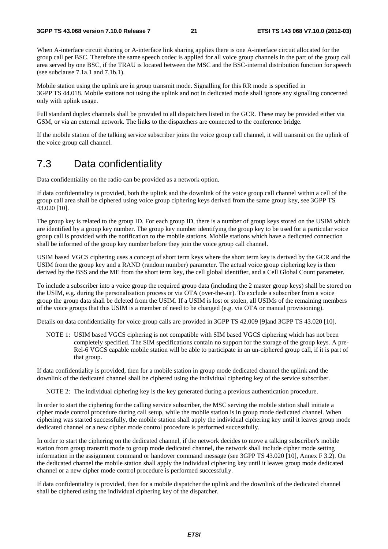When A-interface circuit sharing or A-interface link sharing applies there is one A-interface circuit allocated for the group call per BSC. Therefore the same speech codec is applied for all voice group channels in the part of the group call area served by one BSC, if the TRAU is located between the MSC and the BSC-internal distribution function for speech (see subclause 7.1a.1 and 7.1b.1).

Mobile station using the uplink are in group transmit mode. Signalling for this RR mode is specified in 3GPP TS 44.018. Mobile stations not using the uplink and not in dedicated mode shall ignore any signalling concerned only with uplink usage.

Full standard duplex channels shall be provided to all dispatchers listed in the GCR. These may be provided either via GSM, or via an external network. The links to the dispatchers are connected to the conference bridge.

If the mobile station of the talking service subscriber joins the voice group call channel, it will transmit on the uplink of the voice group call channel.

### 7.3 Data confidentiality

Data confidentiality on the radio can be provided as a network option.

If data confidentiality is provided, both the uplink and the downlink of the voice group call channel within a cell of the group call area shall be ciphered using voice group ciphering keys derived from the same group key, see 3GPP TS 43.020 [10].

The group key is related to the group ID. For each group ID, there is a number of group keys stored on the USIM which are identified by a group key number. The group key number identifying the group key to be used for a particular voice group call is provided with the notification to the mobile stations. Mobile stations which have a dedicated connection shall be informed of the group key number before they join the voice group call channel.

USIM based VGCS ciphering uses a concept of short term keys where the short term key is derived by the GCR and the USIM from the group key and a RAND (random number) parameter. The actual voice group ciphering key is then derived by the BSS and the ME from the short term key, the cell global identifier, and a Cell Global Count parameter.

To include a subscriber into a voice group the required group data (including the 2 master group keys) shall be stored on the USIM, e.g. during the personalisation process or via OTA (over-the-air). To exclude a subscriber from a voice group the group data shall be deleted from the USIM. If a USIM is lost or stolen, all USIMs of the remaining members of the voice groups that this USIM is a member of need to be changed (e.g. via OTA or manual provisioning).

Details on data confidentiality for voice group calls are provided in 3GPP TS 42.009 [9]and 3GPP TS 43.020 [10].

NOTE 1: USIM based VGCS ciphering is not compatible with SIM based VGCS ciphering which has not been completely specified. The SIM specifications contain no support for the storage of the group keys. A pre-Rel-6 VGCS capable mobile station will be able to participate in an un-ciphered group call, if it is part of that group.

If data confidentiality is provided, then for a mobile station in group mode dedicated channel the uplink and the downlink of the dedicated channel shall be ciphered using the individual ciphering key of the service subscriber.

NOTE 2: The individual ciphering key is the key generated during a previous authentication procedure.

In order to start the ciphering for the calling service subscriber, the MSC serving the mobile station shall initiate a cipher mode control procedure during call setup, while the mobile station is in group mode dedicated channel. When ciphering was started successfully, the mobile station shall apply the individual ciphering key until it leaves group mode dedicated channel or a new cipher mode control procedure is performed successfully.

In order to start the ciphering on the dedicated channel, if the network decides to move a talking subscriber's mobile station from group transmit mode to group mode dedicated channel, the network shall include cipher mode setting information in the assignment command or handover command message (see 3GPP TS 43.020 [10], Annex F 3.2). On the dedicated channel the mobile station shall apply the individual ciphering key until it leaves group mode dedicated channel or a new cipher mode control procedure is performed successfully.

If data confidentiality is provided, then for a mobile dispatcher the uplink and the downlink of the dedicated channel shall be ciphered using the individual ciphering key of the dispatcher.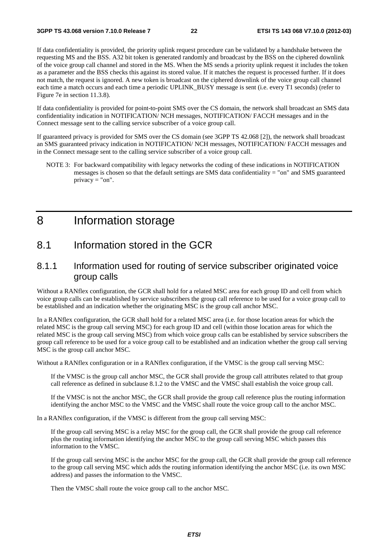If data confidentiality is provided, the priority uplink request procedure can be validated by a handshake between the requesting MS and the BSS. A32 bit token is generated randomly and broadcast by the BSS on the ciphered downlink of the voice group call channel and stored in the MS. When the MS sends a priority uplink request it includes the token as a parameter and the BSS checks this against its stored value. If it matches the request is processed further. If it does not match, the request is ignored. A new token is broadcast on the ciphered downlink of the voice group call channel each time a match occurs and each time a periodic UPLINK\_BUSY message is sent (i.e. every T1 seconds) (refer to Figure 7e in section 11.3.8).

If data confidentiality is provided for point-to-point SMS over the CS domain, the network shall broadcast an SMS data confidentiality indication in NOTIFICATION/ NCH messages, NOTIFICATION/ FACCH messages and in the Connect message sent to the calling service subscriber of a voice group call.

If guaranteed privacy is provided for SMS over the CS domain (see 3GPP TS 42.068 [2]), the network shall broadcast an SMS guaranteed privacy indication in NOTIFICATION/ NCH messages, NOTIFICATION/ FACCH messages and in the Connect message sent to the calling service subscriber of a voice group call.

NOTE 3: For backward compatibility with legacy networks the coding of these indications in NOTIFICATION messages is chosen so that the default settings are SMS data confidentiality = "on" and SMS guaranteed privacy = "on".

# 8 Information storage

### 8.1 Information stored in the GCR

### 8.1.1 Information used for routing of service subscriber originated voice group calls

Without a RANflex configuration, the GCR shall hold for a related MSC area for each group ID and cell from which voice group calls can be established by service subscribers the group call reference to be used for a voice group call to be established and an indication whether the originating MSC is the group call anchor MSC.

In a RANflex configuration, the GCR shall hold for a related MSC area (i.e. for those location areas for which the related MSC is the group call serving MSC) for each group ID and cell (within those location areas for which the related MSC is the group call serving MSC) from which voice group calls can be established by service subscribers the group call reference to be used for a voice group call to be established and an indication whether the group call serving MSC is the group call anchor MSC.

Without a RANflex configuration or in a RANflex configuration, if the VMSC is the group call serving MSC:

If the VMSC is the group call anchor MSC, the GCR shall provide the group call attributes related to that group call reference as defined in subclause 8.1.2 to the VMSC and the VMSC shall establish the voice group call.

If the VMSC is not the anchor MSC, the GCR shall provide the group call reference plus the routing information identifying the anchor MSC to the VMSC and the VMSC shall route the voice group call to the anchor MSC.

In a RANflex configuration, if the VMSC is different from the group call serving MSC:

If the group call serving MSC is a relay MSC for the group call, the GCR shall provide the group call reference plus the routing information identifying the anchor MSC to the group call serving MSC which passes this information to the VMSC.

If the group call serving MSC is the anchor MSC for the group call, the GCR shall provide the group call reference to the group call serving MSC which adds the routing information identifying the anchor MSC (i.e. its own MSC address) and passes the information to the VMSC.

Then the VMSC shall route the voice group call to the anchor MSC.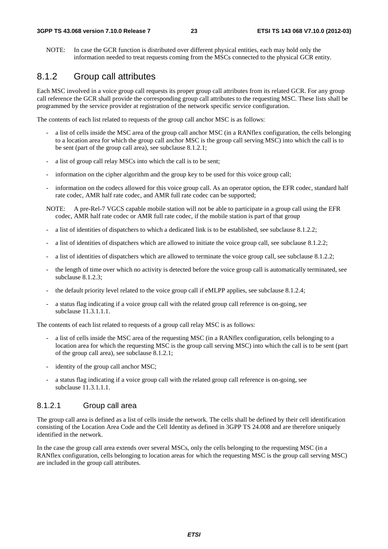NOTE: In case the GCR function is distributed over different physical entities, each may hold only the information needed to treat requests coming from the MSCs connected to the physical GCR entity.

### 8.1.2 Group call attributes

Each MSC involved in a voice group call requests its proper group call attributes from its related GCR. For any group call reference the GCR shall provide the corresponding group call attributes to the requesting MSC. These lists shall be programmed by the service provider at registration of the network specific service configuration.

The contents of each list related to requests of the group call anchor MSC is as follows:

- a list of cells inside the MSC area of the group call anchor MSC (in a RANflex configuration, the cells belonging to a location area for which the group call anchor MSC is the group call serving MSC) into which the call is to be sent (part of the group call area), see subclause 8.1.2.1;
- a list of group call relay MSCs into which the call is to be sent;
- information on the cipher algorithm and the group key to be used for this voice group call;
- information on the codecs allowed for this voice group call. As an operator option, the EFR codec, standard half rate codec, AMR half rate codec, and AMR full rate codec can be supported;
- NOTE: A pre-Rel-7 VGCS capable mobile station will not be able to participate in a group call using the EFR codec, AMR half rate codec or AMR full rate codec, if the mobile station is part of that group
- a list of identities of dispatchers to which a dedicated link is to be established, see subclause 8.1.2.2;
- a list of identities of dispatchers which are allowed to initiate the voice group call, see subclause 8.1.2.2;
- a list of identities of dispatchers which are allowed to terminate the voice group call, see subclause 8.1.2.2;
- the length of time over which no activity is detected before the voice group call is automatically terminated, see subclause 8.1.2.3;
- the default priority level related to the voice group call if eMLPP applies, see subclause 8.1.2.4;
- a status flag indicating if a voice group call with the related group call reference is on-going, see subclause 11.3.1.1.1.

The contents of each list related to requests of a group call relay MSC is as follows:

- a list of cells inside the MSC area of the requesting MSC (in a RANflex configuration, cells belonging to a location area for which the requesting MSC is the group call serving MSC) into which the call is to be sent (part of the group call area), see subclause 8.1.2.1;
- identity of the group call anchor MSC;
- a status flag indicating if a voice group call with the related group call reference is on-going, see subclause 11.3.1.1.1.

### 8.1.2.1 Group call area

The group call area is defined as a list of cells inside the network. The cells shall be defined by their cell identification consisting of the Location Area Code and the Cell Identity as defined in 3GPP TS 24.008 and are therefore uniquely identified in the network.

In the case the group call area extends over several MSCs, only the cells belonging to the requesting MSC (in a RANflex configuration, cells belonging to location areas for which the requesting MSC is the group call serving MSC) are included in the group call attributes.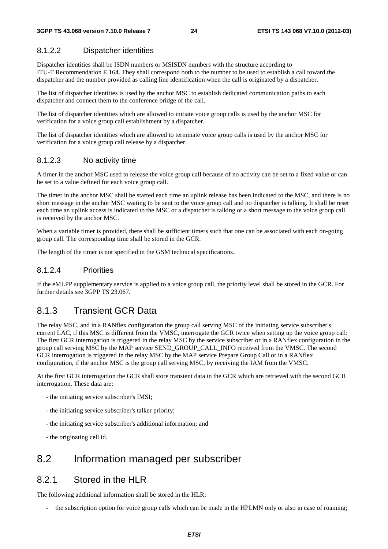### 8.1.2.2 Dispatcher identities

Dispatcher identities shall be ISDN numbers or MSISDN numbers with the structure according to ITU-T Recommendation E.164. They shall correspond both to the number to be used to establish a call toward the dispatcher and the number provided as calling line identification when the call is originated by a dispatcher.

The list of dispatcher identities is used by the anchor MSC to establish dedicated communication paths to each dispatcher and connect them to the conference bridge of the call.

The list of dispatcher identities which are allowed to initiate voice group calls is used by the anchor MSC for verification for a voice group call establishment by a dispatcher.

The list of dispatcher identities which are allowed to terminate voice group calls is used by the anchor MSC for verification for a voice group call release by a dispatcher.

#### 8.1.2.3 No activity time

A timer in the anchor MSC used to release the voice group call because of no activity can be set to a fixed value or can be set to a value defined for each voice group call.

The timer in the anchor MSC shall be started each time an uplink release has been indicated to the MSC, and there is no short message in the anchor MSC waiting to be sent to the voice group call and no dispatcher is talking. It shall be reset each time an uplink access is indicated to the MSC or a dispatcher is talking or a short message to the voice group call is received by the anchor MSC.

When a variable timer is provided, there shall be sufficient timers such that one can be associated with each on-going group call. The corresponding time shall be stored in the GCR.

The length of the timer is not specified in the GSM technical specifications.

### 8.1.2.4 Priorities

If the eMLPP supplementary service is applied to a voice group call, the priority level shall be stored in the GCR. For further details see 3GPP TS 23.067.

### 8.1.3 Transient GCR Data

The relay MSC, and in a RANflex configuration the group call serving MSC of the initiating service subscriber's current LAC, if this MSC is different from the VMSC, interrogate the GCR twice when setting up the voice group call: The first GCR interrogation is triggered in the relay MSC by the service subscriber or in a RANflex configuration in the group call serving MSC by the MAP service SEND\_GROUP\_CALL\_INFO received from the VMSC. The second GCR interrogation is triggered in the relay MSC by the MAP service Prepare Group Call or in a RANflex configuration, if the anchor MSC is the group call serving MSC, by receiving the IAM from the VMSC.

At the first GCR interrogation the GCR shall store transient data in the GCR which are retrieved with the second GCR interrogation. These data are:

- the initiating service subscriber's IMSI;
- the initiating service subscriber's talker priority;
- the initiating service subscriber's additional information; and
- the originating cell id.

### 8.2 Information managed per subscriber

### 8.2.1 Stored in the HLR

The following additional information shall be stored in the HLR:

the subscription option for voice group calls which can be made in the HPLMN only or also in case of roaming;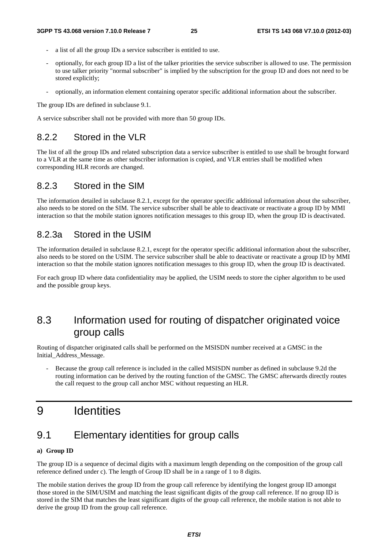- a list of all the group IDs a service subscriber is entitled to use.
- optionally, for each group ID a list of the talker priorities the service subscriber is allowed to use. The permission to use talker priority "normal subscriber" is implied by the subscription for the group ID and does not need to be stored explicitly;
- optionally, an information element containing operator specific additional information about the subscriber.

The group IDs are defined in subclause 9.1.

A service subscriber shall not be provided with more than 50 group IDs.

### 8.2.2 Stored in the VLR

The list of all the group IDs and related subscription data a service subscriber is entitled to use shall be brought forward to a VLR at the same time as other subscriber information is copied, and VLR entries shall be modified when corresponding HLR records are changed.

### 8.2.3 Stored in the SIM

The information detailed in subclause 8.2.1, except for the operator specific additional information about the subscriber, also needs to be stored on the SIM. The service subscriber shall be able to deactivate or reactivate a group ID by MMI interaction so that the mobile station ignores notification messages to this group ID, when the group ID is deactivated.

### 8.2.3a Stored in the USIM

The information detailed in subclause 8.2.1, except for the operator specific additional information about the subscriber, also needs to be stored on the USIM. The service subscriber shall be able to deactivate or reactivate a group ID by MMI interaction so that the mobile station ignores notification messages to this group ID, when the group ID is deactivated.

For each group ID where data confidentiality may be applied, the USIM needs to store the cipher algorithm to be used and the possible group keys.

# 8.3 Information used for routing of dispatcher originated voice group calls

Routing of dispatcher originated calls shall be performed on the MSISDN number received at a GMSC in the Initial\_Address\_Message.

Because the group call reference is included in the called MSISDN number as defined in subclause 9.2d the routing information can be derived by the routing function of the GMSC. The GMSC afterwards directly routes the call request to the group call anchor MSC without requesting an HLR.

# 9 Identities

# 9.1 Elementary identities for group calls

#### **a) Group ID**

The group ID is a sequence of decimal digits with a maximum length depending on the composition of the group call reference defined under c). The length of Group ID shall be in a range of 1 to 8 digits.

The mobile station derives the group ID from the group call reference by identifying the longest group ID amongst those stored in the SIM/USIM and matching the least significant digits of the group call reference. If no group ID is stored in the SIM that matches the least significant digits of the group call reference, the mobile station is not able to derive the group ID from the group call reference.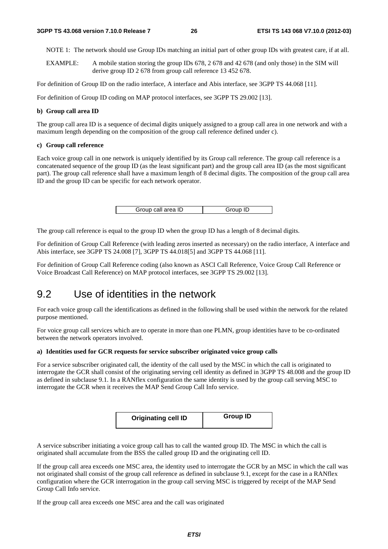NOTE 1: The network should use Group IDs matching an initial part of other group IDs with greatest care, if at all.

EXAMPLE: A mobile station storing the group IDs 678, 2 678 and 42 678 (and only those) in the SIM will derive group ID 2 678 from group call reference 13 452 678.

For definition of Group ID on the radio interface, A interface and Abis interface, see 3GPP TS 44.068 [11].

For definition of Group ID coding on MAP protocol interfaces, see 3GPP TS 29.002 [13].

#### **b) Group call area ID**

The group call area ID is a sequence of decimal digits uniquely assigned to a group call area in one network and with a maximum length depending on the composition of the group call reference defined under c).

#### **c) Group call reference**

Each voice group call in one network is uniquely identified by its Group call reference. The group call reference is a concatenated sequence of the group ID (as the least significant part) and the group call area ID (as the most significant part). The group call reference shall have a maximum length of 8 decimal digits. The composition of the group call area ID and the group ID can be specific for each network operator.

| Group call area ID | Group ID |
|--------------------|----------|

The group call reference is equal to the group ID when the group ID has a length of 8 decimal digits.

For definition of Group Call Reference (with leading zeros inserted as necessary) on the radio interface, A interface and Abis interface, see 3GPP TS 24.008 [7], 3GPP TS 44.018[5] and 3GPP TS 44.068 [11].

For definition of Group Call Reference coding (also known as ASCI Call Reference, Voice Group Call Reference or Voice Broadcast Call Reference) on MAP protocol interfaces, see 3GPP TS 29.002 [13].

### 9.2 Use of identities in the network

For each voice group call the identifications as defined in the following shall be used within the network for the related purpose mentioned.

For voice group call services which are to operate in more than one PLMN, group identities have to be co-ordinated between the network operators involved.

#### **a) Identities used for GCR requests for service subscriber originated voice group calls**

For a service subscriber originated call, the identity of the call used by the MSC in which the call is originated to interrogate the GCR shall consist of the originating serving cell identity as defined in 3GPP TS 48.008 and the group ID as defined in subclause 9.1. In a RANflex configuration the same identity is used by the group call serving MSC to interrogate the GCR when it receives the MAP Send Group Call Info service.

| <b>Originating cell ID</b> | <b>Group ID</b> |
|----------------------------|-----------------|
|----------------------------|-----------------|

A service subscriber initiating a voice group call has to call the wanted group ID. The MSC in which the call is originated shall accumulate from the BSS the called group ID and the originating cell ID.

If the group call area exceeds one MSC area, the identity used to interrogate the GCR by an MSC in which the call was not originated shall consist of the group call reference as defined in subclause 9.1, except for the case in a RANflex configuration where the GCR interrogation in the group call serving MSC is triggered by receipt of the MAP Send Group Call Info service.

If the group call area exceeds one MSC area and the call was originated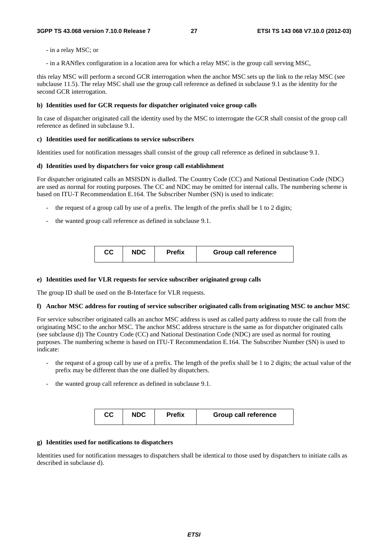- in a relay MSC; or
- in a RANflex configuration in a location area for which a relay MSC is the group call serving MSC,

this relay MSC will perform a second GCR interrogation when the anchor MSC sets up the link to the relay MSC (see subclause 11.5). The relay MSC shall use the group call reference as defined in subclause 9.1 as the identity for the second GCR interrogation.

#### **b) Identities used for GCR requests for dispatcher originated voice group calls**

In case of dispatcher originated call the identity used by the MSC to interrogate the GCR shall consist of the group call reference as defined in subclause 9.1.

### **c) Identities used for notifications to service subscribers**

Identities used for notification messages shall consist of the group call reference as defined in subclause 9.1.

### **d) Identities used by dispatchers for voice group call establishment**

For dispatcher originated calls an MSISDN is dialled. The Country Code (CC) and National Destination Code (NDC) are used as normal for routing purposes. The CC and NDC may be omitted for internal calls. The numbering scheme is based on ITU-T Recommendation E.164. The Subscriber Number (SN) is used to indicate:

- the request of a group call by use of a prefix. The length of the prefix shall be 1 to 2 digits;
- the wanted group call reference as defined in subclause 9.1.

| CС | <b>NDC</b> | Prefix | <b>Group call reference</b> |
|----|------------|--------|-----------------------------|
|----|------------|--------|-----------------------------|

#### **e) Identities used for VLR requests for service subscriber originated group calls**

The group ID shall be used on the B-Interface for VLR requests.

#### **f) Anchor MSC address for routing of service subscriber originated calls from originating MSC to anchor MSC**

For service subscriber originated calls an anchor MSC address is used as called party address to route the call from the originating MSC to the anchor MSC. The anchor MSC address structure is the same as for dispatcher originated calls (see subclause d)) The Country Code (CC) and National Destination Code (NDC) are used as normal for routing purposes. The numbering scheme is based on ITU-T Recommendation E.164. The Subscriber Number (SN) is used to indicate:

- the request of a group call by use of a prefix. The length of the prefix shall be 1 to 2 digits; the actual value of the prefix may be different than the one dialled by dispatchers.
- the wanted group call reference as defined in subclause 9.1.

| CС<br><b>NDC</b><br><b>Prefix</b> | <b>Group call reference</b> |
|-----------------------------------|-----------------------------|
|-----------------------------------|-----------------------------|

### **g) Identities used for notifications to dispatchers**

Identities used for notification messages to dispatchers shall be identical to those used by dispatchers to initiate calls as described in subclause d).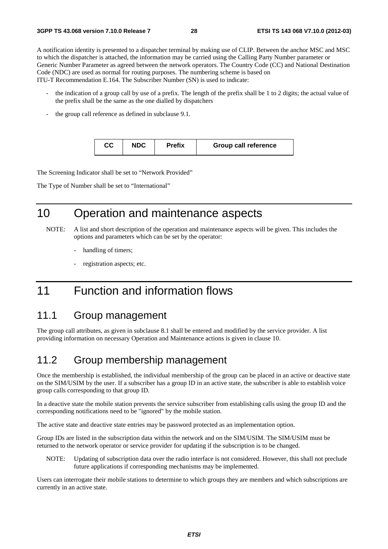A notification identity is presented to a dispatcher terminal by making use of CLIP. Between the anchor MSC and MSC to which the dispatcher is attached, the information may be carried using the Calling Party Number parameter or Generic Number Parameter as agreed between the network operators. The Country Code (CC) and National Destination Code (NDC) are used as normal for routing purposes. The numbering scheme is based on ITU-T Recommendation E.164. The Subscriber Number (SN) is used to indicate:

- the indication of a group call by use of a prefix. The length of the prefix shall be 1 to 2 digits; the actual value of the prefix shall be the same as the one dialled by dispatchers
- the group call reference as defined in subclause 9.1.

| CС | <b>NDC</b> | <b>Prefix</b> | <b>Group call reference</b> |
|----|------------|---------------|-----------------------------|
|    |            |               |                             |

The Screening Indicator shall be set to "Network Provided"

The Type of Number shall be set to "International"

# 10 Operation and maintenance aspects

- NOTE: A list and short description of the operation and maintenance aspects will be given. This includes the options and parameters which can be set by the operator:
	- handling of timers;
	- registration aspects; etc.

# 11 Function and information flows

### 11.1 Group management

The group call attributes, as given in subclause 8.1 shall be entered and modified by the service provider. A list providing information on necessary Operation and Maintenance actions is given in clause 10.

### 11.2 Group membership management

Once the membership is established, the individual membership of the group can be placed in an active or deactive state on the SIM/USIM by the user. If a subscriber has a group ID in an active state, the subscriber is able to establish voice group calls corresponding to that group ID.

In a deactive state the mobile station prevents the service subscriber from establishing calls using the group ID and the corresponding notifications need to be "ignored" by the mobile station.

The active state and deactive state entries may be password protected as an implementation option.

Group IDs are listed in the subscription data within the network and on the SIM/USIM. The SIM/USIM must be returned to the network operator or service provider for updating if the subscription is to be changed.

NOTE: Updating of subscription data over the radio interface is not considered. However, this shall not preclude future applications if corresponding mechanisms may be implemented.

Users can interrogate their mobile stations to determine to which groups they are members and which subscriptions are currently in an active state.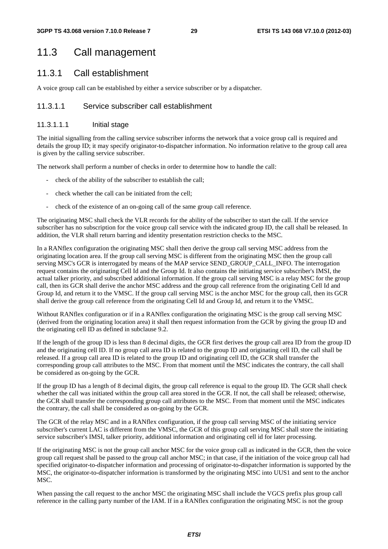### 11.3 Call management

### 11.3.1 Call establishment

A voice group call can be established by either a service subscriber or by a dispatcher.

#### 11.3.1.1 Service subscriber call establishment

#### 11.3.1.1.1 Initial stage

The initial signalling from the calling service subscriber informs the network that a voice group call is required and details the group ID; it may specify originator-to-dispatcher information. No information relative to the group call area is given by the calling service subscriber.

The network shall perform a number of checks in order to determine how to handle the call:

- check of the ability of the subscriber to establish the call;
- check whether the call can be initiated from the cell;
- check of the existence of an on-going call of the same group call reference.

The originating MSC shall check the VLR records for the ability of the subscriber to start the call. If the service subscriber has no subscription for the voice group call service with the indicated group ID, the call shall be released. In addition, the VLR shall return barring and identity presentation restriction checks to the MSC.

In a RANflex configuration the originating MSC shall then derive the group call serving MSC address from the originating location area. If the group call serving MSC is different from the originating MSC then the group call serving MSC's GCR is interrogated by means of the MAP service SEND\_GROUP\_CALL\_INFO. The interrogation request contains the originating Cell Id and the Group Id. It also contains the initiating service subscriber's IMSI, the actual talker priority, and subscribed additional information. If the group call serving MSC is a relay MSC for the group call, then its GCR shall derive the anchor MSC address and the group call reference from the originating Cell Id and Group Id, and return it to the VMSC. If the group call serving MSC is the anchor MSC for the group call, then its GCR shall derive the group call reference from the originating Cell Id and Group Id, and return it to the VMSC.

Without RANflex configuration or if in a RANflex configuration the originating MSC is the group call serving MSC (derived from the originating location area) it shall then request information from the GCR by giving the group ID and the originating cell ID as defined in subclause 9.2.

If the length of the group ID is less than 8 decimal digits, the GCR first derives the group call area ID from the group ID and the originating cell ID. If no group call area ID is related to the group ID and originating cell ID, the call shall be released. If a group call area ID is related to the group ID and originating cell ID, the GCR shall transfer the corresponding group call attributes to the MSC. From that moment until the MSC indicates the contrary, the call shall be considered as on-going by the GCR.

If the group ID has a length of 8 decimal digits, the group call reference is equal to the group ID. The GCR shall check whether the call was initiated within the group call area stored in the GCR. If not, the call shall be released; otherwise, the GCR shall transfer the corresponding group call attributes to the MSC. From that moment until the MSC indicates the contrary, the call shall be considered as on-going by the GCR.

The GCR of the relay MSC and in a RANflex configuration, if the group call serving MSC of the initiating service subscriber's current LAC is different from the VMSC, the GCR of this group call serving MSC shall store the initiating service subscriber's IMSI, talker priority, additional information and originating cell id for later processing.

If the originating MSC is not the group call anchor MSC for the voice group call as indicated in the GCR, then the voice group call request shall be passed to the group call anchor MSC; in that case, if the initiation of the voice group call had specified originator-to-dispatcher information and processing of originator-to-dispatcher information is supported by the MSC, the originator-to-dispatcher information is transformed by the originating MSC into UUS1 and sent to the anchor MSC.

When passing the call request to the anchor MSC the originating MSC shall include the VGCS prefix plus group call reference in the calling party number of the IAM. If in a RANflex configuration the originating MSC is not the group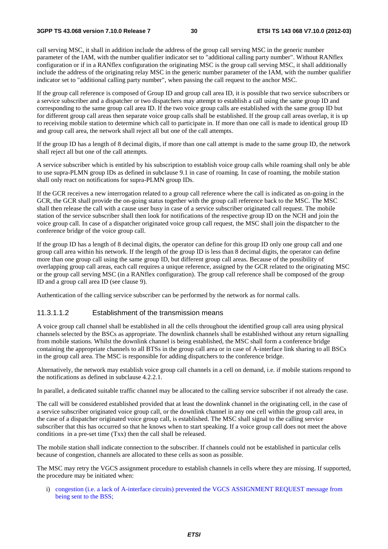call serving MSC, it shall in addition include the address of the group call serving MSC in the generic number parameter of the IAM, with the number qualifier indicator set to "additional calling party number". Without RANflex configuration or if in a RANflex configuration the originating MSC is the group call serving MSC, it shall additionally include the address of the originating relay MSC in the generic number parameter of the IAM, with the number qualifier indicator set to "additional calling party number", when passing the call request to the anchor MSC.

If the group call reference is composed of Group ID and group call area ID, it is possible that two service subscribers or a service subscriber and a dispatcher or two dispatchers may attempt to establish a call using the same group ID and corresponding to the same group call area ID. If the two voice group calls are established with the same group ID but for different group call areas then separate voice group calls shall be established. If the group call areas overlap, it is up to receiving mobile station to determine which call to participate in. If more than one call is made to identical group ID and group call area, the network shall reject all but one of the call attempts.

If the group ID has a length of 8 decimal digits, if more than one call attempt is made to the same group ID, the network shall reject all but one of the call attempts.

A service subscriber which is entitled by his subscription to establish voice group calls while roaming shall only be able to use supra-PLMN group IDs as defined in subclause 9.1 in case of roaming. In case of roaming, the mobile station shall only react on notifications for supra-PLMN group IDs.

If the GCR receives a new interrogation related to a group call reference where the call is indicated as on-going in the GCR, the GCR shall provide the on-going status together with the group call reference back to the MSC. The MSC shall then release the call with a cause user busy in case of a service subscriber originated call request. The mobile station of the service subscriber shall then look for notifications of the respective group ID on the NCH and join the voice group call. In case of a dispatcher originated voice group call request, the MSC shall join the dispatcher to the conference bridge of the voice group call.

If the group ID has a length of 8 decimal digits, the operator can define for this group ID only one group call and one group call area within his network. If the length of the group ID is less than 8 decimal digits, the operator can define more than one group call using the same group ID, but different group call areas. Because of the possibility of overlapping group call areas, each call requires a unique reference, assigned by the GCR related to the originating MSC or the group call serving MSC (in a RANflex configuration). The group call reference shall be composed of the group ID and a group call area ID (see clause 9).

Authentication of the calling service subscriber can be performed by the network as for normal calls.

#### 11.3.1.1.2 Establishment of the transmission means

A voice group call channel shall be established in all the cells throughout the identified group call area using physical channels selected by the BSCs as appropriate. The downlink channels shall be established without any return signalling from mobile stations. Whilst the downlink channel is being established, the MSC shall form a conference bridge containing the appropriate channels to all BTSs in the group call area or in case of A-interface link sharing to all BSCs in the group call area. The MSC is responsible for adding dispatchers to the conference bridge.

Alternatively, the network may establish voice group call channels in a cell on demand, i.e. if mobile stations respond to the notifications as defined in subclause 4.2.2.1.

In parallel, a dedicated suitable traffic channel may be allocated to the calling service subscriber if not already the case.

The call will be considered established provided that at least the downlink channel in the originating cell, in the case of a service subscriber originated voice group call, or the downlink channel in any one cell within the group call area, in the case of a dispatcher originated voice group call, is established. The MSC shall signal to the calling service subscriber that this has occurred so that he knows when to start speaking. If a voice group call does not meet the above conditions in a pre-set time (Txx) then the call shall be released.

The mobile station shall indicate connection to the subscriber. If channels could not be established in particular cells because of congestion, channels are allocated to these cells as soon as possible.

The MSC may retry the VGCS assignment procedure to establish channels in cells where they are missing. If supported, the procedure may be initiated when:

i) congestion (i.e. a lack of A-interface circuits) prevented the VGCS ASSIGNMENT REQUEST message from being sent to the BSS;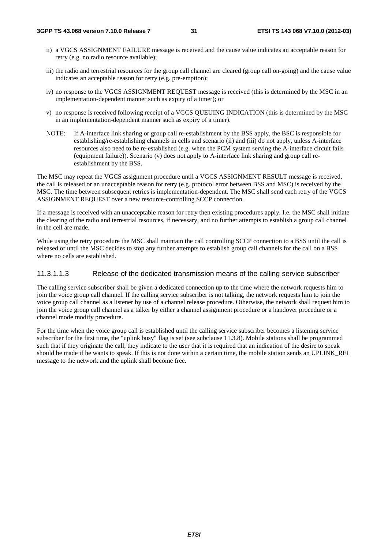- ii) a VGCS ASSIGNMENT FAILURE message is received and the cause value indicates an acceptable reason for retry (e.g. no radio resource available);
- iii) the radio and terrestrial resources for the group call channel are cleared (group call on-going) and the cause value indicates an acceptable reason for retry (e.g. pre-emption);
- iv) no response to the VGCS ASSIGNMENT REQUEST message is received (this is determined by the MSC in an implementation-dependent manner such as expiry of a timer); or
- v) no response is received following receipt of a VGCS QUEUING INDICATION (this is determined by the MSC in an implementation-dependent manner such as expiry of a timer).
- NOTE: If A-interface link sharing or group call re-establishment by the BSS apply, the BSC is responsible for establishing/re-establishing channels in cells and scenario (ii) and (iii) do not apply, unless A-interface resources also need to be re-established (e.g. when the PCM system serving the A-interface circuit fails (equipment failure)). Scenario (v) does not apply to A-interface link sharing and group call reestablishment by the BSS.

The MSC may repeat the VGCS assignment procedure until a VGCS ASSIGNMENT RESULT message is received, the call is released or an unacceptable reason for retry (e.g. protocol error between BSS and MSC) is received by the MSC. The time between subsequent retries is implementation-dependent. The MSC shall send each retry of the VGCS ASSIGNMENT REQUEST over a new resource-controlling SCCP connection.

If a message is received with an unacceptable reason for retry then existing procedures apply. I.e. the MSC shall initiate the clearing of the radio and terrestrial resources, if necessary, and no further attempts to establish a group call channel in the cell are made.

While using the retry procedure the MSC shall maintain the call controlling SCCP connection to a BSS until the call is released or until the MSC decides to stop any further attempts to establish group call channels for the call on a BSS where no cells are established.

#### 11.3.1.1.3 Release of the dedicated transmission means of the calling service subscriber

The calling service subscriber shall be given a dedicated connection up to the time where the network requests him to join the voice group call channel. If the calling service subscriber is not talking, the network requests him to join the voice group call channel as a listener by use of a channel release procedure. Otherwise, the network shall request him to join the voice group call channel as a talker by either a channel assignment procedure or a handover procedure or a channel mode modify procedure.

For the time when the voice group call is established until the calling service subscriber becomes a listening service subscriber for the first time, the "uplink busy" flag is set (see subclause 11.3.8). Mobile stations shall be programmed such that if they originate the call, they indicate to the user that it is required that an indication of the desire to speak should be made if he wants to speak. If this is not done within a certain time, the mobile station sends an UPLINK\_REL message to the network and the uplink shall become free.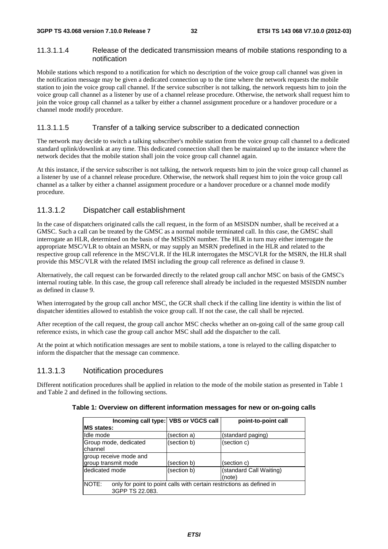#### 11.3.1.1.4 Release of the dedicated transmission means of mobile stations responding to a notification

Mobile stations which respond to a notification for which no description of the voice group call channel was given in the notification message may be given a dedicated connection up to the time where the network requests the mobile station to join the voice group call channel. If the service subscriber is not talking, the network requests him to join the voice group call channel as a listener by use of a channel release procedure. Otherwise, the network shall request him to join the voice group call channel as a talker by either a channel assignment procedure or a handover procedure or a channel mode modify procedure.

#### 11.3.1.1.5 Transfer of a talking service subscriber to a dedicated connection

The network may decide to switch a talking subscriber's mobile station from the voice group call channel to a dedicated standard uplink/downlink at any time. This dedicated connection shall then be maintained up to the instance where the network decides that the mobile station shall join the voice group call channel again.

At this instance, if the service subscriber is not talking, the network requests him to join the voice group call channel as a listener by use of a channel release procedure. Otherwise, the network shall request him to join the voice group call channel as a talker by either a channel assignment procedure or a handover procedure or a channel mode modify procedure.

### 11.3.1.2 Dispatcher call establishment

In the case of dispatchers originated calls the call request, in the form of an MSISDN number, shall be received at a GMSC. Such a call can be treated by the GMSC as a normal mobile terminated call. In this case, the GMSC shall interrogate an HLR, determined on the basis of the MSISDN number. The HLR in turn may either interrogate the appropriate MSC/VLR to obtain an MSRN, or may supply an MSRN predefined in the HLR and related to the respective group call reference in the MSC/VLR. If the HLR interrogates the MSC/VLR for the MSRN, the HLR shall provide this MSC/VLR with the related IMSI including the group call reference as defined in clause 9.

Alternatively, the call request can be forwarded directly to the related group call anchor MSC on basis of the GMSC's internal routing table. In this case, the group call reference shall already be included in the requested MSISDN number as defined in clause 9.

When interrogated by the group call anchor MSC, the GCR shall check if the calling line identity is within the list of dispatcher identities allowed to establish the voice group call. If not the case, the call shall be rejected.

After reception of the call request, the group call anchor MSC checks whether an on-going call of the same group call reference exists, in which case the group call anchor MSC shall add the dispatcher to the call.

At the point at which notification messages are sent to mobile stations, a tone is relayed to the calling dispatcher to inform the dispatcher that the message can commence.

#### 11.3.1.3 Notification procedures

Different notification procedures shall be applied in relation to the mode of the mobile station as presented in Table 1 and Table 2 and defined in the following sections.

| Incoming call type: VBS or VGCS call                                                                     |             | point-to-point call               |
|----------------------------------------------------------------------------------------------------------|-------------|-----------------------------------|
| <b>IMS states:</b>                                                                                       |             |                                   |
| Ildle mode                                                                                               | (section a) | (standard paging)                 |
| Group mode, dedicated<br>channel                                                                         | (section b) | (section c)                       |
| group receive mode and<br>group transmit mode                                                            | (section b) | (section c)                       |
| Idedicated mode                                                                                          | (section b) | (standard Call Waiting)<br>(note) |
| <b>NOTE:</b><br>only for point to point calls with certain restrictions as defined in<br>3GPP TS 22.083. |             |                                   |

**Table 1: Overview on different information messages for new or on-going calls**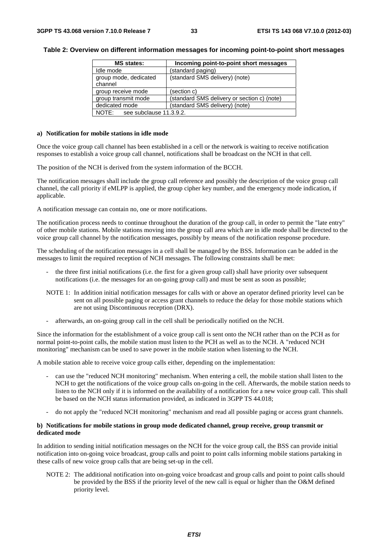#### **Table 2: Overview on different information messages for incoming point-to-point short messages**

| <b>MS</b> states:                | Incoming point-to-point short messages      |
|----------------------------------|---------------------------------------------|
| Idle mode                        | (standard paging)                           |
| group mode, dedicated<br>channel | (standard SMS delivery) (note)              |
| group receive mode               | (section c)                                 |
| group transmit mode              | (standard SMS delivery or section c) (note) |
| dedicated mode                   | (standard SMS delivery) (note)              |
| NOTE:<br>see subclause 11.3.9.2. |                                             |

#### **a) Notification for mobile stations in idle mode**

Once the voice group call channel has been established in a cell or the network is waiting to receive notification responses to establish a voice group call channel, notifications shall be broadcast on the NCH in that cell.

The position of the NCH is derived from the system information of the BCCH.

The notification messages shall include the group call reference and possibly the description of the voice group call channel, the call priority if eMLPP is applied, the group cipher key number, and the emergency mode indication, if applicable.

A notification message can contain no, one or more notifications.

The notification process needs to continue throughout the duration of the group call, in order to permit the "late entry" of other mobile stations. Mobile stations moving into the group call area which are in idle mode shall be directed to the voice group call channel by the notification messages, possibly by means of the notification response procedure.

The scheduling of the notification messages in a cell shall be managed by the BSS. Information can be added in the messages to limit the required reception of NCH messages. The following constraints shall be met:

- the three first initial notifications (i.e. the first for a given group call) shall have priority over subsequent notifications (i.e. the messages for an on-going group call) and must be sent as soon as possible;
- NOTE 1: In addition initial notification messages for calls with or above an operator defined priority level can be sent on all possible paging or access grant channels to reduce the delay for those mobile stations which are not using Discontinuous reception (DRX).
- afterwards, an on-going group call in the cell shall be periodically notified on the NCH.

Since the information for the establishment of a voice group call is sent onto the NCH rather than on the PCH as for normal point-to-point calls, the mobile station must listen to the PCH as well as to the NCH. A "reduced NCH monitoring" mechanism can be used to save power in the mobile station when listening to the NCH.

A mobile station able to receive voice group calls either, depending on the implementation:

- can use the "reduced NCH monitoring" mechanism. When entering a cell, the mobile station shall listen to the NCH to get the notifications of the voice group calls on-going in the cell. Afterwards, the mobile station needs to listen to the NCH only if it is informed on the availability of a notification for a new voice group call. This shall be based on the NCH status information provided, as indicated in 3GPP TS 44.018;
- do not apply the "reduced NCH monitoring" mechanism and read all possible paging or access grant channels.

#### **b) Notifications for mobile stations in group mode dedicated channel, group receive, group transmit or dedicated mode**

In addition to sending initial notification messages on the NCH for the voice group call, the BSS can provide initial notification into on-going voice broadcast, group calls and point to point calls informing mobile stations partaking in these calls of new voice group calls that are being set-up in the cell.

NOTE 2: The additional notification into on-going voice broadcast and group calls and point to point calls should be provided by the BSS if the priority level of the new call is equal or higher than the O&M defined priority level.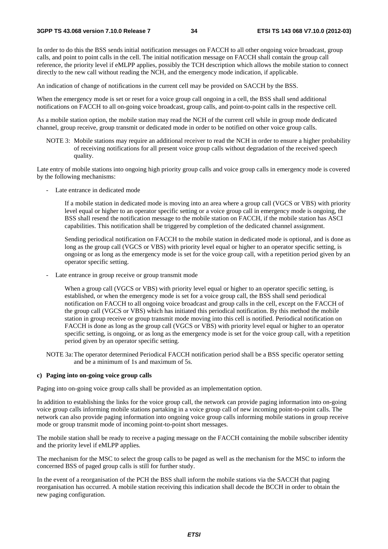In order to do this the BSS sends initial notification messages on FACCH to all other ongoing voice broadcast, group calls, and point to point calls in the cell. The initial notification message on FACCH shall contain the group call reference, the priority level if eMLPP applies, possibly the TCH description which allows the mobile station to connect directly to the new call without reading the NCH, and the emergency mode indication, if applicable.

An indication of change of notifications in the current cell may be provided on SACCH by the BSS.

When the emergency mode is set or reset for a voice group call ongoing in a cell, the BSS shall send additional notifications on FACCH to all on-going voice broadcast, group calls, and point-to-point calls in the respective cell.

As a mobile station option, the mobile station may read the NCH of the current cell while in group mode dedicated channel, group receive, group transmit or dedicated mode in order to be notified on other voice group calls.

NOTE 3: Mobile stations may require an additional receiver to read the NCH in order to ensure a higher probability of receiving notifications for all present voice group calls without degradation of the received speech quality.

Late entry of mobile stations into ongoing high priority group calls and voice group calls in emergency mode is covered by the following mechanisms:

- Late entrance in dedicated mode

 If a mobile station in dedicated mode is moving into an area where a group call (VGCS or VBS) with priority level equal or higher to an operator specific setting or a voice group call in emergency mode is ongoing, the BSS shall resend the notification message to the mobile station on FACCH, if the mobile station has ASCI capabilities. This notification shall be triggered by completion of the dedicated channel assignment.

 Sending periodical notification on FACCH to the mobile station in dedicated mode is optional, and is done as long as the group call (VGCS or VBS) with priority level equal or higher to an operator specific setting, is ongoing or as long as the emergency mode is set for the voice group call, with a repetition period given by an operator specific setting.

- Late entrance in group receive or group transmit mode

 When a group call (VGCS or VBS) with priority level equal or higher to an operator specific setting, is established, or when the emergency mode is set for a voice group call, the BSS shall send periodical notification on FACCH to all ongoing voice broadcast and group calls in the cell, except on the FACCH of the group call (VGCS or VBS) which has initiated this periodical notification. By this method the mobile station in group receive or group transmit mode moving into this cell is notified. Periodical notification on FACCH is done as long as the group call (VGCS or VBS) with priority level equal or higher to an operator specific setting, is ongoing, or as long as the emergency mode is set for the voice group call, with a repetition period given by an operator specific setting.

NOTE 3a: The operator determined Periodical FACCH notification period shall be a BSS specific operator setting and be a minimum of 1s and maximum of 5s.

#### **c) Paging into on-going voice group calls**

Paging into on-going voice group calls shall be provided as an implementation option.

In addition to establishing the links for the voice group call, the network can provide paging information into on-going voice group calls informing mobile stations partaking in a voice group call of new incoming point-to-point calls. The network can also provide paging information into ongoing voice group calls informing mobile stations in group receive mode or group transmit mode of incoming point-to-point short messages.

The mobile station shall be ready to receive a paging message on the FACCH containing the mobile subscriber identity and the priority level if eMLPP applies.

The mechanism for the MSC to select the group calls to be paged as well as the mechanism for the MSC to inform the concerned BSS of paged group calls is still for further study.

In the event of a reorganisation of the PCH the BSS shall inform the mobile stations via the SACCH that paging reorganisation has occurred. A mobile station receiving this indication shall decode the BCCH in order to obtain the new paging configuration.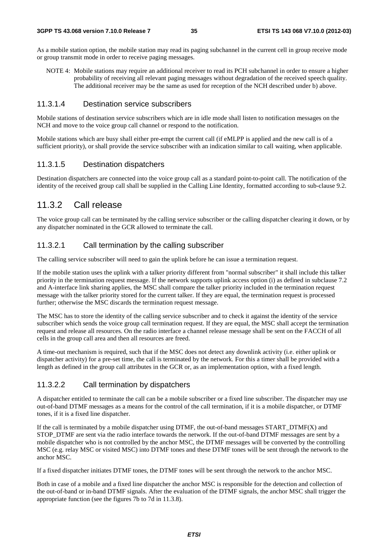As a mobile station option, the mobile station may read its paging subchannel in the current cell in group receive mode or group transmit mode in order to receive paging messages.

NOTE 4: Mobile stations may require an additional receiver to read its PCH subchannel in order to ensure a higher probability of receiving all relevant paging messages without degradation of the received speech quality. The additional receiver may be the same as used for reception of the NCH described under b) above.

### 11.3.1.4 Destination service subscribers

Mobile stations of destination service subscribers which are in idle mode shall listen to notification messages on the NCH and move to the voice group call channel or respond to the notification.

Mobile stations which are busy shall either pre-empt the current call (if eMLPP is applied and the new call is of a sufficient priority), or shall provide the service subscriber with an indication similar to call waiting, when applicable.

### 11.3.1.5 Destination dispatchers

Destination dispatchers are connected into the voice group call as a standard point-to-point call. The notification of the identity of the received group call shall be supplied in the Calling Line Identity, formatted according to sub-clause 9.2.

### 11.3.2 Call release

The voice group call can be terminated by the calling service subscriber or the calling dispatcher clearing it down, or by any dispatcher nominated in the GCR allowed to terminate the call.

### 11.3.2.1 Call termination by the calling subscriber

The calling service subscriber will need to gain the uplink before he can issue a termination request.

If the mobile station uses the uplink with a talker priority different from "normal subscriber" it shall include this talker priority in the termination request message. If the network supports uplink access option (i) as defined in subclause 7.2 and A-interface link sharing applies, the MSC shall compare the talker priority included in the termination request message with the talker priority stored for the current talker. If they are equal, the termination request is processed further; otherwise the MSC discards the termination request message.

The MSC has to store the identity of the calling service subscriber and to check it against the identity of the service subscriber which sends the voice group call termination request. If they are equal, the MSC shall accept the termination request and release all resources. On the radio interface a channel release message shall be sent on the FACCH of all cells in the group call area and then all resources are freed.

A time-out mechanism is required, such that if the MSC does not detect any downlink activity (i.e. either uplink or dispatcher activity) for a pre-set time, the call is terminated by the network. For this a timer shall be provided with a length as defined in the group call attributes in the GCR or, as an implementation option, with a fixed length.

### 11.3.2.2 Call termination by dispatchers

A dispatcher entitled to terminate the call can be a mobile subscriber or a fixed line subscriber. The dispatcher may use out-of-band DTMF messages as a means for the control of the call termination, if it is a mobile dispatcher, or DTMF tones, if it is a fixed line dispatcher.

If the call is terminated by a mobile dispatcher using DTMF, the out-of-band messages START\_DTMF(X) and STOP\_DTMF are sent via the radio interface towards the network. If the out-of-band DTMF messages are sent by a mobile dispatcher who is not controlled by the anchor MSC, the DTMF messages will be converted by the controlling MSC (e.g. relay MSC or visited MSC) into DTMF tones and these DTMF tones will be sent through the network to the anchor MSC.

If a fixed dispatcher initiates DTMF tones, the DTMF tones will be sent through the network to the anchor MSC.

Both in case of a mobile and a fixed line dispatcher the anchor MSC is responsible for the detection and collection of the out-of-band or in-band DTMF signals. After the evaluation of the DTMF signals, the anchor MSC shall trigger the appropriate function (see the figures 7b to 7d in 11.3.8).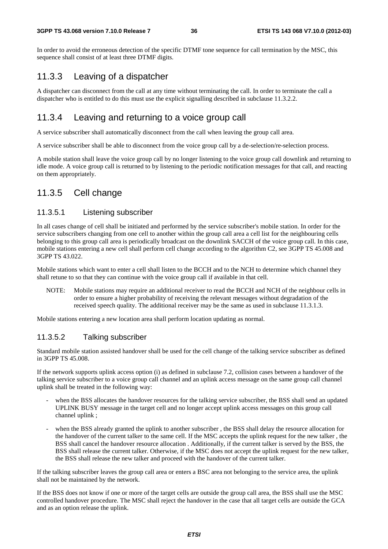#### **3GPP TS 43.068 version 7.10.0 Release 7 36 ETSI TS 143 068 V7.10.0 (2012-03)**

In order to avoid the erroneous detection of the specific DTMF tone sequence for call termination by the MSC, this sequence shall consist of at least three DTMF digits.

# 11.3.3 Leaving of a dispatcher

A dispatcher can disconnect from the call at any time without terminating the call. In order to terminate the call a dispatcher who is entitled to do this must use the explicit signalling described in subclause 11.3.2.2.

# 11.3.4 Leaving and returning to a voice group call

A service subscriber shall automatically disconnect from the call when leaving the group call area.

A service subscriber shall be able to disconnect from the voice group call by a de-selection/re-selection process.

A mobile station shall leave the voice group call by no longer listening to the voice group call downlink and returning to idle mode. A voice group call is returned to by listening to the periodic notification messages for that call, and reacting on them appropriately.

## 11.3.5 Cell change

### 11.3.5.1 Listening subscriber

In all cases change of cell shall be initiated and performed by the service subscriber's mobile station. In order for the service subscribers changing from one cell to another within the group call area a cell list for the neighbouring cells belonging to this group call area is periodically broadcast on the downlink SACCH of the voice group call. In this case, mobile stations entering a new cell shall perform cell change according to the algorithm C2, see 3GPP TS 45.008 and 3GPP TS 43.022.

Mobile stations which want to enter a cell shall listen to the BCCH and to the NCH to determine which channel they shall retune to so that they can continue with the voice group call if available in that cell.

NOTE: Mobile stations may require an additional receiver to read the BCCH and NCH of the neighbour cells in order to ensure a higher probability of receiving the relevant messages without degradation of the received speech quality. The additional receiver may be the same as used in subclause 11.3.1.3.

Mobile stations entering a new location area shall perform location updating as normal.

### 11.3.5.2 Talking subscriber

Standard mobile station assisted handover shall be used for the cell change of the talking service subscriber as defined in 3GPP TS 45.008.

If the network supports uplink access option (i) as defined in subclause 7.2, collision cases between a handover of the talking service subscriber to a voice group call channel and an uplink access message on the same group call channel uplink shall be treated in the following way:

- when the BSS allocates the handover resources for the talking service subscriber, the BSS shall send an updated UPLINK BUSY message in the target cell and no longer accept uplink access messages on this group call channel uplink ;
- when the BSS already granted the uplink to another subscriber, the BSS shall delay the resource allocation for the handover of the current talker to the same cell. If the MSC accepts the uplink request for the new talker , the BSS shall cancel the handover resource allocation . Additionally, if the current talker is served by the BSS, the BSS shall release the current talker. Otherwise, if the MSC does not accept the uplink request for the new talker, the BSS shall release the new talker and proceed with the handover of the current talker.

If the talking subscriber leaves the group call area or enters a BSC area not belonging to the service area, the uplink shall not be maintained by the network.

If the BSS does not know if one or more of the target cells are outside the group call area, the BSS shall use the MSC controlled handover procedure. The MSC shall reject the handover in the case that all target cells are outside the GCA and as an option release the uplink.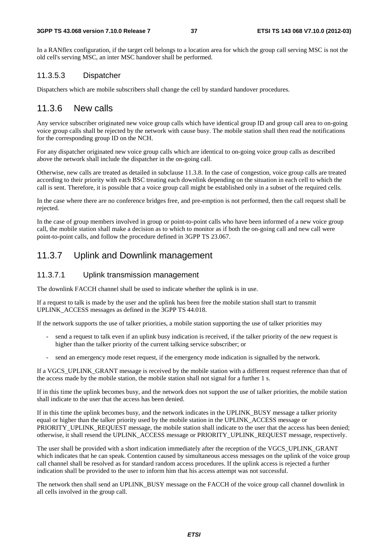In a RANflex configuration, if the target cell belongs to a location area for which the group call serving MSC is not the old cell's serving MSC, an inter MSC handover shall be performed.

### 11.3.5.3 Dispatcher

Dispatchers which are mobile subscribers shall change the cell by standard handover procedures.

### 11.3.6 New calls

Any service subscriber originated new voice group calls which have identical group ID and group call area to on-going voice group calls shall be rejected by the network with cause busy. The mobile station shall then read the notifications for the corresponding group ID on the NCH.

For any dispatcher originated new voice group calls which are identical to on-going voice group calls as described above the network shall include the dispatcher in the on-going call.

Otherwise, new calls are treated as detailed in subclause 11.3.8. In the case of congestion, voice group calls are treated according to their priority with each BSC treating each downlink depending on the situation in each cell to which the call is sent. Therefore, it is possible that a voice group call might be established only in a subset of the required cells.

In the case where there are no conference bridges free, and pre-emption is not performed, then the call request shall be rejected.

In the case of group members involved in group or point-to-point calls who have been informed of a new voice group call, the mobile station shall make a decision as to which to monitor as if both the on-going call and new call were point-to-point calls, and follow the procedure defined in 3GPP TS 23.067.

## 11.3.7 Uplink and Downlink management

### 11.3.7.1 Uplink transmission management

The downlink FACCH channel shall be used to indicate whether the uplink is in use.

If a request to talk is made by the user and the uplink has been free the mobile station shall start to transmit UPLINK\_ACCESS messages as defined in the 3GPP TS 44.018.

If the network supports the use of talker priorities, a mobile station supporting the use of talker priorities may

- send a request to talk even if an uplink busy indication is received, if the talker priority of the new request is higher than the talker priority of the current talking service subscriber; or
- send an emergency mode reset request, if the emergency mode indication is signalled by the network.

If a VGCS\_UPLINK\_GRANT message is received by the mobile station with a different request reference than that of the access made by the mobile station, the mobile station shall not signal for a further 1 s.

If in this time the uplink becomes busy, and the network does not support the use of talker priorities, the mobile station shall indicate to the user that the access has been denied.

If in this time the uplink becomes busy, and the network indicates in the UPLINK\_BUSY message a talker priority equal or higher than the talker priority used by the mobile station in the UPLINK\_ACCESS message or PRIORITY\_UPLINK\_REQUEST message, the mobile station shall indicate to the user that the access has been denied; otherwise, it shall resend the UPLINK\_ACCESS message or PRIORITY\_UPLINK\_REQUEST message, respectively.

The user shall be provided with a short indication immediately after the reception of the VGCS\_UPLINK\_GRANT which indicates that he can speak. Contention caused by simultaneous access messages on the uplink of the voice group call channel shall be resolved as for standard random access procedures. If the uplink access is rejected a further indication shall be provided to the user to inform him that his access attempt was not successful.

The network then shall send an UPLINK\_BUSY message on the FACCH of the voice group call channel downlink in all cells involved in the group call.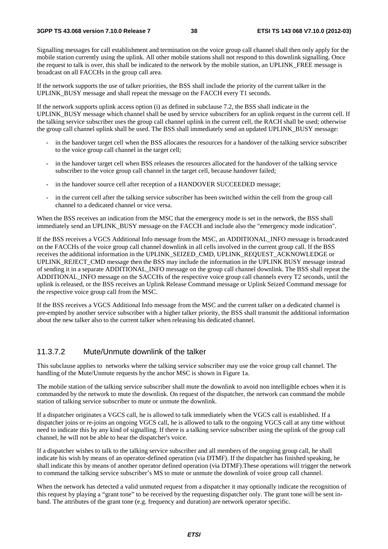Signalling messages for call establishment and termination on the voice group call channel shall then only apply for the mobile station currently using the uplink. All other mobile stations shall not respond to this downlink signalling. Once the request to talk is over, this shall be indicated to the network by the mobile station, an UPLINK\_FREE message is broadcast on all FACCHs in the group call area.

If the network supports the use of talker priorities, the BSS shall include the priority of the current talker in the UPLINK\_BUSY message and shall repeat the message on the FACCH every T1 seconds.

If the network supports uplink access option (i) as defined in subclause 7.2, the BSS shall indicate in the UPLINK\_BUSY message which channel shall be used by service subscribers for an uplink request in the current cell. If the talking service subscriber uses the group call channel uplink in the current cell, the RACH shall be used; otherwise the group call channel uplink shall be used. The BSS shall immediately send an updated UPLINK\_BUSY message:

- in the handover target cell when the BSS allocates the resources for a handover of the talking service subscriber to the voice group call channel in the target cell;
- in the handover target cell when BSS releases the resources allocated for the handover of the talking service subscriber to the voice group call channel in the target cell, because handover failed;
- in the handover source cell after reception of a HANDOVER SUCCEEDED message;
- in the current cell after the talking service subscriber has been switched within the cell from the group call channel to a dedicated channel or vice versa.

When the BSS receives an indication from the MSC that the emergency mode is set in the network, the BSS shall immediately send an UPLINK\_BUSY message on the FACCH and include also the "emergency mode indication".

If the BSS receives a VGCS Additional Info message from the MSC, an ADDITIONAL\_INFO message is broadcasted on the FACCHs of the voice group call channel downlink in all cells involved in the current group call. If the BSS receives the additional information in the UPLINK\_SEIZED\_CMD, UPLINK\_REQUEST\_ACKNOWLEDGE or UPLINK\_REJECT\_CMD message then the BSS may include the information in the UPLINK BUSY message instead of sending it in a separate ADDITIONAL\_INFO message on the group call channel downlink. The BSS shall repeat the ADDITIONAL\_INFO message on the SACCHs of the respective voice group call channels every T2 seconds, until the uplink is released, or the BSS receives an Uplink Release Command message or Uplink Seized Command message for the respective voice group call from the MSC.

If the BSS receives a VGCS Additional Info message from the MSC and the current talker on a dedicated channel is pre-empted by another service subscriber with a higher talker priority, the BSS shall transmit the additional information about the new talker also to the current talker when releasing his dedicated channel.

### 11.3.7.2 Mute/Unmute downlink of the talker

This subclause applies to networks where the talking service subscriber may use the voice group call channel. The handling of the Mute/Unmute requests by the anchor MSC is shown in Figure 1a.

The mobile station of the talking service subscriber shall mute the downlink to avoid non intelligible echoes when it is commanded by the network to mute the downlink. On request of the dispatcher, the network can command the mobile station of talking service subscriber to mute or unmute the downlink.

If a dispatcher originates a VGCS call, he is allowed to talk immediately when the VGCS call is established. If a dispatcher joins or re-joins an ongoing VGCS call, he is allowed to talk to the ongoing VGCS call at any time without need to indicate this by any kind of signalling. If there is a talking service subscriber using the uplink of the group call channel, he will not be able to hear the dispatcher's voice.

If a dispatcher wishes to talk to the talking service subscriber and all members of the ongoing group call, he shall indicate his wish by means of an operator-defined operation (via DTMF). If the dispatcher has finished speaking, he shall indicate this by means of another operator defined operation (via DTMF).These operations will trigger the network to command the talking service subscriber's MS to mute or unmute the downlink of voice group call channel.

When the network has detected a valid unmuted request from a dispatcher it may optionally indicate the recognition of this request by playing a "grant tone" to be received by the requesting dispatcher only. The grant tone will be sent inband. The attributes of the grant tone (e.g. frequency and duration) are network operator specific.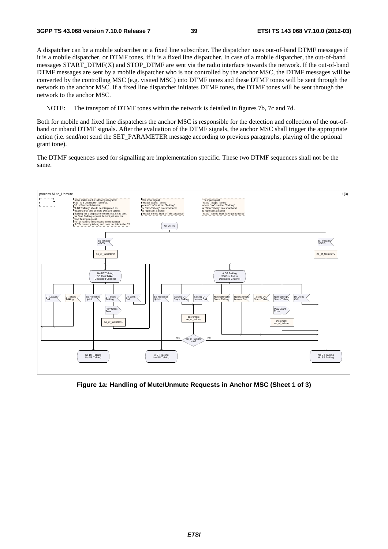A dispatcher can be a mobile subscriber or a fixed line subscriber. The dispatcher uses out-of-band DTMF messages if it is a mobile dispatcher, or DTMF tones, if it is a fixed line dispatcher. In case of a mobile dispatcher, the out-of-band messages START\_DTMF(X) and STOP\_DTMF are sent via the radio interface towards the network. If the out-of-band DTMF messages are sent by a mobile dispatcher who is not controlled by the anchor MSC, the DTMF messages will be converted by the controlling MSC (e.g. visited MSC) into DTMF tones and these DTMF tones will be sent through the network to the anchor MSC. If a fixed line dispatcher initiates DTMF tones, the DTMF tones will be sent through the network to the anchor MSC.

NOTE: The transport of DTMF tones within the network is detailed in figures 7b, 7c and 7d.

Both for mobile and fixed line dispatchers the anchor MSC is responsible for the detection and collection of the out-ofband or inband DTMF signals. After the evaluation of the DTMF signals, the anchor MSC shall trigger the appropriate action (i.e. send/not send the SET\_PARAMETER message according to previous paragraphs, playing of the optional grant tone).

The DTMF sequences used for signalling are implementation specific. These two DTMF sequences shall not be the same.



**Figure 1a: Handling of Mute/Unmute Requests in Anchor MSC (Sheet 1 of 3)**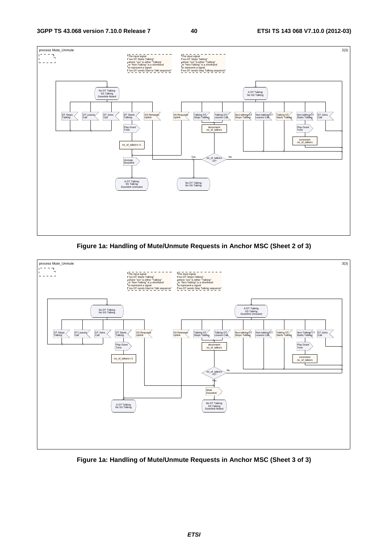

**Figure 1a: Handling of Mute/Unmute Requests in Anchor MSC (Sheet 2 of 3)** 



**Figure 1a: Handling of Mute/Unmute Requests in Anchor MSC (Sheet 3 of 3)**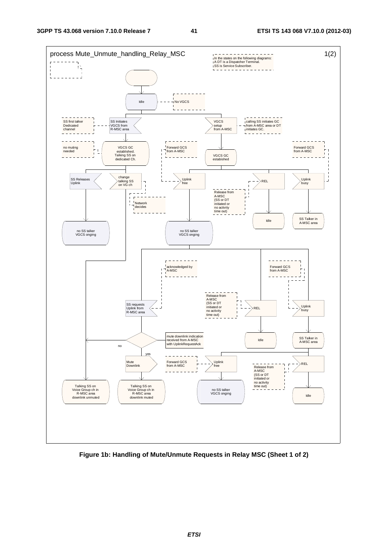

**Figure 1b: Handling of Mute/Unmute Requests in Relay MSC (Sheet 1 of 2)**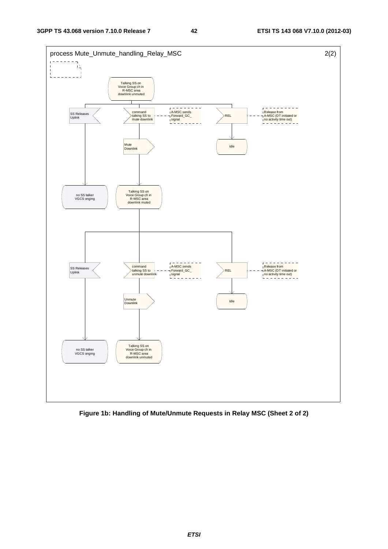

**Figure 1b: Handling of Mute/Unmute Requests in Relay MSC (Sheet 2 of 2)**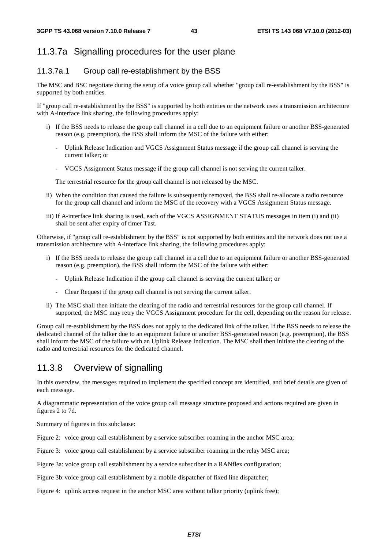# 11.3.7a Signalling procedures for the user plane

# 11.3.7a.1 Group call re-establishment by the BSS

The MSC and BSC negotiate during the setup of a voice group call whether "group call re-establishment by the BSS" is supported by both entities.

If "group call re-establishment by the BSS" is supported by both entities or the network uses a transmission architecture with A-interface link sharing, the following procedures apply:

- i) If the BSS needs to release the group call channel in a cell due to an equipment failure or another BSS-generated reason (e.g. preemption), the BSS shall inform the MSC of the failure with either:
	- Uplink Release Indication and VGCS Assignment Status message if the group call channel is serving the current talker; or
	- VGCS Assignment Status message if the group call channel is not serving the current talker.

The terrestrial resource for the group call channel is not released by the MSC.

- ii) When the condition that caused the failure is subsequently removed, the BSS shall re-allocate a radio resource for the group call channel and inform the MSC of the recovery with a VGCS Assignment Status message.
- iii) If A-interface link sharing is used, each of the VGCS ASSIGNMENT STATUS messages in item (i) and (ii) shall be sent after expiry of timer Tast.

Otherwise, if "group call re-establishment by the BSS" is not supported by both entities and the network does not use a transmission architecture with A-interface link sharing, the following procedures apply:

- i) If the BSS needs to release the group call channel in a cell due to an equipment failure or another BSS-generated reason (e.g. preemption), the BSS shall inform the MSC of the failure with either:
	- Uplink Release Indication if the group call channel is serving the current talker; or
	- Clear Request if the group call channel is not serving the current talker.
- ii) The MSC shall then initiate the clearing of the radio and terrestrial resources for the group call channel. If supported, the MSC may retry the VGCS Assignment procedure for the cell, depending on the reason for release.

Group call re-establishment by the BSS does not apply to the dedicated link of the talker. If the BSS needs to release the dedicated channel of the talker due to an equipment failure or another BSS-generated reason (e.g. preemption), the BSS shall inform the MSC of the failure with an Uplink Release Indication. The MSC shall then initiate the clearing of the radio and terrestrial resources for the dedicated channel.

# 11.3.8 Overview of signalling

In this overview, the messages required to implement the specified concept are identified, and brief details are given of each message.

A diagrammatic representation of the voice group call message structure proposed and actions required are given in figures 2 to 7d.

Summary of figures in this subclause:

Figure 2: voice group call establishment by a service subscriber roaming in the anchor MSC area;

Figure 3: voice group call establishment by a service subscriber roaming in the relay MSC area;

Figure 3a: voice group call establishment by a service subscriber in a RANflex configuration;

Figure 3b: voice group call establishment by a mobile dispatcher of fixed line dispatcher;

Figure 4: uplink access request in the anchor MSC area without talker priority (uplink free);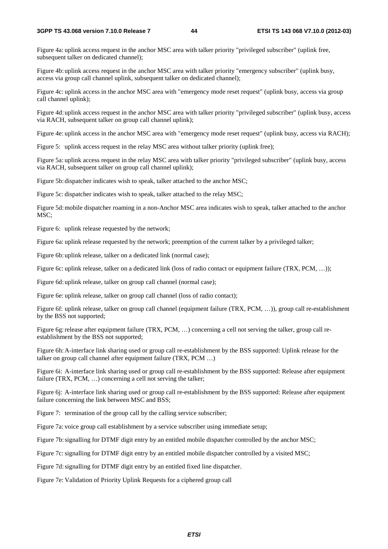Figure 4a: uplink access request in the anchor MSC area with talker priority "privileged subscriber" (uplink free, subsequent talker on dedicated channel);

Figure 4b: uplink access request in the anchor MSC area with talker priority "emergency subscriber" (uplink busy, access via group call channel uplink, subsequent talker on dedicated channel);

Figure 4c: uplink access in the anchor MSC area with "emergency mode reset request" (uplink busy, access via group call channel uplink);

Figure 4d: uplink access request in the anchor MSC area with talker priority "privileged subscriber" (uplink busy, access via RACH, subsequent talker on group call channel uplink);

Figure 4e: uplink access in the anchor MSC area with "emergency mode reset request" (uplink busy, access via RACH);

Figure 5: uplink access request in the relay MSC area without talker priority (uplink free);

Figure 5a: uplink access request in the relay MSC area with talker priority "privileged subscriber" (uplink busy, access via RACH, subsequent talker on group call channel uplink);

Figure 5b: dispatcher indicates wish to speak, talker attached to the anchor MSC;

Figure 5c: dispatcher indicates wish to speak, talker attached to the relay MSC;

Figure 5d: mobile dispatcher roaming in a non-Anchor MSC area indicates wish to speak, talker attached to the anchor MSC;

Figure 6: uplink release requested by the network;

Figure 6a: uplink release requested by the network; preemption of the current talker by a privileged talker;

Figure 6b: uplink release, talker on a dedicated link (normal case);

Figure 6c: uplink release, talker on a dedicated link (loss of radio contact or equipment failure (TRX, PCM, ...));

Figure 6d: uplink release, talker on group call channel (normal case);

Figure 6e: uplink release, talker on group call channel (loss of radio contact);

Figure 6f: uplink release, talker on group call channel (equipment failure (TRX, PCM, …)), group call re-establishment by the BSS not supported;

Figure 6g: release after equipment failure (TRX, PCM, ...) concerning a cell not serving the talker, group call reestablishment by the BSS not supported;

Figure 6h: A-interface link sharing used or group call re-establishment by the BSS supported: Uplink release for the talker on group call channel after equipment failure (TRX, PCM …)

Figure 6i: A-interface link sharing used or group call re-establishment by the BSS supported: Release after equipment failure (TRX, PCM, ...) concerning a cell not serving the talker;

Figure 6j: A-interface link sharing used or group call re-establishment by the BSS supported: Release after equipment failure concerning the link between MSC and BSS;

Figure 7: termination of the group call by the calling service subscriber;

Figure 7a: voice group call establishment by a service subscriber using immediate setup;

Figure 7b: signalling for DTMF digit entry by an entitled mobile dispatcher controlled by the anchor MSC;

Figure 7c: signalling for DTMF digit entry by an entitled mobile dispatcher controlled by a visited MSC;

Figure 7d: signalling for DTMF digit entry by an entitled fixed line dispatcher.

Figure 7e: Validation of Priority Uplink Requests for a ciphered group call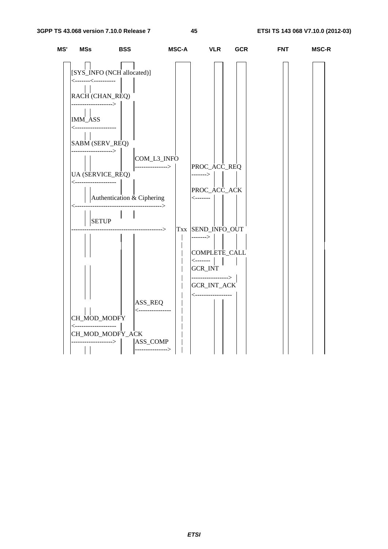| MS' | MSs                                              | <b>BSS</b>                 | MSC-A             | <b>VLR</b>                                | <b>GCR</b> | <b>FNT</b> | <b>MSC-R</b> |
|-----|--------------------------------------------------|----------------------------|-------------------|-------------------------------------------|------------|------------|--------------|
|     |                                                  | [SYS_INFO (NCH allocated)] |                   |                                           |            |            |              |
|     | <--------<-----------                            |                            |                   |                                           |            |            |              |
|     | RACH (CHAN_REQ)                                  |                            |                   |                                           |            |            |              |
|     | ------------------><br>$\pm 1$<br><b>IMM_ASS</b> |                            |                   |                                           |            |            |              |
|     | <---------------------                           |                            |                   |                                           |            |            |              |
|     | SABM (SERV_REQ)                                  |                            |                   |                                           |            |            |              |
|     | ------------------>                              |                            | COM_L3_INFO       |                                           |            |            |              |
|     | <b>UA (SERVICE_REQ)</b>                          |                            | ----------------> | PROC_ACC_REQ<br>------->                  |            |            |              |
|     | <---------------------                           |                            |                   | PROC_ACC_ACK                              |            |            |              |
|     |                                                  |                            |                   | <--------                                 |            |            |              |
|     | <b>SETUP</b>                                     |                            |                   |                                           |            |            |              |
|     |                                                  | ------------------->       |                   | Txx SEND_INFO_OUT<br>------->             |            |            |              |
|     |                                                  |                            |                   | COMPLETE_CALL                             |            |            |              |
|     |                                                  |                            |                   | <b>GCR_INT</b>                            |            |            |              |
|     |                                                  |                            |                   | ---------------->  <br><b>GCR_INT_ACK</b> |            |            |              |
|     |                                                  |                            |                   | <------------------                       |            |            |              |
|     |                                                  | ASS_REQ                    | <---------------- |                                           |            |            |              |
|     | CH_MOD_MODFY<br><--------------------            |                            |                   |                                           |            |            |              |
|     |                                                  | CH_MOD_MODFY_ACK           |                   |                                           |            |            |              |
|     | ------------->                                   | ASS_COMP                   | ----------------> |                                           |            |            |              |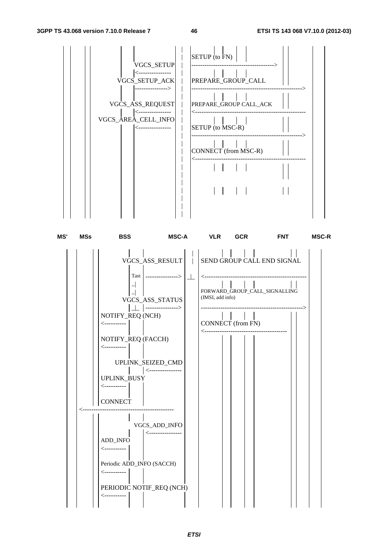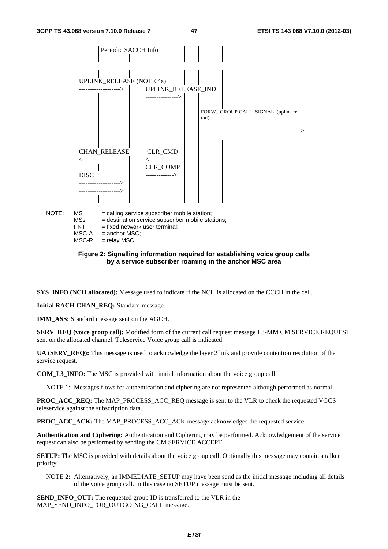

 $MSC-A$  = anchor MSC;<br> $MSC-R$  = relay MSC.

 $=$  relay MSC.

### **Figure 2: Signalling information required for establishing voice group calls by a service subscriber roaming in the anchor MSC area**

**SYS\_INFO (NCH allocated):** Message used to indicate if the NCH is allocated on the CCCH in the cell.

**Initial RACH CHAN\_REQ:** Standard message.

**IMM\_ASS:** Standard message sent on the AGCH.

**SERV\_REQ (voice group call):** Modified form of the current call request message L3-MM CM SERVICE REQUEST sent on the allocated channel. Teleservice Voice group call is indicated.

**UA (SERV\_REQ):** This message is used to acknowledge the layer 2 link and provide contention resolution of the service request.

**COM\_L3\_INFO:** The MSC is provided with initial information about the voice group call.

NOTE 1: Messages flows for authentication and ciphering are not represented although performed as normal.

**PROC\_ACC\_REQ:** The MAP\_PROCESS\_ACC\_REQ message is sent to the VLR to check the requested VGCS teleservice against the subscription data.

**PROC\_ACC\_ACK:** The MAP\_PROCESS\_ACC\_ACK message acknowledges the requested service.

**Authentication and Ciphering:** Authentication and Ciphering may be performed. Acknowledgement of the service request can also be performed by sending the CM SERVICE ACCEPT.

**SETUP:** The MSC is provided with details about the voice group call. Optionally this message may contain a talker priority.

NOTE 2: Alternatively, an IMMEDIATE\_SETUP may have been send as the initial message including all details of the voice group call. In this case no SETUP message must be sent.

**SEND INFO** OUT: The requested group ID is transferred to the VLR in the MAP\_SEND\_INFO\_FOR\_OUTGOING\_CALL message.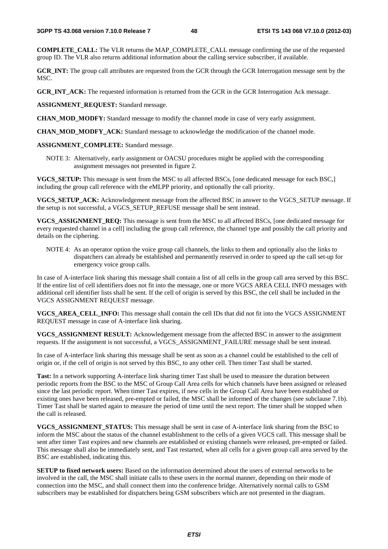**COMPLETE\_CALL:** The VLR returns the MAP\_COMPLETE\_CALL message confirming the use of the requested group ID. The VLR also returns additional information about the calling service subscriber, if available.

**GCR\_INT:** The group call attributes are requested from the GCR through the GCR Interrogation message sent by the MSC.

**GCR\_INT\_ACK:** The requested information is returned from the GCR in the GCR Interrogation Ack message.

**ASSIGNMENT\_REQUEST:** Standard message.

**CHAN\_MOD\_MODFY:** Standard message to modify the channel mode in case of very early assignment.

**CHAN\_MOD\_MODFY\_ACK:** Standard message to acknowledge the modification of the channel mode.

**ASSIGNMENT\_COMPLETE:** Standard message.

NOTE 3: Alternatively, early assignment or OACSU procedures might be applied with the corresponding assignment messages not presented in figure 2.

**VGCS\_SETUP:** This message is sent from the MSC to all affected BSCs, [one dedicated message for each BSC,] including the group call reference with the eMLPP priority, and optionally the call priority.

**VGCS\_SETUP\_ACK:** Acknowledgement message from the affected BSC in answer to the VGCS\_SETUP message. If the setup is not successful, a VGCS\_SETUP\_REFUSE message shall be sent instead.

**VGCS\_ASSIGNMENT\_REQ:** This message is sent from the MSC to all affected BSCs, [one dedicated message for every requested channel in a cell] including the group call reference, the channel type and possibly the call priority and details on the ciphering.

NOTE 4: As an operator option the voice group call channels, the links to them and optionally also the links to dispatchers can already be established and permanently reserved in order to speed up the call set-up for emergency voice group calls.

In case of A-interface link sharing this message shall contain a list of all cells in the group call area served by this BSC. If the entire list of cell identifiers does not fit into the message, one or more VGCS AREA CELL INFO messages with additional cell identifier lists shall be sent. If the cell of origin is served by this BSC, the cell shall be included in the VGCS ASSIGNMENT REQUEST message.

**VGCS\_AREA\_CELL\_INFO:** This message shall contain the cell IDs that did not fit into the VGCS ASSIGNMENT REQUEST message in case of A-interface link sharing.

**VGCS\_ASSIGNMENT RESULT:** Acknowledgement message from the affected BSC in answer to the assignment requests. If the assignment is not successful, a VGCS\_ASSIGNMENT\_FAILURE message shall be sent instead.

In case of A-interface link sharing this message shall be sent as soon as a channel could be established to the cell of origin or, if the cell of origin is not served by this BSC, to any other cell. Then timer Tast shall be started.

**Tast:** In a network supporting A-interface link sharing timer Tast shall be used to measure the duration between periodic reports from the BSC to the MSC of Group Call Area cells for which channels have been assigned or released since the last periodic report. When timer Tast expires, if new cells in the Group Call Area have been established or existing ones have been released, pre-empted or failed, the MSC shall be informed of the changes (see subclause 7.1b). Timer Tast shall be started again to measure the period of time until the next report. The timer shall be stopped when the call is released.

**VGCS\_ASSIGNMENT\_STATUS:** This message shall be sent in case of A-interface link sharing from the BSC to inform the MSC about the status of the channel establishment to the cells of a given VGCS call. This message shall be sent after timer Tast expires and new channels are established or existing channels were released, pre-empted or failed. This message shall also be immediately sent, and Tast restarted, when all cells for a given group call area served by the BSC are established, indicating this.

**SETUP to fixed network users:** Based on the information determined about the users of external networks to be involved in the call, the MSC shall initiate calls to these users in the normal manner, depending on their mode of connection into the MSC, and shall connect them into the conference bridge. Alternatively normal calls to GSM subscribers may be established for dispatchers being GSM subscribers which are not presented in the diagram.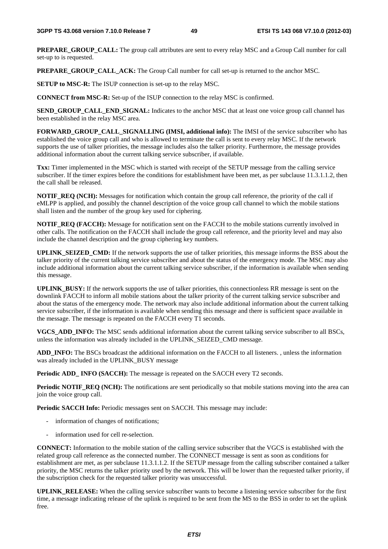**PREPARE\_GROUP\_CALL:** The group call attributes are sent to every relay MSC and a Group Call number for call set-up to is requested.

**PREPARE\_GROUP\_CALL\_ACK:** The Group Call number for call set-up is returned to the anchor MSC.

**SETUP to MSC-R:** The ISUP connection is set-up to the relay MSC.

**CONNECT from MSC-R:** Set-up of the ISUP connection to the relay MSC is confirmed.

**SEND\_GROUP\_CALL\_END\_SIGNAL:** Indicates to the anchor MSC that at least one voice group call channel has been established in the relay MSC area.

FORWARD\_GROUP\_CALL\_SIGNALLING (IMSI, additional info): The IMSI of the service subscriber who has established the voice group call and who is allowed to terminate the call is sent to every relay MSC. If the network supports the use of talker priorities, the message includes also the talker priority. Furthermore, the message provides additional information about the current talking service subscriber, if available.

**Txx:** Timer implemented in the MSC which is started with receipt of the SETUP message from the calling service subscriber. If the timer expires before the conditions for establishment have been met, as per subclause 11.3.1.1.2, then the call shall be released.

**NOTIF\_REQ (NCH):** Messages for notification which contain the group call reference, the priority of the call if eMLPP is applied, and possibly the channel description of the voice group call channel to which the mobile stations shall listen and the number of the group key used for ciphering.

**NOTIF\_REQ (FACCH):** Message for notification sent on the FACCH to the mobile stations currently involved in other calls. The notification on the FACCH shall include the group call reference, and the priority level and may also include the channel description and the group ciphering key numbers.

**UPLINK\_SEIZED\_CMD:** If the network supports the use of talker priorities, this message informs the BSS about the talker priority of the current talking service subscriber and about the status of the emergency mode. The MSC may also include additional information about the current talking service subscriber, if the information is available when sending this message.

**UPLINK\_BUSY:** If the network supports the use of talker priorities, this connectionless RR message is sent on the downlink FACCH to inform all mobile stations about the talker priority of the current talking service subscriber and about the status of the emergency mode. The network may also include additional information about the current talking service subscriber, if the information is available when sending this message and there is sufficient space available in the message. The message is repeated on the FACCH every T1 seconds.

**VGCS\_ADD\_INFO:** The MSC sends additional information about the current talking service subscriber to all BSCs, unless the information was already included in the UPLINK\_SEIZED\_CMD message.

**ADD\_INFO:** The BSCs broadcast the additional information on the FACCH to all listeners. , unless the information was already included in the UPLINK\_BUSY message

**Periodic ADD\_ INFO (SACCH):** The message is repeated on the SACCH every T2 seconds.

**Periodic NOTIF\_REQ (NCH):** The notifications are sent periodically so that mobile stations moving into the area can join the voice group call.

**Periodic SACCH Info:** Periodic messages sent on SACCH. This message may include:

- information of changes of notifications;
- information used for cell re-selection.

**CONNECT:** Information to the mobile station of the calling service subscriber that the VGCS is established with the related group call reference as the connected number. The CONNECT message is sent as soon as conditions for establishment are met, as per subclause 11.3.1.1.2. If the SETUP message from the calling subscriber contained a talker priority, the MSC returns the talker priority used by the network. This will be lower than the requested talker priority, if the subscription check for the requested talker priority was unsuccessful.

**UPLINK\_RELEASE:** When the calling service subscriber wants to become a listening service subscriber for the first time, a message indicating release of the uplink is required to be sent from the MS to the BSS in order to set the uplink free.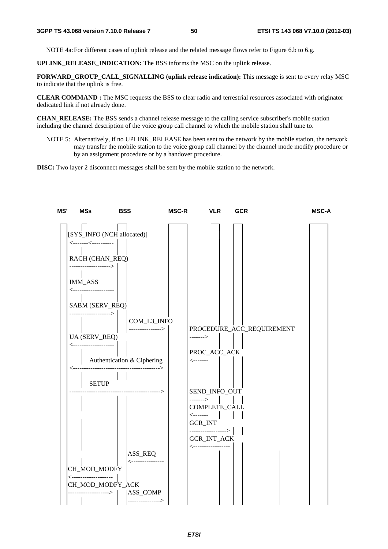NOTE 4a: For different cases of uplink release and the related message flows refer to Figure 6.b to 6.g.

**UPLINK\_RELEASE\_INDICATION:** The BSS informs the MSC on the uplink release.

**FORWARD\_GROUP\_CALL\_SIGNALLING (uplink release indication):** This message is sent to every relay MSC to indicate that the uplink is free.

**CLEAR COMMAND :** The MSC requests the BSS to clear radio and terrestrial resources associated with originator dedicated link if not already done.

**CHAN\_RELEASE:** The BSS sends a channel release message to the calling service subscriber's mobile station including the channel description of the voice group call channel to which the mobile station shall tune to.

NOTE 5: Alternatively, if no UPLINK\_RELEASE has been sent to the network by the mobile station, the network may transfer the mobile station to the voice group call channel by the channel mode modify procedure or by an assignment procedure or by a handover procedure.

**DISC:** Two layer 2 disconnect messages shall be sent by the mobile station to the network.

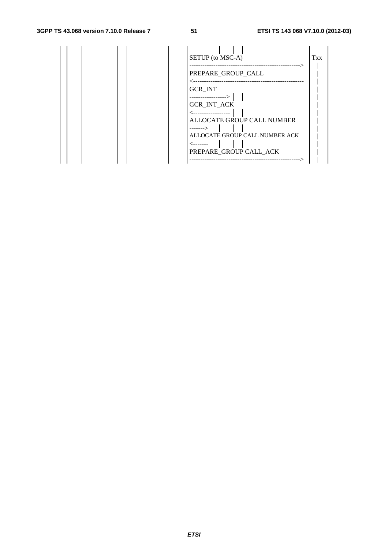# **3GPP TS 43.068 version 7.10.0 Release 7 51 ETSI TS 143 068 V7.10.0 (2012-03)**

|  | SETUP (to MSC-A)<br><b>Txx</b><br>------------------- |
|--|-------------------------------------------------------|
|  | PREPARE_GROUP_CALL                                    |
|  | <b>GCR_INT</b>                                        |
|  | -----------------><br>GCR_INT_ACK                     |
|  | ALLOCATE GROUP CALL NUMBER                            |
|  | --------><br>ALLOCATE GROUP CALL NUMBER ACK           |
|  | PREPARE_GROUP CALL_ACK                                |
|  |                                                       |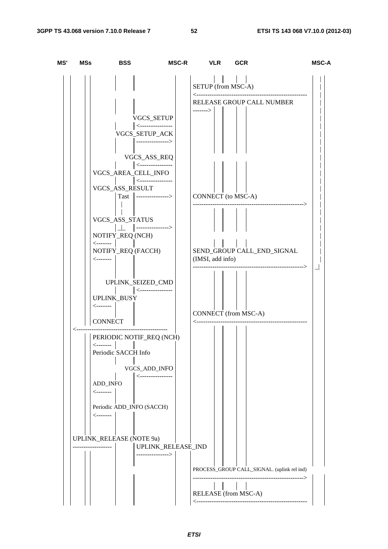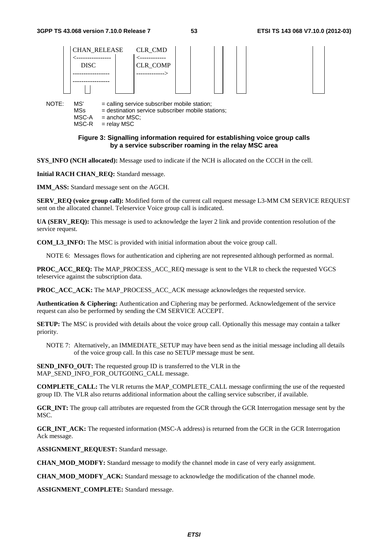

#### **Figure 3: Signalling information required for establishing voice group calls by a service subscriber roaming in the relay MSC area**

**SYS\_INFO (NCH allocated):** Message used to indicate if the NCH is allocated on the CCCH in the cell.

**Initial RACH CHAN\_REQ:** Standard message.

**IMM\_ASS:** Standard message sent on the AGCH.

**SERV\_REQ (voice group call):** Modified form of the current call request message L3-MM CM SERVICE REQUEST sent on the allocated channel. Teleservice Voice group call is indicated.

**UA (SERV\_REQ):** This message is used to acknowledge the layer 2 link and provide contention resolution of the service request.

**COM\_L3\_INFO:** The MSC is provided with initial information about the voice group call.

NOTE 6: Messages flows for authentication and ciphering are not represented although performed as normal.

**PROC\_ACC\_REQ:** The MAP\_PROCESS\_ACC\_REQ\_message is sent to the VLR to check the requested VGCS teleservice against the subscription data.

**PROC\_ACC\_ACK:** The MAP\_PROCESS\_ACC\_ACK message acknowledges the requested service.

**Authentication & Ciphering:** Authentication and Ciphering may be performed. Acknowledgement of the service request can also be performed by sending the CM SERVICE ACCEPT.

**SETUP:** The MSC is provided with details about the voice group call. Optionally this message may contain a talker priority.

NOTE 7: Alternatively, an IMMEDIATE\_SETUP may have been send as the initial message including all details of the voice group call. In this case no SETUP message must be sent.

**SEND INFO** OUT: The requested group ID is transferred to the VLR in the MAP\_SEND\_INFO\_FOR\_OUTGOING\_CALL message.

**COMPLETE\_CALL:** The VLR returns the MAP\_COMPLETE\_CALL message confirming the use of the requested group ID. The VLR also returns additional information about the calling service subscriber, if available.

**GCR\_INT:** The group call attributes are requested from the GCR through the GCR Interrogation message sent by the MSC.

**GCR\_INT\_ACK:** The requested information (MSC-A address) is returned from the GCR in the GCR Interrogation Ack message.

**ASSIGNMENT\_REQUEST:** Standard message.

**CHAN MOD MODFY:** Standard message to modify the channel mode in case of very early assignment.

**CHAN\_MOD\_MODFY\_ACK:** Standard message to acknowledge the modification of the channel mode.

**ASSIGNMENT\_COMPLETE:** Standard message.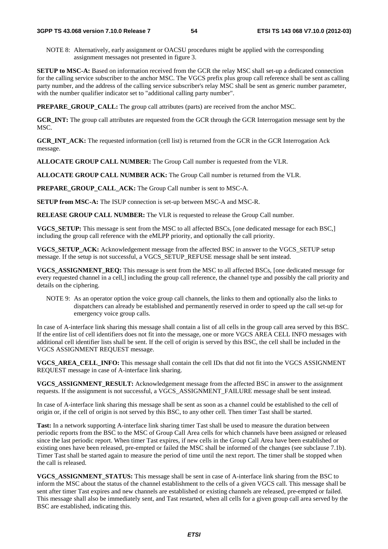NOTE 8: Alternatively, early assignment or OACSU procedures might be applied with the corresponding assignment messages not presented in figure 3.

**SETUP to MSC-A:** Based on information received from the GCR the relay MSC shall set-up a dedicated connection for the calling service subscriber to the anchor MSC. The VGCS prefix plus group call reference shall be sent as calling party number, and the address of the calling service subscriber's relay MSC shall be sent as generic number parameter, with the number qualifier indicator set to "additional calling party number".

**PREPARE\_GROUP\_CALL:** The group call attributes (parts) are received from the anchor MSC.

**GCR\_INT:** The group call attributes are requested from the GCR through the GCR Interrogation message sent by the MSC.

**GCR\_INT\_ACK:** The requested information (cell list) is returned from the GCR in the GCR Interrogation Ack message.

**ALLOCATE GROUP CALL NUMBER:** The Group Call number is requested from the VLR.

**ALLOCATE GROUP CALL NUMBER ACK:** The Group Call number is returned from the VLR.

**PREPARE\_GROUP\_CALL\_ACK:** The Group Call number is sent to MSC-A.

**SETUP from MSC-A:** The ISUP connection is set-up between MSC-A and MSC-R.

**RELEASE GROUP CALL NUMBER:** The VLR is requested to release the Group Call number.

**VGCS** SETUP: This message is sent from the MSC to all affected BSCs, [one dedicated message for each BSC,] including the group call reference with the eMLPP priority, and optionally the call priority.

**VGCS\_SETUP\_ACK:** Acknowledgement message from the affected BSC in answer to the VGCS\_SETUP setup message. If the setup is not successful, a VGCS\_SETUP\_REFUSE message shall be sent instead.

**VGCS\_ASSIGNMENT\_REQ:** This message is sent from the MSC to all affected BSCs, [one dedicated message for every requested channel in a cell,] including the group call reference, the channel type and possibly the call priority and details on the ciphering.

NOTE 9: As an operator option the voice group call channels, the links to them and optionally also the links to dispatchers can already be established and permanently reserved in order to speed up the call set-up for emergency voice group calls.

In case of A-interface link sharing this message shall contain a list of all cells in the group call area served by this BSC. If the entire list of cell identifiers does not fit into the message, one or more VGCS AREA CELL INFO messages with additional cell identifier lists shall be sent. If the cell of origin is served by this BSC, the cell shall be included in the VGCS ASSIGNMENT REQUEST message.

**VGCS\_AREA\_CELL\_INFO:** This message shall contain the cell IDs that did not fit into the VGCS ASSIGNMENT REQUEST message in case of A-interface link sharing.

**VGCS\_ASSIGNMENT\_RESULT:** Acknowledgement message from the affected BSC in answer to the assignment requests. If the assignment is not successful, a VGCS\_ASSIGNMENT\_FAILURE message shall be sent instead.

In case of A-interface link sharing this message shall be sent as soon as a channel could be established to the cell of origin or, if the cell of origin is not served by this BSC, to any other cell. Then timer Tast shall be started.

**Tast:** In a network supporting A-interface link sharing timer Tast shall be used to measure the duration between periodic reports from the BSC to the MSC of Group Call Area cells for which channels have been assigned or released since the last periodic report. When timer Tast expires, if new cells in the Group Call Area have been established or existing ones have been released, pre-empted or failed the MSC shall be informed of the changes (see subclause 7.1b). Timer Tast shall be started again to measure the period of time until the next report. The timer shall be stopped when the call is released.

**VGCS\_ASSIGNMENT\_STATUS:** This message shall be sent in case of A-interface link sharing from the BSC to inform the MSC about the status of the channel establishment to the cells of a given VGCS call. This message shall be sent after timer Tast expires and new channels are established or existing channels are released, pre-empted or failed. This message shall also be immediately sent, and Tast restarted, when all cells for a given group call area served by the BSC are established, indicating this.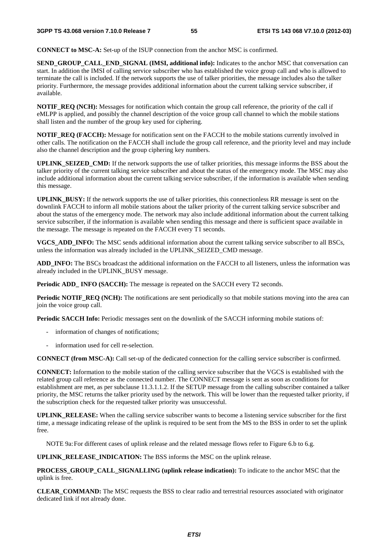**CONNECT to MSC-A:** Set-up of the ISUP connection from the anchor MSC is confirmed.

**SEND\_GROUP\_CALL\_END\_SIGNAL (IMSI, additional info):** Indicates to the anchor MSC that conversation can start. In addition the IMSI of calling service subscriber who has established the voice group call and who is allowed to terminate the call is included. If the network supports the use of talker priorities, the message includes also the talker priority. Furthermore, the message provides additional information about the current talking service subscriber, if available.

**NOTIF\_REQ (NCH):** Messages for notification which contain the group call reference, the priority of the call if eMLPP is applied, and possibly the channel description of the voice group call channel to which the mobile stations shall listen and the number of the group key used for ciphering.

**NOTIF\_REQ (FACCH):** Message for notification sent on the FACCH to the mobile stations currently involved in other calls. The notification on the FACCH shall include the group call reference, and the priority level and may include also the channel description and the group ciphering key numbers.

**UPLINK\_SEIZED\_CMD:** If the network supports the use of talker priorities, this message informs the BSS about the talker priority of the current talking service subscriber and about the status of the emergency mode. The MSC may also include additional information about the current talking service subscriber, if the information is available when sending this message.

**UPLINK\_BUSY:** If the network supports the use of talker priorities, this connectionless RR message is sent on the downlink FACCH to inform all mobile stations about the talker priority of the current talking service subscriber and about the status of the emergency mode. The network may also include additional information about the current talking service subscriber, if the information is available when sending this message and there is sufficient space available in the message. The message is repeated on the FACCH every T1 seconds.

**VGCS\_ADD\_INFO:** The MSC sends additional information about the current talking service subscriber to all BSCs, unless the information was already included in the UPLINK\_SEIZED\_CMD message.

**ADD\_INFO:** The BSCs broadcast the additional information on the FACCH to all listeners, unless the information was already included in the UPLINK\_BUSY message.

**Periodic ADD\_ INFO (SACCH):** The message is repeated on the SACCH every T2 seconds.

**Periodic NOTIF\_REQ (NCH):** The notifications are sent periodically so that mobile stations moving into the area can join the voice group call.

**Periodic SACCH Info:** Periodic messages sent on the downlink of the SACCH informing mobile stations of:

- information of changes of notifications;
- information used for cell re-selection.

**CONNECT (from MSC-A):** Call set-up of the dedicated connection for the calling service subscriber is confirmed.

**CONNECT:** Information to the mobile station of the calling service subscriber that the VGCS is established with the related group call reference as the connected number. The CONNECT message is sent as soon as conditions for establishment are met, as per subclause 11.3.1.1.2. If the SETUP message from the calling subscriber contained a talker priority, the MSC returns the talker priority used by the network. This will be lower than the requested talker priority, if the subscription check for the requested talker priority was unsuccessful.

**UPLINK\_RELEASE:** When the calling service subscriber wants to become a listening service subscriber for the first time, a message indicating release of the uplink is required to be sent from the MS to the BSS in order to set the uplink free.

NOTE 9a: For different cases of uplink release and the related message flows refer to Figure 6.b to 6.g.

**UPLINK\_RELEASE\_INDICATION:** The BSS informs the MSC on the uplink release.

**PROCESS\_GROUP\_CALL\_SIGNALLING (uplink release indication):** To indicate to the anchor MSC that the uplink is free.

**CLEAR\_COMMAND:** The MSC requests the BSS to clear radio and terrestrial resources associated with originator dedicated link if not already done.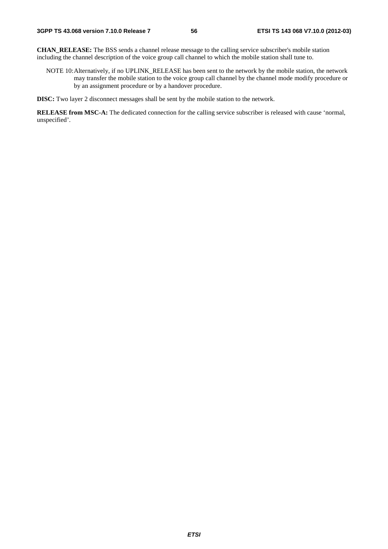**CHAN\_RELEASE:** The BSS sends a channel release message to the calling service subscriber's mobile station including the channel description of the voice group call channel to which the mobile station shall tune to.

NOTE 10: Alternatively, if no UPLINK\_RELEASE has been sent to the network by the mobile station, the network may transfer the mobile station to the voice group call channel by the channel mode modify procedure or by an assignment procedure or by a handover procedure.

**DISC:** Two layer 2 disconnect messages shall be sent by the mobile station to the network.

**RELEASE from MSC-A:** The dedicated connection for the calling service subscriber is released with cause 'normal, unspecified'.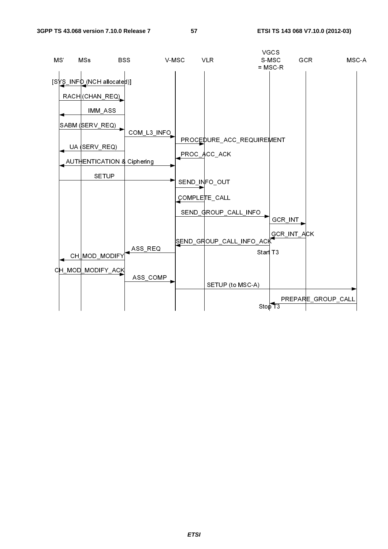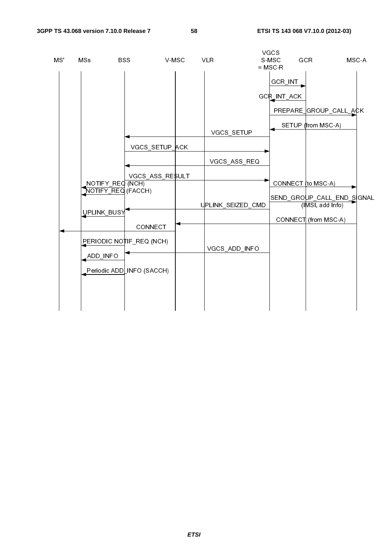| MS' | MSs                                    | <b>BSS</b><br>V-MSC       |             | <b>VLR</b>        | VGCS<br>S-MSC<br>$=$ MSC-R | GCR                                            | MSC-A |
|-----|----------------------------------------|---------------------------|-------------|-------------------|----------------------------|------------------------------------------------|-------|
|     |                                        |                           |             |                   | GCR_INT                    |                                                |       |
|     |                                        |                           |             |                   | GCR_INT_ACK                |                                                |       |
|     |                                        |                           |             |                   |                            | PREPARE GROUP_CALL_ACK                         |       |
|     |                                        |                           |             |                   |                            | SETUP (from MSC-A)                             |       |
|     |                                        | VGCS_SETUP_ACK            |             | VGCS_SETUP        |                            |                                                |       |
|     |                                        |                           |             | VGCS_ASS_REQ      |                            |                                                |       |
|     |                                        | VGCS_ASS_RESULT           |             |                   |                            |                                                |       |
|     | NOTIFY_REQ (NCH)<br>NOTIFY_REQ (FACCH) |                           |             |                   | CONNECT (to MSC-A)         |                                                |       |
|     |                                        |                           |             | UPLINK_SEIZED_CMD |                            | SEND_GROUP_CALL_END_SIGNAL<br>(IMSI, add Info) |       |
|     | UPLINK_BUSY                            |                           |             |                   |                            | CONNECT (from MSC-A)                           |       |
|     |                                        | CONNECT                   |             |                   |                            |                                                |       |
|     |                                        | PERIODIC NOTIF_REQ (NCH)  |             | VGCS_ADD_INFO     |                            |                                                |       |
|     | ADD_INFO                               |                           |             |                   |                            |                                                |       |
|     |                                        | Periodic ADD INFO (SACCH) |             |                   |                            |                                                |       |
|     |                                        |                           |             |                   |                            |                                                |       |
|     |                                        |                           |             |                   |                            |                                                |       |
|     |                                        |                           |             |                   |                            |                                                |       |
|     |                                        |                           |             |                   |                            |                                                |       |
|     |                                        |                           |             |                   |                            |                                                |       |
|     |                                        |                           |             |                   |                            |                                                |       |
|     |                                        |                           |             |                   |                            |                                                |       |
|     |                                        |                           |             |                   |                            |                                                |       |
|     |                                        |                           |             |                   |                            |                                                |       |
|     |                                        |                           |             |                   |                            |                                                |       |
|     |                                        |                           |             |                   |                            |                                                |       |
|     |                                        |                           |             |                   |                            |                                                |       |
|     |                                        |                           |             |                   |                            |                                                |       |
|     |                                        |                           |             |                   |                            |                                                |       |
|     |                                        |                           |             |                   |                            |                                                |       |
|     |                                        |                           |             |                   |                            |                                                |       |
|     |                                        |                           | <b>ETSI</b> |                   |                            |                                                |       |
|     |                                        |                           |             |                   |                            |                                                |       |
|     |                                        |                           |             |                   |                            |                                                |       |
|     |                                        |                           |             |                   |                            |                                                |       |
|     |                                        |                           |             |                   |                            |                                                |       |
|     |                                        |                           |             |                   |                            |                                                |       |
|     |                                        |                           |             |                   |                            |                                                |       |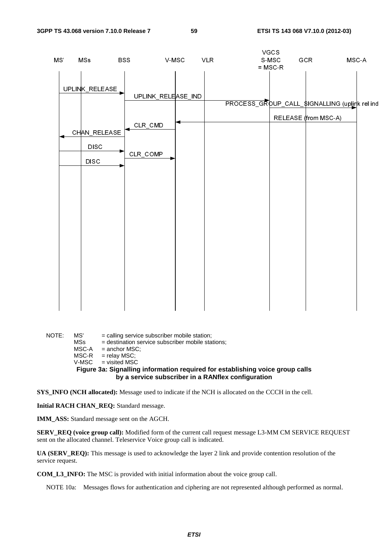$\sqrt{2}$ 

|     |                                                                     |                                   |                             |            | vuus               |                             |                                                           |
|-----|---------------------------------------------------------------------|-----------------------------------|-----------------------------|------------|--------------------|-----------------------------|-----------------------------------------------------------|
|     |                                                                     |                                   |                             |            |                    |                             |                                                           |
|     |                                                                     |                                   |                             |            |                    |                             |                                                           |
| MS. | MSs<br>UPLINK_RELEASE<br>CHAN_RELEASE<br><b>DISC</b><br><b>DISC</b> | <b>BSS</b><br>CLR_CMD<br>CLR_COMP | V-MSC<br>UPLINK_RELEASE_IND | <b>VLR</b> | S-MSC<br>$=$ MSC-R | GCR<br>RELEASE (from MSC-A) | $MSC-A$<br>PROCESS_GROUP_CALL_\$IGNALLING (uplirk rel ind |
|     |                                                                     |                                   |                             |            |                    |                             |                                                           |

NOTE: MS' = calling service subscriber mobile station;  $=$  destination service subscriber mobile stations;  $MSC-A$  = anchor  $MSC$ ;  $MSC-R$  = relay  $MSC$ ;  $V$ -MSC = visited MSC **Figure 3a: Signalling information required for establishing voice group calls by a service subscriber in a RANflex configuration** 

**SYS\_INFO (NCH allocated):** Message used to indicate if the NCH is allocated on the CCCH in the cell.

**Initial RACH CHAN\_REQ:** Standard message.

**IMM\_ASS:** Standard message sent on the AGCH.

**SERV\_REQ (voice group call):** Modified form of the current call request message L3-MM CM SERVICE REQUEST sent on the allocated channel. Teleservice Voice group call is indicated.

**UA (SERV\_REQ):** This message is used to acknowledge the layer 2 link and provide contention resolution of the service request.

**COM\_L3\_INFO:** The MSC is provided with initial information about the voice group call.

NOTE 10a: Messages flows for authentication and ciphering are not represented although performed as normal.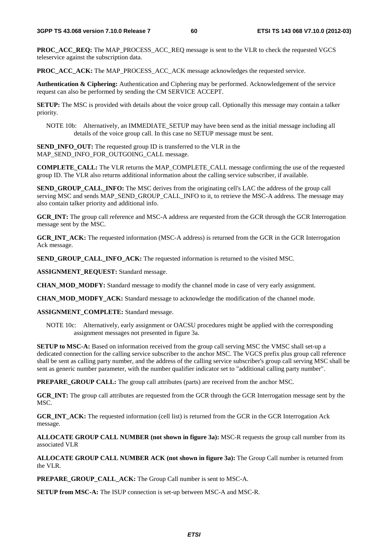**PROC\_ACC\_REQ:** The MAP\_PROCESS\_ACC\_REQ\_message is sent to the VLR to check the requested VGCS teleservice against the subscription data.

**PROC\_ACC\_ACK:** The MAP\_PROCESS\_ACC\_ACK message acknowledges the requested service.

**Authentication & Ciphering:** Authentication and Ciphering may be performed. Acknowledgement of the service request can also be performed by sending the CM SERVICE ACCEPT.

**SETUP:** The MSC is provided with details about the voice group call. Optionally this message may contain a talker priority.

NOTE 10b: Alternatively, an IMMEDIATE\_SETUP may have been send as the initial message including all details of the voice group call. In this case no SETUP message must be sent.

**SEND\_INFO\_OUT:** The requested group ID is transferred to the VLR in the MAP\_SEND\_INFO\_FOR\_OUTGOING\_CALL message.

**COMPLETE\_CALL:** The VLR returns the MAP\_COMPLETE\_CALL message confirming the use of the requested group ID. The VLR also returns additional information about the calling service subscriber, if available.

**SEND\_GROUP\_CALL\_INFO:** The MSC derives from the originating cell's LAC the address of the group call serving MSC and sends MAP\_SEND\_GROUP\_CALL\_INFO to it, to retrieve the MSC-A address. The message may also contain talker priority and additional info.

**GCR\_INT:** The group call reference and MSC-A address are requested from the GCR through the GCR Interrogation message sent by the MSC.

**GCR\_INT\_ACK:** The requested information (MSC-A address) is returned from the GCR in the GCR Interrogation Ack message.

**SEND\_GROUP\_CALL\_INFO\_ACK:** The requested information is returned to the visited MSC.

**ASSIGNMENT\_REQUEST:** Standard message.

**CHAN MOD MODFY:** Standard message to modify the channel mode in case of very early assignment.

**CHAN\_MOD\_MODFY\_ACK:** Standard message to acknowledge the modification of the channel mode.

**ASSIGNMENT\_COMPLETE:** Standard message.

NOTE 10c: Alternatively, early assignment or OACSU procedures might be applied with the corresponding assignment messages not presented in figure 3a.

**SETUP to MSC-A:** Based on information received from the group call serving MSC the VMSC shall set-up a dedicated connection for the calling service subscriber to the anchor MSC. The VGCS prefix plus group call reference shall be sent as calling party number, and the address of the calling service subscriber's group call serving MSC shall be sent as generic number parameter, with the number qualifier indicator set to "additional calling party number".

**PREPARE GROUP CALL:** The group call attributes (parts) are received from the anchor MSC.

**GCR\_INT:** The group call attributes are requested from the GCR through the GCR Interrogation message sent by the MSC.

**GCR\_INT\_ACK:** The requested information (cell list) is returned from the GCR in the GCR Interrogation Ack message.

**ALLOCATE GROUP CALL NUMBER (not shown in figure 3a):** MSC-R requests the group call number from its associated VLR

**ALLOCATE GROUP CALL NUMBER ACK (not shown in figure 3a):** The Group Call number is returned from the VLR.

**PREPARE\_GROUP\_CALL\_ACK:** The Group Call number is sent to MSC-A.

**SETUP from MSC-A:** The ISUP connection is set-up between MSC-A and MSC-R.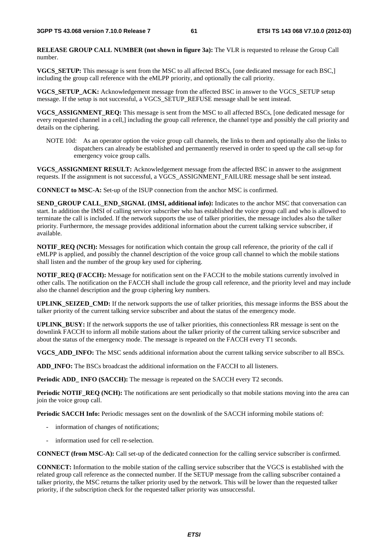**RELEASE GROUP CALL NUMBER (not shown in figure 3a):** The VLR is requested to release the Group Call number.

**VGCS\_SETUP:** This message is sent from the MSC to all affected BSCs, [one dedicated message for each BSC,] including the group call reference with the eMLPP priority, and optionally the call priority.

**VGCS\_SETUP\_ACK:** Acknowledgement message from the affected BSC in answer to the VGCS\_SETUP setup message. If the setup is not successful, a VGCS\_SETUP\_REFUSE message shall be sent instead.

**VGCS\_ASSIGNMENT\_REQ:** This message is sent from the MSC to all affected BSCs, [one dedicated message for every requested channel in a cell,] including the group call reference, the channel type and possibly the call priority and details on the ciphering.

NOTE 10d: As an operator option the voice group call channels, the links to them and optionally also the links to dispatchers can already be established and permanently reserved in order to speed up the call set-up for emergency voice group calls.

**VGCS\_ASSIGNMENT RESULT:** Acknowledgement message from the affected BSC in answer to the assignment requests. If the assignment is not successful, a VGCS\_ASSIGNMENT\_FAILURE message shall be sent instead.

**CONNECT to MSC-A:** Set-up of the ISUP connection from the anchor MSC is confirmed.

**SEND\_GROUP CALL\_END\_SIGNAL (IMSI, additional info):** Indicates to the anchor MSC that conversation can start. In addition the IMSI of calling service subscriber who has established the voice group call and who is allowed to terminate the call is included. If the network supports the use of talker priorities, the message includes also the talker priority. Furthermore, the message provides additional information about the current talking service subscriber, if available.

**NOTIF\_REQ (NCH):** Messages for notification which contain the group call reference, the priority of the call if eMLPP is applied, and possibly the channel description of the voice group call channel to which the mobile stations shall listen and the number of the group key used for ciphering.

**NOTIF\_REQ (FACCH):** Message for notification sent on the FACCH to the mobile stations currently involved in other calls. The notification on the FACCH shall include the group call reference, and the priority level and may include also the channel description and the group ciphering key numbers.

**UPLINK\_SEIZED\_CMD:** If the network supports the use of talker priorities, this message informs the BSS about the talker priority of the current talking service subscriber and about the status of the emergency mode.

**UPLINK\_BUSY:** If the network supports the use of talker priorities, this connectionless RR message is sent on the downlink FACCH to inform all mobile stations about the talker priority of the current talking service subscriber and about the status of the emergency mode. The message is repeated on the FACCH every T1 seconds.

**VGCS\_ADD\_INFO:** The MSC sends additional information about the current talking service subscriber to all BSCs.

**ADD** INFO: The BSCs broadcast the additional information on the FACCH to all listeners.

**Periodic ADD\_ INFO (SACCH):** The message is repeated on the SACCH every T2 seconds.

**Periodic NOTIF\_REQ (NCH):** The notifications are sent periodically so that mobile stations moving into the area can join the voice group call.

**Periodic SACCH Info:** Periodic messages sent on the downlink of the SACCH informing mobile stations of:

- information of changes of notifications;
- information used for cell re-selection.

**CONNECT (from MSC-A):** Call set-up of the dedicated connection for the calling service subscriber is confirmed.

**CONNECT:** Information to the mobile station of the calling service subscriber that the VGCS is established with the related group call reference as the connected number. If the SETUP message from the calling subscriber contained a talker priority, the MSC returns the talker priority used by the network. This will be lower than the requested talker priority, if the subscription check for the requested talker priority was unsuccessful.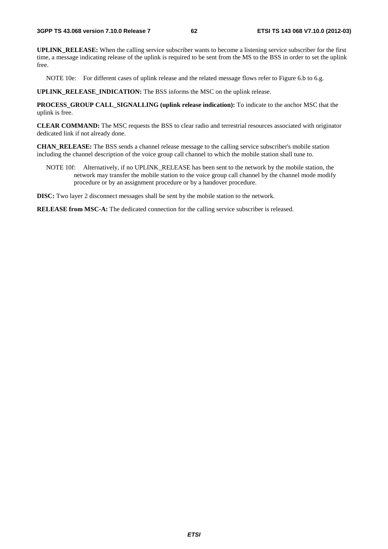**UPLINK\_RELEASE:** When the calling service subscriber wants to become a listening service subscriber for the first time, a message indicating release of the uplink is required to be sent from the MS to the BSS in order to set the uplink free.

NOTE 10e: For different cases of uplink release and the related message flows refer to Figure 6.b to 6.g.

**UPLINK\_RELEASE\_INDICATION:** The BSS informs the MSC on the uplink release.

**PROCESS\_GROUP CALL\_SIGNALLING (uplink release indication):** To indicate to the anchor MSC that the uplink is free.

**CLEAR COMMAND:** The MSC requests the BSS to clear radio and terrestrial resources associated with originator dedicated link if not already done.

**CHAN\_RELEASE:** The BSS sends a channel release message to the calling service subscriber's mobile station including the channel description of the voice group call channel to which the mobile station shall tune to.

NOTE 10f: Alternatively, if no UPLINK\_RELEASE has been sent to the network by the mobile station, the network may transfer the mobile station to the voice group call channel by the channel mode modify procedure or by an assignment procedure or by a handover procedure.

**DISC:** Two layer 2 disconnect messages shall be sent by the mobile station to the network.

**RELEASE from MSC-A:** The dedicated connection for the calling service subscriber is released.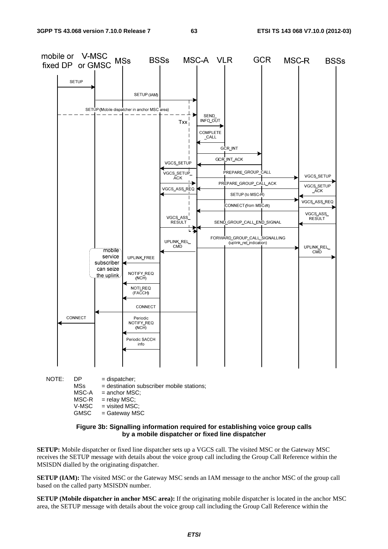

GMSC = Gateway MSC

#### **Figure 3b: Signalling information required for establishing voice group calls by a mobile dispatcher or fixed line dispatcher**

**SETUP:** Mobile dispatcher or fixed line dispatcher sets up a VGCS call. The visited MSC or the Gateway MSC receives the SETUP message with details about the voice group call including the Group Call Reference within the MSISDN dialled by the originating dispatcher.

**SETUP (IAM):** The visited MSC or the Gateway MSC sends an IAM message to the anchor MSC of the group call based on the called party MSISDN number.

**SETUP (Mobile dispatcher in anchor MSC area):** If the originating mobile dispatcher is located in the anchor MSC area, the SETUP message with details about the voice group call including the Group Call Reference within the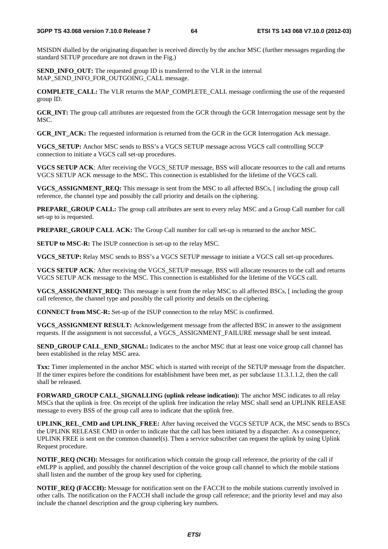MSISDN dialled by the originating dispatcher is received directly by the anchor MSC (further messages regarding the standard SETUP procedure are not drawn in the Fig.)

**SEND\_INFO\_OUT:** The requested group ID is transferred to the VLR in the internal MAP\_SEND\_INFO\_FOR\_OUTGOING\_CALL message.

**COMPLETE\_CALL:** The VLR returns the MAP\_COMPLETE\_CALL message confirming the use of the requested group ID.

**GCR\_INT:** The group call attributes are requested from the GCR through the GCR Interrogation message sent by the M<sub>SC</sub>

**GCR\_INT\_ACK:** The requested information is returned from the GCR in the GCR Interrogation Ack message.

**VGCS\_SETUP:** Anchor MSC sends to BSS's a VGCS SETUP message across VGCS call controlling SCCP connection to initiate a VGCS call set-up procedures.

**VGCS SETUP ACK**: After receiving the VGCS\_SETUP message, BSS will allocate resources to the call and returns VGCS SETUP ACK message to the MSC. This connection is established for the lifetime of the VGCS call.

**VGCS\_ASSIGNMENT\_REQ:** This message is sent from the MSC to all affected BSCs, [ including the group call reference, the channel type and possibly the call priority and details on the ciphering.

**PREPARE\_GROUP CALL:** The group call attributes are sent to every relay MSC and a Group Call number for call set-up to is requested.

**PREPARE\_GROUP CALL ACK:** The Group Call number for call set-up is returned to the anchor MSC.

**SETUP to MSC-R:** The ISUP connection is set-up to the relay MSC.

**VGCS\_SETUP:** Relay MSC sends to BSS's a VGCS SETUP message to initiate a VGCS call set-up procedures.

**VGCS SETUP ACK**: After receiving the VGCS\_SETUP message, BSS will allocate resources to the call and returns VGCS SETUP ACK message to the MSC. This connection is established for the lifetime of the VGCS call.

**VGCS\_ASSIGNMENT\_REQ:** This message is sent from the relay MSC to all affected BSCs, [ including the group call reference, the channel type and possibly the call priority and details on the ciphering.

**CONNECT from MSC-R:** Set-up of the ISUP connection to the relay MSC is confirmed.

**VGCS\_ASSIGNMENT RESULT:** Acknowledgement message from the affected BSC in answer to the assignment requests. If the assignment is not successful, a VGCS\_ASSIGNMENT\_FAILURE message shall be sent instead.

**SEND\_GROUP CALL\_END\_SIGNAL:** Indicates to the anchor MSC that at least one voice group call channel has been established in the relay MSC area.

**Txx:** Timer implemented in the anchor MSC which is started with receipt of the SETUP message from the dispatcher. If the timer expires before the conditions for establishment have been met, as per subclause 11.3.1.1.2, then the call shall be released.

**FORWARD\_GROUP CALL\_SIGNALLING (uplink release indication):** The anchor MSC indicates to all relay MSCs that the uplink is free. On receipt of the uplink free indication the relay MSC shall send an UPLINK RELEASE message to every BSS of the group call area to indicate that the uplink free.

**UPLINK\_REL\_CMD and UPLINK\_FREE:** After having received the VGCS SETUP ACK, the MSC sends to BSCs the UPLINK RELEASE CMD in order to indicate that the call has been initiated by a dispatcher. As a consequence, UPLINK FREE is sent on the common channel(s). Then a service subscriber can request the uplink by using Uplink Request procedure.

**NOTIF\_REQ (NCH):** Messages for notification which contain the group call reference, the priority of the call if eMLPP is applied, and possibly the channel description of the voice group call channel to which the mobile stations shall listen and the number of the group key used for ciphering.

**NOTIF\_REQ (FACCH):** Message for notification sent on the FACCH to the mobile stations currently involved in other calls. The notification on the FACCH shall include the group call reference; and the priority level and may also include the channel description and the group ciphering key numbers.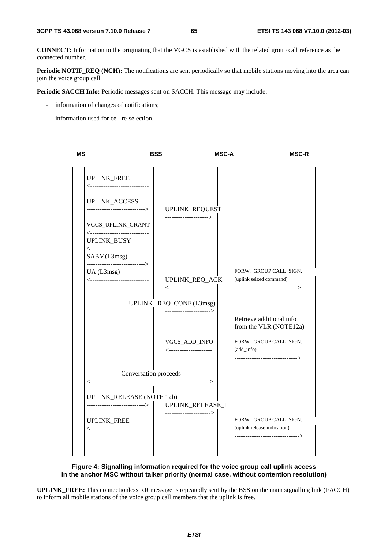**CONNECT:** Information to the originating that the VGCS is established with the related group call reference as the connected number.

**Periodic NOTIF\_REQ (NCH):** The notifications are sent periodically so that mobile stations moving into the area can join the voice group call.

**Periodic SACCH Info:** Periodic messages sent on SACCH. This message may include:

- information of changes of notifications;
- information used for cell re-selection.



### **Figure 4: Signalling information required for the voice group call uplink access in the anchor MSC without talker priority (normal case, without contention resolution)**

**UPLINK\_FREE:** This connectionless RR message is repeatedly sent by the BSS on the main signalling link (FACCH) to inform all mobile stations of the voice group call members that the uplink is free.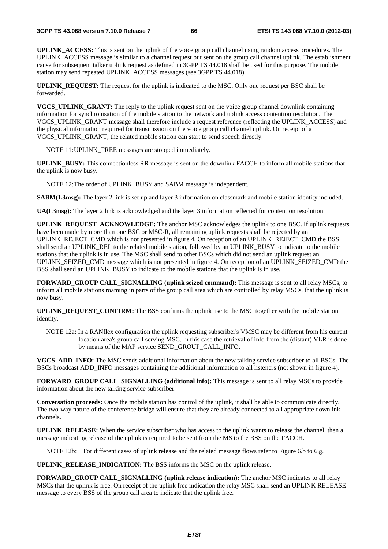**UPLINK\_ACCESS:** This is sent on the uplink of the voice group call channel using random access procedures. The UPLINK\_ACCESS message is similar to a channel request but sent on the group call channel uplink. The establishment cause for subsequent talker uplink request as defined in 3GPP TS 44.018 shall be used for this purpose. The mobile station may send repeated UPLINK\_ACCESS messages (see 3GPP TS 44.018).

**UPLINK\_REQUEST:** The request for the uplink is indicated to the MSC. Only one request per BSC shall be forwarded.

**VGCS\_UPLINK\_GRANT:** The reply to the uplink request sent on the voice group channel downlink containing information for synchronisation of the mobile station to the network and uplink access contention resolution. The VGCS\_UPLINK\_GRANT message shall therefore include a request reference (reflecting the UPLINK\_ACCESS) and the physical information required for transmission on the voice group call channel uplink. On receipt of a VGCS\_UPLINK\_GRANT, the related mobile station can start to send speech directly.

NOTE 11: UPLINK FREE messages are stopped immediately.

**UPLINK\_BUSY:** This connectionless RR message is sent on the downlink FACCH to inform all mobile stations that the uplink is now busy.

NOTE 12: The order of UPLINK BUSY and SABM message is independent.

**SABM(L3msg):** The layer 2 link is set up and layer 3 information on classmark and mobile station identity included.

**UA(L3msg):** The layer 2 link is acknowledged and the layer 3 information reflected for contention resolution.

**UPLINK\_REQUEST\_ACKNOWLEDGE:** The anchor MSC acknowledges the uplink to one BSC. If uplink requests have been made by more than one BSC or MSC-R, all remaining uplink requests shall be rejected by an UPLINK\_REJECT\_CMD which is not presented in figure 4. On reception of an UPLINK\_REJECT\_CMD the BSS shall send an UPLINK\_REL to the related mobile station, followed by an UPLINK\_BUSY to indicate to the mobile stations that the uplink is in use. The MSC shall send to other BSCs which did not send an uplink request an UPLINK\_SEIZED\_CMD message which is not presented in figure 4. On reception of an UPLINK\_SEIZED\_CMD the BSS shall send an UPLINK\_BUSY to indicate to the mobile stations that the uplink is in use.

**FORWARD** GROUP CALL SIGNALLING (uplink seized command): This message is sent to all relay MSCs, to inform all mobile stations roaming in parts of the group call area which are controlled by relay MSCs, that the uplink is now busy.

**UPLINK\_REQUEST\_CONFIRM:** The BSS confirms the uplink use to the MSC together with the mobile station identity.

NOTE 12a: In a RANflex configuration the uplink requesting subscriber's VMSC may be different from his current location area's group call serving MSC. In this case the retrieval of info from the (distant) VLR is done by means of the MAP service SEND\_GROUP\_CALL\_INFO.

**VGCS\_ADD\_INFO:** The MSC sends additional information about the new talking service subscriber to all BSCs. The BSCs broadcast ADD\_INFO messages containing the additional information to all listeners (not shown in figure 4).

**FORWARD\_GROUP CALL\_SIGNALLING (additional info):** This message is sent to all relay MSCs to provide information about the new talking service subscriber.

**Conversation proceeds:** Once the mobile station has control of the uplink, it shall be able to communicate directly. The two-way nature of the conference bridge will ensure that they are already connected to all appropriate downlink channels.

**UPLINK\_RELEASE:** When the service subscriber who has access to the uplink wants to release the channel, then a message indicating release of the uplink is required to be sent from the MS to the BSS on the FACCH.

NOTE 12b: For different cases of uplink release and the related message flows refer to Figure 6.b to 6.g.

**UPLINK\_RELEASE\_INDICATION:** The BSS informs the MSC on the uplink release.

**FORWARD\_GROUP CALL\_SIGNALLING (uplink release indication):** The anchor MSC indicates to all relay MSCs that the uplink is free. On receipt of the uplink free indication the relay MSC shall send an UPLINK RELEASE message to every BSS of the group call area to indicate that the uplink free.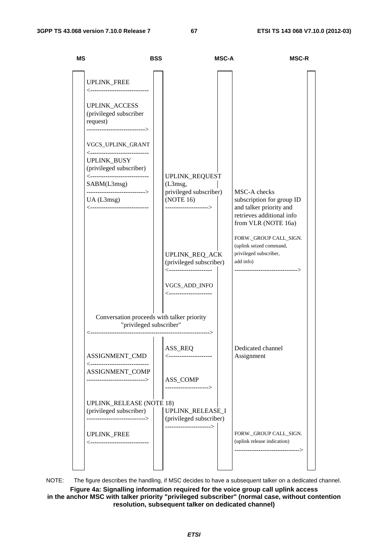| <b>MS</b>                                                                                                                                                                                                                   | <b>BSS</b> |                                                                                                                            | <b>MSC-A</b> | <b>MSC-R</b>                                                                                                                |
|-----------------------------------------------------------------------------------------------------------------------------------------------------------------------------------------------------------------------------|------------|----------------------------------------------------------------------------------------------------------------------------|--------------|-----------------------------------------------------------------------------------------------------------------------------|
| UPLINK_FREE<br><-----------------------------<br><b>UPLINK_ACCESS</b><br>(privileged subscriber<br>request)<br>--------------------------->                                                                                 |            |                                                                                                                            |              |                                                                                                                             |
| VGCS_UPLINK_GRANT<br><-----------------------------<br>UPLINK_BUSY<br>(privileged subscriber)<br><-----------------------------<br>SABM(L3msg)<br>-------------------------><br>UA(L3msg)<br><----------------------------- | (L3msg,    | UPLINK_REQUEST<br>privileged subscriber)<br>(NOTE 16)<br>-------------------->                                             |              | MSC-A checks<br>subscription for group ID<br>and talker priority and<br>retrieves additional info<br>from VLR (NOTE 16a)    |
|                                                                                                                                                                                                                             |            | UPLINK_REQ_ACK<br>(privileged subscriber)<br><----------------------<br>VGCS_ADD_INFO<br><i>&lt;----------------------</i> |              | FORW._GROUP CALL_SIGN.<br>(uplink seized command,<br>privileged subscriber,<br>add info)<br>------------------------------> |
| Conversation proceeds with talker priority<br>"privileged subscriber"                                                                                                                                                       |            | --------------->                                                                                                           |              |                                                                                                                             |
| ASSIGNMENT_CMD<br><-----------------------------<br>ASSIGNMENT_COMP<br>----------------------------->                                                                                                                       |            | ASS_REQ<br><---------------------<br>ASS_COMP<br>--------------------->                                                    |              | Dedicated channel<br>Assignment                                                                                             |
| <b>UPLINK_RELEASE (NOTE 18)</b><br>(privileged subscriber)<br>-----------------------------><br>UPLINK_FREE<br><----------------------------                                                                                |            | UPLINK_RELEASE_I<br>(privileged subscriber)<br>----------------------->                                                    |              | FORW._GROUP CALL_SIGN.<br>(uplink release indication)<br>----------------------------->                                     |

NOTE: The figure describes the handling, if MSC decides to have a subsequent talker on a dedicated channel.

**Figure 4a: Signalling information required for the voice group call uplink access in the anchor MSC with talker priority "privileged subscriber" (normal case, without contention resolution, subsequent talker on dedicated channel)**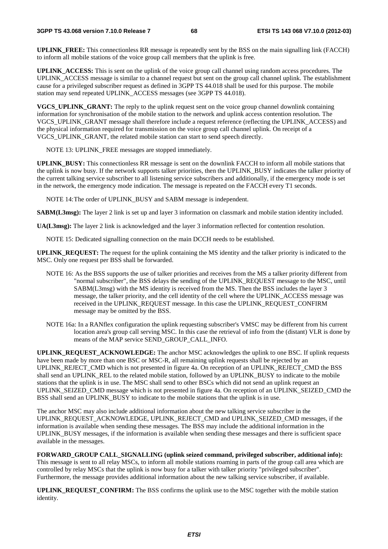**UPLINK\_FREE:** This connectionless RR message is repeatedly sent by the BSS on the main signalling link (FACCH) to inform all mobile stations of the voice group call members that the uplink is free.

**UPLINK\_ACCESS:** This is sent on the uplink of the voice group call channel using random access procedures. The UPLINK\_ACCESS message is similar to a channel request but sent on the group call channel uplink. The establishment cause for a privileged subscriber request as defined in 3GPP TS 44.018 shall be used for this purpose. The mobile station may send repeated UPLINK\_ACCESS messages (see 3GPP TS 44.018).

**VGCS\_UPLINK\_GRANT:** The reply to the uplink request sent on the voice group channel downlink containing information for synchronisation of the mobile station to the network and uplink access contention resolution. The VGCS\_UPLINK\_GRANT message shall therefore include a request reference (reflecting the UPLINK\_ACCESS) and the physical information required for transmission on the voice group call channel uplink. On receipt of a VGCS\_UPLINK\_GRANT, the related mobile station can start to send speech directly.

NOTE 13: UPLINK FREE messages are stopped immediately.

**UPLINK\_BUSY:** This connectionless RR message is sent on the downlink FACCH to inform all mobile stations that the uplink is now busy. If the network supports talker priorities, then the UPLINK\_BUSY indicates the talker priority of the current talking service subscriber to all listening service subscribers and additionally, if the emergency mode is set in the network, the emergency mode indication. The message is repeated on the FACCH every T1 seconds.

NOTE 14: The order of UPLINK BUSY and SABM message is independent.

**SABM(L3msg):** The layer 2 link is set up and layer 3 information on classmark and mobile station identity included.

**UA(L3msg):** The layer 2 link is acknowledged and the layer 3 information reflected for contention resolution.

NOTE 15: Dedicated signalling connection on the main DCCH needs to be established.

**UPLINK\_REQUEST:** The request for the uplink containing the MS identity and the talker priority is indicated to the MSC. Only one request per BSS shall be forwarded.

- NOTE 16: As the BSS supports the use of talker priorities and receives from the MS a talker priority different from "normal subscriber", the BSS delays the sending of the UPLINK\_REQUEST message to the MSC, until SABM(L3msg) with the MS identity is received from the MS. Then the BSS includes the layer 3 message, the talker priority, and the cell identity of the cell where the UPLINK\_ACCESS message was received in the UPLINK\_REQUEST message. In this case the UPLINK\_REQUEST\_CONFIRM message may be omitted by the BSS.
- NOTE 16a: In a RANflex configuration the uplink requesting subscriber's VMSC may be different from his current location area's group call serving MSC. In this case the retrieval of info from the (distant) VLR is done by means of the MAP service SEND\_GROUP\_CALL\_INFO.

**UPLINK\_REQUEST\_ACKNOWLEDGE:** The anchor MSC acknowledges the uplink to one BSC. If uplink requests have been made by more than one BSC or MSC-R, all remaining uplink requests shall be rejected by an UPLINK\_REJECT\_CMD which is not presented in figure 4a. On reception of an UPLINK\_REJECT\_CMD the BSS shall send an UPLINK\_REL to the related mobile station, followed by an UPLINK\_BUSY to indicate to the mobile stations that the uplink is in use. The MSC shall send to other BSCs which did not send an uplink request an UPLINK\_SEIZED\_CMD message which is not presented in figure 4a. On reception of an UPLINK\_SEIZED\_CMD the BSS shall send an UPLINK\_BUSY to indicate to the mobile stations that the uplink is in use.

The anchor MSC may also include additional information about the new talking service subscriber in the UPLINK\_REQUEST\_ACKNOWLEDGE, UPLINK\_REJECT\_CMD and UPLINK\_SEIZED\_CMD messages, if the information is available when sending these messages. The BSS may include the additional information in the UPLINK BUSY messages, if the information is available when sending these messages and there is sufficient space available in the messages.

**FORWARD\_GROUP CALL\_SIGNALLING (uplink seized command, privileged subscriber, additional info):**  This message is sent to all relay MSCs, to inform all mobile stations roaming in parts of the group call area which are controlled by relay MSCs that the uplink is now busy for a talker with talker priority "privileged subscriber". Furthermore, the message provides additional information about the new talking service subscriber, if available.

**UPLINK\_REQUEST\_CONFIRM:** The BSS confirms the uplink use to the MSC together with the mobile station identity.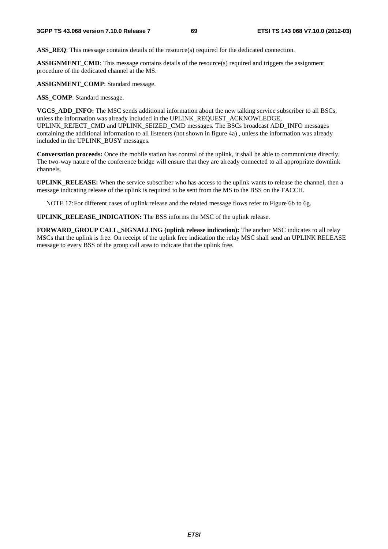**ASS\_REQ:** This message contains details of the resource(s) required for the dedicated connection.

**ASSIGNMENT\_CMD**: This message contains details of the resource(s) required and triggers the assignment procedure of the dedicated channel at the MS.

**ASSIGNMENT\_COMP**: Standard message.

ASS COMP: Standard message.

**VGCS\_ADD\_INFO:** The MSC sends additional information about the new talking service subscriber to all BSCs, unless the information was already included in the UPLINK\_REQUEST\_ACKNOWLEDGE, UPLINK\_REJECT\_CMD and UPLINK\_SEIZED\_CMD messages. The BSCs broadcast ADD\_INFO messages containing the additional information to all listeners (not shown in figure 4a) , unless the information was already included in the UPLINK\_BUSY messages.

**Conversation proceeds:** Once the mobile station has control of the uplink, it shall be able to communicate directly. The two-way nature of the conference bridge will ensure that they are already connected to all appropriate downlink channels.

**UPLINK\_RELEASE:** When the service subscriber who has access to the uplink wants to release the channel, then a message indicating release of the uplink is required to be sent from the MS to the BSS on the FACCH.

NOTE 17: For different cases of uplink release and the related message flows refer to Figure 6b to 6g.

**UPLINK\_RELEASE\_INDICATION:** The BSS informs the MSC of the uplink release.

**FORWARD\_GROUP CALL\_SIGNALLING (uplink release indication):** The anchor MSC indicates to all relay MSCs that the uplink is free. On receipt of the uplink free indication the relay MSC shall send an UPLINK RELEASE message to every BSS of the group call area to indicate that the uplink free.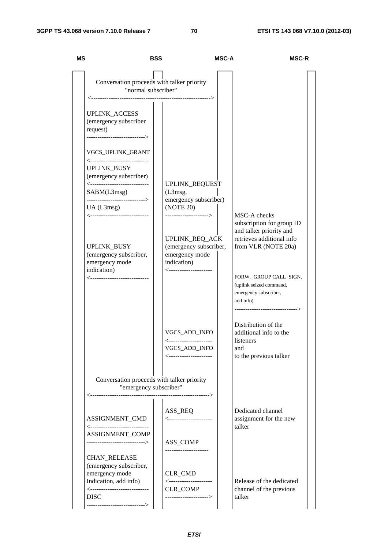| MS                                                                                                                         | BSS                  | <b>MSC-A</b>                                                                                | <b>MSC-R</b>                                                                                                               |  |
|----------------------------------------------------------------------------------------------------------------------------|----------------------|---------------------------------------------------------------------------------------------|----------------------------------------------------------------------------------------------------------------------------|--|
| Conversation proceeds with talker priority<br>"normal subscriber"                                                          |                      |                                                                                             |                                                                                                                            |  |
| <b>UPLINK_ACCESS</b><br>(emergency subscriber<br>request)<br>--------------------------->                                  |                      |                                                                                             |                                                                                                                            |  |
| VGCS_UPLINK_GRANT<br><----------------------------                                                                         |                      |                                                                                             |                                                                                                                            |  |
| UPLINK_BUSY<br>(emergency subscriber)<br><----------------------------                                                     |                      | UPLINK_REQUEST                                                                              |                                                                                                                            |  |
| SABM(L3msg)<br>--------------------------->                                                                                | (L3 <sub>msg</sub> , | emergency subscriber)                                                                       |                                                                                                                            |  |
| UA(L3msg)<br><-----------------------------                                                                                | (NOTE 20)            | -------------------->                                                                       | MSC-A checks<br>subscription for group ID                                                                                  |  |
| UPLINK_BUSY<br>(emergency subscriber,<br>emergency mode<br>indication)                                                     | indication)          | <b>UPLINK REQ ACK</b><br>(emergency subscriber,<br>emergency mode<br><--------------------- | and talker priority and<br>retrieves additional info<br>from VLR (NOTE 20a)                                                |  |
| <----------------------------                                                                                              |                      |                                                                                             | FORW._GROUP CALL_SIGN.<br>(uplink seized command,<br>emergency subscriber,<br>add info)<br>------------------------------> |  |
|                                                                                                                            |                      | VGCS_ADD_INFO<br><----------------------<br>VGCS_ADD_INFO<br><----------------------        | Distribution of the<br>additional info to the<br>listeners<br>and<br>to the previous talker                                |  |
| Conversation proceeds with talker priority                                                                                 |                      |                                                                                             |                                                                                                                            |  |
| "emergency subscriber"                                                                                                     |                      | ----------------------->                                                                    |                                                                                                                            |  |
| ASSIGNMENT_CMD<br><-----------------------------                                                                           | ASS_REQ              | <i>&lt;----------------------</i>                                                           | Dedicated channel<br>assignment for the new<br>talker                                                                      |  |
| ASSIGNMENT_COMP<br>---------------------------->                                                                           | ASS_COMP             |                                                                                             |                                                                                                                            |  |
| <b>CHAN_RELEASE</b><br>(emergency subscriber,<br>emergency mode<br>Indication, add info)<br><----------------------------- | CLR_CMD<br>CLR_COMP  | <---------------------                                                                      | Release of the dedicated<br>channel of the previous                                                                        |  |
| <b>DISC</b><br>--------------------------->                                                                                |                      | ------------------->                                                                        | talker                                                                                                                     |  |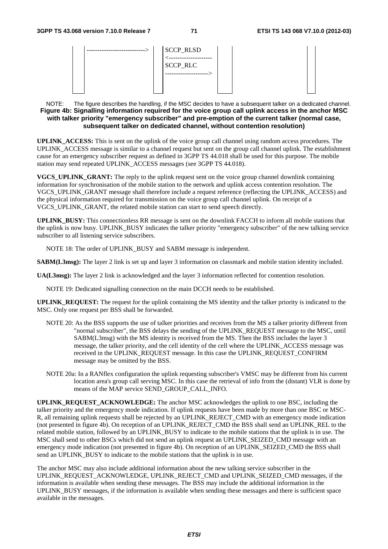| <b>SCCP_RLSD</b> |
|------------------|
|                  |
| <b>SCCP_RLC</b>  |
|                  |
|                  |
|                  |

### NOTE: The figure describes the handling, if the MSC decides to have a subsequent talker on a dedicated channel. **Figure 4b: Signalling information required for the voice group call uplink access in the anchor MSC with talker priority "emergency subscriber" and pre-emption of the current talker (normal case, subsequent talker on dedicated channel, without contention resolution)**

**UPLINK\_ACCESS:** This is sent on the uplink of the voice group call channel using random access procedures. The UPLINK ACCESS message is similar to a channel request but sent on the group call channel uplink. The establishment cause for an emergency subscriber request as defined in 3GPP TS 44.018 shall be used for this purpose. The mobile station may send repeated UPLINK\_ACCESS messages (see 3GPP TS 44.018).

**VGCS** UPLINK GRANT: The reply to the uplink request sent on the voice group channel downlink containing information for synchronisation of the mobile station to the network and uplink access contention resolution. The VGCS\_UPLINK\_GRANT message shall therefore include a request reference (reflecting the UPLINK\_ACCESS) and the physical information required for transmission on the voice group call channel uplink. On receipt of a VGCS\_UPLINK\_GRANT, the related mobile station can start to send speech directly.

**UPLINK\_BUSY:** This connectionless RR message is sent on the downlink FACCH to inform all mobile stations that the uplink is now busy. UPLINK\_BUSY indicates the talker priority "emergency subscriber" of the new talking service subscriber to all listening service subscribers.

NOTE 18: The order of UPLINK\_BUSY and SABM message is independent.

**SABM(L3msg):** The layer 2 link is set up and layer 3 information on classmark and mobile station identity included.

**UA(L3msg):** The layer 2 link is acknowledged and the layer 3 information reflected for contention resolution.

NOTE 19: Dedicated signalling connection on the main DCCH needs to be established.

**UPLINK\_REQUEST:** The request for the uplink containing the MS identity and the talker priority is indicated to the MSC. Only one request per BSS shall be forwarded.

- NOTE 20: As the BSS supports the use of talker priorities and receives from the MS a talker priority different from "normal subscriber", the BSS delays the sending of the UPLINK\_REQUEST message to the MSC, until SABM(L3msg) with the MS identity is received from the MS. Then the BSS includes the layer 3 message, the talker priority, and the cell identity of the cell where the UPLINK\_ACCESS message was received in the UPLINK\_REQUEST message. In this case the UPLINK\_REQUEST\_CONFIRM message may be omitted by the BSS.
- NOTE 20a: In a RANflex configuration the uplink requesting subscriber's VMSC may be different from his current location area's group call serving MSC. In this case the retrieval of info from the (distant) VLR is done by means of the MAP service SEND\_GROUP\_CALL\_INFO.

**UPLINK\_REQUEST\_ACKNOWLEDGE:** The anchor MSC acknowledges the uplink to one BSC, including the talker priority and the emergency mode indication. If uplink requests have been made by more than one BSC or MSC-R, all remaining uplink requests shall be rejected by an UPLINK\_REJECT\_CMD with an emergency mode indication (not presented in figure 4b). On reception of an UPLINK\_REJECT\_CMD the BSS shall send an UPLINK\_REL to the related mobile station, followed by an UPLINK\_BUSY to indicate to the mobile stations that the uplink is in use. The MSC shall send to other BSCs which did not send an uplink request an UPLINK\_SEIZED\_CMD message with an emergency mode indication (not presented in figure 4b). On reception of an UPLINK SEIZED CMD the BSS shall send an UPLINK\_BUSY to indicate to the mobile stations that the uplink is in use.

The anchor MSC may also include additional information about the new talking service subscriber in the UPLINK\_REQUEST\_ACKNOWLEDGE, UPLINK\_REJECT\_CMD and UPLINK\_SEIZED\_CMD messages, if the information is available when sending these messages. The BSS may include the additional information in the UPLINK BUSY messages, if the information is available when sending these messages and there is sufficient space available in the messages.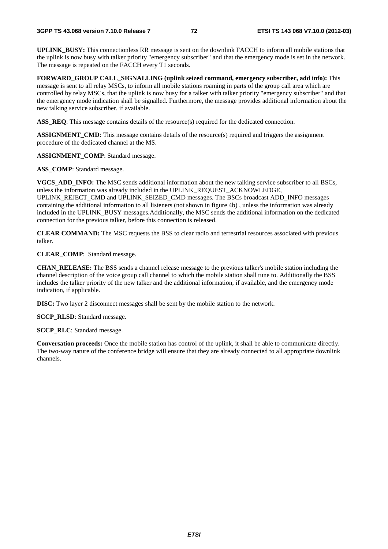**UPLINK\_BUSY:** This connectionless RR message is sent on the downlink FACCH to inform all mobile stations that the uplink is now busy with talker priority "emergency subscriber" and that the emergency mode is set in the network. The message is repeated on the FACCH every T1 seconds.

**FORWARD** GROUP CALL SIGNALLING (uplink seized command, emergency subscriber, add info): This message is sent to all relay MSCs, to inform all mobile stations roaming in parts of the group call area which are controlled by relay MSCs, that the uplink is now busy for a talker with talker priority "emergency subscriber" and that the emergency mode indication shall be signalled. Furthermore, the message provides additional information about the new talking service subscriber, if available.

**ASS\_REQ**: This message contains details of the resource(s) required for the dedicated connection.

**ASSIGNMENT** CMD: This message contains details of the resource(s) required and triggers the assignment procedure of the dedicated channel at the MS.

**ASSIGNMENT\_COMP**: Standard message.

ASS COMP: Standard message.

**VGCS\_ADD\_INFO:** The MSC sends additional information about the new talking service subscriber to all BSCs, unless the information was already included in the UPLINK\_REQUEST\_ACKNOWLEDGE, UPLINK\_REJECT\_CMD and UPLINK\_SEIZED\_CMD messages. The BSCs broadcast ADD\_INFO messages containing the additional information to all listeners (not shown in figure 4b) , unless the information was already included in the UPLINK\_BUSY messages.Additionally, the MSC sends the additional information on the dedicated connection for the previous talker, before this connection is released.

**CLEAR COMMAND:** The MSC requests the BSS to clear radio and terrestrial resources associated with previous talker.

**CLEAR\_COMP**: Standard message.

**CHAN\_RELEASE:** The BSS sends a channel release message to the previous talker's mobile station including the channel description of the voice group call channel to which the mobile station shall tune to. Additionally the BSS includes the talker priority of the new talker and the additional information, if available, and the emergency mode indication, if applicable.

**DISC:** Two layer 2 disconnect messages shall be sent by the mobile station to the network.

**SCCP\_RLSD**: Standard message.

**SCCP\_RLC**: Standard message.

**Conversation proceeds:** Once the mobile station has control of the uplink, it shall be able to communicate directly. The two-way nature of the conference bridge will ensure that they are already connected to all appropriate downlink channels.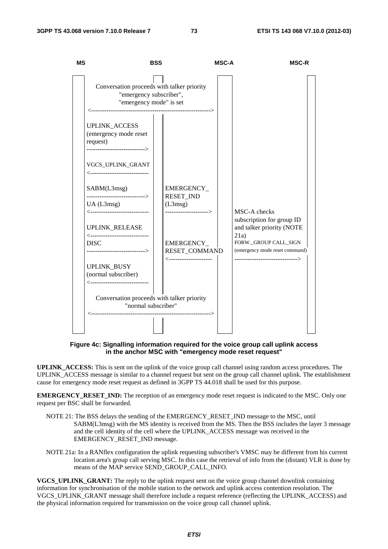

**Figure 4c: Signalling information required for the voice group call uplink access in the anchor MSC with "emergency mode reset request"** 

**UPLINK\_ACCESS:** This is sent on the uplink of the voice group call channel using random access procedures. The UPLINK ACCESS message is similar to a channel request but sent on the group call channel uplink. The establishment cause for emergency mode reset request as defined in 3GPP TS 44.018 shall be used for this purpose.

**EMERGENCY\_RESET\_IND:** The reception of an emergency mode reset request is indicated to the MSC. Only one request per BSC shall be forwarded.

- NOTE 21: The BSS delays the sending of the EMERGENCY\_RESET\_IND message to the MSC, until SABM(L3msg) with the MS identity is received from the MS. Then the BSS includes the layer 3 message and the cell identity of the cell where the UPLINK\_ACCESS message was received in the EMERGENCY\_RESET\_IND message.
- NOTE 21a: In a RANflex configuration the uplink requesting subscriber's VMSC may be different from his current location area's group call serving MSC. In this case the retrieval of info from the (distant) VLR is done by means of the MAP service SEND\_GROUP\_CALL\_INFO.

**VGCS\_UPLINK\_GRANT:** The reply to the uplink request sent on the voice group channel downlink containing information for synchronisation of the mobile station to the network and uplink access contention resolution. The VGCS\_UPLINK\_GRANT message shall therefore include a request reference (reflecting the UPLINK\_ACCESS) and the physical information required for transmission on the voice group call channel uplink.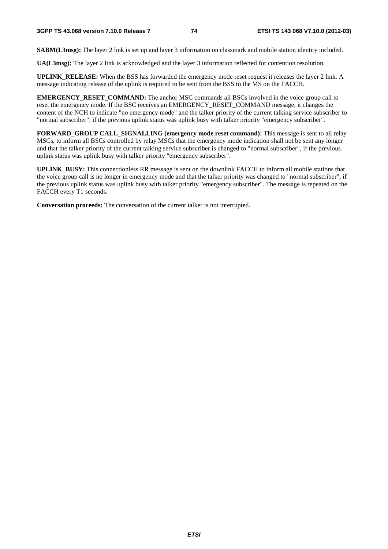**SABM(L3msg):** The layer 2 link is set up and layer 3 information on classmark and mobile station identity included.

**UA(L3msg):** The layer 2 link is acknowledged and the layer 3 information reflected for contention resolution.

**UPLINK\_RELEASE:** When the BSS has forwarded the emergency mode reset request it releases the layer 2 link. A message indicating release of the uplink is required to be sent from the BSS to the MS on the FACCH.

**EMERGENCY RESET\_COMMAND:** The anchor MSC commands all BSCs involved in the voice group call to reset the emergency mode. If the BSC receives an EMERGENCY\_RESET\_COMMAND message, it changes the content of the NCH to indicate "no emergency mode" and the talker priority of the current talking service subscriber to "normal subscriber", if the previous uplink status was uplink busy with talker priority "emergency subscriber".

**FORWARD** GROUP CALL SIGNALLING (emergency mode reset command): This message is sent to all relay MSCs, to inform all BSCs controlled by relay MSCs that the emergency mode indication shall not be sent any longer and that the talker priority of the current talking service subscriber is changed to "normal subscriber", if the previous uplink status was uplink busy with talker priority "emergency subscriber".

**UPLINK\_BUSY:** This connectionless RR message is sent on the downlink FACCH to inform all mobile stations that the voice group call is no longer in emergency mode and that the talker priority was changed to "normal subscriber", if the previous uplink status was uplink busy with talker priority "emergency subscriber". The message is repeated on the FACCH every T1 seconds.

**Conversation proceeds:** The conversation of the current talker is not interrupted.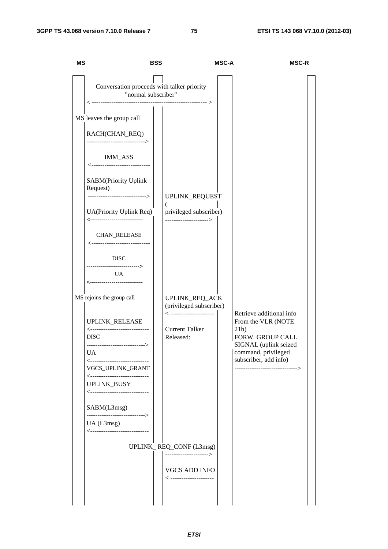| <b>MS</b> | <b>BSS</b>                                                                                                                                                                                                                                                                                               |                                                                                                                    | <b>MSC-A</b> | <b>MSC-R</b>                                                                                                                                                                           |
|-----------|----------------------------------------------------------------------------------------------------------------------------------------------------------------------------------------------------------------------------------------------------------------------------------------------------------|--------------------------------------------------------------------------------------------------------------------|--------------|----------------------------------------------------------------------------------------------------------------------------------------------------------------------------------------|
|           | Conversation proceeds with talker priority<br>"normal subscriber"                                                                                                                                                                                                                                        |                                                                                                                    |              |                                                                                                                                                                                        |
|           | MS leaves the group call<br>RACH(CHAN_REQ)<br>-------------------------->                                                                                                                                                                                                                                |                                                                                                                    |              |                                                                                                                                                                                        |
|           | IMM_ASS<br><-----------------------------<br>SABM(Priority Uplink<br>Request)<br>--------------------------->                                                                                                                                                                                            | UPLINK_REQUEST                                                                                                     |              |                                                                                                                                                                                        |
|           | UA(Priority Uplink Req)<br>---------------------------                                                                                                                                                                                                                                                   | privileged subscriber)<br>.<br>---------------------->                                                             |              |                                                                                                                                                                                        |
|           | <b>CHAN_RELEASE</b><br><----------------------------<br><b>DISC</b><br>-------------------------><br><b>UA</b><br>---------------------------                                                                                                                                                            |                                                                                                                    |              |                                                                                                                                                                                        |
|           | MS rejoins the group call<br>UPLINK_RELEASE<br><-----------------------------<br><b>DISC</b><br>---------------------------><br>UA <sub>1</sub><br><-----------------------------<br>VGCS_UPLINK_GRANT<br><-----------------------------<br>UPLINK_BUSY<br><-----------------------------<br>SABM(L3msg) | UPLINK_REQ_ACK<br>(privileged subscriber)<br>$\langle$ ---------------------<br><b>Current Talker</b><br>Released: |              | Retrieve additional info<br>From the VLR (NOTE<br>21b)<br>FORW. GROUP CALL<br>SIGNAL (uplink seized<br>command, privileged<br>subscriber, add info)<br>------------------------------> |
|           | ---------------------------><br>UA (L3msg)<br><----------------------------                                                                                                                                                                                                                              | UPLINK_REQ_CONF (L3msg)<br>----------------------><br><b>VGCS ADD INFO</b><br>$\lt$ ---------------------          |              |                                                                                                                                                                                        |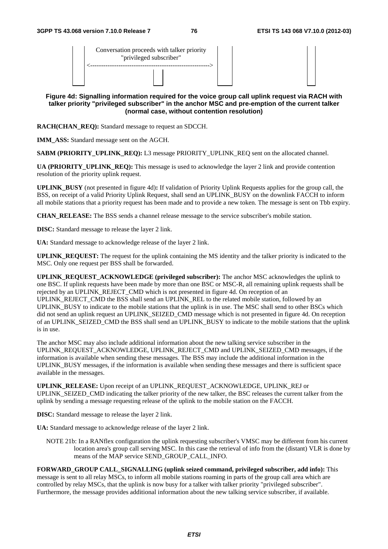| Conversation proceeds with talker priority<br>"privileged subscriber" |  |
|-----------------------------------------------------------------------|--|
|                                                                       |  |

### **Figure 4d: Signalling information required for the voice group call uplink request via RACH with talker priority "privileged subscriber" in the anchor MSC and pre-emption of the current talker (normal case, without contention resolution)**

**RACH(CHAN\_REQ):** Standard message to request an SDCCH.

**IMM\_ASS:** Standard message sent on the AGCH.

**SABM (PRIORITY\_UPLINK\_REQ):** L3 message PRIORITY\_UPLINK\_REQ sent on the allocated channel.

**UA (PRIORITY UPLINK REQ):** This message is used to acknowledge the layer 2 link and provide contention resolution of the priority uplink request.

**UPLINK\_BUSY** (not presented in figure 4d)**:** If validation of Priority Uplink Requests applies for the group call, the BSS, on receipt of a valid Priority Uplink Request, shall send an UPLINK\_BUSY on the downlink FACCH to inform all mobile stations that a priority request has been made and to provide a new token. The message is sent on Tbb expiry.

**CHAN\_RELEASE:** The BSS sends a channel release message to the service subscriber's mobile station.

**DISC:** Standard message to release the layer 2 link.

**UA:** Standard message to acknowledge release of the layer 2 link.

**UPLINK\_REQUEST:** The request for the uplink containing the MS identity and the talker priority is indicated to the MSC. Only one request per BSS shall be forwarded.

**UPLINK\_REQUEST\_ACKNOWLEDGE (privileged subscriber):** The anchor MSC acknowledges the uplink to one BSC. If uplink requests have been made by more than one BSC or MSC-R, all remaining uplink requests shall be rejected by an UPLINK\_REJECT\_CMD which is not presented in figure 4d. On reception of an UPLINK\_REJECT\_CMD the BSS shall send an UPLINK\_REL to the related mobile station, followed by an UPLINK\_BUSY to indicate to the mobile stations that the uplink is in use. The MSC shall send to other BSCs which did not send an uplink request an UPLINK\_SEIZED\_CMD message which is not presented in figure 4d. On reception of an UPLINK\_SEIZED\_CMD the BSS shall send an UPLINK\_BUSY to indicate to the mobile stations that the uplink is in use.

The anchor MSC may also include additional information about the new talking service subscriber in the UPLINK\_REQUEST\_ACKNOWLEDGE, UPLINK\_REJECT\_CMD and UPLINK\_SEIZED\_CMD messages, if the information is available when sending these messages. The BSS may include the additional information in the UPLINK BUSY messages, if the information is available when sending these messages and there is sufficient space available in the messages.

**UPLINK\_RELEASE:** Upon receipt of an UPLINK\_REQUEST\_ACKNOWLEDGE, UPLINK\_REJ or UPLINK\_SEIZED\_CMD indicating the talker priority of the new talker, the BSC releases the current talker from the uplink by sending a message requesting release of the uplink to the mobile station on the FACCH.

**DISC:** Standard message to release the layer 2 link.

**UA:** Standard message to acknowledge release of the layer 2 link.

NOTE 21b: In a RANflex configuration the uplink requesting subscriber's VMSC may be different from his current location area's group call serving MSC. In this case the retrieval of info from the (distant) VLR is done by means of the MAP service SEND\_GROUP\_CALL\_INFO.

**FORWARD\_GROUP CALL\_SIGNALLING (uplink seized command, privileged subscriber, add info):** This message is sent to all relay MSCs, to inform all mobile stations roaming in parts of the group call area which are controlled by relay MSCs, that the uplink is now busy for a talker with talker priority "privileged subscriber". Furthermore, the message provides additional information about the new talking service subscriber, if available.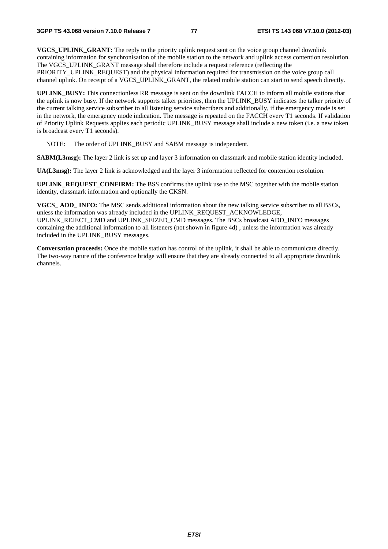**VGCS\_UPLINK\_GRANT:** The reply to the priority uplink request sent on the voice group channel downlink containing information for synchronisation of the mobile station to the network and uplink access contention resolution. The VGCS\_UPLINK\_GRANT message shall therefore include a request reference (reflecting the PRIORITY\_UPLINK\_REQUEST) and the physical information required for transmission on the voice group call channel uplink. On receipt of a VGCS\_UPLINK\_GRANT, the related mobile station can start to send speech directly.

**UPLINK\_BUSY:** This connectionless RR message is sent on the downlink FACCH to inform all mobile stations that the uplink is now busy. If the network supports talker priorities, then the UPLINK\_BUSY indicates the talker priority of the current talking service subscriber to all listening service subscribers and additionally, if the emergency mode is set in the network, the emergency mode indication. The message is repeated on the FACCH every T1 seconds. If validation of Priority Uplink Requests applies each periodic UPLINK\_BUSY message shall include a new token (i.e. a new token is broadcast every T1 seconds).

NOTE: The order of UPLINK\_BUSY and SABM message is independent.

**SABM(L3msg):** The layer 2 link is set up and layer 3 information on classmark and mobile station identity included.

**UA(L3msg):** The layer 2 link is acknowledged and the layer 3 information reflected for contention resolution.

**UPLINK\_REQUEST\_CONFIRM:** The BSS confirms the uplink use to the MSC together with the mobile station identity, classmark information and optionally the CKSN.

**VGCS** ADD **INFO:** The MSC sends additional information about the new talking service subscriber to all BSCs, unless the information was already included in the UPLINK\_REQUEST\_ACKNOWLEDGE, UPLINK\_REJECT\_CMD and UPLINK\_SEIZED\_CMD messages. The BSCs broadcast ADD\_INFO messages

containing the additional information to all listeners (not shown in figure 4d) , unless the information was already included in the UPLINK\_BUSY messages.

**Conversation proceeds:** Once the mobile station has control of the uplink, it shall be able to communicate directly. The two-way nature of the conference bridge will ensure that they are already connected to all appropriate downlink channels.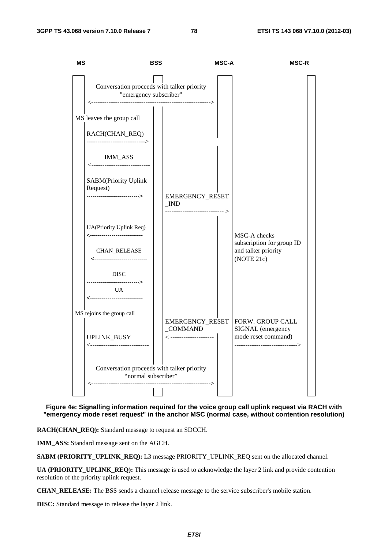

#### **Figure 4e: Signalling information required for the voice group call uplink request via RACH with "emergency mode reset request" in the anchor MSC (normal case, without contention resolution)**

**RACH(CHAN\_REQ):** Standard message to request an SDCCH.

**IMM\_ASS:** Standard message sent on the AGCH.

**SABM (PRIORITY\_UPLINK\_REQ):** L3 message PRIORITY\_UPLINK\_REQ sent on the allocated channel.

**UA (PRIORITY\_UPLINK\_REQ):** This message is used to acknowledge the layer 2 link and provide contention resolution of the priority uplink request.

**CHAN\_RELEASE:** The BSS sends a channel release message to the service subscriber's mobile station.

**DISC:** Standard message to release the layer 2 link.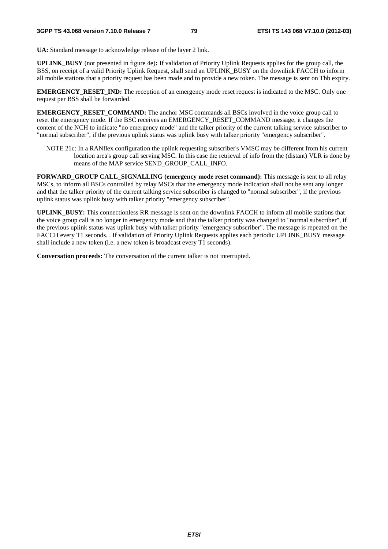**UA:** Standard message to acknowledge release of the layer 2 link.

**UPLINK\_BUSY** (not presented in figure 4e)**:** If validation of Priority Uplink Requests applies for the group call, the BSS, on receipt of a valid Priority Uplink Request, shall send an UPLINK\_BUSY on the downlink FACCH to inform all mobile stations that a priority request has been made and to provide a new token. The message is sent on Tbb expiry.

**EMERGENCY\_RESET\_IND:** The reception of an emergency mode reset request is indicated to the MSC. Only one request per BSS shall be forwarded.

**EMERGENCY RESET\_COMMAND:** The anchor MSC commands all BSCs involved in the voice group call to reset the emergency mode. If the BSC receives an EMERGENCY\_RESET\_COMMAND message, it changes the content of the NCH to indicate "no emergency mode" and the talker priority of the current talking service subscriber to "normal subscriber", if the previous uplink status was uplink busy with talker priority "emergency subscriber".

NOTE 21c: In a RANflex configuration the uplink requesting subscriber's VMSC may be different from his current location area's group call serving MSC. In this case the retrieval of info from the (distant) VLR is done by means of the MAP service SEND\_GROUP\_CALL\_INFO.

**FORWARD** GROUP CALL SIGNALLING (emergency mode reset command): This message is sent to all relay MSCs, to inform all BSCs controlled by relay MSCs that the emergency mode indication shall not be sent any longer and that the talker priority of the current talking service subscriber is changed to "normal subscriber", if the previous uplink status was uplink busy with talker priority "emergency subscriber".

**UPLINK\_BUSY:** This connectionless RR message is sent on the downlink FACCH to inform all mobile stations that the voice group call is no longer in emergency mode and that the talker priority was changed to "normal subscriber", if the previous uplink status was uplink busy with talker priority "emergency subscriber". The message is repeated on the FACCH every T1 seconds. . If validation of Priority Uplink Requests applies each periodic UPLINK\_BUSY message shall include a new token (i.e. a new token is broadcast every T1 seconds).

**Conversation proceeds:** The conversation of the current talker is not interrupted.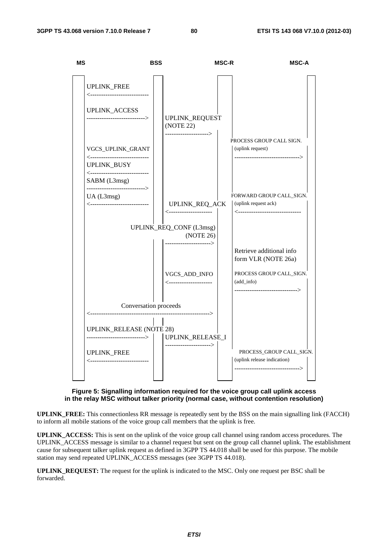

## **Figure 5: Signalling information required for the voice group call uplink access in the relay MSC without talker priority (normal case, without contention resolution)**

**UPLINK\_FREE:** This connectionless RR message is repeatedly sent by the BSS on the main signalling link (FACCH) to inform all mobile stations of the voice group call members that the uplink is free.

**UPLINK\_ACCESS:** This is sent on the uplink of the voice group call channel using random access procedures. The UPLINK\_ACCESS message is similar to a channel request but sent on the group call channel uplink. The establishment cause for subsequent talker uplink request as defined in 3GPP TS 44.018 shall be used for this purpose. The mobile station may send repeated UPLINK\_ACCESS messages (see 3GPP TS 44.018).

**UPLINK\_REQUEST:** The request for the uplink is indicated to the MSC. Only one request per BSC shall be forwarded.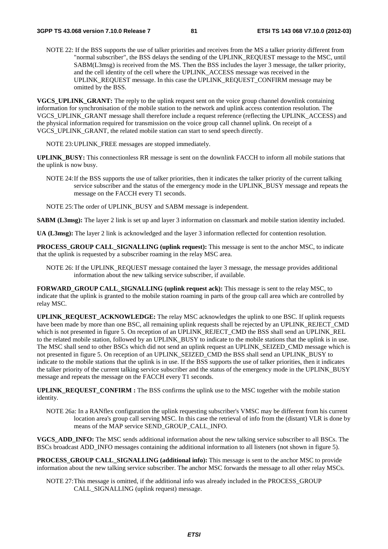NOTE 22: If the BSS supports the use of talker priorities and receives from the MS a talker priority different from "normal subscriber", the BSS delays the sending of the UPLINK\_REQUEST message to the MSC, until SABM(L3msg) is received from the MS. Then the BSS includes the layer 3 message, the talker priority, and the cell identity of the cell where the UPLINK\_ACCESS message was received in the UPLINK\_REQUEST message. In this case the UPLINK\_REQUEST\_CONFIRM message may be omitted by the BSS.

**VGCS\_UPLINK\_GRANT:** The reply to the uplink request sent on the voice group channel downlink containing information for synchronisation of the mobile station to the network and uplink access contention resolution. The VGCS\_UPLINK\_GRANT message shall therefore include a request reference (reflecting the UPLINK\_ACCESS) and the physical information required for transmission on the voice group call channel uplink. On receipt of a VGCS\_UPLINK\_GRANT, the related mobile station can start to send speech directly.

NOTE 23: UPLINK\_FREE messages are stopped immediately.

**UPLINK\_BUSY:** This connectionless RR message is sent on the downlink FACCH to inform all mobile stations that the uplink is now busy.

NOTE 24: If the BSS supports the use of talker priorities, then it indicates the talker priority of the current talking service subscriber and the status of the emergency mode in the UPLINK\_BUSY message and repeats the message on the FACCH every T1 seconds.

NOTE 25: The order of UPLINK BUSY and SABM message is independent.

**SABM (L3msg):** The layer 2 link is set up and layer 3 information on classmark and mobile station identity included.

**UA (L3msg):** The layer 2 link is acknowledged and the layer 3 information reflected for contention resolution.

**PROCESS** GROUP CALL SIGNALLING (uplink request): This message is sent to the anchor MSC, to indicate that the uplink is requested by a subscriber roaming in the relay MSC area.

NOTE 26: If the UPLINK\_REQUEST message contained the layer 3 message, the message provides additional information about the new talking service subscriber, if available.

**FORWARD\_GROUP CALL\_SIGNALLING (uplink request ack):** This message is sent to the relay MSC, to indicate that the uplink is granted to the mobile station roaming in parts of the group call area which are controlled by relay MSC.

**UPLINK\_REQUEST\_ACKNOWLEDGE:** The relay MSC acknowledges the uplink to one BSC. If uplink requests have been made by more than one BSC, all remaining uplink requests shall be rejected by an UPLINK\_REJECT\_CMD which is not presented in figure 5. On reception of an UPLINK\_REJECT\_CMD the BSS shall send an UPLINK\_REL to the related mobile station, followed by an UPLINK\_BUSY to indicate to the mobile stations that the uplink is in use. The MSC shall send to other BSCs which did not send an uplink request an UPLINK\_SEIZED\_CMD message which is not presented in figure 5. On reception of an UPLINK\_SEIZED\_CMD the BSS shall send an UPLINK\_BUSY to indicate to the mobile stations that the uplink is in use. If the BSS supports the use of talker priorities, then it indicates the talker priority of the current talking service subscriber and the status of the emergency mode in the UPLINK\_BUSY message and repeats the message on the FACCH every T1 seconds.

**UPLINK\_REQUEST\_CONFIRM :** The BSS confirms the uplink use to the MSC together with the mobile station identity.

NOTE 26a: In a RANflex configuration the uplink requesting subscriber's VMSC may be different from his current location area's group call serving MSC. In this case the retrieval of info from the (distant) VLR is done by means of the MAP service SEND\_GROUP\_CALL\_INFO.

**VGCS** ADD INFO: The MSC sends additional information about the new talking service subscriber to all BSCs. The BSCs broadcast ADD\_INFO messages containing the additional information to all listeners (not shown in figure 5).

**PROCESS** GROUP CALL SIGNALLING (additional info): This message is sent to the anchor MSC to provide information about the new talking service subscriber. The anchor MSC forwards the message to all other relay MSCs.

NOTE 27: This message is omitted, if the additional info was already included in the PROCESS\_GROUP CALL\_SIGNALLING (uplink request) message.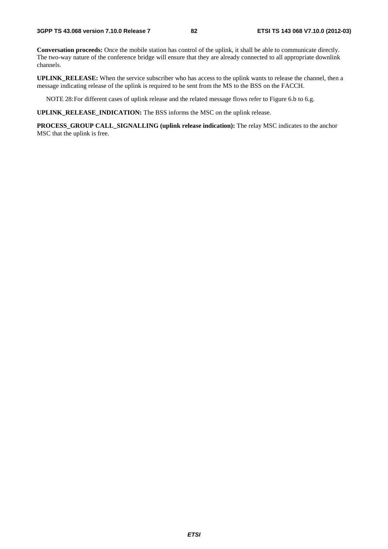**Conversation proceeds:** Once the mobile station has control of the uplink, it shall be able to communicate directly. The two-way nature of the conference bridge will ensure that they are already connected to all appropriate downlink channels.

**UPLINK\_RELEASE:** When the service subscriber who has access to the uplink wants to release the channel, then a message indicating release of the uplink is required to be sent from the MS to the BSS on the FACCH.

NOTE 28: For different cases of uplink release and the related message flows refer to Figure 6.b to 6.g.

**UPLINK\_RELEASE\_INDICATION:** The BSS informs the MSC on the uplink release.

**PROCESS\_GROUP CALL\_SIGNALLING (uplink release indication):** The relay MSC indicates to the anchor MSC that the uplink is free.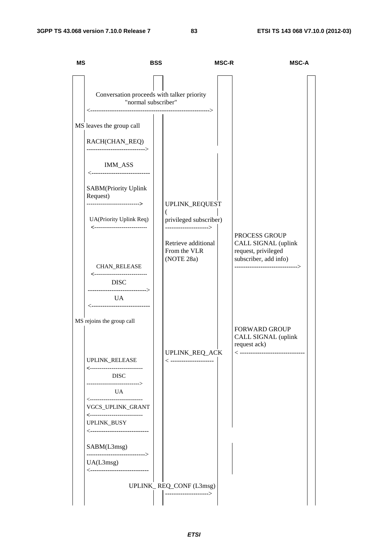| <b>MS</b> | <b>BSS</b>                                                                                                                                                                                                                                                                                                                                                                                                                                                          |                                                                                                                         | <b>MSC-R</b> | <b>MSC-A</b>                                                                                                           |
|-----------|---------------------------------------------------------------------------------------------------------------------------------------------------------------------------------------------------------------------------------------------------------------------------------------------------------------------------------------------------------------------------------------------------------------------------------------------------------------------|-------------------------------------------------------------------------------------------------------------------------|--------------|------------------------------------------------------------------------------------------------------------------------|
|           | Conversation proceeds with talker priority<br>"normal subscriber"<br>MS leaves the group call<br>RACH(CHAN_REQ)<br>---------------------------><br><b>IMM_ASS</b><br><-----------------------------<br>SABM(Priority Uplink<br>Request)<br>---------------------------><br>UA(Priority Uplink Req)<br>CHAN_RELEASE<br><----------------<br><b>DISC</b><br>----------------------------><br><b>UA</b><br><-----------------------------<br>MS rejoins the group call | UPLINK_REQUEST<br>privileged subscriber)<br>---------------------><br>Retrieve additional<br>From the VLR<br>(NOTE 28a) |              | PROCESS GROUP<br>CALL SIGNAL (uplink<br>request, privileged<br>subscriber, add info)<br>-----------------------------> |
|           | UPLINK_RELEASE<br><----------------------------<br><b>DISC</b><br>----------------------------><br>UA<br><-----------------------------<br>VGCS_UPLINK_GRANT<br><---------------------------<br>UPLINK_BUSY<br><-----------------------------<br>SABM(L3msg)<br>---------------------------><br>UA(L3msg)<br><-----------------------------                                                                                                                         | UPLINK_REQ_ACK<br>< ----------------------<br>UPLINK_REQ_CONF (L3msg)<br>--------------------->                         |              | <b>FORWARD GROUP</b><br>CALL SIGNAL (uplink<br>request ack)<br><----------------------------                           |
|           |                                                                                                                                                                                                                                                                                                                                                                                                                                                                     |                                                                                                                         |              |                                                                                                                        |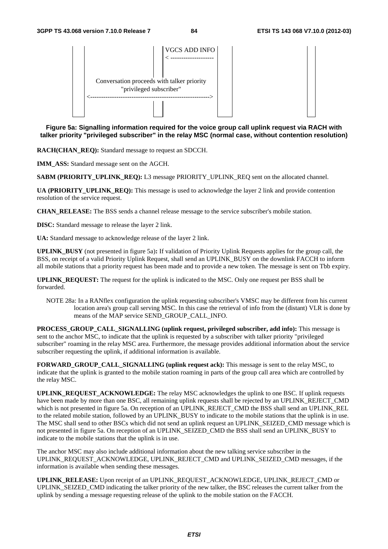

**Figure 5a: Signalling information required for the voice group call uplink request via RACH with talker priority "privileged subscriber" in the relay MSC (normal case, without contention resolution)** 

**RACH(CHAN\_REQ):** Standard message to request an SDCCH.

**IMM\_ASS:** Standard message sent on the AGCH.

**SABM (PRIORITY\_UPLINK\_REQ):** L3 message PRIORITY\_UPLINK\_REQ sent on the allocated channel.

**UA (PRIORITY UPLINK REQ):** This message is used to acknowledge the layer 2 link and provide contention resolution of the service request.

**CHAN\_RELEASE:** The BSS sends a channel release message to the service subscriber's mobile station.

**DISC:** Standard message to release the layer 2 link.

**UA:** Standard message to acknowledge release of the layer 2 link.

**UPLINK\_BUSY** (not presented in figure 5a)**:** If validation of Priority Uplink Requests applies for the group call, the BSS, on receipt of a valid Priority Uplink Request, shall send an UPLINK\_BUSY on the downlink FACCH to inform all mobile stations that a priority request has been made and to provide a new token. The message is sent on Tbb expiry.

**UPLINK\_REQUEST:** The request for the uplink is indicated to the MSC. Only one request per BSS shall be forwarded.

NOTE 28a: In a RANflex configuration the uplink requesting subscriber's VMSC may be different from his current location area's group call serving MSC. In this case the retrieval of info from the (distant) VLR is done by means of the MAP service SEND\_GROUP\_CALL\_INFO.

**PROCESS** GROUP CALL SIGNALLING (uplink request, privileged subscriber, add info): This message is sent to the anchor MSC, to indicate that the uplink is requested by a subscriber with talker priority "privileged subscriber" roaming in the relay MSC area. Furthermore, the message provides additional information about the service subscriber requesting the uplink, if additional information is available.

**FORWARD\_GROUP\_CALL\_SIGNALLING (uplink request ack):** This message is sent to the relay MSC, to indicate that the uplink is granted to the mobile station roaming in parts of the group call area which are controlled by the relay MSC.

**UPLINK\_REQUEST\_ACKNOWLEDGE:** The relay MSC acknowledges the uplink to one BSC. If uplink requests have been made by more than one BSC, all remaining uplink requests shall be rejected by an UPLINK\_REJECT\_CMD which is not presented in figure 5a. On reception of an UPLINK\_REJECT\_CMD the BSS shall send an UPLINK\_REL to the related mobile station, followed by an UPLINK\_BUSY to indicate to the mobile stations that the uplink is in use. The MSC shall send to other BSCs which did not send an uplink request an UPLINK\_SEIZED\_CMD message which is not presented in figure 5a. On reception of an UPLINK\_SEIZED\_CMD the BSS shall send an UPLINK\_BUSY to indicate to the mobile stations that the uplink is in use.

The anchor MSC may also include additional information about the new talking service subscriber in the UPLINK\_REQUEST\_ACKNOWLEDGE, UPLINK\_REJECT\_CMD and UPLINK\_SEIZED\_CMD messages, if the information is available when sending these messages.

**UPLINK\_RELEASE:** Upon receipt of an UPLINK\_REQUEST\_ACKNOWLEDGE, UPLINK\_REJECT\_CMD or UPLINK\_SEIZED\_CMD indicating the talker priority of the new talker, the BSC releases the current talker from the uplink by sending a message requesting release of the uplink to the mobile station on the FACCH.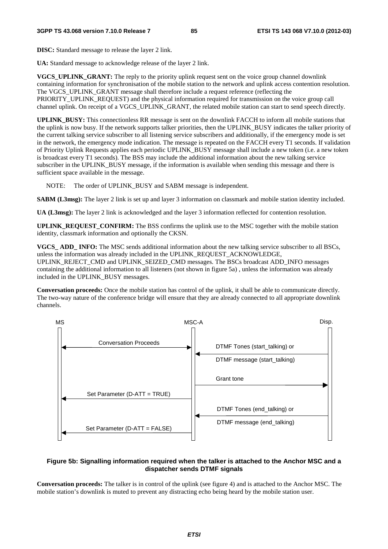**DISC:** Standard message to release the layer 2 link.

**UA:** Standard message to acknowledge release of the layer 2 link.

**VGCS** UPLINK GRANT: The reply to the priority uplink request sent on the voice group channel downlink containing information for synchronisation of the mobile station to the network and uplink access contention resolution. The VGCS\_UPLINK\_GRANT message shall therefore include a request reference (reflecting the PRIORITY\_UPLINK\_REQUEST) and the physical information required for transmission on the voice group call channel uplink. On receipt of a VGCS\_UPLINK\_GRANT, the related mobile station can start to send speech directly.

**UPLINK\_BUSY:** This connectionless RR message is sent on the downlink FACCH to inform all mobile stations that the uplink is now busy. If the network supports talker priorities, then the UPLINK\_BUSY indicates the talker priority of the current talking service subscriber to all listening service subscribers and additionally, if the emergency mode is set in the network, the emergency mode indication. The message is repeated on the FACCH every T1 seconds. If validation of Priority Uplink Requests applies each periodic UPLINK\_BUSY message shall include a new token (i.e. a new token is broadcast every T1 seconds). The BSS may include the additional information about the new talking service subscriber in the UPLINK\_BUSY message, if the information is available when sending this message and there is sufficient space available in the message.

NOTE: The order of UPLINK\_BUSY and SABM message is independent.

**SABM (L3msg):** The layer 2 link is set up and layer 3 information on classmark and mobile station identity included.

**UA (L3msg):** The layer 2 link is acknowledged and the layer 3 information reflected for contention resolution.

**UPLINK\_REQUEST\_CONFIRM:** The BSS confirms the uplink use to the MSC together with the mobile station identity, classmark information and optionally the CKSN.

**VGCS** ADD INFO: The MSC sends additional information about the new talking service subscriber to all BSCs, unless the information was already included in the UPLINK\_REQUEST\_ACKNOWLEDGE, UPLINK\_REJECT\_CMD and UPLINK\_SEIZED\_CMD messages. The BSCs broadcast ADD\_INFO messages containing the additional information to all listeners (not shown in figure 5a) , unless the information was already included in the UPLINK\_BUSY messages.

**Conversation proceeds:** Once the mobile station has control of the uplink, it shall be able to communicate directly. The two-way nature of the conference bridge will ensure that they are already connected to all appropriate downlink channels.



## **Figure 5b: Signalling information required when the talker is attached to the Anchor MSC and a dispatcher sends DTMF signals**

**Conversation proceeds:** The talker is in control of the uplink (see figure 4) and is attached to the Anchor MSC. The mobile station's downlink is muted to prevent any distracting echo being heard by the mobile station user.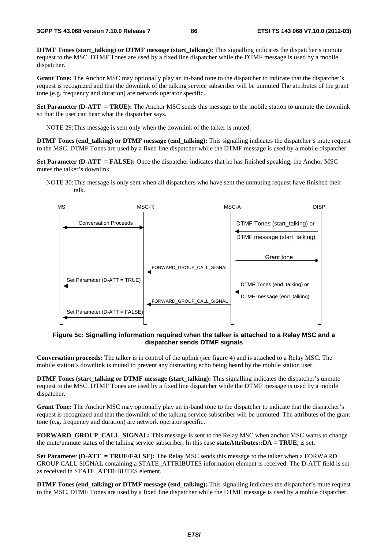**DTMF Tones (start\_talking) or DTMF message (start\_talking):** This signalling indicates the dispatcher's unmute request to the MSC. DTMF Tones are used by a fixed line dispatcher while the DTMF message is used by a mobile dispatcher.

**Grant Tone:** The Anchor MSC may optionally play an in-band tone to the dispatcher to indicate that the dispatcher's request is recognized and that the downlink of the talking service subscriber will be unmuted The attributes of the grant tone (e.g. frequency and duration) are network operator specific..

**Set Parameter (D-ATT = TRUE):** The Anchor MSC sends this message to the mobile station to unmute the downlink so that the user can hear what the dispatcher says.

NOTE 29: This message is sent only when the downlink of the talker is muted.

**DTMF Tones (end talking) or DTMF message (end talking):** This signalling indicates the dispatcher's mute request to the MSC. DTMF Tones are used by a fixed line dispatcher while the DTMF message is used by a mobile dispatcher.

**Set Parameter (D-ATT = FALSE):** Once the dispatcher indicates that he has finished speaking, the Anchor MSC mutes the talker's downlink.

NOTE 30: This message is only sent when all dispatchers who have sent the unmuting request have finished their talk.



## **Figure 5c: Signalling information required when the talker is attached to a Relay MSC and a dispatcher sends DTMF signals**

**Conversation proceeds:** The talker is in control of the uplink (see figure 4) and is attached to a Relay MSC. The mobile station's downlink is muted to prevent any distracting echo being heard by the mobile station user.

**DTMF Tones (start talking or DTMF message (start talking):** This signalling indicates the dispatcher's unmute request to the MSC. DTMF Tones are used by a fixed line dispatcher while the DTMF message is used by a mobile dispatcher.

**Grant Tone:** The Anchor MSC may optionally play an in-band tone to the dispatcher to indicate that the dispatcher's request is recognized and that the downlink of the talking service subscriber will be unmuted. The attributes of the grant tone (e.g. frequency and duration) are network operator specific.

**FORWARD\_GROUP\_CALL\_SIGNAL:** This message is sent to the Relay MSC when anchor MSC wants to change the mute/unmute status of the talking service subscriber. In this case **stateAttributes::DA = TRUE**, is set.

**Set Parameter (D-ATT = TRUE/FALSE):** The Relay MSC sends this message to the talker when a FORWARD GROUP CALL SIGNAL containing a STATE\_ATTRIBUTES information element is received. The D-ATT field is set as received in STATE\_ATTRIBUTES element.

**DTMF Tones (end\_talking) or DTMF message (end\_talking):** This signalling indicates the dispatcher's mute request to the MSC. DTMF Tones are used by a fixed line dispatcher while the DTMF message is used by a mobile dispatcher.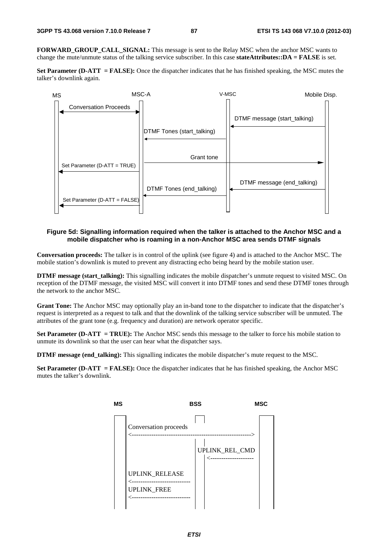FORWARD GROUP CALL SIGNAL: This message is sent to the Relay MSC when the anchor MSC wants to change the mute/unmute status of the talking service subscriber. In this case **stateAttributes::DA = FALSE** is set.

**Set Parameter (D-ATT = FALSE):** Once the dispatcher indicates that he has finished speaking, the MSC mutes the talker's downlink again.



#### **Figure 5d: Signalling information required when the talker is attached to the Anchor MSC and a mobile dispatcher who is roaming in a non-Anchor MSC area sends DTMF signals**

**Conversation proceeds:** The talker is in control of the uplink (see figure 4) and is attached to the Anchor MSC. The mobile station's downlink is muted to prevent any distracting echo being heard by the mobile station user.

**DTMF message (start\_talking):** This signalling indicates the mobile dispatcher's unmute request to visited MSC. On reception of the DTMF message, the visited MSC will convert it into DTMF tones and send these DTMF tones through the network to the anchor MSC.

**Grant Tone:** The Anchor MSC may optionally play an in-band tone to the dispatcher to indicate that the dispatcher's request is interpreted as a request to talk and that the downlink of the talking service subscriber will be unmuted. The attributes of the grant tone (e.g. frequency and duration) are network operator specific.

**Set Parameter (D-ATT = TRUE):** The Anchor MSC sends this message to the talker to force his mobile station to unmute its downlink so that the user can hear what the dispatcher says.

**DTMF message (end talking):** This signalling indicates the mobile dispatcher's mute request to the MSC.

**Set Parameter (D-ATT = FALSE):** Once the dispatcher indicates that he has finished speaking, the Anchor MSC mutes the talker's downlink.

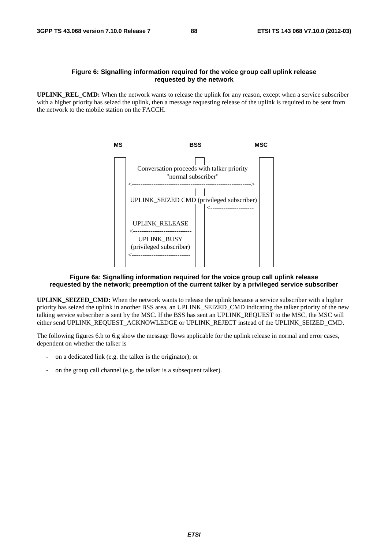### **Figure 6: Signalling information required for the voice group call uplink release requested by the network**

**UPLINK REL CMD:** When the network wants to release the uplink for any reason, except when a service subscriber with a higher priority has seized the uplink, then a message requesting release of the uplink is required to be sent from the network to the mobile station on the FACCH.



## **Figure 6a: Signalling information required for the voice group call uplink release requested by the network; preemption of the current talker by a privileged service subscriber**

**UPLINK SEIZED CMD:** When the network wants to release the uplink because a service subscriber with a higher priority has seized the uplink in another BSS area, an UPLINK\_SEIZED\_CMD indicating the talker priority of the new talking service subscriber is sent by the MSC. If the BSS has sent an UPLINK\_REQUEST to the MSC, the MSC will either send UPLINK\_REQUEST\_ACKNOWLEDGE or UPLINK\_REJECT instead of the UPLINK\_SEIZED\_CMD.

The following figures 6.b to 6.g show the message flows applicable for the uplink release in normal and error cases, dependent on whether the talker is

- on a dedicated link (e.g. the talker is the originator); or
- on the group call channel (e.g. the talker is a subsequent talker).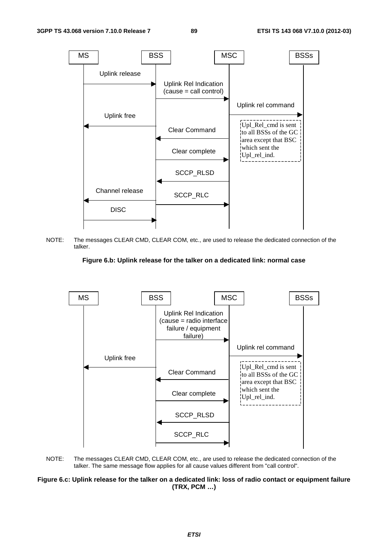

NOTE: The messages CLEAR CMD, CLEAR COM, etc., are used to release the dedicated connection of the talker.





NOTE: The messages CLEAR CMD, CLEAR COM, etc., are used to release the dedicated connection of the talker. The same message flow applies for all cause values different from "call control".

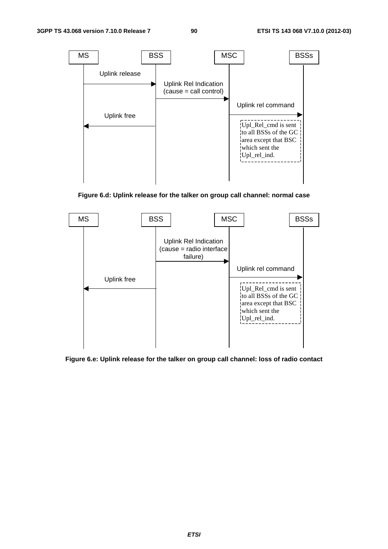

**Figure 6.d: Uplink release for the talker on group call channel: normal case** 



**Figure 6.e: Uplink release for the talker on group call channel: loss of radio contact**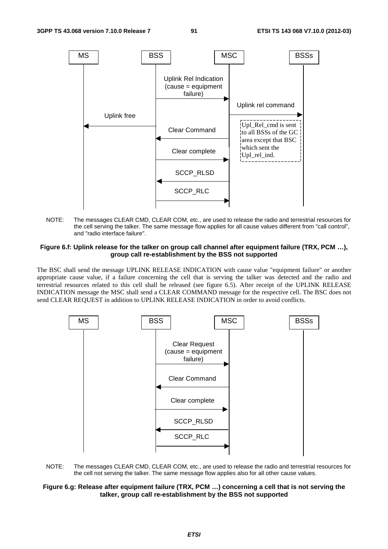

NOTE: The messages CLEAR CMD, CLEAR COM, etc., are used to release the radio and terrestrial resources for the cell serving the talker. The same message flow applies for all cause values different from "call control", and "radio interface failure".

#### **Figure 6.f: Uplink release for the talker on group call channel after equipment failure (TRX, PCM …), group call re-establishment by the BSS not supported**

The BSC shall send the message UPLINK RELEASE INDICATION with cause value "equipment failure" or another appropriate cause value, if a failure concerning the cell that is serving the talker was detected and the radio and terrestrial resources related to this cell shall be released (see figure 6.5). After receipt of the UPLINK RELEASE INDICATION message the MSC shall send a CLEAR COMMAND message for the respective cell. The BSC does not send CLEAR REQUEST in addition to UPLINK RELEASE INDICATION in order to avoid conflicts.



NOTE: The messages CLEAR CMD, CLEAR COM, etc., are used to release the radio and terrestrial resources for the cell not serving the talker. The same message flow applies also for all other cause values.

#### **Figure 6.g: Release after equipment failure (TRX, PCM …) concerning a cell that is not serving the talker, group call re-establishment by the BSS not supported**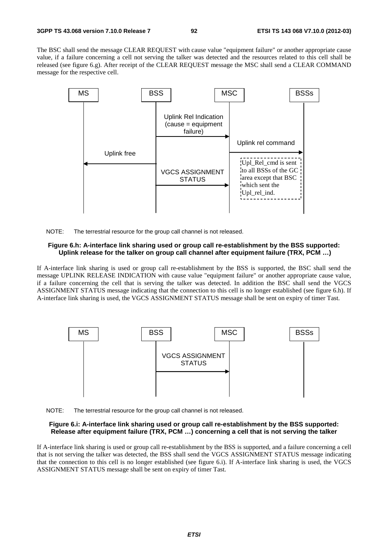The BSC shall send the message CLEAR REQUEST with cause value "equipment failure" or another appropriate cause value, if a failure concerning a cell not serving the talker was detected and the resources related to this cell shall be released (see figure 6.g). After receipt of the CLEAR REQUEST message the MSC shall send a CLEAR COMMAND message for the respective cell.



NOTE: The terrestrial resource for the group call channel is not released.

#### **Figure 6.h: A-interface link sharing used or group call re-establishment by the BSS supported: Uplink release for the talker on group call channel after equipment failure (TRX, PCM …)**

If A-interface link sharing is used or group call re-establishment by the BSS is supported, the BSC shall send the message UPLINK RELEASE INDICATION with cause value "equipment failure" or another appropriate cause value, if a failure concerning the cell that is serving the talker was detected. In addition the BSC shall send the VGCS ASSIGNMENT STATUS message indicating that the connection to this cell is no longer established (see figure 6.h). If A-interface link sharing is used, the VGCS ASSIGNMENT STATUS message shall be sent on expiry of timer Tast.



NOTE: The terrestrial resource for the group call channel is not released.

## **Figure 6.i: A-interface link sharing used or group call re-establishment by the BSS supported: Release after equipment failure (TRX, PCM …) concerning a cell that is not serving the talker**

If A-interface link sharing is used or group call re-establishment by the BSS is supported, and a failure concerning a cell that is not serving the talker was detected, the BSS shall send the VGCS ASSIGNMENT STATUS message indicating that the connection to this cell is no longer established (see figure 6.i). If A-interface link sharing is used, the VGCS ASSIGNMENT STATUS message shall be sent on expiry of timer Tast.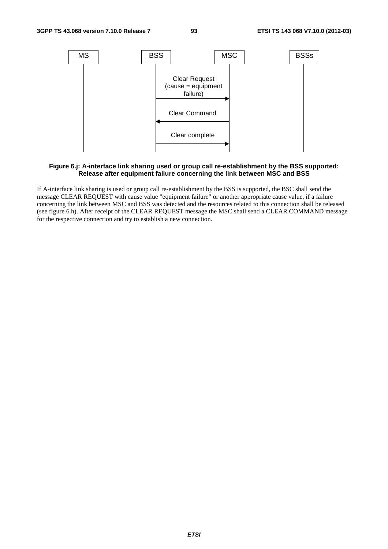

#### **Figure 6.j: A-interface link sharing used or group call re-establishment by the BSS supported: Release after equipment failure concerning the link between MSC and BSS**

If A-interface link sharing is used or group call re-establishment by the BSS is supported, the BSC shall send the message CLEAR REQUEST with cause value "equipment failure" or another appropriate cause value, if a failure concerning the link between MSC and BSS was detected and the resources related to this connection shall be released (see figure 6.h). After receipt of the CLEAR REQUEST message the MSC shall send a CLEAR COMMAND message for the respective connection and try to establish a new connection.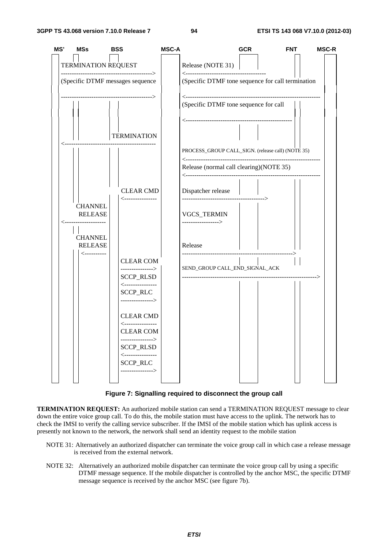

**Figure 7: Signalling required to disconnect the group call** 

**TERMINATION REQUEST:** An authorized mobile station can send a TERMINATION REQUEST message to clear down the entire voice group call. To do this, the mobile station must have access to the uplink. The network has to check the IMSI to verify the calling service subscriber. If the IMSI of the mobile station which has uplink access is presently not known to the network, the network shall send an identity request to the mobile station

- NOTE 31: Alternatively an authorized dispatcher can terminate the voice group call in which case a release message is received from the external network.
- NOTE 32: Alternatively an authorized mobile dispatcher can terminate the voice group call by using a specific DTMF message sequence. If the mobile dispatcher is controlled by the anchor MSC, the specific DTMF message sequence is received by the anchor MSC (see figure 7b).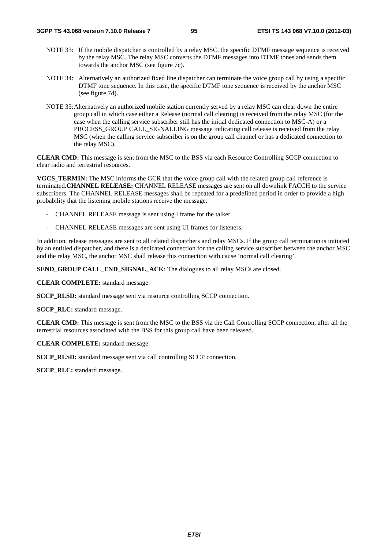- NOTE 33: If the mobile dispatcher is controlled by a relay MSC, the specific DTMF message sequence is received by the relay MSC. The relay MSC converts the DTMF messages into DTMF tones and sends them towards the anchor MSC (see figure 7c).
- NOTE 34: Alternatively an authorized fixed line dispatcher can terminate the voice group call by using a specific DTMF tone sequence. In this case, the specific DTMF tone sequence is received by the anchor MSC (see figure 7d).
- NOTE 35: Alternatively an authorized mobile station currently served by a relay MSC can clear down the entire group call in which case either a Release (normal call clearing) is received from the relay MSC (for the case when the calling service subscriber still has the initial dedicated connection to MSC-A) or a PROCESS\_GROUP CALL\_SIGNALLING message indicating call release is received from the relay MSC (when the calling service subscriber is on the group call channel or has a dedicated connection to the relay MSC).

**CLEAR CMD:** This message is sent from the MSC to the BSS via each Resource Controlling SCCP connection to clear radio and terrestrial resources.

**VGCS\_TERMIN:** The MSC informs the GCR that the voice group call with the related group call reference is terminated.**CHANNEL RELEASE:** CHANNEL RELEASE messages are sent on all downlink FACCH to the service subscribers. The CHANNEL RELEASE messages shall be repeated for a predefined period in order to provide a high probability that the listening mobile stations receive the message.

- CHANNEL RELEASE message is sent using I frame for the talker.
- CHANNEL RELEASE messages are sent using UI frames for listeners.

In addition, release messages are sent to all related dispatchers and relay MSCs. If the group call termination is initiated by an entitled dispatcher, and there is a dedicated connection for the calling service subscriber between the anchor MSC and the relay MSC, the anchor MSC shall release this connection with cause 'normal call clearing'.

**SEND\_GROUP CALL\_END\_SIGNAL\_ACK:** The dialogues to all relay MSCs are closed.

**CLEAR COMPLETE:** standard message.

**SCCP\_RLSD:** standard message sent via resource controlling SCCP connection.

**SCCP\_RLC:** standard message.

**CLEAR CMD:** This message is sent from the MSC to the BSS via the Call Controlling SCCP connection, after all the terrestrial resources associated with the BSS for this group call have been released.

**CLEAR COMPLETE:** standard message.

**SCCP\_RLSD:** standard message sent via call controlling SCCP connection.

**SCCP\_RLC:** standard message.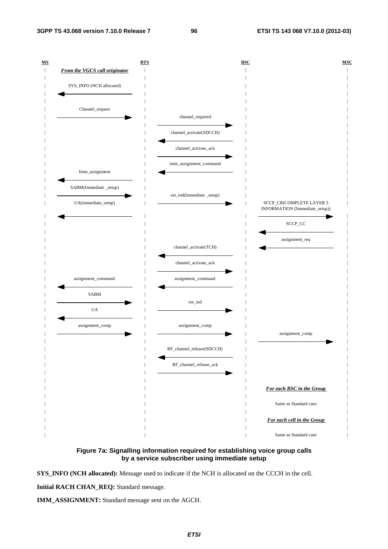

**Figure 7a: Signalling information required for establishing voice group calls by a service subscriber using immediate setup** 

**SYS\_INFO (NCH allocated):** Message used to indicate if the NCH is allocated on the CCCH in the cell.

**Initial RACH CHAN\_REQ:** Standard message.

**IMM\_ASSIGNMENT:** Standard message sent on the AGCH.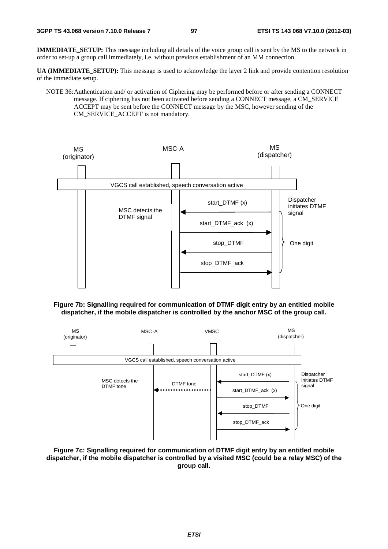**IMMEDIATE\_SETUP:** This message including all details of the voice group call is sent by the MS to the network in order to set-up a group call immediately, i.e. without previous establishment of an MM connection.

**UA (IMMEDIATE\_SETUP):** This message is used to acknowledge the layer 2 link and provide contention resolution of the immediate setup.

NOTE 36: Authentication and/ or activation of Ciphering may be performed before or after sending a CONNECT message. If ciphering has not been activated before sending a CONNECT message, a CM\_SERVICE ACCEPT may be sent before the CONNECT message by the MSC, however sending of the CM\_SERVICE\_ACCEPT is not mandatory.



## **Figure 7b: Signalling required for communication of DTMF digit entry by an entitled mobile dispatcher, if the mobile dispatcher is controlled by the anchor MSC of the group call.**



**Figure 7c: Signalling required for communication of DTMF digit entry by an entitled mobile dispatcher, if the mobile dispatcher is controlled by a visited MSC (could be a relay MSC) of the group call.**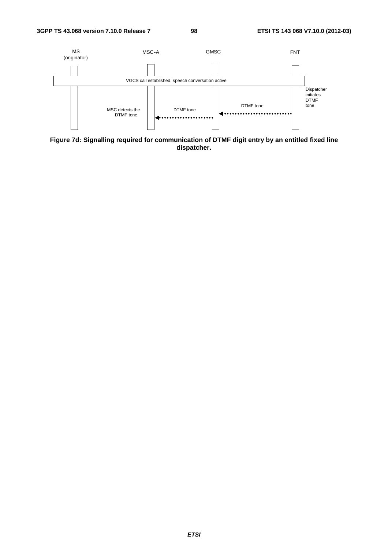

**Figure 7d: Signalling required for communication of DTMF digit entry by an entitled fixed line dispatcher.**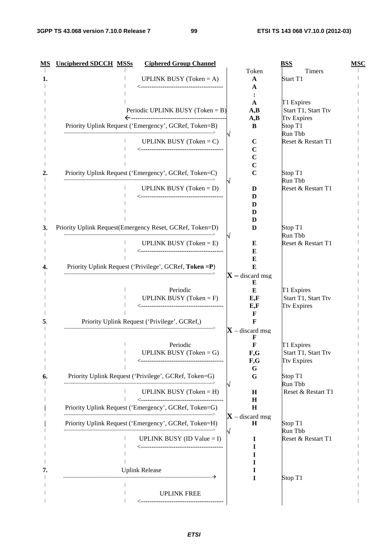| МS | <b>Unciphered SDCCH MSSs</b> | <b>Ciphered Group Channel</b>                            |                        | <b>BSS</b>          | <b>MSC</b> |
|----|------------------------------|----------------------------------------------------------|------------------------|---------------------|------------|
|    |                              |                                                          | Token                  | Timers              |            |
|    |                              | <b>UPLINK BUSY</b> (Token = A)                           | $\mathbf A$            | Start T1            |            |
|    |                              |                                                          | A                      |                     |            |
|    |                              |                                                          | A                      | T1 Expires          |            |
|    |                              | Periodic UPLINK BUSY (Token = B)                         | A,B                    | Start T1, Start Ttv |            |
|    |                              |                                                          | A,B                    | <b>Ttv Expires</b>  |            |
|    |                              | Priority Uplink Request ('Emergency', GCRef, Token=B)    | B                      | Stop T1             |            |
|    |                              |                                                          |                        | Run Tbb             |            |
|    |                              | <b>UPLINK BUSY</b> (Token = $C$ )                        | $\mathbf C$<br>C       | Reset & Restart T1  |            |
|    |                              |                                                          | C                      |                     |            |
|    |                              |                                                          | $\mathbf C$            |                     |            |
|    |                              | Priority Uplink Request ('Emergency', GCRef, Token=C)    | $\mathbf C$            | Stop T1             |            |
|    |                              |                                                          |                        | Run Tbb             |            |
|    |                              | <b>UPLINK BUSY</b> (Token = $D$ )                        | D                      | Reset & Restart T1  |            |
|    |                              |                                                          | D                      |                     |            |
|    |                              |                                                          | D<br>D                 |                     |            |
|    |                              |                                                          | D                      |                     |            |
| 3. |                              | Priority Uplink Request(Emergency Reset, GCRef, Token=D) | D                      | Stop T1             |            |
|    |                              |                                                          |                        | Run Tbb             |            |
|    |                              | <b>UPLINK BUSY</b> (Token = $E$ )                        | E                      | Reset & Restart T1  |            |
|    |                              |                                                          | E                      |                     |            |
|    |                              | Priority Uplink Request ('Privilege', GCRef, Token = P)  | Е<br>E                 |                     |            |
|    |                              |                                                          | $X$ – discard msg      |                     |            |
|    |                              |                                                          | E                      |                     |            |
|    |                              | Periodic                                                 | E                      | T1 Expires          |            |
|    |                              | <b>UPLINK BUSY</b> (Token = $F$ )                        | E, F                   | Start T1, Start Ttv |            |
|    |                              |                                                          | E, F                   | <b>Ttv Expires</b>  |            |
|    |                              | Priority Uplink Request ('Privilege', GCRef,)            | F<br>F                 |                     |            |
|    |                              |                                                          | $X$ – discard msg      |                     |            |
|    |                              |                                                          | F                      |                     |            |
|    |                              | Periodic                                                 | F                      | T1 Expires          |            |
|    |                              | <b>UPLINK BUSY</b> (Token = $G$ )                        | F,G                    | Start T1, Start Ttv |            |
|    |                              |                                                          | F,G                    | <b>Ttv Expires</b>  |            |
| 6. |                              | Priority Uplink Request ('Privilege', GCRef, Token=G)    | G<br>G                 | Stop T1             |            |
|    |                              |                                                          |                        | Run Tbb             |            |
|    |                              | <b>UPLINK BUSY</b> (Token = $H$ )                        | $\bf H$                | Reset & Restart T1  |            |
|    |                              |                                                          | $\bf H$                |                     |            |
|    |                              | Priority Uplink Request ('Emergency', GCRef, Token=G)    | H                      |                     |            |
|    |                              | Priority Uplink Request ('Emergency', GCRef, Token=H)    | $X$ – discard msg<br>н | Stop T1             |            |
|    |                              |                                                          |                        | Run Tbb             |            |
|    |                              | UPLINK BUSY (ID Value = I)                               | $\bf{I}$               | Reset & Restart T1  |            |
|    |                              |                                                          | I                      |                     |            |
|    |                              |                                                          | п                      |                     |            |
|    |                              |                                                          |                        |                     |            |
| 7. | ---------------------------- | <b>Uplink Release</b>                                    | 1                      | Stop T1             |            |
|    |                              |                                                          |                        |                     |            |
|    |                              | <b>UPLINK FREE</b>                                       |                        |                     |            |
|    |                              |                                                          |                        |                     |            |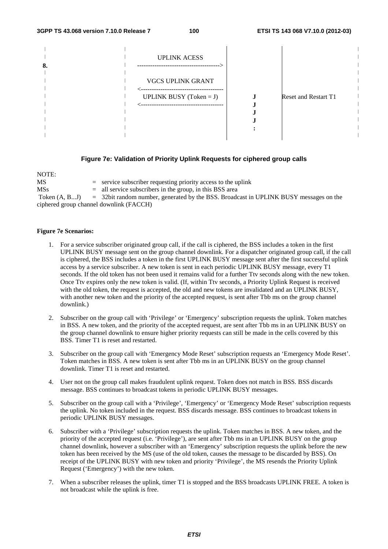| 8. | <b>UPLINK ACESS</b>                                                       |                             |  |
|----|---------------------------------------------------------------------------|-----------------------------|--|
|    | <b>VGCS UPLINK GRANT</b>                                                  |                             |  |
|    | ------------------------------------<br><b>UPLINK BUSY</b> (Token = $J$ ) | <b>Reset and Restart T1</b> |  |
|    |                                                                           |                             |  |
|    |                                                                           |                             |  |
|    |                                                                           |                             |  |
|    |                                                                           |                             |  |

## **Figure 7e: Validation of Priority Uplink Requests for ciphered group calls**

| NOTE:           |                                                                                         |
|-----------------|-----------------------------------------------------------------------------------------|
| MS              | $=$ service subscriber requesting priority access to the uplink                         |
| <b>MSs</b>      | $=$ all service subscribers in the group, in this BSS area                              |
| Token $(A, BJ)$ | $=$ 32bit random number, generated by the BSS. Broadcast in UPLINK BUSY messages on the |
|                 | ciphered group channel downlink (FACCH)                                                 |

## **Figure 7e Scenarios:**

- 1. For a service subscriber originated group call, if the call is ciphered, the BSS includes a token in the first UPLINK BUSY message sent on the group channel downlink. For a dispatcher originated group call, if the call is ciphered, the BSS includes a token in the first UPLINK BUSY message sent after the first successful uplink access by a service subscriber. A new token is sent in each periodic UPLINK BUSY message, every T1 seconds. If the old token has not been used it remains valid for a further Ttv seconds along with the new token. Once Ttv expires only the new token is valid. (If, within Ttv seconds, a Priority Uplink Request is received with the old token, the request is accepted, the old and new tokens are invalidated and an UPLINK BUSY, with another new token and the priority of the accepted request, is sent after Tbb ms on the group channel downlink.)
- 2. Subscriber on the group call with 'Privilege' or 'Emergency' subscription requests the uplink. Token matches in BSS. A new token, and the priority of the accepted request, are sent after Tbb ms in an UPLINK BUSY on the group channel downlink to ensure higher priority requests can still be made in the cells covered by this BSS. Timer T1 is reset and restarted.
- 3. Subscriber on the group call with 'Emergency Mode Reset' subscription requests an 'Emergency Mode Reset'. Token matches in BSS. A new token is sent after Tbb ms in an UPLINK BUSY on the group channel downlink. Timer T1 is reset and restarted.
- 4. User not on the group call makes fraudulent uplink request. Token does not match in BSS. BSS discards message. BSS continues to broadcast tokens in periodic UPLINK BUSY messages.
- 5. Subscriber on the group call with a 'Privilege', 'Emergency' or 'Emergency Mode Reset' subscription requests the uplink. No token included in the request. BSS discards message. BSS continues to broadcast tokens in periodic UPLINK BUSY messages.
- 6. Subscriber with a 'Privilege' subscription requests the uplink. Token matches in BSS. A new token, and the priority of the accepted request (i.e. 'Privilege'), are sent after Tbb ms in an UPLINK BUSY on the group channel downlink, however a subscriber with an 'Emergency' subscription requests the uplink before the new token has been received by the MS (use of the old token, causes the message to be discarded by BSS). On receipt of the UPLINK BUSY with new token and priority 'Privilege', the MS resends the Priority Uplink Request ('Emergency') with the new token.
- 7. When a subscriber releases the uplink, timer T1 is stopped and the BSS broadcasts UPLINK FREE. A token is not broadcast while the uplink is free.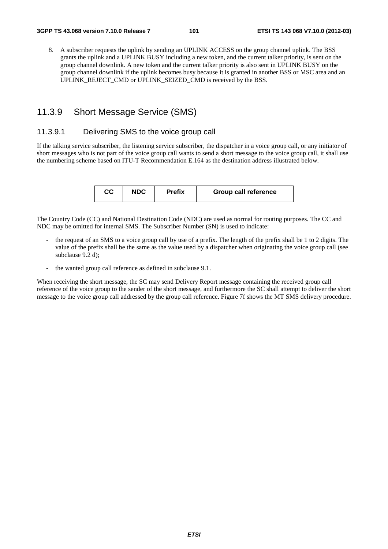8. A subscriber requests the uplink by sending an UPLINK ACCESS on the group channel uplink. The BSS grants the uplink and a UPLINK BUSY including a new token, and the current talker priority, is sent on the group channel downlink. A new token and the current talker priority is also sent in UPLINK BUSY on the group channel downlink if the uplink becomes busy because it is granted in another BSS or MSC area and an UPLINK\_REJECT\_CMD or UPLINK\_SEIZED\_CMD is received by the BSS.

## 11.3.9 Short Message Service (SMS)

## 11.3.9.1 Delivering SMS to the voice group call

If the talking service subscriber, the listening service subscriber, the dispatcher in a voice group call, or any initiator of short messages who is not part of the voice group call wants to send a short message to the voice group call, it shall use the numbering scheme based on ITU-T Recommendation E.164 as the destination address illustrated below.

| CС | <b>NDC</b> | <b>Prefix</b> | <b>Group call reference</b> |
|----|------------|---------------|-----------------------------|
|    |            |               |                             |

The Country Code (CC) and National Destination Code (NDC) are used as normal for routing purposes. The CC and NDC may be omitted for internal SMS. The Subscriber Number (SN) is used to indicate:

- the request of an SMS to a voice group call by use of a prefix. The length of the prefix shall be 1 to 2 digits. The value of the prefix shall be the same as the value used by a dispatcher when originating the voice group call (see subclause 9.2 d):
- the wanted group call reference as defined in subclause 9.1.

When receiving the short message, the SC may send Delivery Report message containing the received group call reference of the voice group to the sender of the short message, and furthermore the SC shall attempt to deliver the short message to the voice group call addressed by the group call reference. Figure 7f shows the MT SMS delivery procedure.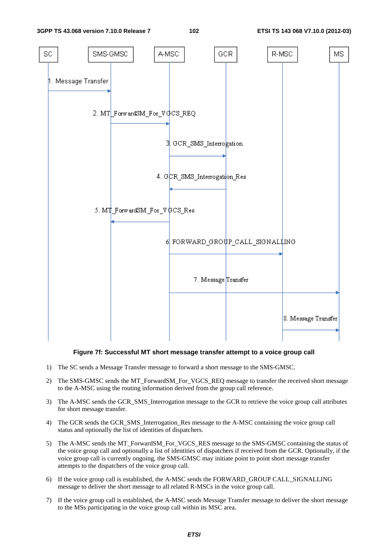

### **Figure 7f: Successful MT short message transfer attempt to a voice group call**

- 1) The SC sends a Message Transfer message to forward a short message to the SMS-GMSC.
- 2) The SMS-GMSC sends the MT\_ForwardSM\_For\_VGCS\_REQ message to transfer the received short message to the A-MSC using the routing information derived from the group call reference.
- 3) The A-MSC sends the GCR\_SMS\_Interrogation message to the GCR to retrieve the voice group call attributes for short message transfer.
- 4) The GCR sends the GCR\_SMS\_Interrogation\_Res message to the A-MSC containing the voice group call status and optionally the list of identities of dispatchers.
- 5) The A-MSC sends the MT\_ForwardSM\_For\_VGCS\_RES message to the SMS-GMSC containing the status of the voice group call and optionally a list of identities of dispatchers if received from the GCR. Optionally, if the voice group call is currently ongoing, the SMS-GMSC may initiate point to point short message transfer attempts to the dispatchers of the voice group call.
- 6) If the voice group call is established, the A-MSC sends the FORWARD\_GROUP CALL\_SIGNALLING message to deliver the short message to all related R-MSCs in the voice group call.
- 7) If the voice group call is established, the A-MSC sends Message Transfer message to deliver the short message to the MSs participating in the voice group call within its MSC area.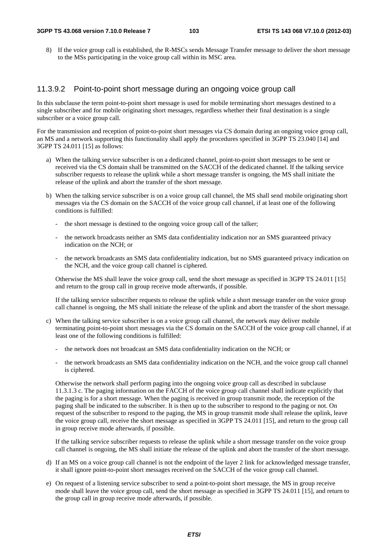8) If the voice group call is established, the R-MSCs sends Message Transfer message to deliver the short message to the MSs participating in the voice group call within its MSC area.

## 11.3.9.2 Point-to-point short message during an ongoing voice group call

In this subclause the term point-to-point short message is used for mobile terminating short messages destined to a single subscriber and for mobile originating short messages, regardless whether their final destination is a single subscriber or a voice group call.

For the transmission and reception of point-to-point short messages via CS domain during an ongoing voice group call, an MS and a network supporting this functionality shall apply the procedures specified in 3GPP TS 23.040 [14] and 3GPP TS 24.011 [15] as follows:

- a) When the talking service subscriber is on a dedicated channel, point-to-point short messages to be sent or received via the CS domain shall be transmitted on the SACCH of the dedicated channel. If the talking service subscriber requests to release the uplink while a short message transfer is ongoing, the MS shall initiate the release of the uplink and abort the transfer of the short message.
- b) When the talking service subscriber is on a voice group call channel, the MS shall send mobile originating short messages via the CS domain on the SACCH of the voice group call channel, if at least one of the following conditions is fulfilled:
	- the short message is destined to the ongoing voice group call of the talker;
	- the network broadcasts neither an SMS data confidentiality indication nor an SMS guaranteed privacy indication on the NCH; or
	- the network broadcasts an SMS data confidentiality indication, but no SMS guaranteed privacy indication on the NCH, and the voice group call channel is ciphered.

Otherwise the MS shall leave the voice group call, send the short message as specified in 3GPP TS 24.011 [15] and return to the group call in group receive mode afterwards, if possible.

If the talking service subscriber requests to release the uplink while a short message transfer on the voice group call channel is ongoing, the MS shall initiate the release of the uplink and abort the transfer of the short message.

- c) When the talking service subscriber is on a voice group call channel, the network may deliver mobile terminating point-to-point short messages via the CS domain on the SACCH of the voice group call channel, if at least one of the following conditions is fulfilled:
	- the network does not broadcast an SMS data confidentiality indication on the NCH; or
	- the network broadcasts an SMS data confidentiality indication on the NCH, and the voice group call channel is ciphered.

Otherwise the network shall perform paging into the ongoing voice group call as described in subclause 11.3.1.3 c. The paging information on the FACCH of the voice group call channel shall indicate explicitly that the paging is for a short message. When the paging is received in group transmit mode, the reception of the paging shall be indicated to the subscriber. It is then up to the subscriber to respond to the paging or not. On request of the subscriber to respond to the paging, the MS in group transmit mode shall release the uplink, leave the voice group call, receive the short message as specified in 3GPP TS 24.011 [15], and return to the group call in group receive mode afterwards, if possible.

If the talking service subscriber requests to release the uplink while a short message transfer on the voice group call channel is ongoing, the MS shall initiate the release of the uplink and abort the transfer of the short message.

- d) If an MS on a voice group call channel is not the endpoint of the layer 2 link for acknowledged message transfer, it shall ignore point-to-point short messages received on the SACCH of the voice group call channel.
- e) On request of a listening service subscriber to send a point-to-point short message, the MS in group receive mode shall leave the voice group call, send the short message as specified in 3GPP TS 24.011 [15], and return to the group call in group receive mode afterwards, if possible.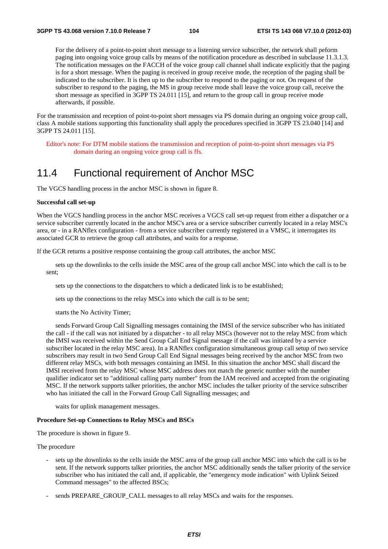For the delivery of a point-to-point short message to a listening service subscriber, the network shall peform paging into ongoing voice group calls by means of the notification procedure as described in subclause 11.3.1.3. The notification messages on the FACCH of the voice group call channel shall indicate explicitly that the paging is for a short message. When the paging is received in group receive mode, the reception of the paging shall be indicated to the subscriber. It is then up to the subscriber to respond to the paging or not. On request of the subscriber to respond to the paging, the MS in group receive mode shall leave the voice group call, receive the short message as specified in 3GPP TS 24.011 [15], and return to the group call in group receive mode afterwards, if possible.

For the transmission and reception of point-to-point short messages via PS domain during an ongoing voice group call, class A mobile stations supporting this functionality shall apply the procedures specified in 3GPP TS 23.040 [14] and 3GPP TS 24.011 [15].

Editor's note: For DTM mobile stations the transmission and reception of point-to-point short messages via PS domain during an ongoing voice group call is ffs.

# 11.4 Functional requirement of Anchor MSC

The VGCS handling process in the anchor MSC is shown in figure 8.

#### **Successful call set-up**

When the VGCS handling process in the anchor MSC receives a VGCS call set-up request from either a dispatcher or a service subscriber currently located in the anchor MSC's area or a service subscriber currently located in a relay MSC's area, or - in a RANflex configuration - from a service subscriber currently registered in a VMSC, it interrogates its associated GCR to retrieve the group call attributes, and waits for a response.

If the GCR returns a positive response containing the group call attributes, the anchor MSC

 sets up the downlinks to the cells inside the MSC area of the group call anchor MSC into which the call is to be sent;

sets up the connections to the dispatchers to which a dedicated link is to be established;

sets up the connections to the relay MSCs into which the call is to be sent;

starts the No Activity Timer;

 sends Forward Group Call Signalling messages containing the IMSI of the service subscriber who has initiated the call - if the call was not initiated by a dispatcher - to all relay MSCs (however not to the relay MSC from which the IMSI was received within the Send Group Call End Signal message if the call was initiated by a service subscriber located in the relay MSC area). In a RANflex configuration simultaneous group call setup of two service subscribers may result in two Send Group Call End Signal messages being received by the anchor MSC from two different relay MSCs, with both messages containing an IMSI. In this situation the anchor MSC shall discard the IMSI received from the relay MSC whose MSC address does not match the generic number with the number qualifier indicator set to "additional calling party number" from the IAM received and accepted from the originating MSC. If the network supports talker priorities, the anchor MSC includes the talker priority of the service subscriber who has initiated the call in the Forward Group Call Signalling messages; and

waits for uplink management messages.

#### **Procedure Set-up Connections to Relay MSCs and BSCs**

The procedure is shown in figure 9.

The procedure

- sets up the downlinks to the cells inside the MSC area of the group call anchor MSC into which the call is to be sent. If the network supports talker priorities, the anchor MSC additionally sends the talker priority of the service subscriber who has initiated the call and, if applicable, the "emergency mode indication" with Uplink Seized Command messages" to the affected BSCs;
- sends PREPARE\_GROUP\_CALL messages to all relay MSCs and waits for the responses.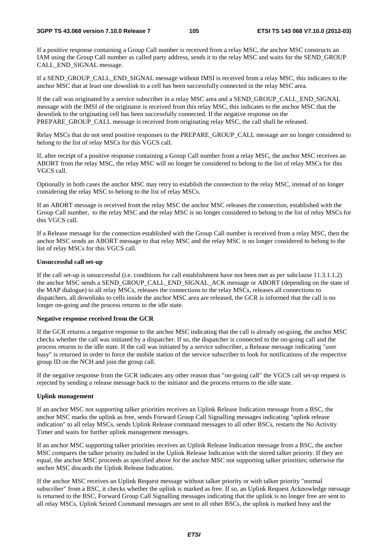If a positive response containing a Group Call number is received from a relay MSC, the anchor MSC constructs an IAM using the Group Call number as called party address, sends it to the relay MSC and waits for the SEND\_GROUP CALL\_END\_SIGNAL message.

If a SEND\_GROUP\_CALL\_END\_SIGNAL message without IMSI is received from a relay MSC, this indicates to the anchor MSC that at least one downlink to a cell has been successfully connected in the relay MSC area.

If the call was originated by a service subscriber in a relay MSC area and a SEND\_GROUP\_CALL\_END\_SIGNAL message with the IMSI of the originator is received from this relay MSC, this indicates to the anchor MSC that the downlink to the originating cell has been successfully connected. If the negative response on the PREPARE\_GROUP\_CALL message is received from originating relay MSC, the call shall be released.

Relay MSCs that do not send positive responses to the PREPARE\_GROUP\_CALL message are no longer considered to belong to the list of relay MSCs for this VGCS call.

If, after receipt of a positive response containing a Group Call number from a relay MSC, the anchor MSC receives an ABORT from the relay MSC, the relay MSC will no longer be considered to belong to the list of relay MSCs for this VGCS call.

Optionally in both cases the anchor MSC may retry to establish the connection to the relay MSC, instead of no longer considering the relay MSC to belong to the list of relay MSCs.

If an ABORT message is received from the relay MSC the anchor MSC releases the connection, established with the Group Call number, to the relay MSC and the relay MSC is no longer considered to belong to the list of relay MSCs for this VGCS call.

If a Release message for the connection established with the Group Call number is received from a relay MSC, then the anchor MSC sends an ABORT message to that relay MSC and the relay MSC is no longer considered to belong to the list of relay MSCs for this VGCS call.

#### **Unsuccessful call set-up**

If the call set-up is unsuccessful (i.e. conditions for call establishment have not been met as per subclause 11.3.1.1.2) the anchor MSC sends a SEND\_GROUP\_CALL\_END\_SIGNAL\_ACK message or ABORT (depending on the state of the MAP dialogue) to all relay MSCs, releases the connections to the relay MSCs, releases all connections to dispatchers, all downlinks to cells inside the anchor MSC area are released, the GCR is informed that the call is no longer on-going and the process returns to the idle state.

#### **Negative response received from the GCR**

If the GCR returns a negative response to the anchor MSC indicating that the call is already on-going, the anchor MSC checks whether the call was initiated by a dispatcher. If so, the dispatcher is connected to the on-going call and the process returns to the idle state. If the call was initiated by a service subscriber, a Release message indicating "user busy" is returned in order to force the mobile station of the service subscriber to look for notifications of the respective group ID on the NCH and join the group call.

If the negative response from the GCR indicates any other reason than "on-going call" the VGCS call set-up request is rejected by sending a release message back to the initiator and the process returns to the idle state.

#### **Uplink management**

If an anchor MSC not supporting talker priorities receives an Uplink Release Indication message from a BSC, the anchor MSC marks the uplink as free, sends Forward Group Call Signalling messages indicating "uplink release indication" to all relay MSCs, sends Uplink Release command messages to all other BSCs, restarts the No Activity Timer and waits for further uplink management messages.

If an anchor MSC supporting talker priorities receives an Uplink Release Indication message from a BSC, the anchor MSC compares the talker priority included in the Uplink Release Indication with the stored talker priority. If they are equal, the anchor MSC proceeds as specified above for the anchor MSC not supporting talker priorities; otherwise the anchor MSC discards the Uplink Release Indication.

If the anchor MSC receives an Uplink Request message without talker priority or with talker priority "normal subscriber" from a BSC, it checks whether the uplink is marked as free. If so, an Uplink Request Acknowledge message is returned to the BSC, Forward Group Call Signalling messages indicating that the uplink is no longer free are sent to all relay MSCs, Uplink Seized Command messages are sent to all other BSCs, the uplink is marked busy and the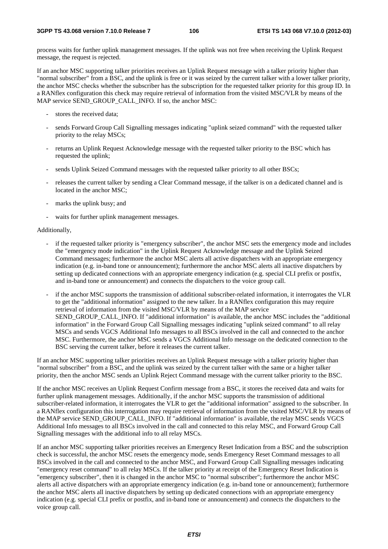process waits for further uplink management messages. If the uplink was not free when receiving the Uplink Request message, the request is rejected.

If an anchor MSC supporting talker priorities receives an Uplink Request message with a talker priority higher than "normal subscriber" from a BSC, and the uplink is free or it was seized by the current talker with a lower talker priority, the anchor MSC checks whether the subscriber has the subscription for the requested talker priority for this group ID. In a RANflex configuration this check may require retrieval of information from the visited MSC/VLR by means of the MAP service SEND\_GROUP\_CALL\_INFO. If so, the anchor MSC:

- stores the received data;
- sends Forward Group Call Signalling messages indicating "uplink seized command" with the requested talker priority to the relay MSCs;
- returns an Uplink Request Acknowledge message with the requested talker priority to the BSC which has requested the uplink;
- sends Uplink Seized Command messages with the requested talker priority to all other BSCs;
- releases the current talker by sending a Clear Command message, if the talker is on a dedicated channel and is located in the anchor MSC:
- marks the uplink busy; and
- waits for further uplink management messages.

#### Additionally,

- if the requested talker priority is "emergency subscriber", the anchor MSC sets the emergency mode and includes the "emergency mode indication" in the Uplink Request Acknowledge message and the Uplink Seized Command messages; furthermore the anchor MSC alerts all active dispatchers with an appropriate emergency indication (e.g. in-band tone or announcement); furthermore the anchor MSC alerts all inactive dispatchers by setting up dedicated connections with an appropriate emergency indication (e.g. special CLI prefix or postfix, and in-band tone or announcement) and connects the dispatchers to the voice group call.
- if the anchor MSC supports the transmission of additional subscriber-related information, it interrogates the VLR to get the "additional information" assigned to the new talker. In a RANflex configuration this may require retrieval of information from the visited MSC/VLR by means of the MAP service SEND\_GROUP\_CALL\_INFO. If "additional information" is available, the anchor MSC includes the "additional information" in the Forward Group Call Signalling messages indicating "uplink seized command" to all relay MSCs and sends VGCS Additional Info messages to all BSCs involved in the call and connected to the anchor MSC. Furthermore, the anchor MSC sends a VGCS Additional Info message on the dedicated connection to the BSC serving the current talker, before it releases the current talker.

If an anchor MSC supporting talker priorities receives an Uplink Request message with a talker priority higher than "normal subscriber" from a BSC, and the uplink was seized by the current talker with the same or a higher talker priority, then the anchor MSC sends an Uplink Reject Command message with the current talker priority to the BSC.

If the anchor MSC receives an Uplink Request Confirm message from a BSC, it stores the received data and waits for further uplink management messages. Additionally, if the anchor MSC supports the transmission of additional subscriber-related information, it interrogates the VLR to get the "additional information" assigned to the subscriber. In a RANflex configuration this interrogation may require retrieval of information from the visited MSC/VLR by means of the MAP service SEND\_GROUP\_CALL\_INFO. If "additional information" is available, the relay MSC sends VGCS Additional Info messages to all BSCs involved in the call and connected to this relay MSC, and Forward Group Call Signalling messages with the additional info to all relay MSCs.

If an anchor MSC supporting talker priorities receives an Emergency Reset Indication from a BSC and the subscription check is successful, the anchor MSC resets the emergency mode, sends Emergency Reset Command messages to all BSCs involved in the call and connected to the anchor MSC, and Forward Group Call Signalling messages indicating "emergency reset command" to all relay MSCs. If the talker priority at receipt of the Emergency Reset Indication is "emergency subscriber", then it is changed in the anchor MSC to "normal subscriber"; furthermore the anchor MSC alerts all active dispatchers with an appropriate emergency indication (e.g. in-band tone or announcement); furthermore the anchor MSC alerts all inactive dispatchers by setting up dedicated connections with an appropriate emergency indication (e.g. special CLI prefix or postfix, and in-band tone or announcement) and connects the dispatchers to the voice group call.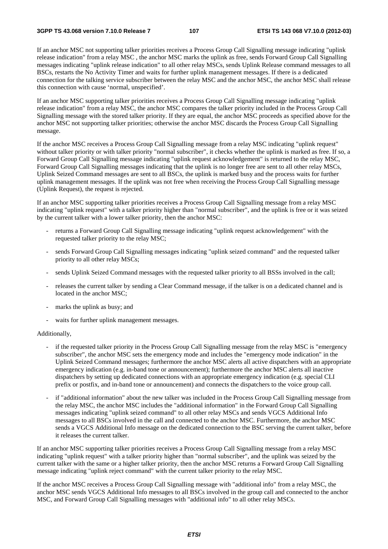If an anchor MSC not supporting talker priorities receives a Process Group Call Signalling message indicating "uplink release indication" from a relay MSC , the anchor MSC marks the uplink as free, sends Forward Group Call Signalling messages indicating "uplink release indication" to all other relay MSCs, sends Uplink Release command messages to all BSCs, restarts the No Activity Timer and waits for further uplink management messages. If there is a dedicated connection for the talking service subscriber between the relay MSC and the anchor MSC, the anchor MSC shall release this connection with cause 'normal, unspecified'.

If an anchor MSC supporting talker priorities receives a Process Group Call Signalling message indicating "uplink release indication" from a relay MSC, the anchor MSC compares the talker priority included in the Process Group Call Signalling message with the stored talker priority. If they are equal, the anchor MSC proceeds as specified above for the anchor MSC not supporting talker priorities; otherwise the anchor MSC discards the Process Group Call Signalling message.

If the anchor MSC receives a Process Group Call Signalling message from a relay MSC indicating "uplink request" without talker priority or with talker priority "normal subscriber", it checks whether the uplink is marked as free. If so, a Forward Group Call Signalling message indicating "uplink request acknowledgement" is returned to the relay MSC, Forward Group Call Signalling messages indicating that the uplink is no longer free are sent to all other relay MSCs, Uplink Seized Command messages are sent to all BSCs, the uplink is marked busy and the process waits for further uplink management messages. If the uplink was not free when receiving the Process Group Call Signalling message (Uplink Request), the request is rejected.

If an anchor MSC supporting talker priorities receives a Process Group Call Signalling message from a relay MSC indicating "uplink request" with a talker priority higher than "normal subscriber", and the uplink is free or it was seized by the current talker with a lower talker priority, then the anchor MSC:

- returns a Forward Group Call Signalling message indicating "uplink request acknowledgement" with the requested talker priority to the relay MSC;
- sends Forward Group Call Signalling messages indicating "uplink seized command" and the requested talker priority to all other relay MSCs;
- sends Uplink Seized Command messages with the requested talker priority to all BSSs involved in the call;
- releases the current talker by sending a Clear Command message, if the talker is on a dedicated channel and is located in the anchor MSC;
- marks the uplink as busy; and
- waits for further uplink management messages.

#### Additionally,

- if the requested talker priority in the Process Group Call Signalling message from the relay MSC is "emergency subscriber", the anchor MSC sets the emergency mode and includes the "emergency mode indication" in the Uplink Seized Command messages; furthermore the anchor MSC alerts all active dispatchers with an appropriate emergency indication (e.g. in-band tone or announcement); furthermore the anchor MSC alerts all inactive dispatchers by setting up dedicated connections with an appropriate emergency indication (e.g. special CLI prefix or postfix, and in-band tone or announcement) and connects the dispatchers to the voice group call.
- if "additional information" about the new talker was included in the Process Group Call Signalling message from the relay MSC, the anchor MSC includes the "additional information" in the Forward Group Call Signalling messages indicating "uplink seized command" to all other relay MSCs and sends VGCS Additional Info messages to all BSCs involved in the call and connected to the anchor MSC. Furthermore, the anchor MSC sends a VGCS Additional Info message on the dedicated connection to the BSC serving the current talker, before it releases the current talker.

If an anchor MSC supporting talker priorities receives a Process Group Call Signalling message from a relay MSC indicating "uplink request" with a talker priority higher than "normal subscriber", and the uplink was seized by the current talker with the same or a higher talker priority, then the anchor MSC returns a Forward Group Call Signalling message indicating "uplink reject command" with the current talker priority to the relay MSC.

If the anchor MSC receives a Process Group Call Signalling message with "additional info" from a relay MSC, the anchor MSC sends VGCS Additional Info messages to all BSCs involved in the group call and connected to the anchor MSC, and Forward Group Call Signalling messages with "additional info" to all other relay MSCs.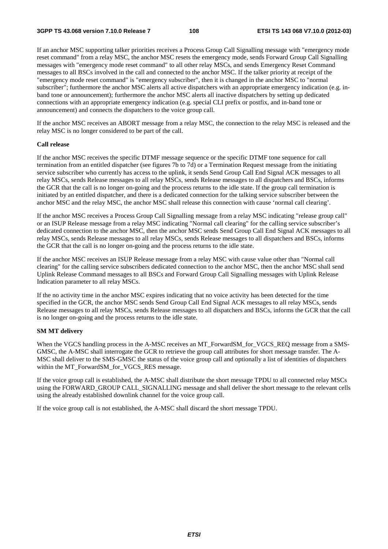If an anchor MSC supporting talker priorities receives a Process Group Call Signalling message with "emergency mode reset command" from a relay MSC, the anchor MSC resets the emergency mode, sends Forward Group Call Signalling messages with "emergency mode reset command" to all other relay MSCs, and sends Emergency Reset Command messages to all BSCs involved in the call and connected to the anchor MSC. If the talker priority at receipt of the "emergency mode reset command" is "emergency subscriber", then it is changed in the anchor MSC to "normal subscriber"; furthermore the anchor MSC alerts all active dispatchers with an appropriate emergency indication (e.g. inband tone or announcement); furthermore the anchor MSC alerts all inactive dispatchers by setting up dedicated connections with an appropriate emergency indication (e.g. special CLI prefix or postfix, and in-band tone or announcement) and connects the dispatchers to the voice group call.

If the anchor MSC receives an ABORT message from a relay MSC, the connection to the relay MSC is released and the relay MSC is no longer considered to be part of the call.

### **Call release**

If the anchor MSC receives the specific DTMF message sequence or the specific DTMF tone sequence for call termination from an entitled dispatcher (see figures 7b to 7d) or a Termination Request message from the initiating service subscriber who currently has access to the uplink, it sends Send Group Call End Signal ACK messages to all relay MSCs, sends Release messages to all relay MSCs, sends Release messages to all dispatchers and BSCs, informs the GCR that the call is no longer on-going and the process returns to the idle state. If the group call termination is initiated by an entitled dispatcher, and there is a dedicated connection for the talking service subscriber between the anchor MSC and the relay MSC, the anchor MSC shall release this connection with cause 'normal call clearing'.

If the anchor MSC receives a Process Group Call Signalling message from a relay MSC indicating "release group call" or an ISUP Release message from a relay MSC indicating "Normal call clearing" for the calling service subscriber's dedicated connection to the anchor MSC, then the anchor MSC sends Send Group Call End Signal ACK messages to all relay MSCs, sends Release messages to all relay MSCs, sends Release messages to all dispatchers and BSCs, informs the GCR that the call is no longer on-going and the process returns to the idle state.

If the anchor MSC receives an ISUP Release message from a relay MSC with cause value other than "Normal call clearing" for the calling service subscribers dedicated connection to the anchor MSC, then the anchor MSC shall send Uplink Release Command messages to all BSCs and Forward Group Call Signalling messages with Uplink Release Indication parameter to all relay MSCs.

If the no activity time in the anchor MSC expires indicating that no voice activity has been detected for the time specified in the GCR, the anchor MSC sends Send Group Call End Signal ACK messages to all relay MSCs, sends Release messages to all relay MSCs, sends Release messages to all dispatchers and BSCs, informs the GCR that the call is no longer on-going and the process returns to the idle state.

## **SM MT delivery**

When the VGCS handling process in the A-MSC receives an MT\_ForwardSM\_for\_VGCS\_REQ message from a SMS-GMSC, the A-MSC shall interrogate the GCR to retrieve the group call attributes for short message transfer. The A-MSC shall deliver to the SMS-GMSC the status of the voice group call and optionally a list of identities of dispatchers within the MT\_ForwardSM\_for\_VGCS\_RES message.

If the voice group call is established, the A-MSC shall distribute the short message TPDU to all connected relay MSCs using the FORWARD\_GROUP CALL\_SIGNALLING message and shall deliver the short message to the relevant cells using the already established downlink channel for the voice group call.

If the voice group call is not established, the A-MSC shall discard the short message TPDU.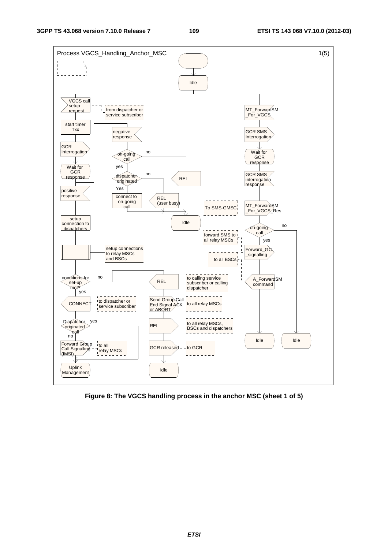

**Figure 8: The VGCS handling process in the anchor MSC (sheet 1 of 5)**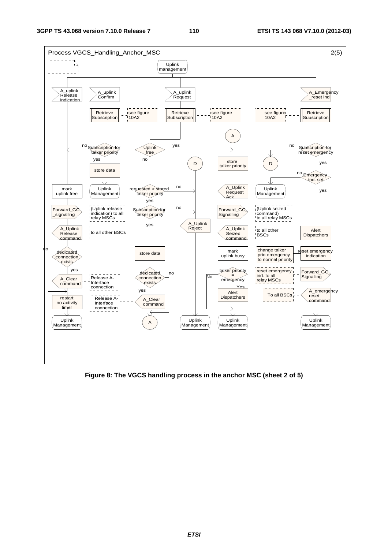

**Figure 8: The VGCS handling process in the anchor MSC (sheet 2 of 5)**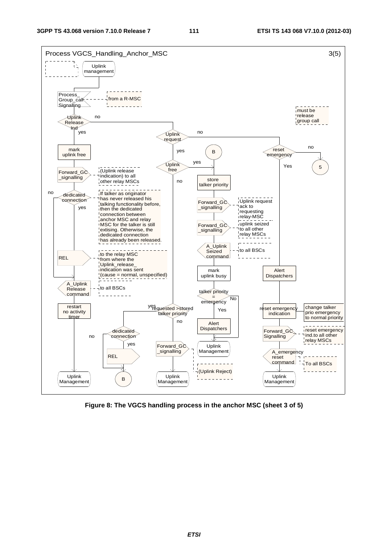

**Figure 8: The VGCS handling process in the anchor MSC (sheet 3 of 5)**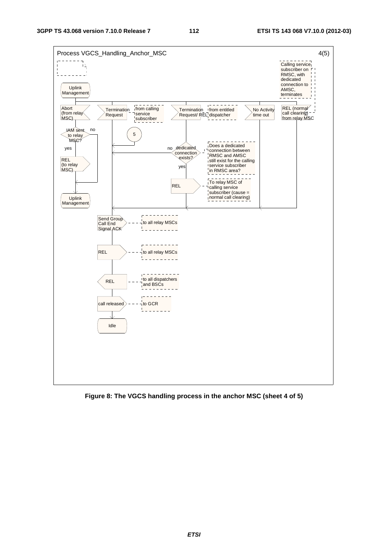

**Figure 8: The VGCS handling process in the anchor MSC (sheet 4 of 5)**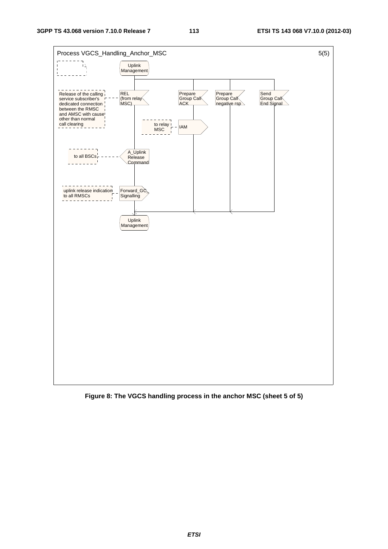

**Figure 8: The VGCS handling process in the anchor MSC (sheet 5 of 5)**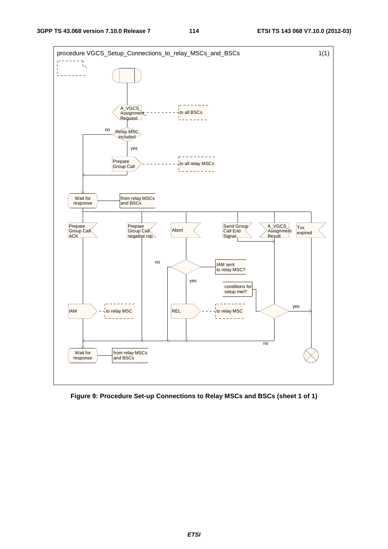

**Figure 9: Procedure Set-up Connections to Relay MSCs and BSCs (sheet 1 of 1)**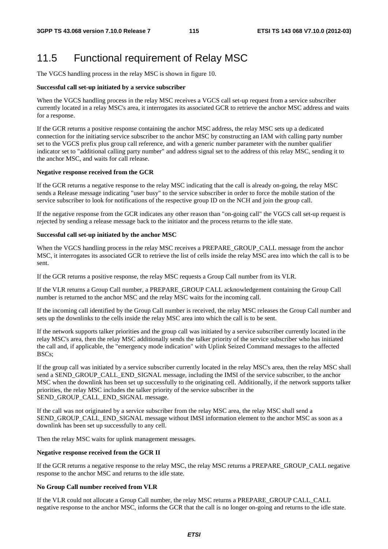# 11.5 Functional requirement of Relay MSC

The VGCS handling process in the relay MSC is shown in figure 10.

## **Successful call set-up initiated by a service subscriber**

When the VGCS handling process in the relay MSC receives a VGCS call set-up request from a service subscriber currently located in a relay MSC's area, it interrogates its associated GCR to retrieve the anchor MSC address and waits for a response.

If the GCR returns a positive response containing the anchor MSC address, the relay MSC sets up a dedicated connection for the initiating service subscriber to the anchor MSC by constructing an IAM with calling party number set to the VGCS prefix plus group call reference, and with a generic number parameter with the number qualifier indicator set to "additional calling party number" and address signal set to the address of this relay MSC, sending it to the anchor MSC, and waits for call release.

### **Negative response received from the GCR**

If the GCR returns a negative response to the relay MSC indicating that the call is already on-going, the relay MSC sends a Release message indicating "user busy" to the service subscriber in order to force the mobile station of the service subscriber to look for notifications of the respective group ID on the NCH and join the group call.

If the negative response from the GCR indicates any other reason than "on-going call" the VGCS call set-up request is rejected by sending a release message back to the initiator and the process returns to the idle state.

### **Successful call set-up initiated by the anchor MSC**

When the VGCS handling process in the relay MSC receives a PREPARE\_GROUP\_CALL message from the anchor MSC, it interrogates its associated GCR to retrieve the list of cells inside the relay MSC area into which the call is to be sent.

If the GCR returns a positive response, the relay MSC requests a Group Call number from its VLR.

If the VLR returns a Group Call number, a PREPARE\_GROUP CALL acknowledgement containing the Group Call number is returned to the anchor MSC and the relay MSC waits for the incoming call.

If the incoming call identified by the Group Call number is received, the relay MSC releases the Group Call number and sets up the downlinks to the cells inside the relay MSC area into which the call is to be sent.

If the network supports talker priorities and the group call was initiated by a service subscriber currently located in the relay MSC's area, then the relay MSC additionally sends the talker priority of the service subscriber who has initiated the call and, if applicable, the "emergency mode indication" with Uplink Seized Command messages to the affected BSCs;

If the group call was initiated by a service subscriber currently located in the relay MSC's area, then the relay MSC shall send a SEND\_GROUP\_CALL\_END\_SIGNAL message, including the IMSI of the service subscriber, to the anchor MSC when the downlink has been set up successfully to the originating cell. Additionally, if the network supports talker priorities, the relay MSC includes the talker priority of the service subscriber in the SEND\_GROUP\_CALL\_END\_SIGNAL message.

If the call was not originated by a service subscriber from the relay MSC area, the relay MSC shall send a SEND\_GROUP\_CALL\_END\_SIGNAL message without IMSI information element to the anchor MSC as soon as a downlink has been set up successfully to any cell.

Then the relay MSC waits for uplink management messages.

## **Negative response received from the GCR II**

If the GCR returns a negative response to the relay MSC, the relay MSC returns a PREPARE\_GROUP\_CALL negative response to the anchor MSC and returns to the idle state.

## **No Group Call number received from VLR**

If the VLR could not allocate a Group Call number, the relay MSC returns a PREPARE\_GROUP CALL\_CALL negative response to the anchor MSC, informs the GCR that the call is no longer on-going and returns to the idle state.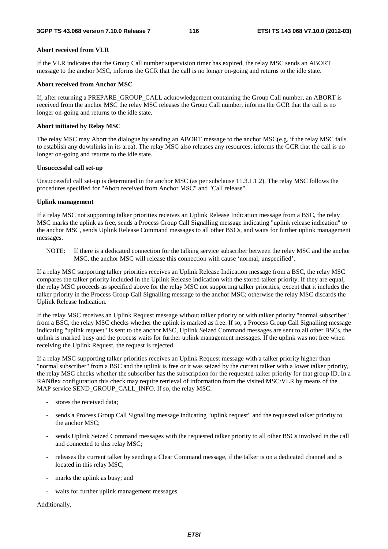## **Abort received from VLR**

If the VLR indicates that the Group Call number supervision timer has expired, the relay MSC sends an ABORT message to the anchor MSC, informs the GCR that the call is no longer on-going and returns to the idle state.

## **Abort received from Anchor MSC**

If, after returning a PREPARE\_GROUP\_CALL acknowledgement containing the Group Call number, an ABORT is received from the anchor MSC the relay MSC releases the Group Call number, informs the GCR that the call is no longer on-going and returns to the idle state.

## **Abort initiated by Relay MSC**

The relay MSC may Abort the dialogue by sending an ABORT message to the anchor MSC(e.g. if the relay MSC fails to establish any downlinks in its area). The relay MSC also releases any resources, informs the GCR that the call is no longer on-going and returns to the idle state.

## **Unsuccessful call set-up**

Unsuccessful call set-up is determined in the anchor MSC (as per subclause 11.3.1.1.2). The relay MSC follows the procedures specified for "Abort received from Anchor MSC" and "Call release".

## **Uplink management**

If a relay MSC not supporting talker priorities receives an Uplink Release Indication message from a BSC, the relay MSC marks the uplink as free, sends a Process Group Call Signalling message indicating "uplink release indication" to the anchor MSC, sends Uplink Release Command messages to all other BSCs, and waits for further uplink management messages.

NOTE: If there is a dedicated connection for the talking service subscriber between the relay MSC and the anchor MSC, the anchor MSC will release this connection with cause 'normal, unspecified'.

If a relay MSC supporting talker priorities receives an Uplink Release Indication message from a BSC, the relay MSC compares the talker priority included in the Uplink Release Indication with the stored talker priority. If they are equal, the relay MSC proceeds as specified above for the relay MSC not supporting talker priorities, except that it includes the talker priority in the Process Group Call Signalling message to the anchor MSC; otherwise the relay MSC discards the Uplink Release Indication.

If the relay MSC receives an Uplink Request message without talker priority or with talker priority "normal subscriber" from a BSC, the relay MSC checks whether the uplink is marked as free. If so, a Process Group Call Signalling message indicating "uplink request" is sent to the anchor MSC, Uplink Seized Command messages are sent to all other BSCs, the uplink is marked busy and the process waits for further uplink management messages. If the uplink was not free when receiving the Uplink Request, the request is rejected.

If a relay MSC supporting talker priorities receives an Uplink Request message with a talker priority higher than "normal subscriber" from a BSC and the uplink is free or it was seized by the current talker with a lower talker priority, the relay MSC checks whether the subscriber has the subscription for the requested talker priority for that group ID. In a RANflex configuration this check may require retrieval of information from the visited MSC/VLR by means of the MAP service SEND\_GROUP\_CALL\_INFO. If so, the relay MSC:

- stores the received data;
- sends a Process Group Call Signalling message indicating "uplink request" and the requested talker priority to the anchor MSC;
- sends Uplink Seized Command messages with the requested talker priority to all other BSCs involved in the call and connected to this relay MSC;
- releases the current talker by sending a Clear Command message, if the talker is on a dedicated channel and is located in this relay MSC;
- marks the uplink as busy; and
- waits for further uplink management messages.

Additionally,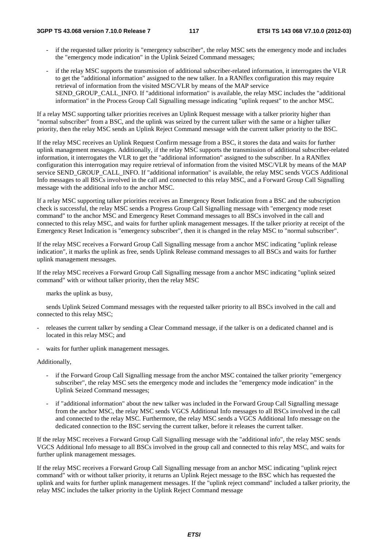- if the requested talker priority is "emergency subscriber", the relay MSC sets the emergency mode and includes the "emergency mode indication" in the Uplink Seized Command messages;
- if the relay MSC supports the transmission of additional subscriber-related information, it interrogates the VLR to get the "additional information" assigned to the new talker. In a RANflex configuration this may require retrieval of information from the visited MSC/VLR by means of the MAP service SEND\_GROUP\_CALL\_INFO. If "additional information" is available, the relay MSC includes the "additional information" in the Process Group Call Signalling message indicating "uplink request" to the anchor MSC.

If a relay MSC supporting talker priorities receives an Uplink Request message with a talker priority higher than "normal subscriber" from a BSC, and the uplink was seized by the current talker with the same or a higher talker priority, then the relay MSC sends an Uplink Reject Command message with the current talker priority to the BSC.

If the relay MSC receives an Uplink Request Confirm message from a BSC, it stores the data and waits for further uplink management messages. Additionally, if the relay MSC supports the transmission of additional subscriber-related information, it interrogates the VLR to get the "additional information" assigned to the subscriber. In a RANflex configuration this interrogation may require retrieval of information from the visited MSC/VLR by means of the MAP service SEND\_GROUP\_CALL\_INFO. If "additional information" is available, the relay MSC sends VGCS Additional Info messages to all BSCs involved in the call and connected to this relay MSC, and a Forward Group Call Signalling message with the additional info to the anchor MSC.

If a relay MSC supporting talker priorities receives an Emergency Reset Indication from a BSC and the subscription check is successful, the relay MSC sends a Progress Group Call Signalling message with "emergency mode reset command" to the anchor MSC and Emergency Reset Command messages to all BSCs involved in the call and connected to this relay MSC, and waits for further uplink management messages. If the talker priority at receipt of the Emergency Reset Indication is "emergency subscriber", then it is changed in the relay MSC to "normal subscriber".

If the relay MSC receives a Forward Group Call Signalling message from a anchor MSC indicating "uplink release indication", it marks the uplink as free, sends Uplink Release command messages to all BSCs and waits for further uplink management messages.

If the relay MSC receives a Forward Group Call Signalling message from a anchor MSC indicating "uplink seized command" with or without talker priority, then the relay MSC

marks the uplink as busy,

 sends Uplink Seized Command messages with the requested talker priority to all BSCs involved in the call and connected to this relay MSC;

- releases the current talker by sending a Clear Command message, if the talker is on a dedicated channel and is located in this relay MSC; and
- waits for further uplink management messages.

Additionally,

- if the Forward Group Call Signalling message from the anchor MSC contained the talker priority "emergency" subscriber", the relay MSC sets the emergency mode and includes the "emergency mode indication" in the Uplink Seized Command messages;
- if "additional information" about the new talker was included in the Forward Group Call Signalling message from the anchor MSC, the relay MSC sends VGCS Additional Info messages to all BSCs involved in the call and connected to the relay MSC. Furthermore, the relay MSC sends a VGCS Additional Info message on the dedicated connection to the BSC serving the current talker, before it releases the current talker.

If the relay MSC receives a Forward Group Call Signalling message with the "additional info", the relay MSC sends VGCS Additional Info message to all BSCs involved in the group call and connected to this relay MSC, and waits for further uplink management messages.

If the relay MSC receives a Forward Group Call Signalling message from an anchor MSC indicating "uplink reject command" with or without talker priority, it returns an Uplink Reject message to the BSC which has requested the uplink and waits for further uplink management messages. If the "uplink reject command" included a talker priority, the relay MSC includes the talker priority in the Uplink Reject Command message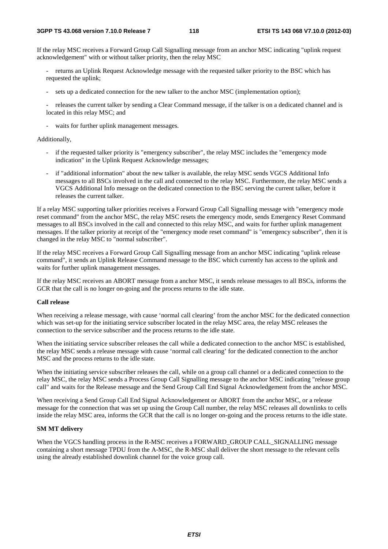If the relay MSC receives a Forward Group Call Signalling message from an anchor MSC indicating "uplink request acknowledgement" with or without talker priority, then the relay MSC

- returns an Uplink Request Acknowledge message with the requested talker priority to the BSC which has requested the uplink;
- sets up a dedicated connection for the new talker to the anchor MSC (implementation option);
- releases the current talker by sending a Clear Command message, if the talker is on a dedicated channel and is located in this relay MSC; and
- waits for further uplink management messages.

## Additionally,

- if the requested talker priority is "emergency subscriber", the relay MSC includes the "emergency mode indication" in the Uplink Request Acknowledge messages;
- if "additional information" about the new talker is available, the relay MSC sends VGCS Additional Info messages to all BSCs involved in the call and connected to the relay MSC. Furthermore, the relay MSC sends a VGCS Additional Info message on the dedicated connection to the BSC serving the current talker, before it releases the current talker.

If a relay MSC supporting talker priorities receives a Forward Group Call Signalling message with "emergency mode reset command" from the anchor MSC, the relay MSC resets the emergency mode, sends Emergency Reset Command messages to all BSCs involved in the call and connected to this relay MSC, and waits for further uplink management messages. If the talker priority at receipt of the "emergency mode reset command" is "emergency subscriber", then it is changed in the relay MSC to "normal subscriber".

If the relay MSC receives a Forward Group Call Signalling message from an anchor MSC indicating "uplink release command", it sends an Uplink Release Command message to the BSC which currently has access to the uplink and waits for further uplink management messages.

If the relay MSC receives an ABORT message from a anchor MSC, it sends release messages to all BSCs, informs the GCR that the call is no longer on-going and the process returns to the idle state.

### **Call release**

When receiving a release message, with cause 'normal call clearing' from the anchor MSC for the dedicated connection which was set-up for the initiating service subscriber located in the relay MSC area, the relay MSC releases the connection to the service subscriber and the process returns to the idle state.

When the initiating service subscriber releases the call while a dedicated connection to the anchor MSC is established, the relay MSC sends a release message with cause 'normal call clearing' for the dedicated connection to the anchor MSC and the process returns to the idle state.

When the initiating service subscriber releases the call, while on a group call channel or a dedicated connection to the relay MSC, the relay MSC sends a Process Group Call Signalling message to the anchor MSC indicating "release group call" and waits for the Release message and the Send Group Call End Signal Acknowledgement from the anchor MSC.

When receiving a Send Group Call End Signal Acknowledgement or ABORT from the anchor MSC, or a release message for the connection that was set up using the Group Call number, the relay MSC releases all downlinks to cells inside the relay MSC area, informs the GCR that the call is no longer on-going and the process returns to the idle state.

## **SM MT delivery**

When the VGCS handling process in the R-MSC receives a FORWARD\_GROUP CALL\_SIGNALLING message containing a short message TPDU from the A-MSC, the R-MSC shall deliver the short message to the relevant cells using the already established downlink channel for the voice group call.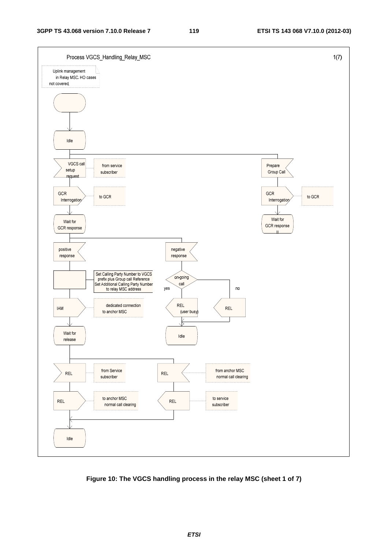

**Figure 10: The VGCS handling process in the relay MSC (sheet 1 of 7)**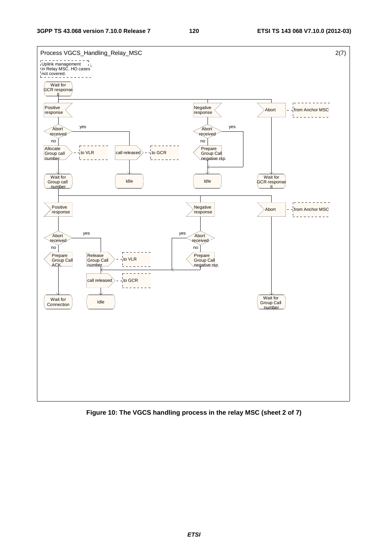

**Figure 10: The VGCS handling process in the relay MSC (sheet 2 of 7)** 

*ETSI*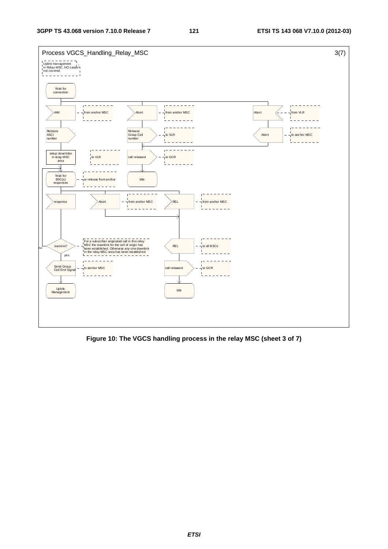

**Figure 10: The VGCS handling process in the relay MSC (sheet 3 of 7)**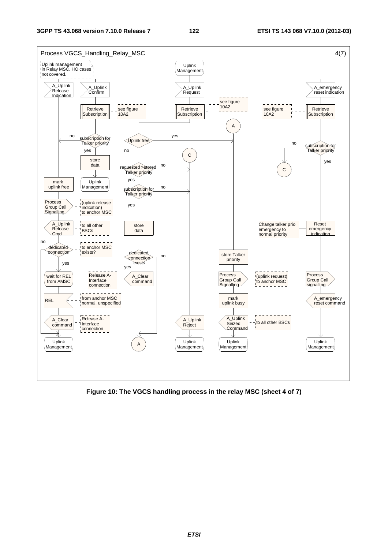

**Figure 10: The VGCS handling process in the relay MSC (sheet 4 of 7)**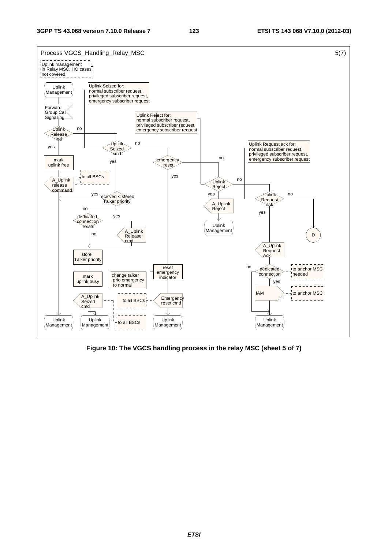

**Figure 10: The VGCS handling process in the relay MSC (sheet 5 of 7)**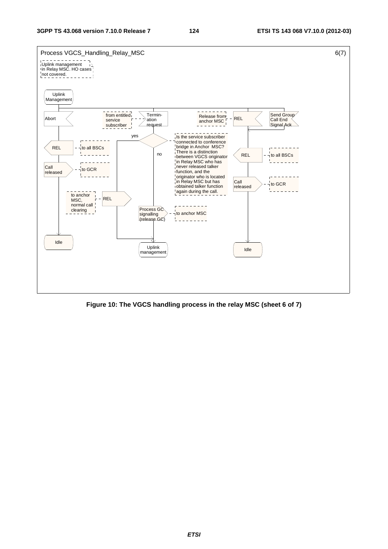

**Figure 10: The VGCS handling process in the relay MSC (sheet 6 of 7)**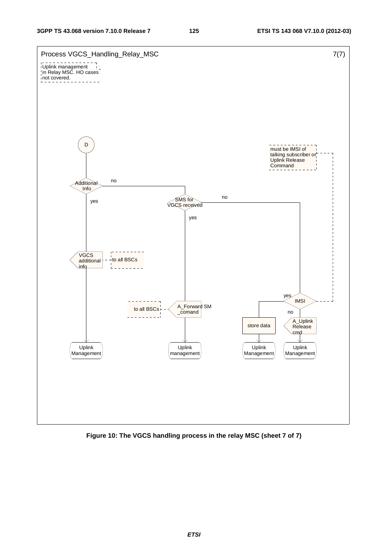

**Figure 10: The VGCS handling process in the relay MSC (sheet 7 of 7)** 

*ETSI*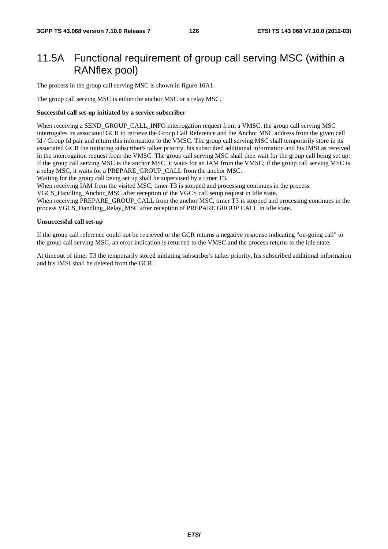# 11.5A Functional requirement of group call serving MSC (within a RANflex pool)

The process in the group call serving MSC is shown in figure 10A1.

The group call serving MSC is either the anchor MSC or a relay MSC.

## **Successful call set-up initiated by a service subscriber**

When receiving a SEND\_GROUP\_CALL\_INFO interrogation request from a VMSC, the group call serving MSC interrogates its associated GCR to retrieve the Group Call Reference and the Anchor MSC address from the given cell Id / Group Id pair and return this information to the VMSC. The group call serving MSC shall temporarily store in its associated GCR the initiating subscriber's talker priority, his subscribed additional information and his IMSI as received in the interrogation request from the VMSC. The group call serving MSC shall then wait for the group call being set up: If the group call serving MSC is the anchor MSC, it waits for an IAM from the VMSC; if the group call serving MSC is a relay MSC, it waits for a PREPARE\_GROUP\_CALL from the anchor MSC.

Waiting for the group call being set up shall be supervised by a timer T3.

When receiving IAM from the visited MSC, timer T3 is stopped and processing continues in the process

VGCS\_Handling\_Anchor\_MSC after reception of the VGCS call setup request in Idle state.

When receiving PREPARE\_GROUP\_CALL from the anchor MSC, timer T3 is stopped and processing continues in the process VGCS\_Handling\_Relay\_MSC after reception of PREPARE GROUP CALL in Idle state.

### **Unsuccessful call set-up**

If the group call reference could not be retrieved or the GCR returns a negative response indicating "on-going call" to the group call serving MSC, an error indication is returned to the VMSC and the process returns to the idle state.

At timeout of timer T3 the temporarily stored initiating subscriber's talker priority, his subscribed additional information and his IMSI shall be deleted from the GCR.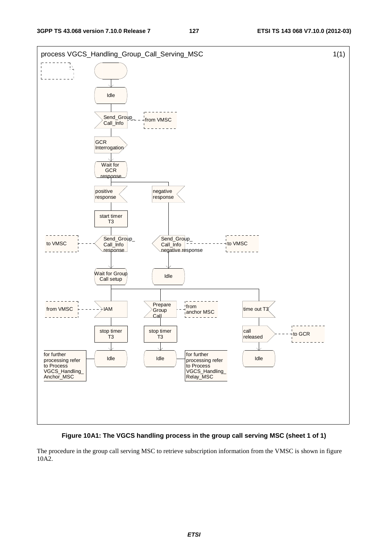



The procedure in the group call serving MSC to retrieve subscription information from the VMSC is shown in figure 10A2.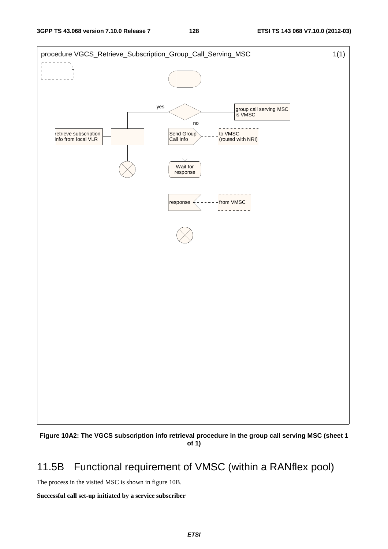

**Figure 10A2: The VGCS subscription info retrieval procedure in the group call serving MSC (sheet 1 of 1)** 

# 11.5B Functional requirement of VMSC (within a RANflex pool)

The process in the visited MSC is shown in figure 10B.

## **Successful call set-up initiated by a service subscriber**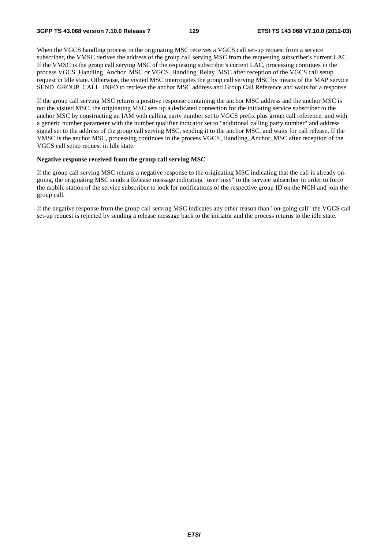**3GPP TS 43.068 version 7.10.0 Release 7 129 ETSI TS 143 068 V7.10.0 (2012-03)**

When the VGCS handling process in the originating MSC receives a VGCS call set-up request from a service subscriber, the VMSC derives the address of the group call serving MSC from the requesting subscriber's current LAC. If the VMSC is the group call serving MSC of the requesting subscriber's current LAC, processing continues in the process VGCS\_Handling\_Anchor\_MSC or VGCS\_Handling\_Relay\_MSC after reception of the VGCS call setup request in Idle state. Otherwise, the visited MSC interrogates the group call serving MSC by means of the MAP service SEND\_GROUP\_CALL\_INFO to retrieve the anchor MSC address and Group Call Reference and waits for a response.

If the group call serving MSC returns a positive response containing the anchor MSC address and the anchor MSC is not the visited MSC, the originating MSC sets up a dedicated connection for the initiating service subscriber to the anchor MSC by constructing an IAM with calling party number set to VGCS prefix plus group call reference, and with a generic number parameter with the number qualifier indicator set to "additional calling party number" and address signal set to the address of the group call serving MSC, sending it to the anchor MSC, and waits for call release. If the VMSC is the anchor MSC, processing continues in the process VGCS\_Handling\_Anchor\_MSC after reception of the VGCS call setup request in Idle state.

## **Negative response received from the group call serving MSC**

If the group call serving MSC returns a negative response to the originating MSC indicating that the call is already ongoing, the originating MSC sends a Release message indicating "user busy" to the service subscriber in order to force the mobile station of the service subscriber to look for notifications of the respective group ID on the NCH and join the group call.

If the negative response from the group call serving MSC indicates any other reason than "on-going call" the VGCS call set-up request is rejected by sending a release message back to the initiator and the process returns to the idle state.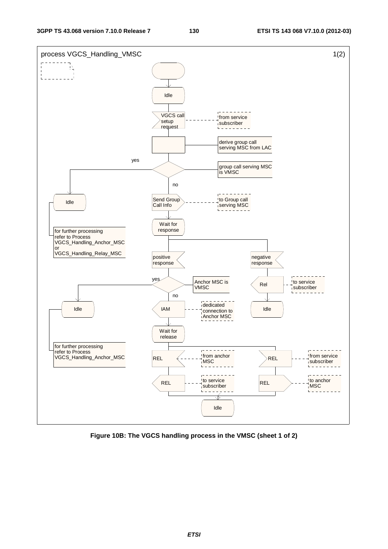

**Figure 10B: The VGCS handling process in the VMSC (sheet 1 of 2)**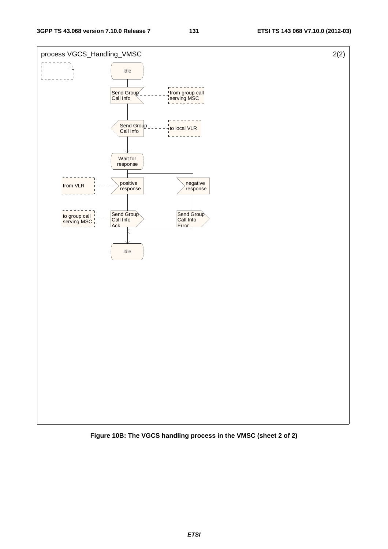

**Figure 10B: The VGCS handling process in the VMSC (sheet 2 of 2)**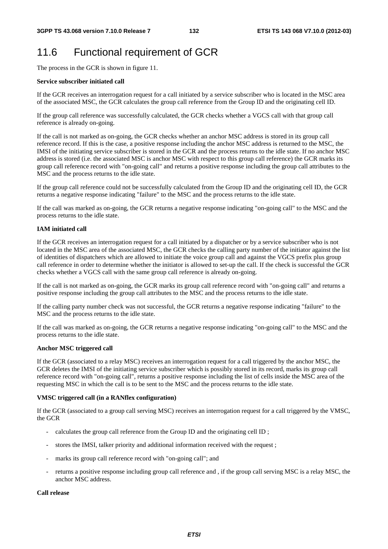# 11.6 Functional requirement of GCR

The process in the GCR is shown in figure 11.

## **Service subscriber initiated call**

If the GCR receives an interrogation request for a call initiated by a service subscriber who is located in the MSC area of the associated MSC, the GCR calculates the group call reference from the Group ID and the originating cell ID.

If the group call reference was successfully calculated, the GCR checks whether a VGCS call with that group call reference is already on-going.

If the call is not marked as on-going, the GCR checks whether an anchor MSC address is stored in its group call reference record. If this is the case, a positive response including the anchor MSC address is returned to the MSC, the IMSI of the initiating service subscriber is stored in the GCR and the process returns to the idle state. If no anchor MSC address is stored (i.e. the associated MSC is anchor MSC with respect to this group call reference) the GCR marks its group call reference record with "on-going call" and returns a positive response including the group call attributes to the MSC and the process returns to the idle state.

If the group call reference could not be successfully calculated from the Group ID and the originating cell ID, the GCR returns a negative response indicating "failure" to the MSC and the process returns to the idle state.

If the call was marked as on-going, the GCR returns a negative response indicating "on-going call" to the MSC and the process returns to the idle state.

## **IAM initiated call**

If the GCR receives an interrogation request for a call initiated by a dispatcher or by a service subscriber who is not located in the MSC area of the associated MSC, the GCR checks the calling party number of the initiator against the list of identities of dispatchers which are allowed to initiate the voice group call and against the VGCS prefix plus group call reference in order to determine whether the initiator is allowed to set-up the call. If the check is successful the GCR checks whether a VGCS call with the same group call reference is already on-going.

If the call is not marked as on-going, the GCR marks its group call reference record with "on-going call" and returns a positive response including the group call attributes to the MSC and the process returns to the idle state.

If the calling party number check was not successful, the GCR returns a negative response indicating "failure" to the MSC and the process returns to the idle state.

If the call was marked as on-going, the GCR returns a negative response indicating "on-going call" to the MSC and the process returns to the idle state.

## **Anchor MSC triggered call**

If the GCR (associated to a relay MSC) receives an interrogation request for a call triggered by the anchor MSC, the GCR deletes the IMSI of the initiating service subscriber which is possibly stored in its record, marks its group call reference record with "on-going call", returns a positive response including the list of cells inside the MSC area of the requesting MSC in which the call is to be sent to the MSC and the process returns to the idle state.

## **VMSC triggered call (in a RANflex configuration)**

If the GCR (associated to a group call serving MSC) receives an interrogation request for a call triggered by the VMSC, the GCR

- calculates the group call reference from the Group ID and the originating cell ID ;
- stores the IMSI, talker priority and additional information received with the request;
- marks its group call reference record with "on-going call"; and
- returns a positive response including group call reference and , if the group call serving MSC is a relay MSC, the anchor MSC address.

## **Call release**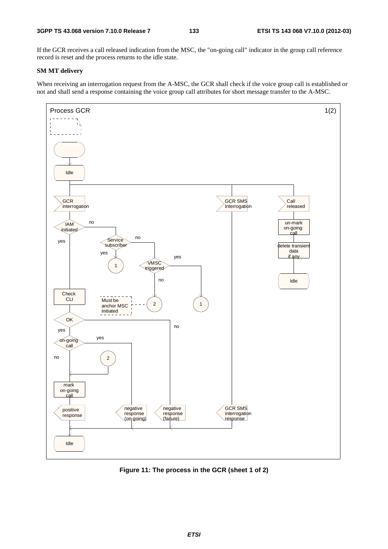If the GCR receives a call released indication from the MSC, the "on-going call" indicator in the group call reference record is reset and the process returns to the idle state.

## **SM MT delivery**

When receiving an interrogation request from the A-MSC, the GCR shall check if the voice group call is established or not and shall send a response containing the voice group call attributes for short message transfer to the A-MSC.



**Figure 11: The process in the GCR (sheet 1 of 2)**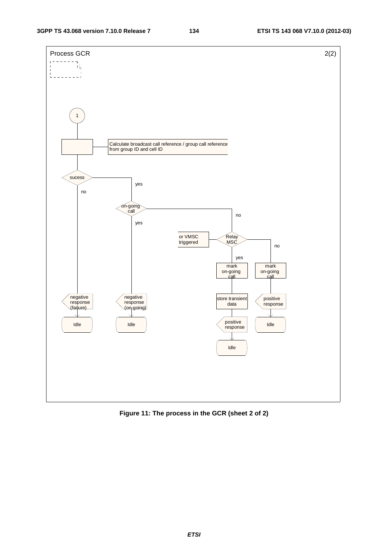

**Figure 11: The process in the GCR (sheet 2 of 2)**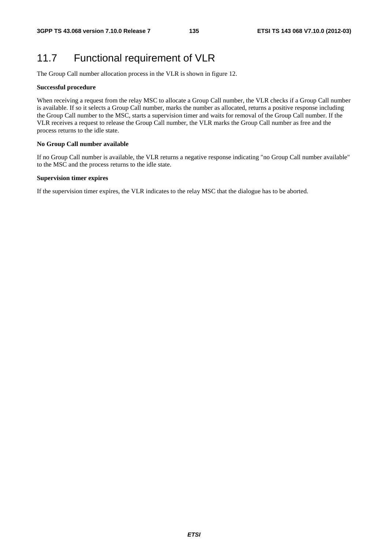# 11.7 Functional requirement of VLR

The Group Call number allocation process in the VLR is shown in figure 12.

## **Successful procedure**

When receiving a request from the relay MSC to allocate a Group Call number, the VLR checks if a Group Call number is available. If so it selects a Group Call number, marks the number as allocated, returns a positive response including the Group Call number to the MSC, starts a supervision timer and waits for removal of the Group Call number. If the VLR receives a request to release the Group Call number, the VLR marks the Group Call number as free and the process returns to the idle state.

## **No Group Call number available**

If no Group Call number is available, the VLR returns a negative response indicating "no Group Call number available" to the MSC and the process returns to the idle state.

## **Supervision timer expires**

If the supervision timer expires, the VLR indicates to the relay MSC that the dialogue has to be aborted.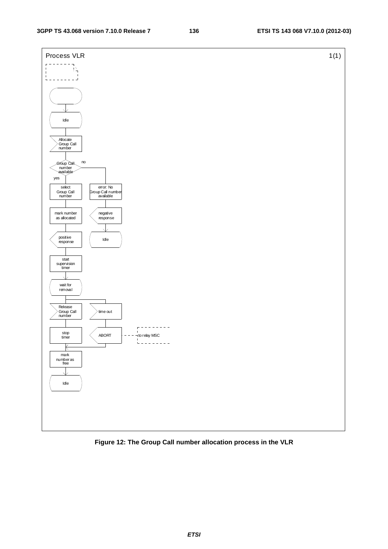## **3GPP TS 43.068 version 7.10.0 Release 7 136 ETSI TS 143 068 V7.10.0 (2012-03)**



**Figure 12: The Group Call number allocation process in the VLR** 

*ETSI*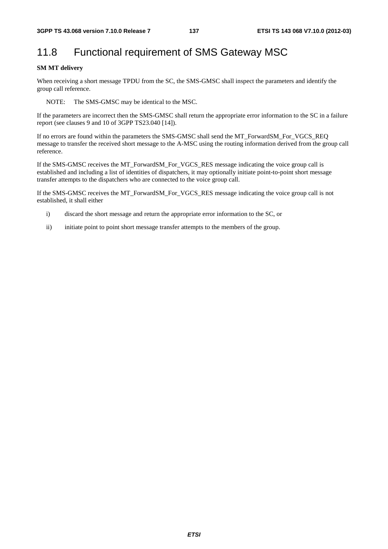# 11.8 Functional requirement of SMS Gateway MSC

## **SM MT delivery**

When receiving a short message TPDU from the SC, the SMS-GMSC shall inspect the parameters and identify the group call reference.

NOTE: The SMS-GMSC may be identical to the MSC.

If the parameters are incorrect then the SMS-GMSC shall return the appropriate error information to the SC in a failure report (see clauses 9 and 10 of 3GPP TS23.040 [14]).

If no errors are found within the parameters the SMS-GMSC shall send the MT\_ForwardSM\_For\_VGCS\_REQ message to transfer the received short message to the A-MSC using the routing information derived from the group call reference.

If the SMS-GMSC receives the MT\_ForwardSM\_For\_VGCS\_RES message indicating the voice group call is established and including a list of identities of dispatchers, it may optionally initiate point-to-point short message transfer attempts to the dispatchers who are connected to the voice group call.

If the SMS-GMSC receives the MT\_ForwardSM\_For\_VGCS\_RES message indicating the voice group call is not established, it shall either

- i) discard the short message and return the appropriate error information to the SC, or
- ii) initiate point to point short message transfer attempts to the members of the group.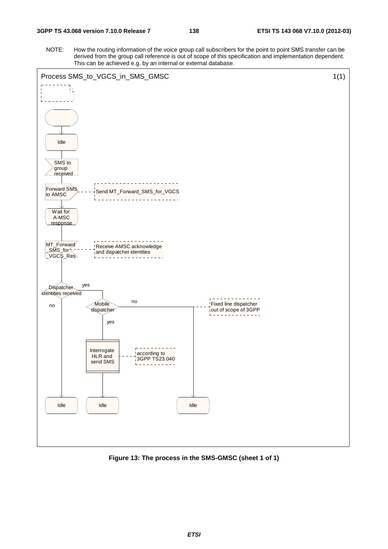NOTE: How the routing information of the voice group call subscribers for the point to point SMS transfer can be derived from the group call reference is out of scope of this specification and implementation dependent. This can be achieved e.g. by an internal or external database.



**Figure 13: The process in the SMS-GMSC (sheet 1 of 1)**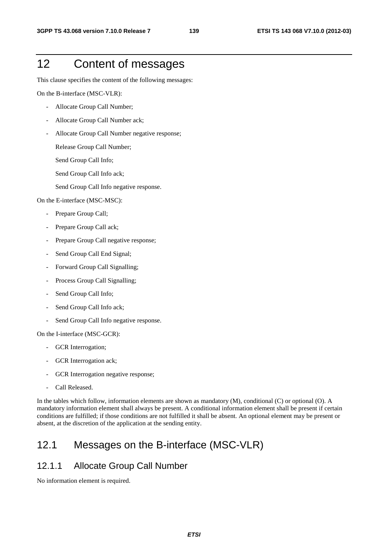# 12 Content of messages

This clause specifies the content of the following messages:

On the B-interface (MSC-VLR):

- Allocate Group Call Number;
- Allocate Group Call Number ack;
- Allocate Group Call Number negative response;

Release Group Call Number;

- Send Group Call Info;
- Send Group Call Info ack;
- Send Group Call Info negative response.

On the E-interface (MSC-MSC):

- Prepare Group Call;
- Prepare Group Call ack;
- Prepare Group Call negative response;
- Send Group Call End Signal;
- Forward Group Call Signalling;
- Process Group Call Signalling;
- Send Group Call Info;
- Send Group Call Info ack;
- Send Group Call Info negative response.

On the I-interface (MSC-GCR):

- GCR Interrogation;
- GCR Interrogation ack;
- GCR Interrogation negative response;
- Call Released.

In the tables which follow, information elements are shown as mandatory (M), conditional (C) or optional (O). A mandatory information element shall always be present. A conditional information element shall be present if certain conditions are fulfilled; if those conditions are not fulfilled it shall be absent. An optional element may be present or absent, at the discretion of the application at the sending entity.

# 12.1 Messages on the B-interface (MSC-VLR)

## 12.1.1 Allocate Group Call Number

No information element is required.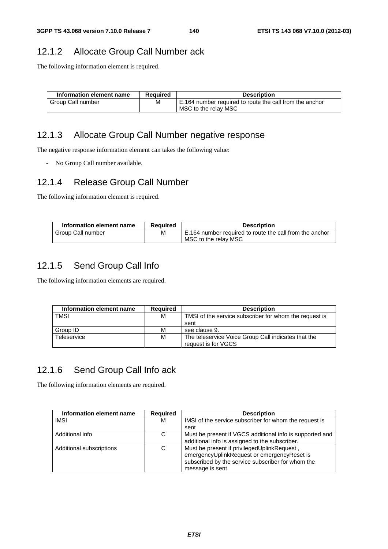# 12.1.2 Allocate Group Call Number ack

The following information element is required.

| Information element name | <b>Required</b> | <b>Description</b>                                      |
|--------------------------|-----------------|---------------------------------------------------------|
| Group Call number        | м               | E.164 number required to route the call from the anchor |
|                          |                 | MSC to the relay MSC                                    |

## 12.1.3 Allocate Group Call Number negative response

The negative response information element can takes the following value:

- No Group Call number available.

## 12.1.4 Release Group Call Number

The following information element is required.

| Information element name | <b>Required</b> | <b>Description</b>                                      |
|--------------------------|-----------------|---------------------------------------------------------|
| Group Call number        | М               | E.164 number required to route the call from the anchor |
|                          |                 | MSC to the relay MSC                                    |

## 12.1.5 Send Group Call Info

The following information elements are required.

| Information element name | <b>Required</b> | <b>Description</b>                                     |
|--------------------------|-----------------|--------------------------------------------------------|
| <b>TMSI</b>              | м               | TMSI of the service subscriber for whom the request is |
|                          |                 | sent                                                   |
| Group ID                 | м               | see clause 9.                                          |
| Teleservice              | м               | The teleservice Voice Group Call indicates that the    |
|                          |                 | request is for VGCS                                    |

## 12.1.6 Send Group Call Info ack

The following information elements are required.

| Information element name | <b>Required</b> | <b>Description</b>                                                                                                                                                 |
|--------------------------|-----------------|--------------------------------------------------------------------------------------------------------------------------------------------------------------------|
| <b>IMSI</b>              | м               | IMSI of the service subscriber for whom the request is                                                                                                             |
|                          |                 | sent                                                                                                                                                               |
| Additional info          | С               | Must be present if VGCS additional info is supported and<br>additional info is assigned to the subscriber.                                                         |
| Additional subscriptions | C               | Must be present if privilegedUplinkRequest,<br>emergencyUplinkRequest or emergencyReset is<br>subscribed by the service subscriber for whom the<br>message is sent |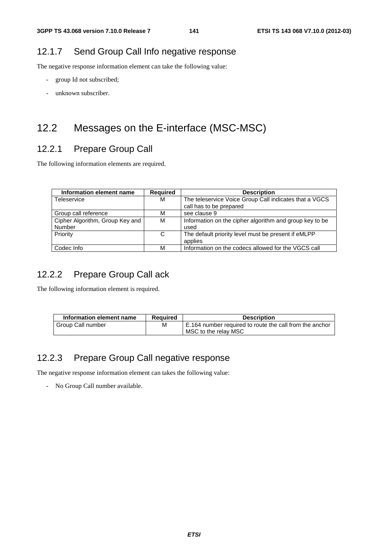## 12.1.7 Send Group Call Info negative response

The negative response information element can take the following value:

- group Id not subscribed;
- unknown subscriber.

# 12.2 Messages on the E-interface (MSC-MSC)

# 12.2.1 Prepare Group Call

The following information elements are required.

| Information element name        | <b>Required</b> | <b>Description</b>                                      |
|---------------------------------|-----------------|---------------------------------------------------------|
| Teleservice                     | м               | The teleservice Voice Group Call indicates that a VGCS  |
|                                 |                 | call has to be prepared                                 |
| Group call reference            | М               | see clause 9                                            |
| Cipher Algorithm, Group Key and | м               | Information on the cipher algorithm and group key to be |
| Number                          |                 | used                                                    |
| Priority                        | C               | The default priority level must be present if eMLPP     |
|                                 |                 | applies                                                 |
| Codec Info                      | м               | Information on the codecs allowed for the VGCS call     |

## 12.2.2 Prepare Group Call ack

The following information element is required.

| Information element name | Required | <b>Description</b>                                                              |
|--------------------------|----------|---------------------------------------------------------------------------------|
| Group Call number        | м        | E.164 number required to route the call from the anchor<br>MSC to the relay MSC |

## 12.2.3 Prepare Group Call negative response

The negative response information element can takes the following value:

- No Group Call number available.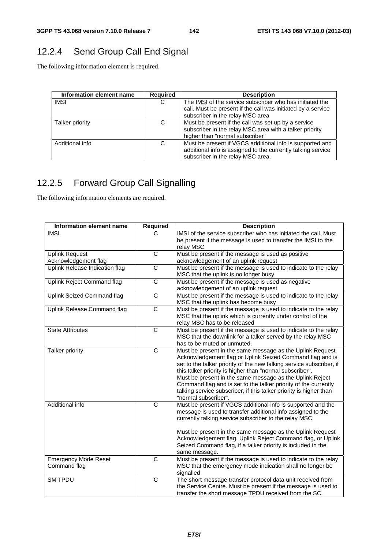# 12.2.4 Send Group Call End Signal

The following information element is required.

| Information element name | <b>Required</b> | <b>Description</b>                                                                                                                                            |
|--------------------------|-----------------|---------------------------------------------------------------------------------------------------------------------------------------------------------------|
| <b>IMSI</b>              | С               | The IMSI of the service subscriber who has initiated the<br>call. Must be present if the call was initiated by a service<br>subscriber in the relay MSC area  |
| Talker priority          | C               | Must be present if the call was set up by a service<br>subscriber in the relay MSC area with a talker priority<br>higher than "normal subscriber"             |
| Additional info          | C               | Must be present if VGCS additional info is supported and<br>additional info is assigned to the currently talking service<br>subscriber in the relay MSC area. |

# 12.2.5 Forward Group Call Signalling

The following information elements are required.

| Information element name                    | <b>Required</b>       | <b>Description</b>                                                                                                                                                                                                                                                                                                                                                                                                                                                                      |
|---------------------------------------------|-----------------------|-----------------------------------------------------------------------------------------------------------------------------------------------------------------------------------------------------------------------------------------------------------------------------------------------------------------------------------------------------------------------------------------------------------------------------------------------------------------------------------------|
| <b>IMSI</b>                                 | C                     | IMSI of the service subscriber who has initiated the call. Must<br>be present if the message is used to transfer the IMSI to the<br>relay MSC                                                                                                                                                                                                                                                                                                                                           |
| <b>Uplink Request</b>                       | $\overline{C}$        | Must be present if the message is used as positive                                                                                                                                                                                                                                                                                                                                                                                                                                      |
| Acknowledgement flag                        |                       | acknowledgement of an uplink request                                                                                                                                                                                                                                                                                                                                                                                                                                                    |
| Uplink Release Indication flag              | $\overline{\text{c}}$ | Must be present if the message is used to indicate to the relay<br>MSC that the uplink is no longer busy                                                                                                                                                                                                                                                                                                                                                                                |
| Uplink Reject Command flag                  | C                     | Must be present if the message is used as negative<br>acknowledgement of an uplink request                                                                                                                                                                                                                                                                                                                                                                                              |
| Uplink Seized Command flag                  | C                     | Must be present if the message is used to indicate to the relay<br>MSC that the uplink has become busy                                                                                                                                                                                                                                                                                                                                                                                  |
| Uplink Release Command flag                 | $\overline{C}$        | Must be present if the message is used to indicate to the relay<br>MSC that the uplink which is currently under control of the<br>relay MSC has to be released                                                                                                                                                                                                                                                                                                                          |
| <b>State Attributes</b>                     | $\overline{C}$        | Must be present if the message is used to indicate to the relay<br>MSC that the downlink for a talker served by the relay MSC<br>has to be muted or unmuted.                                                                                                                                                                                                                                                                                                                            |
| Talker priority                             | $\overline{\text{c}}$ | Must be present in the same message as the Uplink Request<br>Acknowledgement flag or Uplink Seized Command flag and is<br>set to the talker priority of the new talking service subscriber, if<br>this talker priority is higher than "normal subscriber".<br>Must be present in the same message as the Uplink Reject<br>Command flag and is set to the talker priority of the currently<br>talking service subscriber, if this talker priority is higher than<br>"normal subscriber". |
| Additional info                             | $\overline{C}$        | Must be present if VGCS additional info is supported and the<br>message is used to transfer additional info assigned to the<br>currently talking service subscriber to the relay MSC.<br>Must be present in the same message as the Uplink Request<br>Acknowledgement flag, Uplink Reject Command flag, or Uplink<br>Seized Command flag, if a talker priority is included in the<br>same message.                                                                                      |
| <b>Emergency Mode Reset</b><br>Command flag | $\overline{C}$        | Must be present if the message is used to indicate to the relay<br>MSC that the emergency mode indication shall no longer be<br>signalled                                                                                                                                                                                                                                                                                                                                               |
| <b>SM TPDU</b>                              | C                     | The short message transfer protocol data unit received from<br>the Service Centre. Must be present if the message is used to<br>transfer the short message TPDU received from the SC.                                                                                                                                                                                                                                                                                                   |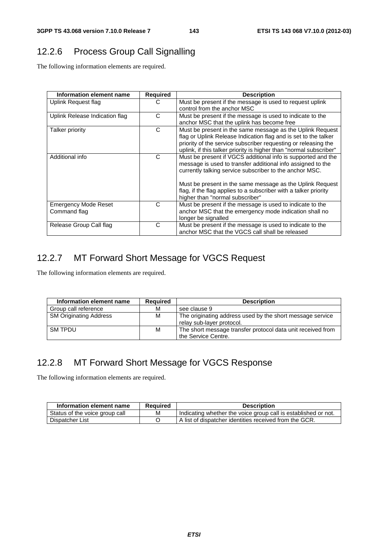# 12.2.6 Process Group Call Signalling

The following information elements are required.

| Information element name       | Required | <b>Description</b>                                                 |
|--------------------------------|----------|--------------------------------------------------------------------|
| Uplink Request flag            | C        | Must be present if the message is used to request uplink           |
|                                |          | control from the anchor MSC                                        |
| Uplink Release Indication flag | C        | Must be present if the message is used to indicate to the          |
|                                |          | anchor MSC that the uplink has become free                         |
| Talker priority                | C        | Must be present in the same message as the Uplink Request          |
|                                |          | flag or Uplink Release Indication flag and is set to the talker    |
|                                |          | priority of the service subscriber requesting or releasing the     |
|                                |          | uplink, if this talker priority is higher than "normal subscriber" |
| Additional info                | C        | Must be present if VGCS additional info is supported and the       |
|                                |          | message is used to transfer additional info assigned to the        |
|                                |          | currently talking service subscriber to the anchor MSC.            |
|                                |          | Must be present in the same message as the Uplink Request          |
|                                |          | flag, if the flag applies to a subscriber with a talker priority   |
|                                |          | higher than "normal subscriber"                                    |
| <b>Emergency Mode Reset</b>    | C        | Must be present if the message is used to indicate to the          |
| Command flag                   |          | anchor MSC that the emergency mode indication shall no             |
|                                |          | longer be signalled                                                |
| Release Group Call flag        | C        | Must be present if the message is used to indicate to the          |
|                                |          | anchor MSC that the VGCS call shall be released                    |

# 12.2.7 MT Forward Short Message for VGCS Request

The following information elements are required.

| Information element name      | <b>Required</b> | <b>Description</b>                                                                     |
|-------------------------------|-----------------|----------------------------------------------------------------------------------------|
| Group call reference          | М               | see clause 9                                                                           |
| <b>SM Originating Address</b> | M               | The originating address used by the short message service<br>relay sub-layer protocol. |
| <b>SM TPDU</b>                | М               | The short message transfer protocol data unit received from<br>the Service Centre.     |

# 12.2.8 MT Forward Short Message for VGCS Response

The following information elements are required.

| Information element name       | Reauired | <b>Description</b>                                             |
|--------------------------------|----------|----------------------------------------------------------------|
| Status of the voice group call | М        | Indicating whether the voice group call is established or not. |
| Dispatcher List                |          | LA list of dispatcher identities received from the GCR.        |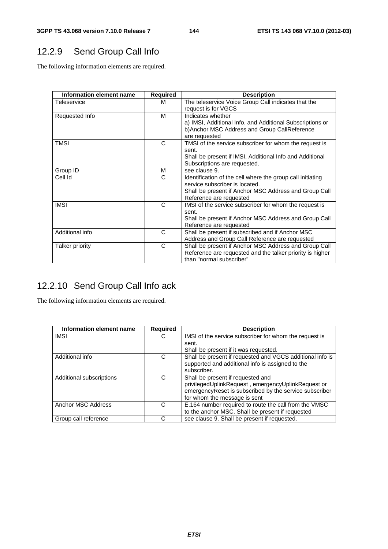# 12.2.9 Send Group Call Info

The following information elements are required.

| Information element name | Required | <b>Description</b>                                         |
|--------------------------|----------|------------------------------------------------------------|
| Teleservice              | м        | The teleservice Voice Group Call indicates that the        |
|                          |          | request is for VGCS                                        |
| Requested Info           | M        | Indicates whether                                          |
|                          |          | a) IMSI, Additional Info, and Additional Subscriptions or  |
|                          |          | b) Anchor MSC Address and Group Call Reference             |
|                          |          | are requested                                              |
| <b>TMSI</b>              | C        | TMSI of the service subscriber for whom the request is     |
|                          |          | sent.                                                      |
|                          |          | Shall be present if IMSI, Additional Info and Additional   |
|                          |          | Subscriptions are requested.                               |
| Group ID                 | м        | see clause 9.                                              |
| Cell Id                  | C        | Identification of the cell where the group call initiating |
|                          |          | service subscriber is located.                             |
|                          |          | Shall be present if Anchor MSC Address and Group Call      |
|                          |          | Reference are requested                                    |
| <b>IMSI</b>              | C        | IMSI of the service subscriber for whom the request is     |
|                          |          | sent.                                                      |
|                          |          | Shall be present if Anchor MSC Address and Group Call      |
|                          |          | Reference are requested                                    |
| Additional info          | C        | Shall be present if subscribed and if Anchor MSC           |
|                          |          | Address and Group Call Reference are requested             |
| Talker priority          | C        | Shall be present if Anchor MSC Address and Group Call      |
|                          |          | Reference are requested and the talker priority is higher  |
|                          |          | than "normal subscriber"                                   |

# 12.2.10 Send Group Call Info ack

The following information elements are required.

| Information element name | Required | <b>Description</b>                                        |
|--------------------------|----------|-----------------------------------------------------------|
| <b>IMSI</b>              | С        | IMSI of the service subscriber for whom the request is    |
|                          |          | sent.                                                     |
|                          |          | Shall be present if it was requested.                     |
| Additional info          | C        | Shall be present if requested and VGCS additional info is |
|                          |          | supported and additional info is assigned to the          |
|                          |          | subscriber.                                               |
| Additional subscriptions | C        | Shall be present if requested and                         |
|                          |          | privilegedUplinkRequest, emergencyUplinkRequest or        |
|                          |          | emergencyReset is subscribed by the service subscriber    |
|                          |          | for whom the message is sent                              |
| Anchor MSC Address       | C        | E.164 number required to route the call from the VMSC     |
|                          |          | to the anchor MSC. Shall be present if requested          |
| Group call reference     | C        | see clause 9. Shall be present if requested.              |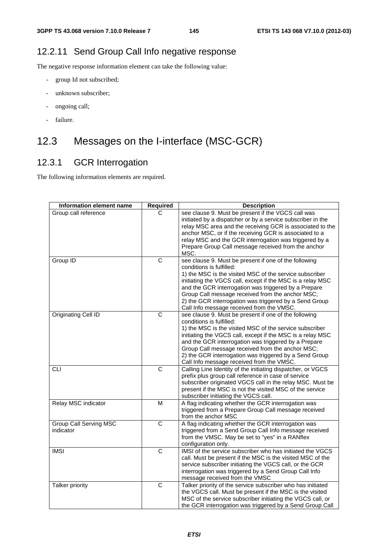## 12.2.11 Send Group Call Info negative response

The negative response information element can take the following value:

- group Id not subscribed;
- unknown subscriber;
- ongoing call;
- failure.

# 12.3 Messages on the I-interface (MSC-GCR)

## 12.3.1 GCR Interrogation

The following information elements are required.

| Information element name      | <b>Required</b>       | <b>Description</b>                                                                                  |
|-------------------------------|-----------------------|-----------------------------------------------------------------------------------------------------|
| Group call reference          | C.                    | see clause 9. Must be present if the VGCS call was                                                  |
|                               |                       | initiated by a dispatcher or by a service subscriber in the                                         |
|                               |                       | relay MSC area and the receiving GCR is associated to the                                           |
|                               |                       | anchor MSC, or if the receiving GCR is associated to a                                              |
|                               |                       | relay MSC and the GCR interrogation was triggered by a                                              |
|                               |                       | Prepare Group Call message received from the anchor                                                 |
|                               |                       | MSC.                                                                                                |
| Group ID                      | C                     | see clause 9. Must be present if one of the following                                               |
|                               |                       | conditions is fulfilled:                                                                            |
|                               |                       | 1) the MSC is the visited MSC of the service subscriber                                             |
|                               |                       | initiating the VGCS call, except if the MSC is a relay MSC                                          |
|                               |                       | and the GCR interrogation was triggered by a Prepare                                                |
|                               |                       | Group Call message received from the anchor MSC;                                                    |
|                               |                       | 2) the GCR interrogation was triggered by a Send Group<br>Call Info message received from the VMSC. |
| Originating Cell ID           | $\overline{\text{c}}$ | see clause 9. Must be present if one of the following                                               |
|                               |                       | conditions is fulfilled:                                                                            |
|                               |                       | 1) the MSC is the visited MSC of the service subscriber                                             |
|                               |                       | initiating the VGCS call, except if the MSC is a relay MSC                                          |
|                               |                       | and the GCR interrogation was triggered by a Prepare                                                |
|                               |                       | Group Call message received from the anchor MSC;                                                    |
|                               |                       | 2) the GCR interrogation was triggered by a Send Group                                              |
|                               |                       | Call Info message received from the VMSC.                                                           |
| <b>CLI</b>                    | $\overline{\text{c}}$ | Calling Line Identity of the initiating dispatcher, or VGCS                                         |
|                               |                       | prefix plus group call reference in case of service                                                 |
|                               |                       | subscriber originated VGCS call in the relay MSC. Must be                                           |
|                               |                       | present if the MSC is not the visited MSC of the service                                            |
|                               |                       | subscriber initiating the VGCS call.                                                                |
| Relay MSC indicator           | M                     | A flag indicating whether the GCR interrogation was                                                 |
|                               |                       | triggered from a Prepare Group Call message received                                                |
|                               |                       | from the anchor MSC                                                                                 |
| <b>Group Call Serving MSC</b> | $\overline{\text{c}}$ | A flag indicating whether the GCR interrogation was                                                 |
| indicator                     |                       | triggered from a Send Group Call Info message received                                              |
|                               |                       | from the VMSC. May be set to "yes" in a RANflex                                                     |
|                               |                       | configuration only.                                                                                 |
| <b>IMSI</b>                   | C                     | IMSI of the service subscriber who has initiated the VGCS                                           |
|                               |                       | call. Must be present if the MSC is the visited MSC of the                                          |
|                               |                       | service subscriber initiating the VGCS call, or the GCR                                             |
|                               |                       | interrogation was triggered by a Send Group Call Info                                               |
|                               |                       | message received from the VMSC                                                                      |
| Talker priority               | $\overline{\text{c}}$ | Talker priority of the service subscriber who has initiated                                         |
|                               |                       | the VGCS call. Must be present if the MSC is the visited                                            |
|                               |                       | MSC of the service subscriber initiating the VGCS call, or                                          |
|                               |                       | the GCR interrogation was triggered by a Send Group Call                                            |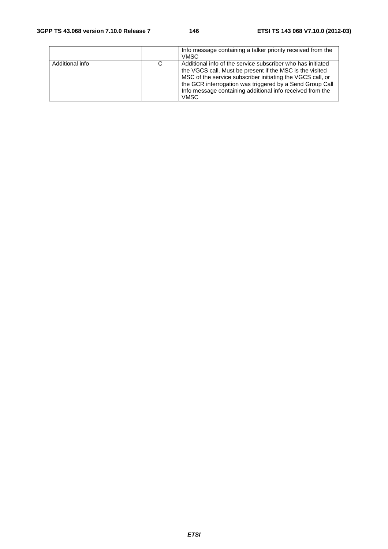|                 |   | Info message containing a talker priority received from the<br><b>VMSC</b>                                                                                                                                                                                                                                             |
|-----------------|---|------------------------------------------------------------------------------------------------------------------------------------------------------------------------------------------------------------------------------------------------------------------------------------------------------------------------|
| Additional info | C | Additional info of the service subscriber who has initiated<br>the VGCS call. Must be present if the MSC is the visited<br>MSC of the service subscriber initiating the VGCS call, or<br>the GCR interrogation was triggered by a Send Group Call<br>Info message containing additional info received from the<br>VMSC |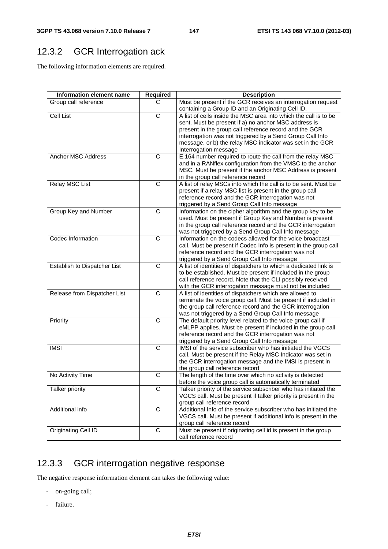# 12.3.2 GCR Interrogation ack

The following information elements are required.

| Information element name     | <b>Required</b>       | <b>Description</b>                                                                                             |
|------------------------------|-----------------------|----------------------------------------------------------------------------------------------------------------|
| Group call reference         | C                     | Must be present if the GCR receives an interrogation request                                                   |
|                              |                       | containing a Group ID and an Originating Cell ID.                                                              |
| <b>Cell List</b>             | $\overline{\text{c}}$ | A list of cells inside the MSC area into which the call is to be                                               |
|                              |                       | sent. Must be present if a) no anchor MSC address is                                                           |
|                              |                       | present in the group call reference record and the GCR                                                         |
|                              |                       | interrogation was not triggered by a Send Group Call Info                                                      |
|                              |                       | message, or b) the relay MSC indicator was set in the GCR                                                      |
|                              |                       | Interrogation message                                                                                          |
| <b>Anchor MSC Address</b>    | C                     | E.164 number required to route the call from the relay MSC                                                     |
|                              |                       | and in a RANflex configuration from the VMSC to the anchor                                                     |
|                              |                       | MSC. Must be present if the anchor MSC Address is present                                                      |
| Relay MSC List               | $\overline{C}$        | in the group call reference record<br>A list of relay MSCs into which the call is to be sent. Must be          |
|                              |                       |                                                                                                                |
|                              |                       | present if a relay MSC list is present in the group call<br>reference record and the GCR interrogation was not |
|                              |                       | triggered by a Send Group Call Info message                                                                    |
| Group Key and Number         | C                     | Information on the cipher algorithm and the group key to be                                                    |
|                              |                       | used. Must be present if Group Key and Number is present                                                       |
|                              |                       | in the group call reference record and the GCR interrogation                                                   |
|                              |                       | was not triggered by a Send Group Call Info message                                                            |
| Codec Information            | C                     | Information on the codecs allowed for the voice broadcast                                                      |
|                              |                       | call. Must be present if Codec Info is present in the group call                                               |
|                              |                       | reference record and the GCR interrogation was not                                                             |
|                              |                       | triggered by a Send Group Call Info message                                                                    |
| Establish to Dispatcher List | C                     | A list of identities of dispatchers to which a dedicated link is                                               |
|                              |                       | to be established. Must be present if included in the group                                                    |
|                              |                       | call reference record. Note that the CLI possibly received                                                     |
|                              |                       | with the GCR interrogation message must not be included                                                        |
| Release from Dispatcher List | $\overline{\text{c}}$ | A list of identities of dispatchers which are allowed to                                                       |
|                              |                       | terminate the voice group call. Must be present if included in                                                 |
|                              |                       | the group call reference record and the GCR interrogation                                                      |
|                              |                       | was not triggered by a Send Group Call Info message                                                            |
| Priority                     | $\overline{\text{c}}$ | The default priority level related to the voice group call if                                                  |
|                              |                       | eMLPP applies. Must be present if included in the group call                                                   |
|                              |                       | reference record and the GCR interrogation was not                                                             |
|                              | $\overline{C}$        | triggered by a Send Group Call Info message<br>IMSI of the service subscriber who has initiated the VGCS       |
| <b>IMSI</b>                  |                       | call. Must be present if the Relay MSC Indicator was set in                                                    |
|                              |                       | the GCR interrogation message and the IMSI is present in                                                       |
|                              |                       | the group call reference record                                                                                |
| No Activity Time             | $\overline{\text{c}}$ | The length of the time over which no activity is detected                                                      |
|                              |                       | before the voice group call is automatically terminated                                                        |
| <b>Talker priority</b>       | $\overline{\text{c}}$ | Talker priority of the service subscriber who has initiated the                                                |
|                              |                       | VGCS call. Must be present if talker priority is present in the                                                |
|                              |                       | group call reference record                                                                                    |
| Additional info              | $\overline{C}$        | Additional Info of the service subscriber who has initiated the                                                |
|                              |                       | VGCS call. Must be present if additional info is present in the                                                |
|                              |                       | group call reference record                                                                                    |
| Originating Cell ID          | $\mathsf C$           | Must be present if originating cell id is present in the group                                                 |
|                              |                       | call reference record                                                                                          |

# 12.3.3 GCR interrogation negative response

The negative response information element can takes the following value:

- on-going call;
- failure.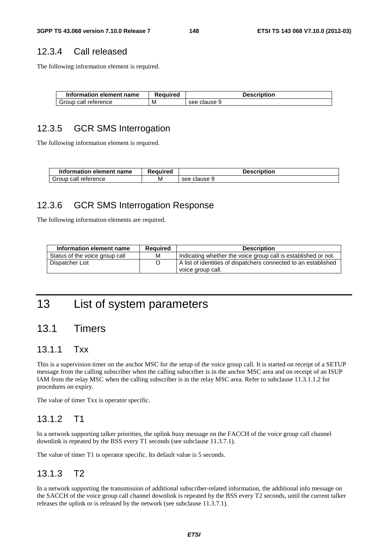### 12.3.4 Call released

The following information element is required.

| Information element name | Reauired | Description  |
|--------------------------|----------|--------------|
| Group call reference     | M        | see clause 9 |

#### 12.3.5 GCR SMS Interrogation

The following information element is required.

| Information element name | Reauired | <b>Description</b> |
|--------------------------|----------|--------------------|
| Group call reference     | M        | see clause 9       |

### 12.3.6 GCR SMS Interrogation Response

The following information elements are required.

| Information element name       | Reauired | <b>Description</b>                                              |
|--------------------------------|----------|-----------------------------------------------------------------|
| Status of the voice group call | М        | Indicating whether the voice group call is established or not.  |
| Dispatcher List                |          | A list of identities of dispatchers connected to an established |
|                                |          | voice group call.                                               |

# 13 List of system parameters

## 13.1 Timers

#### 13.1.1 Txx

This is a supervision timer on the anchor MSC for the setup of the voice group call. It is started on receipt of a SETUP message from the calling subscriber when the calling subscriber is in the anchor MSC area and on receipt of an ISUP IAM from the relay MSC when the calling subscriber is in the relay MSC area. Refer to subclause 11.3.1.1.2 for procedures on expiry.

The value of timer Txx is operator specific.

#### 13.1.2 T1

In a network supporting talker priorities, the uplink busy message on the FACCH of the voice group call channel downlink is repeated by the BSS every T1 seconds (see subclause 11.3.7.1).

The value of timer T1 is operator specific. Its default value is 5 seconds.

### 13.1.3 T2

In a network supporting the transmission of additional subscriber-related information, the additional info message on the SACCH of the voice group call channel downlink is repeated by the BSS every T2 seconds, until the current talker releases the uplink or is released by the network (see subclause 11.3.7.1).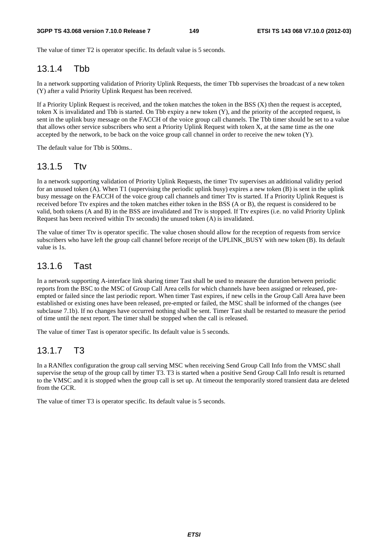The value of timer T2 is operator specific. Its default value is 5 seconds.

#### 13.1.4 Thh

In a network supporting validation of Priority Uplink Requests, the timer Tbb supervises the broadcast of a new token (Y) after a valid Priority Uplink Request has been received.

If a Priority Uplink Request is received, and the token matches the token in the BSS  $(X)$  then the request is accepted, token X is invalidated and Tbb is started. On Tbb expiry a new token  $(Y)$ , and the priority of the accepted request, is sent in the uplink busy message on the FACCH of the voice group call channels. The Tbb timer should be set to a value that allows other service subscribers who sent a Priority Uplink Request with token X, at the same time as the one accepted by the network, to be back on the voice group call channel in order to receive the new token (Y).

The default value for Tbb is 500ms..

#### 13.1.5 Ttv

In a network supporting validation of Priority Uplink Requests, the timer Ttv supervises an additional validity period for an unused token (A). When T1 (supervising the periodic uplink busy) expires a new token  $(B)$  is sent in the uplink busy message on the FACCH of the voice group call channels and timer Ttv is started. If a Priority Uplink Request is received before Ttv expires and the token matches either token in the BSS (A or B), the request is considered to be valid, both tokens (A and B) in the BSS are invalidated and Ttv is stopped. If Ttv expires (i.e. no valid Priority Uplink Request has been received within Ttv seconds) the unused token (A) is invalidated.

The value of timer Ttv is operator specific. The value chosen should allow for the reception of requests from service subscribers who have left the group call channel before receipt of the UPLINK\_BUSY with new token (B). Its default value is 1s.

#### 13.1.6 Tast

In a network supporting A-interface link sharing timer Tast shall be used to measure the duration between periodic reports from the BSC to the MSC of Group Call Area cells for which channels have been assigned or released, preempted or failed since the last periodic report. When timer Tast expires, if new cells in the Group Call Area have been established or existing ones have been released, pre-empted or failed, the MSC shall be informed of the changes (see subclause 7.1b). If no changes have occurred nothing shall be sent. Timer Tast shall be restarted to measure the period of time until the next report. The timer shall be stopped when the call is released.

The value of timer Tast is operator specific. Its default value is 5 seconds.

#### 13.1.7 T3

In a RANflex configuration the group call serving MSC when receiving Send Group Call Info from the VMSC shall supervise the setup of the group call by timer T3. T3 is started when a positive Send Group Call Info result is returned to the VMSC and it is stopped when the group call is set up. At timeout the temporarily stored transient data are deleted from the GCR.

The value of timer T3 is operator specific. Its default value is 5 seconds.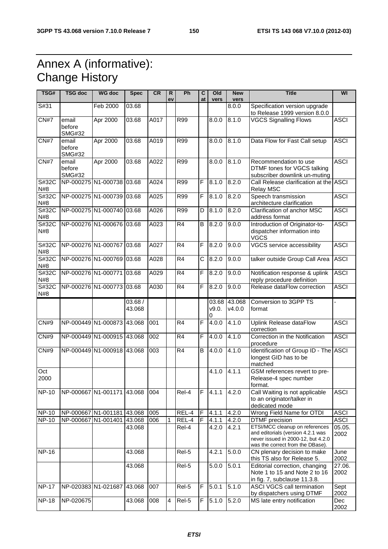# Annex A (informative): Change History

| TSG#         | <b>TSG doc</b>                   | <b>WG doc</b>              | <b>Spec</b>      | <b>CR</b> | R<br>ev | <b>Ph</b>       | C<br>at                 | Old<br>vers | <b>New</b><br>vers     | <b>Title</b>                                                                                                                                  | WI             |
|--------------|----------------------------------|----------------------------|------------------|-----------|---------|-----------------|-------------------------|-------------|------------------------|-----------------------------------------------------------------------------------------------------------------------------------------------|----------------|
| S#31         |                                  | Feb 2000                   | 03.68            |           |         |                 |                         |             | 8.0.0                  | Specification version upgrade<br>to Release 1999 version 8.0.0                                                                                |                |
| CN#7         | email<br>before<br><b>SMG#32</b> | Apr 2000                   | 03.68            | A017      |         | <b>R99</b>      |                         | 8.0.0       | 8.1.0                  | <b>VGCS Signalling Flows</b>                                                                                                                  | <b>ASCI</b>    |
| CN#7         | email<br>before<br><b>SMG#32</b> | Apr 2000                   | 03.68            | A019      |         | R99             |                         | 8.0.0       | 8.1.0                  | Data Flow for Fast Call setup                                                                                                                 | <b>ASCI</b>    |
| CN#7         | email<br>before<br><b>SMG#32</b> | Apr 2000                   | 03.68            | A022      |         | R99             |                         | 8.0.0       | 8.1.0                  | Recommendation to use<br>DTMF tones for VGCS talking<br>subscriber downlink un-muting                                                         | <b>ASCI</b>    |
| S#32C<br>N#8 |                                  | NP-000275 N1-000738        | 03.68            | A024      |         | R99             | $\mathsf F$             | 8.1.0       | 8.2.0                  | Call Release clarification at the ASCI<br><b>Relay MSC</b>                                                                                    |                |
| S#32C<br>N#8 |                                  | NP-000275 N1-000739 03.68  |                  | A025      |         | R99             | $\mathsf F$             | 8.1.0       | 8.2.0                  | Speech transmission<br>architecture clarification                                                                                             | <b>ASCI</b>    |
| S#32C<br>N#8 |                                  | NP-000275 N1-000740 03.68  |                  | A026      |         | R99             | D                       | 8.1.0       | 8.2.0                  | Clarification of anchor MSC<br>address format                                                                                                 | <b>ASCI</b>    |
| S#32C<br>N#8 |                                  | NP-000276 N1-000676 03.68  |                  | A023      |         | $\overline{R4}$ | B                       | 8.2.0       | 9.0.0                  | Introduction of Originator-to-<br>dispatcher information into<br><b>VGCS</b>                                                                  | <b>ASCI</b>    |
| S#32C<br>N#8 | NP-000276 N1-000767              |                            | 03.68            | A027      |         | R <sub>4</sub>  | F                       | 8.2.0       | 9.0.0                  | VGCS service accessibility                                                                                                                    | <b>ASCI</b>    |
| S#32C<br>N#8 |                                  | NP-000276 N1-000769 03.68  |                  | A028      |         | R4              | $\overline{\mathsf{C}}$ | 8.2.0       | 9.0.0                  | talker outside Group Call Area                                                                                                                | <b>ASCI</b>    |
| S#32C<br>N#8 | NP-000276 N1-000771              |                            | 03.68            | A029      |         | R <sub>4</sub>  | F                       | 8.2.0       | 9.0.0                  | Notification response & uplink<br>reply procedure definition                                                                                  | <b>ASCI</b>    |
| S#32C<br>N#8 |                                  | NP-000276 N1-000773 03.68  |                  | A030      |         | R <sub>4</sub>  | $\mathsf{F}$            | 8.2.0       | 9.0.0                  | Release dataFlow correction                                                                                                                   | <b>ASCI</b>    |
|              |                                  |                            | 03.68/<br>43.068 |           |         |                 |                         | v9.0.<br>0  | 03.68 43.068<br>V4.0.0 | Conversion to 3GPP TS<br>format                                                                                                               |                |
| CN#9         |                                  | NP-000449 N1-000873        | 43.068           | 001       |         | R4              | $\overline{F}$          | 4.0.0       | 4.1.0                  | Uplink Release dataFlow<br>correction                                                                                                         | <b>ASCI</b>    |
| CN#9         |                                  | NP-000449 N1-000915 43.068 |                  | 002       |         | R4              | F                       | 4.0.0       | 4.1.0                  | Correction in the Notification<br>procedure                                                                                                   | <b>ASCI</b>    |
| <b>CN#9</b>  |                                  | NP-000449 N1-000918        | 43.068           | 003       |         | R <sub>4</sub>  | B                       | 4.0.0       | 4.1.0                  | Identification of Group ID - The ASCI<br>longest GID has to be<br>matched                                                                     |                |
| Oct<br>2000  |                                  |                            |                  |           |         |                 |                         | 4.1.0       | 4.1.1                  | GSM references revert to pre-<br>Release-4 spec number<br>format.                                                                             |                |
| <b>NP-10</b> | NP-000667 N1-001171              |                            | 43.068           | 004       |         | Rel-4           | F                       | 4.1.1       | 4.2.0                  | Call Waiting is not applicable<br>to an originator/talker in<br>dedicated mode                                                                | <b>ASCI</b>    |
| <b>NP-10</b> |                                  | NP-000667 N1-001181 43.068 |                  | 005       |         | REL-4           | F                       | 4.1.1       | 4.2.0                  | Wrong Field Name for OTDI                                                                                                                     | <b>ASCI</b>    |
| <b>NP-10</b> | NP-000667 N1-001401              |                            | 43.068           | 006       | 1       | REL-4           | $\overline{F}$          | 4.1.1       | 4.2.0                  | DTMF precision                                                                                                                                | <b>ASCI</b>    |
|              |                                  |                            | 43.068           |           |         | Rel-4           |                         | 4.2.0       | 4.2.1                  | ETSI/MCC cleanup on references<br>and editorials (version 4.2.1 was<br>never issued in 2000-12, but 4.2.0<br>was the correct from the DBase). | 05.05.<br>2002 |
| <b>NP-16</b> |                                  |                            | 43.068           |           |         | Rel-5           |                         | 4.2.1       | 5.0.0                  | CN plenary decision to make<br>this TS also for Release 5.                                                                                    | June<br>2002   |
|              |                                  |                            | 43.068           |           |         | Rel-5           |                         | 5.0.0       | 5.0.1                  | Editorial correction, changing<br>Note 1 to 15 and Note 2 to 16<br>in fig. 7, subclause 11.3.8.                                               | 27.06.<br>2002 |
| <b>NP-17</b> | NP-020383 N1-021687              |                            | 43.068           | 007       |         | Rel-5           | F                       | 5.0.1       | 5.1.0                  | ASCI VGCS call termination<br>by dispatchers using DTMF                                                                                       | Sept<br>2002   |
| <b>NP-18</b> | NP-020675                        |                            | 43.068           | 008       | 4       | Rel-5           | $\overline{F}$          | 5.1.0       | 5.2.0                  | MS late entry notification                                                                                                                    | Dec<br>2002    |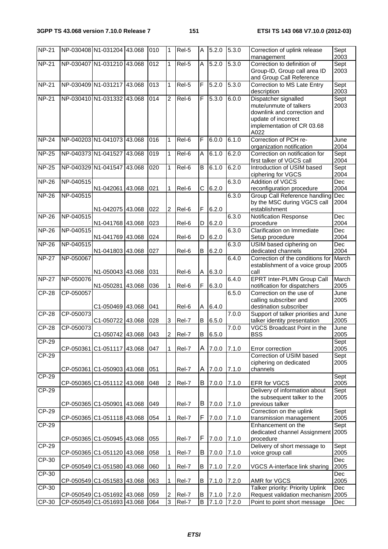| <b>NP-21</b> |                     | NP-030408 N1-031204 43.068                               |        | 010        | 1                                | Rel-5          | A                            | 5.2.0          | 5.3.0              | Correction of uplink release<br>management                                                                                                 | Sept<br>2003             |
|--------------|---------------------|----------------------------------------------------------|--------|------------|----------------------------------|----------------|------------------------------|----------------|--------------------|--------------------------------------------------------------------------------------------------------------------------------------------|--------------------------|
| <b>NP-21</b> |                     | NP-030407 N1-031210 43.068                               |        | 012        | 1                                | Rel-5          | Α                            | 5.2.0          | $\overline{5.3.0}$ | Correction to definition of<br>Group-ID, Group call area ID<br>and Group Call Reference                                                    | Sept<br>2003             |
| <b>NP-21</b> | NP-030409 N1-031217 |                                                          | 43.068 | 013        | 1                                | Rel-5          | $\overline{F}$               | 5.2.0          | 5.3.0              | Correction to MS Late Entry<br>description                                                                                                 | Sept<br>2003             |
| <b>NP-21</b> |                     | NP-030410 N1-031332 43.068                               |        | 014        | 2                                | Rel-6          | F                            | 5.3.0          | 6.0.0              | Dispatcher signalled<br>mute/unmute of talkers<br>downlink and correction and<br>update of incorrect<br>implementation of CR 03.68<br>A022 | Sept<br>2003             |
| <b>NP-24</b> |                     | NP-040203 N1-041073 43.068                               |        | 016        | 1                                | Rel-6          | F                            | 6.0.0          | 6.1.0              | Correction of PCH re-<br>organization notification                                                                                         | June<br>2004             |
| <b>NP-25</b> | NP-040373 N1-041527 |                                                          | 43.068 | 019        | 1                                | Rel-6          | A                            | 6.1.0          | 6.2.0              | Correction on notification for<br>first talker of VGCS call                                                                                | Sept<br>2004             |
| <b>NP-25</b> | NP-040329 N1-041547 |                                                          | 43.068 | 020        | 1                                | Rel-6          | B                            | 6.1.0          | 6.2.0              | Introduction of USIM based<br>ciphering for VGCS                                                                                           | Sept<br>2004             |
| <b>NP-26</b> | NP-040515           | N1-042061 43.068                                         |        | 021        | 1                                | Rel-6          | C                            | 6.2.0          | 6.3.0              | <b>Addition of VGCS</b><br>reconfiguration procedure                                                                                       | Dec<br>2004              |
| <b>NP-26</b> | NP-040515           | N1-042075 43.068                                         |        | 022        | 2                                | Rel-6          | $\mathsf F$                  | 6.2.0          | 6.3.0              | Group Call Reference handling<br>by the MSC during VGCS call<br>establishment                                                              | Dec<br>2004              |
| <b>NP-26</b> | NP-040515           | N1-041768 43.068                                         |        | 023        |                                  | Rel-6          | D                            | 6.2.0          | 6.3.0              | <b>Notification Response</b><br>procedure                                                                                                  | Dec<br>2004              |
| <b>NP-26</b> | NP-040515           | N1-041769 43.068                                         |        | 024        |                                  | Rel-6          | D                            | 6.2.0          | 6.3.0              | Clarification on Immediate<br>Setup procedure                                                                                              | $\overline{Dec}$<br>2004 |
| <b>NP-26</b> | NP-040515           | N1-041803 43.068                                         |        | 027        |                                  | Rel-6          | В                            | 6.2.0          | 6.3.0              | USIM based ciphering on<br>dedicated channels                                                                                              | Dec<br>2004              |
| <b>NP-27</b> | NP-050067           | N1-050043 43.068                                         |        | 031        |                                  | Rel-6          | Α                            | 6.3.0          | 6.4.0              | Correction of the conditions for<br>establishment of a voice group<br>call                                                                 | March<br>2005            |
| <b>NP-27</b> | NP-050076           | N1-050281 43.068                                         |        | 036        | 1                                | Rel-6          | F                            | 6.3.0          | 6.4.0              | <b>EPRT Inter-PLMN Group Call</b><br>notification for dispatchers                                                                          | March<br>2005            |
| <b>CP-28</b> | CP-050057           | C1-050469 43.068                                         |        | 041        |                                  | Rel-6          | Α                            | 6.4.0          | 6.5.0              | Correction on the use of<br>calling subscriber and<br>destination subscriber                                                               | June<br>2005             |
| <b>CP-28</b> | CP-050073           | C1-050722 43.068                                         |        | 028        | 3                                | Rel-7          | B                            | 6.5.0          | 7.0.0              | Support of talker priorities and<br>talker identity presentation                                                                           | June<br>2005             |
| <b>CP-28</b> | CP-050073           | C1-050742 43.068                                         |        | 043        | $\overline{\mathbf{c}}$          | Rel-7          | $\, {\bf B} \,$              | 6.5.0          | 7.0.0              | <b>VGCS Broadcast Point in the</b><br><b>BSS</b>                                                                                           | June<br>2005             |
| $CP-29$      |                     | CP-050361 C1-051117 43.068                               |        | 047        | 1                                | Rel-7          | A                            | 7.0.0          | 7.1.0              | Error correction                                                                                                                           | Sept<br>2005             |
| CP-29        | CP-050361           | C1-050903 43.068                                         |        | 051        |                                  | Rel-7          | A                            | 7.0.0          | 7.1.0              | Correction of USIM based<br>ciphering on dedicated<br>channels                                                                             | Sept<br>2005             |
| CP-29        |                     | CP-050365 C1-051112 43.068                               |        | 048        | 2                                | Rel-7          | В                            | 7.0.0          | 7.1.0              | EFR for VGCS                                                                                                                               | Sept<br>2005             |
| CP-29        |                     |                                                          |        |            |                                  |                |                              |                |                    | Delivery of information about<br>the subsequent talker to the                                                                              | Sept<br>2005             |
| CP-29        | CP-050365 C1-050901 |                                                          | 43.068 | 049        |                                  | Rel-7          | В                            | 7.0.0          | 7.1.0              | previous talker<br>Correction on the uplink                                                                                                | Sept                     |
|              |                     | CP-050365 C1-051118 43.068                               |        | 054        | 1                                | Rel-7          | F                            | 7.0.0          | 7.1.0              | transmission management                                                                                                                    | 2005                     |
| CP-29        |                     | CP-050365 C1-050945 43.068                               |        | 055        |                                  | Rel-7          | F                            | 7.0.0          | 7.1.0              | Enhancement on the<br>dedicated channel Assignment<br>procedure                                                                            | Sept<br>2005             |
| $CP-29$      |                     | CP-050365 C1-051120 43.068                               |        | 058        | 1                                | Rel-7          | B                            | 7.0.0          | 7.1.0              | Delivery of short message to<br>voice group call                                                                                           | Sept<br>2005             |
| CP-30        |                     | CP-050549 C1-051580 43.068                               |        | 060        | 1                                | Rel-7          | В                            | 7.1.0          | 7.2.0              | VGCS A-interface link sharing                                                                                                              | Dec<br>2005              |
| CP-30        |                     |                                                          |        |            | 1                                |                |                              |                |                    |                                                                                                                                            | Dec<br>2005              |
| CP-30        |                     | CP-050549 C1-051583 43.068                               |        | 063        |                                  | Rel-7          | B                            | 7.1.0          | 7.2.0              | AMR for VGCS<br>Talker priority: Priority Uplink                                                                                           | Dec                      |
| CP-30        |                     | CP-050549 C1-051692 43.068<br>CP-050549 C1-051693 43.068 |        | 059<br>064 | $\overline{c}$<br>$\mathfrak{S}$ | Rel-7<br>Rel-7 | B<br>$\overline{\mathsf{B}}$ | 7.1.0<br>7.1.0 | 7.2.0<br>7.2.0     | Request validation mechanism 2005<br>Point to point short message                                                                          | Dec                      |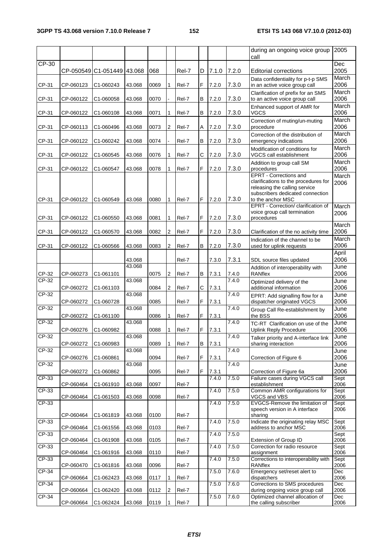|                |                        |                            |                  |              |        |                |         |                |                | during an ongoing voice group<br>call                                                                                                                                         | 2005               |
|----------------|------------------------|----------------------------|------------------|--------------|--------|----------------|---------|----------------|----------------|-------------------------------------------------------------------------------------------------------------------------------------------------------------------------------|--------------------|
| CP-30          |                        | CP-050549 C1-051449 43.068 |                  | 068          |        | Rel-7          | D       | 7.1.0          | 7.2.0          | <b>Editorial corrections</b>                                                                                                                                                  | <b>Dec</b><br>2005 |
| CP-31          | CP-060123              | C1-060243                  | 43.068           | 0069         | 1      | Rel-7          | F       | 7.2.0          | 7.3.0          | Data confidentiality for p-t-p SMS<br>in an active voice group call                                                                                                           | March<br>2006      |
| CP-31          | CP-060122              | C1-060058                  | 43.068           | 0070         |        | Rel-7          | В       | 7.2.0          | 7.3.0          | Clarification of prefix for an SMS<br>to an active voice group call                                                                                                           | March<br>2006      |
| CP-31          | CP-060122              | C1-060108                  | 43.068           | 0071         | 1      | Rel-7          | В       | 7.2.0          | 7.3.0          | Enhanced support of AMR for<br>VGCS                                                                                                                                           | March<br>2006      |
| CP-31          | CP-060113              | C1-060496                  | 43.068           | 0073         | 2      | Rel-7          | Α       | 7.2.0          | 7.3.0          | Correction of muting/un-muting<br>procedure                                                                                                                                   | March<br>2006      |
| CP-31          | CP-060122              | C1-060242                  | 43.068           | 0074         |        | Rel-7          | В       | 7.2.0          | 7.3.0          | Correction of the distribution of<br>emergency indications                                                                                                                    | March<br>2006      |
| CP-31          | CP-060122              | C1-060545                  | 43.068           | 0076         | 1      | Rel-7          | C       | 7.2.0          | 7.3.0          | Modification of conditions for<br>VGCS call establishment                                                                                                                     | March<br>2006      |
|                |                        |                            |                  |              |        |                | F       |                |                | Addition to group call SM                                                                                                                                                     | March<br>2006      |
| CP-31<br>CP-31 | CP-060122<br>CP-060122 | C1-060547<br>C1-060549     | 43.068<br>43.068 | 0078<br>0080 | 1<br>1 | Rel-7<br>Rel-7 | F       | 7.2.0<br>7.2.0 | 7.3.0<br>7.3.0 | procedures<br><b>EPRT</b> - Corrections and<br>clarifications to the procedures for<br>releasing the calling service<br>subscribers dedicated connection<br>to the anchor MSC | March<br>2006      |
| CP-31          | CP-060122              | C1-060550                  | 43.068           | 0081         | 1      | Rel-7          | F       | 7.2.0          | 7.3.0          | EPRT - Correction/ clarification of<br>voice group call termination<br>procedures                                                                                             | March<br>2006      |
| CP-31          | CP-060122              | C1-060570                  | 43.068           | 0082         | 2      | Rel-7          | F       | 7.2.0          | 7.3.0          | Clarification of the no activity time                                                                                                                                         | March<br>2006      |
| CP-31          | CP-060122              | C1-060566                  | 43.068           | 0083         | 2      | Rel-7          | В       | 7.2.0          | 7.3.0          | Indication of the channel to be<br>used for uplink requests                                                                                                                   | March<br>2006      |
|                |                        |                            | 43.068           |              |        | Rel-7          |         | 7.3.0          | 7.3.1          | SDL source files updated                                                                                                                                                      | April<br>2006      |
| CP-32          | CP-060273              | C1-061101                  | 43.068           | 0075         | 2      | Rel-7          | В       | 7.3.1          | 7.4.0          | Addition of interoperability with<br><b>RANflex</b>                                                                                                                           | June<br>2006       |
| CP-32          | CP-060272              | C1-061103                  | 43.068           | 0084         | 2      | Rel-7          | С       | 7.3.1          | 7.4.0          | Optimized delivery of the<br>additional information                                                                                                                           | June<br>2006       |
| CP-32          | CP-060272              | C1-060728                  | 43.068           | 0085         |        | Rel-7          | F       | 7.3.1          | 7.4.0          | EPRT: Add signalling flow for a<br>dispatcher originated VGCS                                                                                                                 | June<br>2006       |
| CP-32          | CP-060272              | C1-061100                  | 43.068           | 0086         | 1      | Rel-7          | F       | 7.3.1          | 7.4.0          | Group Call Re-establishment by<br>the BSS                                                                                                                                     | June<br>2006       |
| $CP-32$        | CP-060276              | C1-060982                  | 43.068           | 0088         | 1      | Rel-7          | F       | 7.3.1          | 7.4.0          | TC-RT Clarification on use of the<br><b>Uplink Reply Procedure</b>                                                                                                            | June<br>2006       |
| CP-32          | CP-060272              | C1-060983                  | 43.068           | 0089         | 1      | Rel-7          | $\sf B$ | 7.3.1          | 7.4.0          | Talker priority and A-interface link<br>sharing interaction                                                                                                                   | June<br>2006       |
| CP-32          |                        |                            | 43.068           |              |        |                |         |                | 7.4.0          |                                                                                                                                                                               | June               |
| CP-32          | CP-060276              | C1-060861                  | 43.068           | 0094         |        | Rel-7          | F       | 7.3.1          | 7.4.0          | Correction of Figure 6                                                                                                                                                        | 2006<br>June       |
| CP-33          | CP-060272              | C1-060862                  |                  | 0095         |        | Rel-7          | F       | 7.3.1<br>7.4.0 | 7.5.0          | Correction of Figure 6a<br>Failure cases during VGCS call                                                                                                                     | 2006               |
|                | CP-060464              | C1-061910                  | 43.068           | 0097         |        | Rel-7          |         |                |                | establishment<br>Common AMR configurations for                                                                                                                                | Sept<br>2006       |
| $CP-33$        | CP-060464              | C1-061503                  | 43.068           | 0098         |        | Rel-7          |         | 7.4.0          | 7.5.0          | VGCS and VBS                                                                                                                                                                  | Sept<br>2006       |
| CP-33          |                        |                            |                  |              |        |                |         | 7.4.0          | 7.5.0          | EVGCS-Remove the limitation of<br>speech version in A interface                                                                                                               | Sept<br>2006       |
| $CP-33$        | CP-060464              | C1-061819                  | 43.068           | 0100         |        | Rel-7          |         | 7.4.0          | 7.5.0          | sharing<br>Indicate the originating relay MSC                                                                                                                                 | Sept               |
| CP-33          | CP-060464              | C1-061556                  | 43.068           | 0103         |        | Rel-7          |         | 7.4.0          | 7.5.0          | address to anchor MSC                                                                                                                                                         | 2006<br>Sept       |
| $CP-33$        | CP-060464              | C1-061908                  | 43.068           | 0105         |        | Rel-7          |         | 7.4.0          | 7.5.0          | Extension of Group ID<br>Correction for radio resource                                                                                                                        | 2006<br>Sept       |
| CP-33          | CP-060464              | C1-061916                  | 43.068           | 0110         |        | Rel-7          |         | 7.4.0          | 7.5.0          | assignment<br>Corrections to interoperability with                                                                                                                            | 2006<br>Sept       |
| CP-34          | CP-060470              | C1-061816                  | 43.068           | 0096         |        | Rel-7          |         | 7.5.0          | 7.6.0          | RANflex<br>Emergency set/reset alert to                                                                                                                                       | 2006<br>Dec        |
| $CP-34$        | CP-060664              | C1-062423                  | 43.068           | 0117         | 1      | Rel-7          |         | 7.5.0          | 7.6.0          | dispatchers<br>Corrections to SMS procedures                                                                                                                                  | 2006<br>Dec        |
| CP-34          | CP-060664              | C1-062420                  | 43.068           | 0112         | 2      | Rel-7          |         | 7.5.0          | 7.6.0          | during ongoing voice group call<br>Optimized channel allocation of                                                                                                            | 2006<br>Dec        |
|                | CP-060664              | C1-062424                  | 43.068           | 0119         | 1.     | Rel-7          |         |                |                | the calling subscriber                                                                                                                                                        | 2006               |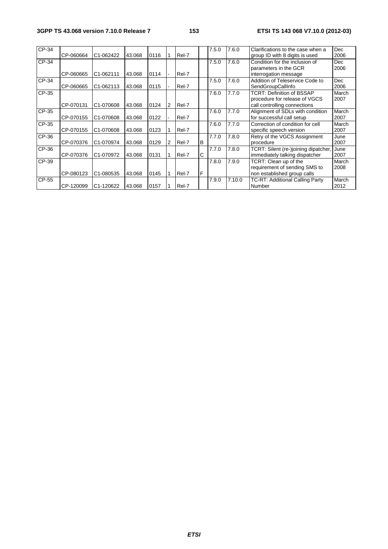#### **3GPP TS 43.068 version 7.10.0 Release 7 153 ETSI TS 143 068 V7.10.0 (2012-03)**

| $CP-34$ | CP-060664 | C1-062422              | 43.068 | 0116 |   | Rel-7 |          | 7.5.0 | 7.6.0  | Clarifications to the case when a<br>group ID with 8 digits is used                               | <b>Dec</b><br>2006 |
|---------|-----------|------------------------|--------|------|---|-------|----------|-------|--------|---------------------------------------------------------------------------------------------------|--------------------|
| CP-34   | CP-060665 | C1-062111              | 43.068 | 0114 |   | Rel-7 |          | 7.5.0 | 7.6.0  | Condition for the inclusion of<br>parameters in the GCR<br>interrogation message                  | <b>Dec</b><br>2006 |
| CP-34   | CP-060665 | C1-062113              | 43.068 | 0115 |   | Rel-7 |          | 7.5.0 | 7.6.0  | Addition of Teleservice Code to<br>SendGroupCallInfo                                              | <b>Dec</b><br>2006 |
| CP-35   | CP-070131 | C1-070608              | 43.068 | 0124 | 2 | Rel-7 |          | 7.6.0 | 7.7.0  | <b>TCRT: Definition of BSSAP</b><br>procedure for release of VGCS<br>call controlling connections | March<br>2007      |
| CP-35   | CP-070155 | C1-070608              | 43.068 | 0122 |   | Rel-7 |          | 7.6.0 | 7.7.0  | Alignment of SDLs with condition<br>for successful call setup                                     | March<br>2007      |
| CP-35   | CP-070155 | C <sub>1</sub> -070608 | 43.068 | 0123 |   | Rel-7 |          | 7.6.0 | 7.7.0  | Correction of condition for cell<br>specific speech version                                       | March<br>2007      |
| CP-36   | CP-070376 | C <sub>1</sub> -070974 | 43.068 | 0129 | 2 | Rel-7 | <b>B</b> | 7.7.0 | 7.8.0  | Retry of the VGCS Assignment<br>procedure                                                         | June<br>2007       |
| CP-36   | CP-070376 | C1-070972              | 43.068 | 0131 |   | Rel-7 | C        | 7.7.0 | 7.8.0  | TCRT: Silent (re-)joining dipatcher,<br>immediately talking dispatcher                            | June<br>2007       |
| CP-39   | CP-080123 | C1-080535              | 43.068 | 0145 |   | Rel-7 | ١F       | 7.8.0 | 7.9.0  | TCRT: Clean up of the<br>requirement of sending SMS to<br>non established group calls             | March<br>2008      |
| CP-55   | CP-120099 | C1-120622              | 43.068 | 0157 |   | Rel-7 |          | 7.9.0 | 7.10.0 | TC-RT: Additional Calling Party<br>Number                                                         | March<br>2012      |